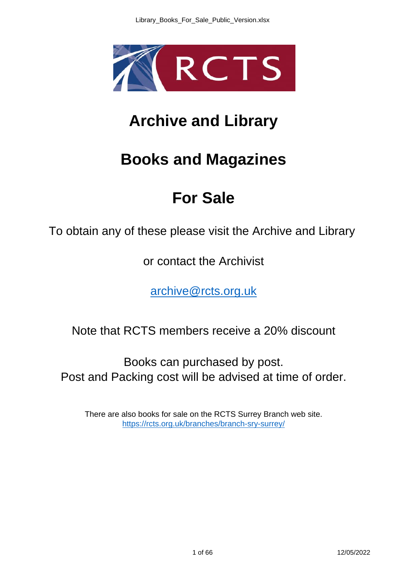

## **Archive and Library**

## **Books and Magazines**

## **For Sale**

To obtain any of these please visit the Archive and Library

or contact the Archivist

archive@rcts.org.uk

Note that RCTS members receive a 20% discount

Books can purchased by post. Post and Packing cost will be advised at time of order.

There are also books for sale on the RCTS Surrey Branch web site. https://rcts.org.uk/branches/branch-sry-surrey/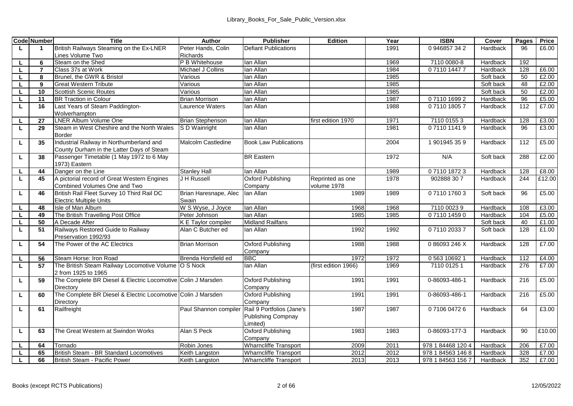|         | <b>Code Number</b> | Title                                                                       | Author                               | <b>Publisher</b>                     | Edition              | Year | <b>ISBN</b>       | Cover                 | Pages     | Price          |
|---------|--------------------|-----------------------------------------------------------------------------|--------------------------------------|--------------------------------------|----------------------|------|-------------------|-----------------------|-----------|----------------|
| L.      | 1                  | British Railways Steaming on the Ex-LNER                                    | Peter Hands, Colin                   | Defiant Publications                 |                      | 1991 | 0 946857 34 2     | Hardback              | 96        | £6.00          |
|         |                    | Lines Volume Two                                                            | <b>Richards</b>                      |                                      |                      |      |                   |                       |           |                |
| L.      | 6                  | Steam on the Shed                                                           | P B Whitehouse                       | lan Allan                            |                      | 1969 | 7110 0080-8       | Hardback              | 192       |                |
| L.      | $\overline{7}$     | Class 37s at Work                                                           | Michael J Collins                    | lan Allan                            |                      | 1984 | 0711014477        | Hardback              | 128       | £6.00          |
| L       | 8                  | Brunel, the GWR & Bristol                                                   | Various                              | lan Allan                            |                      | 1985 |                   | Soft back             | 50        | £2.00          |
| L.      | 9                  | <b>Great Western Tribute</b>                                                | Various                              | lan Allan                            |                      | 1985 |                   | Soft back             | 48        | £2.00          |
| L.      | 10                 | <b>Scottish Scenic Routes</b>                                               | Various                              | lan Allan                            |                      | 1985 |                   | Soft back             | 50        | £2.00          |
| ш       | 11                 | <b>BR Traction in Colour</b>                                                | <b>Brian Morrison</b>                | lan Allan                            |                      | 1987 | 0711016992        | Hardback              | 96        | £5.00          |
| L.      | 16                 | Last Years of Steam Paddington-                                             | aurence Waters                       | lan Allan                            |                      | 1988 | 0711018057        | Hardback              | 112       | £7.00          |
|         |                    | Wolverhampton                                                               |                                      |                                      |                      |      |                   |                       |           |                |
|         | 27                 | LNER Album Volume One                                                       | <b>Brian Stephenson</b>              | lan Allan                            | first edition 1970   | 1971 | 7110 0155 3       | Hardback              | 128       | £3.00          |
| L.      | 29                 | Steam in West Cheshire and the North Wales                                  | <b>IS D Wainright</b>                | lan Allan                            |                      | 1981 | 0711011419        | Hardback              | 96        | £3.00          |
|         |                    | Border                                                                      |                                      |                                      |                      |      |                   |                       |           |                |
| г       | 35                 | Industrial Railway in Northumberland and                                    | Malcolm Castledine                   | <b>Book Law Publications</b>         |                      | 2004 | 1901945359        | Hardback              | 112       | £5.00          |
|         |                    | County Durham in the Latter Days of Steam                                   |                                      |                                      |                      |      |                   |                       |           |                |
| ш       | 38                 | Passenger Timetable (1 May 1972 to 6 May                                    |                                      | <b>BR</b> Eastern                    |                      | 1972 | N/A               | Soft back             | 288       | £2.00          |
|         |                    | 1973) Eastern                                                               |                                      |                                      |                      |      |                   |                       |           |                |
| L.      | 44                 | Danger on the Line                                                          | <b>Stanley Hall</b>                  | lan Allan                            |                      | 1989 | 0711018723        | Hardback              | 128       | £8.00          |
| ш       | 45                 | A pictorial record of Great Western Engines                                 | J H Russell                          | Oxford Publishing                    | Reprinted as one     | 1978 | 902888 307        | Hardback              | 244       | £12.00         |
|         |                    | Combined Volumes One and Two                                                |                                      | Company                              | volume 1978          |      |                   |                       |           |                |
| L.      | 46                 | British Rail Fleet Survey 10 Third Rail DC                                  | Brian Haresnape, Alec<br>Swain       | lan Allan                            | 1989                 | 1989 | 0711017603        | Soft back             | 96        | £5.00          |
|         |                    | <b>Electric Multiple Units</b><br>Isle of Man Album                         |                                      | lan Allan                            | 1968                 | 1968 |                   | Hardback              | 108       |                |
| L.      | 48                 |                                                                             | W S Wyse, J Joyce                    |                                      |                      |      | 7110 0023 9       |                       |           | £3.00<br>£5.00 |
| L.      | 49<br>50           | The British Travelling Post Office<br>A Decade After                        | Peter Johnson<br>K E Tavlor compiler | lan Allan<br><b>Midland Railfans</b> | 1985                 | 1985 | 0711014590        | Hardback<br>Soft back | 104<br>40 | £1.00          |
| ш<br>L. | 51                 | Railways Restored Guide to Railway                                          | Alan C Butcher ed                    | lan Allan                            | 1992                 | 1992 | 0711020337        | Soft back             | 128       | £1.00          |
|         |                    | Preservation 1992/93                                                        |                                      |                                      |                      |      |                   |                       |           |                |
| ш       | 54                 | The Power of the AC Electrics                                               | <b>Brian Morrison</b>                | Oxford Publishing                    | 1988                 | 1988 | 086093246X        | Hardback              | 128       | £7.00          |
|         |                    |                                                                             |                                      | Company                              |                      |      |                   |                       |           |                |
| L.      | 56                 | Steam Horse: Iron Road                                                      | Brenda Horsfield ed                  | <b>BBC</b>                           | 1972                 | 1972 | 0 563 10692 1     | Hardback              | 112       | £4.00          |
| L.      | 57                 | The British Steam Railway Locomotive Volume O S Nock<br>2 from 1925 to 1965 |                                      | lan Allan                            | (first edition 1966) | 1969 | 7110 0125 1       | Hardback              | 276       | £7.00          |
| L.      | 59                 | The Complete BR Diesel & Electric Locomotive Colin J Marsden                |                                      | Oxford Publishing                    | 1991                 | 1991 | 0-86093-486-1     | Hardback              | 216       | £5.00          |
|         |                    | Directory                                                                   |                                      | Company                              |                      |      |                   |                       |           |                |
| L.      | 60                 | The Complete BR Diesel & Electric Locomotive Colin J Marsden                |                                      | Oxford Publishing                    | 1991                 | 1991 | 0-86093-486-1     | Hardback              | 216       | £5.00          |
|         |                    | Directory                                                                   |                                      | Company                              |                      |      |                   |                       |           |                |
| г       | 61                 | Railfreight                                                                 | Paul Shannon compiler                | Rail 9 Portfolios (Jane's            | 1987                 | 1987 | 0710604726        | Hardback              | 64        | £3.00          |
|         |                    |                                                                             |                                      | <b>Publishing Compnay</b>            |                      |      |                   |                       |           |                |
|         |                    |                                                                             |                                      | Limited)                             |                      |      |                   |                       |           |                |
| L       | 63                 | The Great Western at Swindon Works                                          | Alan S Peck                          | Oxford Publishing                    | 1983                 | 1983 | 0-86093-177-3     | Hardback              | 90        | £10.00         |
|         |                    |                                                                             |                                      | Company                              |                      |      |                   |                       |           |                |
| L.      | 64                 | Tornado                                                                     | Robin Jones                          | Wharncliffe Transport                | 2009                 | 2011 | 978 1 84468 120 4 | Hardback              | 206       | £7.00          |
| L.      | 65                 | British Steam - BR Standard Locomotives                                     | Keith Langston                       | <b>Wharncliffe Transport</b>         | 2012                 | 2012 | 978 1 84563 146 8 | Hardback              | 328       | £7.00          |
|         | 66                 | British Steam - Pacific Power                                               | Keith Langston                       | Wharncliffe Transport                | 2013                 | 2013 | 978 1 84563 156 7 | Hardback              | 352       | £7.00          |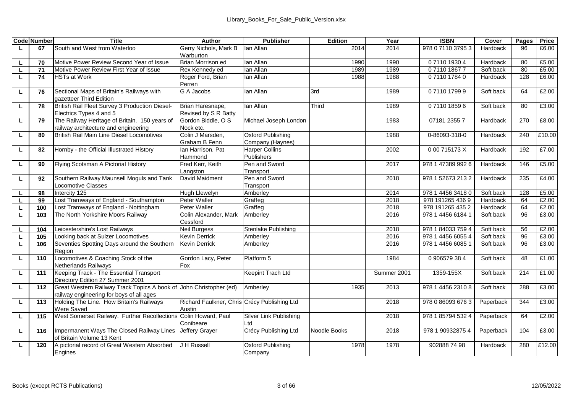|    | <b>Code Number</b> | Title                                                                                    | Author                                                 | Publisher                             | Edition      | Year        | <b>ISBN</b>       | Cover     | Pages | Price  |
|----|--------------------|------------------------------------------------------------------------------------------|--------------------------------------------------------|---------------------------------------|--------------|-------------|-------------------|-----------|-------|--------|
| L. | 67                 | South and West from Waterloo                                                             | Gerry Nichols, Mark B                                  | lan Allan                             | 2014         | 2014        | 978 0 7110 3795 3 | Hardback  | 96    | £6.00  |
|    |                    |                                                                                          | Warburton                                              |                                       |              |             |                   |           |       |        |
| L. | 70                 | Motive Power Review Second Year of Issue                                                 | Brian Morrison ed                                      | lan Allan                             | 1990         | 1990        | 0711019304        | Hardback  | 80    | £5.00  |
| L. | 71                 | Motive Power Review First Year of Issue                                                  | Rex Kennedy ed                                         | lan Allan                             | 1989         | 1989        | 0711018677        | Soft back | 80    | £5.00  |
| L. | 74                 | <b>HSTs at Work</b>                                                                      | Roger Ford, Brian                                      | lan Allan                             | 1988         | 1988        | 0711017840        | Hardback  | 128   | £6.00  |
|    |                    |                                                                                          | Perren                                                 |                                       |              |             |                   |           |       |        |
| ш  | 76                 | Sectional Maps of Britain's Railways with<br>gazetteer Third Edition                     | G A Jacobs                                             | lan Allan                             | 3rd          | 1989        | 0711017999        | Soft back | 64    | £2.00  |
| ш  | 78                 | British Rail Fleet Survey 3 Production Diesel-<br>Electrics Types 4 and 5                | Brian Haresnape.<br>Revised by S R Batty               | lan Allan                             | Third        | 1989        | 0711018596        | Soft back | 80    | £3.00  |
| г  | 79                 | The Railway Heritage of Britain. 150 years of<br>railway architecture and engineering    | Gordon Biddle, O S<br>Nock etc.                        | Michael Joseph London                 |              | 1983        | 07181 2355 7      | Hardback  | 270   | £8.00  |
| ш  | 80                 | British Rail Main Line Diesel Locomotives                                                | Colin J Marsden.<br>Graham B Fenn                      | Oxford Publishing<br>Company (Haynes) |              | 1988        | 0-86093-318-0     | Hardback  | 240   | £10.00 |
| ш  | 82                 | Hornby - the Official Illustrated History                                                | Ian Harrison, Pat<br>Hammond                           | <b>Harper Collins</b><br>Publishers   |              | 2002        | 000 715173 X      | Hardback  | 192   | £7.00  |
| г  | 90                 | Flying Scotsman A Pictorial History                                                      | Fred Kerr, Keith                                       | Pen and Sword                         |              | 2017        | 978 1 47389 992 6 | Hardback  | 146   | £5.00  |
|    |                    |                                                                                          | Langston                                               | Transport                             |              |             |                   |           |       |        |
| ш  | 92                 | Southern Railway Maunsell Moguls and Tank                                                | David Maidment                                         | Pen and Sword                         |              | 2018        | 978 1 52673 213 2 | Hardback  | 235   | £4.00  |
|    |                    | Locomotive Classes                                                                       |                                                        | Transport                             |              |             |                   |           |       |        |
| L. | 98                 | Intercity 125                                                                            | Hugh Llewelyn                                          | Amberlev                              |              | 2014        | 978 1 4456 3418 0 | Soft back | 128   | £5.00  |
| ш  | 99                 | Lost Tramways of England - Southampton                                                   | Peter Waller                                           | Graffeg                               |              | 2018        | 978 191265 436 9  | Hardback  | 64    | £2.00  |
| L. | 100                | Lost Tramways of England - Nottingham                                                    | Peter Waller                                           | Graffeg                               |              | 2018        | 978 191265 435 2  | Hardback  | 64    | £2.00  |
| L. | 103                | The North Yorkshire Moors Railway                                                        | Colin Alexander, Mark<br>Cessford                      | Amberley                              |              | 2016        | 978 1 4456 6184 1 | Soft back | 96    | £3.00  |
| L. | 104                | Leicestershire's Lost Railways                                                           | <b>Neil Burgess</b>                                    | Stenlake Publishing                   |              | 2018        | 978 1 84033 759 4 | Soft back | 56    | £2.00  |
| ш  | 105                | Looking back at Sulzer Locomotives                                                       | <b>Kevin Derrick</b>                                   | Amberley                              |              | 2016        | 978 1 4456 6055 4 | Soft back | 96    | £3.00  |
| L. | 106                | Seventies Spotting Days around the Southern<br>Region                                    | <b>Kevin Derrick</b>                                   | Amberley                              |              | 2016        | 978 1 4456 6085 1 | Soft back | 96    | £3.00  |
| г  | 110                | Locomotives & Coaching Stock of the<br>Netherlands Railways                              | Gordon Lacy, Peter<br>Fox                              | Platform 5                            |              | 1984        | 0906579384        | Soft back | 48    | £1.00  |
| ш  | 111                | Keeping Track - The Essential Transport<br>Directory Edition 27 Summer 2001              |                                                        | Keepint Trach Ltd                     |              | Summer 2001 | 1359-155X         | Soft back | 214   | £1.00  |
| ш  | 112                | Great Western Railway Track Topics A book of<br>railway engineering for boys of all ages | John Christopher (ed)                                  | Amberlev                              | 1935         | 2013        | 978 1 4456 2310 8 | Soft back | 288   | £3.00  |
| L. | 113                | Holding The Line. How Britain's Railways<br>Were Saved                                   | Richard Faulkner, Chris Crécy Publishing Ltd<br>Austin |                                       |              | 2018        | 978 0 86093 676 3 | Paperback | 344   | £3.00  |
| г  | 115                | West Somerset Railway. Further Recollections                                             | Colin Howard, Paul<br>Conibeare                        | Silver Link Publishing<br>Ltd         |              | 2018        | 978 1 85794 532 4 | Paperback | 64    | £2.00  |
| г  | 116                | Impermanent Ways The Closed Railway Lines<br>of Britain Volume 13 Kent                   | Jeffery Grayer                                         | Crécy Publishing Ltd                  | Noodle Books | 2018        | 978 1 90932875 4  | Paperback | 104   | £3.00  |
| ш  | 120                | A pictorial record of Great Western Absorbed<br>Engines                                  | J H Russell                                            | Oxford Publishing<br>Company          | 1978         | 1978        | 902888 74 98      | Hardback  | 280   | £12.00 |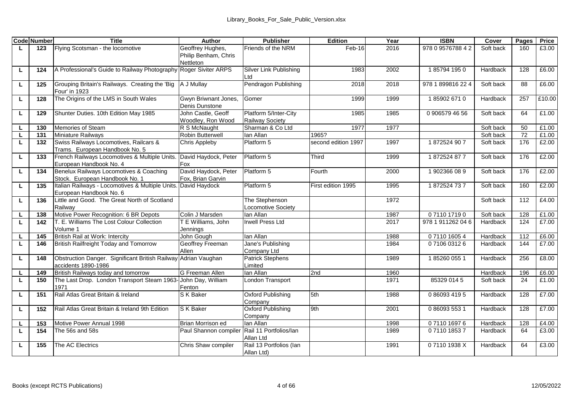|    | <b>Code Number</b> | Title                                                                      | Author                                                | Publisher                                | Edition             | Year | <b>ISBN</b>       | Cover     | Pages | Price  |
|----|--------------------|----------------------------------------------------------------------------|-------------------------------------------------------|------------------------------------------|---------------------|------|-------------------|-----------|-------|--------|
| L. | 123                | Flying Scotsman - the locomotive                                           | Geoffrey Hughes,<br>Philip Benham, Chris<br>Nettleton | Friends of the NRM                       | Feb-16              | 2016 | 978 0 9576788 4 2 | Soft back | 160   | £3.00  |
| L  | 124                | A Professional's Guide to Railway Photography                              | Roger Siviter ARPS                                    | Silver Link Publishing<br>Ltd            | 1983                | 2002 | 1857941950        | Hardback  | 128   | £6.00  |
| ш  | 125                | Grouping Britain's Railways. Creating the 'Big<br>Four' in 1923            | A J Mullay                                            | Pendragon Publishing                     | 2018                | 2018 | 978 1 899816 22 4 | Soft back | 88    | £6.00  |
| г  | 128                | The Origins of the LMS in South Wales                                      | Gwyn Briwnant Jones.<br>Denis Dunstone                | Gomer                                    | 1999                | 1999 | 1859026710        | Hardback  | 257   | £10.00 |
| L. | 129                | Shunter Duties. 10th Edition May 1985                                      | John Castle, Geoff<br>Woodley, Ron Wood               | Platform 5/Inter-City<br>Railway Society | 1985                | 1985 | 0 906579 46 56    | Soft back | 64    | £1.00  |
| L. | 130                | Memories of Steam                                                          | R S McNaught                                          | Sharman & Co Ltd                         | 1977                | 1977 |                   | Soft back | 50    | £1.00  |
| L. | 131                | Miniature Railways                                                         | Robin Butterwell                                      | lan Allan                                | 1965?               |      |                   | Soft back | 72    | £1.00  |
| г  | 132                | Swiss Railways Locomotives, Railcars &<br>Trams. European Handbook No. 5   | Chris Appleby                                         | Platform 5                               | second edition 1997 | 1997 | 1872524 907       | Soft back | 176   | £2.00  |
| ш  | 133                | French Railways Locomotives & Multiple Units.<br>European Handbook No. 4   | David Haydock, Peter<br>Fox                           | Platform 5                               | Third               | 1999 | 1872524877        | Soft back | 176   | £2.00  |
| ш  | 134                | Benelux Railways Locomotives & Coaching<br>Stock. European Handbook No. 1  | David Haydock, Peter<br>Fox. Brian Garvin             | Platform 5                               | Fourth              | 2000 | 1902366089        | Soft back | 176   | £2.00  |
| L. | 135                | Italian Railways - Locomotives & Multiple Units<br>European Handbook No. 6 | David Havdock                                         | Platform 5                               | First edition 1995  | 1995 | 1872524737        | Soft back | 160   | £2.00  |
| г  | 136                | Little and Good. The Great North of Scotland<br>Railway                    |                                                       | The Stephenson<br>Locomotive Society     |                     | 1972 |                   | Soft back | 112   | £4.00  |
| г  | 138                | Motive Power Recognition: 6 BR Depots                                      | Colin J Marsden                                       | lan Allan                                |                     | 1987 | 0711017190        | Soft back | 128   | £1.00  |
| L. | 142                | T. E. Williams The Lost Colour Collection<br>Volume 1                      | T E Williams, John<br>Jenninas                        | Irwell Press Ltd                         |                     | 2017 | 978 1 911262 04 6 | Hardback  | 124   | £7.00  |
| г  | 145                | British Rail at Work: Intercity                                            | John Gough                                            | lan Allan                                |                     | 1988 | 0711016054        | Hardback  | 112   | £6.00  |
| τ  | 146                | British Railfreight Today and Tomorrow                                     | Geoffrey Freeman<br>Allen                             | Jane's Publishing<br>Company Ltd         |                     | 1984 | 0710603126        | Hardback  | 144   | £7.00  |
| L. | 148                | Obstruction Danger. Significant British Railway<br>accidents 1890-1986     | Adrian Vaughan                                        | <b>Patrick Stephens</b><br>Limited       |                     | 1989 | 1852600551        | Hardback  | 256   | £8.00  |
| ш  | 149                | British Railways today and tomorrow                                        | G Freeman Allen                                       | lan Allan                                | 2nd                 | 1960 |                   | Hardback  | 196   | £6.00  |
| г  | 150                | The Last Drop. London Transport Steam 1963-John Day, William<br>1971       | Fenton                                                | London Transport                         |                     | 1971 | 85329 014 5       | Soft back | 24    | £1.00  |
| ш  | 151                | Rail Atlas Great Britain & Ireland                                         | S K Baker                                             | Oxford Publishing<br>Company             | 5th                 | 1988 | 0 86093 419 5     | Hardback  | 128   | £7.00  |
| L  | 152                | Rail Atlas Great Britain & Ireland 9th Edition                             | S K Baker                                             | Oxford Publishing<br>Company             | 9th                 | 2001 | 0 86093 553 1     | Hardback  | 128   | £7.00  |
| L. | 153                | Motive Power Annual 1998                                                   | Brian Morrison ed                                     | lan Allan                                |                     | 1998 | 0711016976        | Hardback  | 128   | £4.00  |
| τ  | 154                | The 56s and 58s                                                            | Paul Shannon compiler                                 | Rail 11 Portfolios/lan<br>Allan Ltd      |                     | 1989 | 0711018537        | Hardback  | 64    | £3.00  |
| г  | 155                | The AC Electrics                                                           | Chris Shaw compiler                                   | Rail 13 Portfolios (lan<br>Allan Ltd)    |                     | 1991 | 071101938X        | Hardback  | 64    | £3.00  |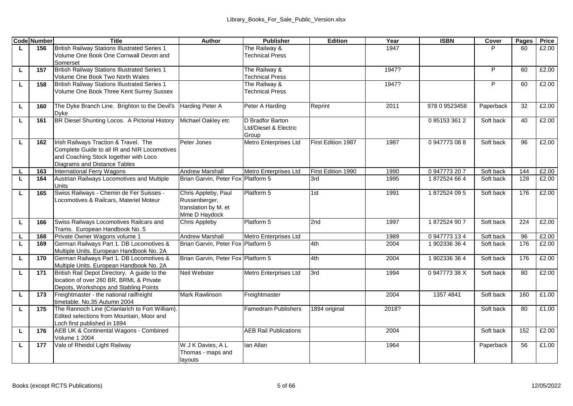|    | <b>Code Number</b> | Title                                                                                        | Author                             | <b>Publisher</b>                          | Edition            | Year         | <b>ISBN</b>              | Cover                  | Pages | Price |
|----|--------------------|----------------------------------------------------------------------------------------------|------------------------------------|-------------------------------------------|--------------------|--------------|--------------------------|------------------------|-------|-------|
| L  | 156                | <b>British Railway Stations Illustrated Series 1</b>                                         |                                    | The Railway &                             |                    | 1947         |                          |                        | 60    | £2.00 |
|    |                    | Volume One Book One Cornwall Devon and                                                       |                                    | <b>Technical Press</b>                    |                    |              |                          |                        |       |       |
|    |                    | Somerset<br>British Railway Stations Illustrated Series 1                                    |                                    | The Railway &                             |                    | 1947?        |                          | P                      | 60    | £2.00 |
| L. | 157                | Volume One Book Two North Wales                                                              |                                    | <b>Technical Press</b>                    |                    |              |                          |                        |       |       |
| ш  | 158                | British Railway Stations Illustrated Series 1                                                |                                    | The Railway &                             |                    | 1947?        |                          | Þ                      | 60    | £2.00 |
|    |                    | Volume One Book Three Kent Surrey Sussex                                                     |                                    | <b>Technical Press</b>                    |                    |              |                          |                        |       |       |
|    |                    |                                                                                              |                                    |                                           |                    |              |                          |                        |       |       |
| L. | 160                | The Dyke Branch Line. Brighton to the Devil's                                                | Harding Peter A                    | Peter A Harding                           | Reprint            | 2011         | 978 0 9523458            | Paperback              | 32    | £2.00 |
|    |                    | Dvke                                                                                         |                                    |                                           |                    |              |                          |                        | 40    | £2.00 |
| г  | 161                | BR Diesel Shunting Locos. A Pictorial History                                                | Michael Oakley etc                 | D Bradfor Barton<br>Ltd/Diesel & Electric |                    |              | 0851533612               | Soft back              |       |       |
|    |                    |                                                                                              |                                    | Group                                     |                    |              |                          |                        |       |       |
| L  | 162                | Irish Railways Traction & Travel. The                                                        | Peter Jones                        | Metro Enterprises Ltd                     | First Edition 1987 | 1987         | 0.947773.08.8            | Soft back              | 96    | £2.00 |
|    |                    | Complete Guide to all IR and NIR Locomotives                                                 |                                    |                                           |                    |              |                          |                        |       |       |
|    |                    | and Coaching Stock together with Loco                                                        |                                    |                                           |                    |              |                          |                        |       |       |
|    |                    | Diagrams and Distance Tables                                                                 |                                    |                                           |                    |              |                          |                        |       |       |
| L. | 163                | International Ferry Wagons                                                                   | Andrew Marshall                    | Metro Enterprises Ltd                     | First Edition 1990 | 1990         | 0947773207               | Soft back              | 144   | £2.00 |
| ш  | 164                | Austrian Railways Locomotives and Multiple<br>Units                                          | Brian Garvin, Peter Fox Platform 5 |                                           | 3rd                | 1995         | 1872524664               | Soft back              | 128   | £2.00 |
| L  | 165                | Swiss Railways - Chemin de Fer Suisses -                                                     | Chris Appleby, Paul                | Platform 5                                | 1st                | 1991         | 1872524095               | Soft back              | 176   | £2.00 |
|    |                    | Locomotives & Railcars, Materiel Moteur                                                      | Russenberger,                      |                                           |                    |              |                          |                        |       |       |
|    |                    |                                                                                              | translation by M. et               |                                           |                    |              |                          |                        |       |       |
|    |                    |                                                                                              | Mme D Haydock                      |                                           |                    |              |                          |                        |       |       |
| L. | 166                | Swiss Railways Locomotives Railcars and                                                      | Chris Appleby                      | Platform 5                                | 2nd                | 1997         | 1872524907               | Soft back              | 224   | £2.00 |
|    | 168                | Trams. European Handbook No. 5                                                               | Andrew Marshall                    |                                           |                    |              |                          |                        | 96    | £2.00 |
| ш  | 169                | Private Owner Wagons volume 1<br>German Railways Part 1. DB Locomotives &                    | Brian Garvin, Peter Fox Platform 5 | Metro Enterprises Ltd                     | 4th                | 1989<br>2004 | 0947773134<br>1902336364 | Soft back<br>Soft back | 176   | £2.00 |
|    |                    | Multiple Units. European Handbook No. 2A                                                     |                                    |                                           |                    |              |                          |                        |       |       |
| г  | 170                | German Railways Part 1. DB Locomotives &                                                     | Brian Garvin, Peter Fox Platform 5 |                                           | 4th                | 2004         | 1902336364               | Soft back              | 176   | £2.00 |
|    |                    | Multiple Units. European Handbook No. 2A                                                     |                                    |                                           |                    |              |                          |                        |       |       |
| ш  | 171                | British Rail Depot Directory. A guide to the                                                 | Neil Webster                       | Metro Enterprises Ltd                     | 3rd                | 1994         | 094777338X               | Soft back              | 80    | £2.00 |
|    |                    | location of over 260 BR, BRML & Private                                                      |                                    |                                           |                    |              |                          |                        |       |       |
|    |                    | Depots, Workshops and Stabling Points                                                        |                                    |                                           |                    |              |                          |                        |       |       |
| ш  | 173                | Freightmaster - the national railfreight                                                     | Mark Rawlinson                     | Freightmaster                             |                    | 2004         | 1357 4841                | Soft back              | 160   | £1.00 |
|    |                    | timetable. No.35 Autumn 2004                                                                 |                                    |                                           |                    |              |                          |                        |       |       |
| ш  | 175                | The Rannoch Line (Crianlarich to Fort William).<br>Edited selections from Mountain. Moor and |                                    | Famedram Publishers                       | 1894 original      | 2018?        |                          | Soft back              | 80    | £1.00 |
|    |                    | Loch first published in 1894                                                                 |                                    |                                           |                    |              |                          |                        |       |       |
| г  | 176                | AEB UK & Continental Wagons - Combined                                                       |                                    | <b>AEB Rail Publications</b>              |                    | 2004         |                          | Soft back              | 152   | £2.00 |
|    |                    | <b>Volume 1 2004</b>                                                                         |                                    |                                           |                    |              |                          |                        |       |       |
| L  | 177                | Vale of Rheidol Light Railway                                                                | W J K Davies, A L                  | lan Allan                                 |                    | 1964         |                          | Paperback              | 56    | £1.00 |
|    |                    |                                                                                              | Thomas - maps and                  |                                           |                    |              |                          |                        |       |       |
|    |                    |                                                                                              | layouts                            |                                           |                    |              |                          |                        |       |       |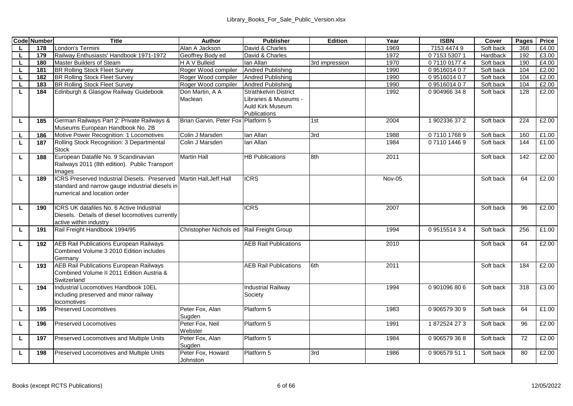|    | <b>Code Number</b> | Title                                                                                                                           | Author                                    | <b>Publisher</b>                                                                          | Edition        | Year          | <b>ISBN</b>   | Cover     | Pages | Price |
|----|--------------------|---------------------------------------------------------------------------------------------------------------------------------|-------------------------------------------|-------------------------------------------------------------------------------------------|----------------|---------------|---------------|-----------|-------|-------|
| L. | 178                | London's Termini                                                                                                                | Alan A Jackson                            | David & Charles                                                                           |                | 1969          | 7153 4474 9   | Soft back | 368   | £4.00 |
| L. | 179                | Railway Enthusiasts' Handbook 1971-1972                                                                                         | Geoffrey Body ed                          | David & Charles                                                                           |                | 1972          | 0715353071    | Hardback  | 192   | £3.00 |
| L. | 180                | Master Builders of Steam                                                                                                        | H A V Bulleid                             | lan Allan                                                                                 | 3rd impression | 1970          | 0711001774    | Soft back | 190   | £4.00 |
| L. | 181                | <b>BR Rolling Stock Fleet Survey</b>                                                                                            | Roger Wood compiler                       | Andred Publishing                                                                         |                | 1990          | 0951601407    | Soft back | 104   | £2.00 |
| τ  | 182                | <b>BR Rolling Stock Fleet Survey</b>                                                                                            | Roger Wood compiler                       | Andred Publishing                                                                         |                | 1990          | 0951601407    | Soft back | 104   | £2.00 |
| L  | 183                | <b>BR Rolling Stock Fleet Survey</b>                                                                                            | Roger Wood compiler                       | Andred Publishing                                                                         |                | 1990          | 0951601407    | Soft back | 104   | £2.00 |
| ш  | 184                | Edinburgh & Glasgow Railway Guidebook                                                                                           | Don Martin, A A<br>Maclean                | <b>Strathkelvin District</b><br>Libraries & Museums -<br>Auld Kirk Museum<br>Publications |                | 1992          | 0904966348    | Soft back | 128   | £2.00 |
| L  | 185                | German Railways Part 2: Private Railways &<br>Museums European Handbook No. 2B                                                  | Brian Garvin, Peter Fox Platform 5        |                                                                                           | 1st            | 2004          | 1902336372    | Soft back | 224   | £2.00 |
| L. | 186                | Motive Power Recognition: 1 Locomotives                                                                                         | Colin J Marsden                           | lan Allan                                                                                 | 3rd            | 1988          | 0711017689    | Soft back | 160   | £1.00 |
| τ  | 187                | Rolling Stock Recognition: 3 Departmental<br>Stock                                                                              | Colin J Marsden                           | lan Allan                                                                                 |                | 1984          | 0711014469    | Soft back | 144   | £1.00 |
| L. | 188                | European Datafile No. 9 Scandinavian<br>Railways 2011 (8th edition). Public Transport<br>mages                                  | <b>Martin Hall</b>                        | <b>HB Publications</b>                                                                    | 8th            | 2011          |               | Soft back | 142   | £2.00 |
| ш  | 189                | ICRS Preserved Industrial Diesels. Preserved<br>standard and narrow gauge industrial diesels in<br>numerical and location order | Martin Hall, Jeff Hall                    | <b>ICRS</b>                                                                               |                | <b>Nov-05</b> |               | Soft back | 64    | £2.00 |
| L  | 190                | ICRS UK datafiles No. 6 Active Industrial<br>Diesels. Details of diesel locomotives currently<br>active within industry         |                                           | <b>ICRS</b>                                                                               |                | 2007          |               | Soft back | 96    | £2.00 |
| г  | 191                | Rail Freight Handbook 1994/95                                                                                                   | Christopher Nichols ed Rail Freight Group |                                                                                           |                | 1994          | 0951551434    | Soft back | 256   | £1.00 |
| L  | 192                | AEB Rail Publications European Railways<br>Combined Volume 3 2010 Edition includes<br>Germany                                   |                                           | <b>AEB Rail Publications</b>                                                              |                | 2010          |               | Soft back | 64    | £2.00 |
| L. | 193                | AEB Rail Publications European Railways<br>Combined Volume II 2011 Edition Austria &<br>Switzerland                             |                                           | <b>AEB Rail Publications</b>                                                              | 6th            | 2011          |               | Soft back | 184   | £2.00 |
| L  | 194                | Industrial Locomotives Handbook 10FL<br>including preserved and minor railway<br>locomotives                                    |                                           | <b>Industrial Railway</b><br>Society                                                      |                | 1994          | 0.901096806   | Soft back | 318   | £3.00 |
| ш  | 195                | Preserved Locomotives                                                                                                           | Peter Fox, Alan<br>Suaden                 | Platform 5                                                                                |                | 1983          | 0906579309    | Soft back | 64    | £1.00 |
| Ц  | 196                | Preserved Locomotives                                                                                                           | Peter Fox, Neil<br>Webster                | Platform 5                                                                                |                | 1991          | 1872524273    | Soft back | 96    | £2.00 |
| L. | 197                | Preserved Locomotives and Multiple Units                                                                                        | Peter Fox, Alan<br>Suaden                 | Platform 5                                                                                |                | 1984          | 0906579368    | Soft back | 72    | £2.00 |
| L  | 198                | Preserved Locomotives and Multiple Units                                                                                        | Peter Fox, Howard<br>Johnston             | Platform 5                                                                                | 3rd            | 1986          | 0 906579 51 1 | Soft back | 80    | f2.00 |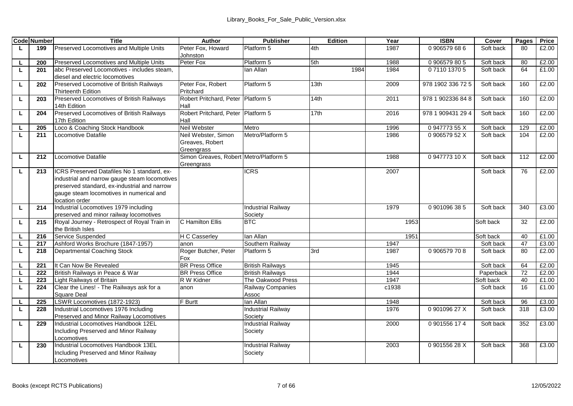|    | <b>Code Number</b> | <b>Title</b>                                  | Author                                 | <b>Publisher</b>          | Edition | Year  | <b>ISBN</b>       | Cover     | Pages | Price |
|----|--------------------|-----------------------------------------------|----------------------------------------|---------------------------|---------|-------|-------------------|-----------|-------|-------|
| L  | 199                | Preserved Locomotives and Multiple Units      | Peter Fox, Howard                      | Platform 5                | 4th     | 1987  | 0906579686        | Soft back | 80    | £2.00 |
|    |                    |                                               | Johnston                               |                           |         |       |                   |           |       |       |
|    | 200                | Preserved Locomotives and Multiple Units      | Peter Fox                              | Platform 5                | 5th     | 1988  | 0906579805        | Soft back | 80    | £2.00 |
| L. | 201                | abc Preserved Locomotives - includes steam.   |                                        | lan Allan                 | 1984    | 1984  | 0711013705        | Soft back | 64    | £1.00 |
|    |                    | diesel and electric locomotives               |                                        |                           |         |       |                   |           |       |       |
| L  | 202                | Preserved Locomotive of British Railways      | Peter Fox, Robert                      | Platform 5                | 13th    | 2009  | 978 1902 336 72 5 | Soft back | 160   | £2.00 |
|    |                    | Thirteenth Edition                            | Pritchard                              |                           |         |       |                   |           |       |       |
| г  | 203                | Preserved Locomotives of British Railways     | Robert Pritchard, Peter                | Platform 5                | 14th    | 2011  | 978 1 902336 84 8 | Soft back | 160   | £2.00 |
|    |                    | 14th Edition                                  | Hall                                   |                           |         |       |                   |           |       |       |
| L  | 204                | Preserved Locomotives of British Railways     | Robert Pritchard, Peter                | Platform 5                | 17th    | 2016  | 978 1 909431 29 4 | Soft back | 160   | £2.00 |
|    |                    | 17th Edition                                  | Hall                                   |                           |         |       |                   |           |       |       |
|    | 205                | Loco & Coaching Stock Handbook                | Neil Webster                           | Metro                     |         | 1996  | 094777355X        | Soft back | 129   | £2.00 |
| L  | 211                | Locomotive Datafile                           | Neil Webster, Simon                    | Metro/Platform 5          |         | 1986  | 090657952X        | Soft back | 104   | £2.00 |
|    |                    |                                               | Greaves, Robert                        |                           |         |       |                   |           |       |       |
|    |                    |                                               | Greengrass                             |                           |         |       |                   |           |       |       |
| L. | 212                | Locomotive Datafile                           | Simon Greaves, Robert Metro/Platform 5 |                           |         | 1988  | 0.947773 10 X     | Soft back | 112   | £2.00 |
|    |                    |                                               | Greengrass                             |                           |         |       |                   |           |       |       |
| L. | 213                | ICRS Preserved Datafiles No 1 standard, ex-   |                                        | <b>ICRS</b>               |         | 2007  |                   | Soft back | 76    | £2.00 |
|    |                    | industrial and narrow gauge steam locomotives |                                        |                           |         |       |                   |           |       |       |
|    |                    | preserved standard, ex-industrial and narrow  |                                        |                           |         |       |                   |           |       |       |
|    |                    | gauge steam locomotives in numerical and      |                                        |                           |         |       |                   |           |       |       |
|    |                    | location order                                |                                        |                           |         |       |                   |           |       |       |
| L. | 214                | Industrial Locomotives 1979 including         |                                        | <b>Industrial Railway</b> |         | 1979  | 0901096385        | Soft back | 340   | £3.00 |
|    |                    | preserved and minor railway locomotives       |                                        | Society                   |         |       |                   |           |       |       |
| г  | 215                | Royal Journey - Retrospect of Royal Train in  | C Hamilton Ellis                       | <b>BTC</b>                |         | 1953  |                   | Soft back | 32    | £2.00 |
|    | 216                | the British Isles<br>Service Suspended        | <b>H C Casserlev</b>                   | lan Allan                 |         | 1951  |                   | Soft back | 40    | £1.00 |
| L  | 217                | Ashford Works Brochure (1847-1957)            | anon                                   | Southern Railway          |         | 1947  |                   | Soft back | 47    | £3.00 |
| L  | 218                | Departmental Coaching Stock                   | Roger Butcher, Peter                   | Platform 5                | 3rd     | 1987  | 0906579708        | Soft back | 80    | £2.00 |
|    |                    |                                               | Fox                                    |                           |         |       |                   |           |       |       |
|    | 221                | It Can Now Be Revealed                        | <b>BR Press Office</b>                 | <b>British Railways</b>   |         | 1945  |                   | Soft back | 64    | £2.00 |
|    | 222                | British Railways in Peace & War               | <b>BR Press Office</b>                 | <b>British Railwavs</b>   |         | 1944  |                   | Paperback | 72    | £2.00 |
| L  | 223                | <b>Light Railways of Britain</b>              | R W Kidner                             | The Oakwood Press         |         | 1947  |                   | Soft back | 40    | £1.00 |
| L  | 224                | Clear the Lines! - The Railways ask for a     | anon                                   | Railway Companies         |         | c1938 |                   | Soft back | 16    | £1.00 |
|    |                    | Square Deal                                   |                                        | Assoc                     |         |       |                   |           |       |       |
| г  | 225                | LSWR Locomotives (1872-1923)                  | F Burtt                                | lan Allan                 |         | 1948  |                   | Soft back | 96    | £3.00 |
| τ  | 228                | Industrial Locomotives 1976 Including         |                                        | <b>Industrial Railway</b> |         | 1976  | 090109627X        | Soft back | 318   | £3.00 |
|    |                    | Preserved and Minor Railway Locomotives       |                                        | Society                   |         |       |                   |           |       |       |
| Ц  | 229                | Industrial Locomotives Handbook 12FL          |                                        | <b>Industrial Railway</b> |         | 2000  | 0901556174        | Soft back | 352   | £3.00 |
|    |                    | Including Preserved and Minor Railway         |                                        | Society                   |         |       |                   |           |       |       |
|    |                    | Locomotives                                   |                                        |                           |         |       |                   |           |       |       |
| Ц  | 230                | Industrial Locomotives Handbook 13EL          |                                        | <b>Industrial Railway</b> |         | 2003  | 090155628X        | Soft back | 368   | £3.00 |
|    |                    | Including Preserved and Minor Railway         |                                        | Society                   |         |       |                   |           |       |       |
|    |                    | Locomotives                                   |                                        |                           |         |       |                   |           |       |       |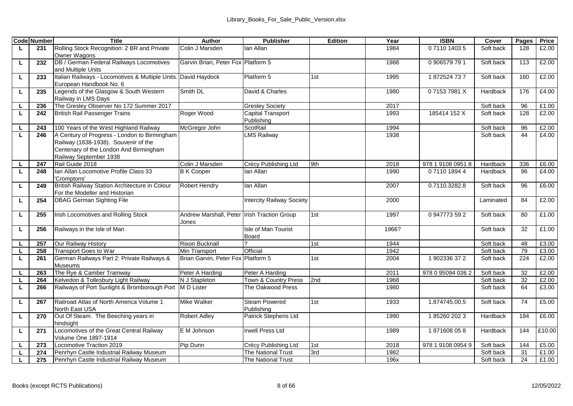|        | <b>Code Number</b> | <b>Title</b>                                    | Author                                      | <b>Publisher</b>                 | Edition | Year  | <b>ISBN</b>       | Cover     | Pages    | Price  |
|--------|--------------------|-------------------------------------------------|---------------------------------------------|----------------------------------|---------|-------|-------------------|-----------|----------|--------|
| ш      | 231                | Rolling Stock Recognition: 2 BR and Private     | Colin J Marsden                             | lan Allan                        |         | 1984  | 0711014035        | Soft back | 128      | £2.00  |
|        |                    | Owner Wagons                                    |                                             |                                  |         |       |                   |           |          |        |
| L      | 232                | DB / German Federal Railways Locomotives        | Garvin Brian, Peter Fox Platform 5          |                                  |         | 1988  | 0 906579 79 1     | Soft back | 113      | £2.00  |
|        |                    | and Multiple Units                              |                                             |                                  |         |       |                   |           |          |        |
| L      | 233                | Italian Railways - Locomotives & Multiple Units | David Haydock                               | Platform 5                       | 1st     | 1995  | 1872524737        | Soft back | 160      | £2.00  |
|        |                    | European Handbook No. 6                         |                                             |                                  |         |       |                   |           |          |        |
| г      | 235                | Legends of the Glasgow & South Western          | Smith DI                                    | David & Charles                  |         | 1980  | 071537981X        | Hardback  | 176      | £4.00  |
|        |                    | Railway in LMS Days                             |                                             |                                  |         |       |                   |           |          |        |
|        | 236                | The Greslev Observer No 172 Summer 2017         |                                             | <b>Gresley Society</b>           |         | 2017  |                   | Soft back | 96       | £1.00  |
| L.     | 242                | <b>British Rail Passenger Trains</b>            | Roger Wood                                  | Capital Transport                |         | 1993  | 185414 152 X      | Soft back | 128      | £2.00  |
|        |                    |                                                 |                                             | Publishina                       |         |       |                   |           |          |        |
| L.     | 243                | 100 Years of the West Highland Railway          | McGregor John                               | ScotRail                         |         | 1994  |                   | Soft back | 96<br>44 | £2.00  |
| L      | 246                | A Century of Progress - London to Birmingham    |                                             | <b>LMS Railwav</b>               |         | 1938  |                   | Soft back |          | £4.00  |
|        |                    | Railway (1838-1938). Souvenir of the            |                                             |                                  |         |       |                   |           |          |        |
|        |                    | Centenary of the London And Birmingham          |                                             |                                  |         |       |                   |           |          |        |
|        |                    | Railway September 1938<br>Rail Guide 2018       | Colin J Marsden                             | Crécy Publishing Ltd             |         | 2018  | 978 1 9108 0951 8 | Hardback  | 336      | £6.00  |
| ш<br>ш | 247<br>248         | Ian Allan Locomotive Profile Class 33           | <b>B K Cooper</b>                           | lan Allan                        | 9th     | 1990  | 0711018944        | Hardback  | 96       | £4.00  |
|        |                    | 'Cromptons'                                     |                                             |                                  |         |       |                   |           |          |        |
| ш      | 249                | British Railway Station Architecture in Colour  | Robert Hendry                               | lan Allan                        |         | 2007  | 0.7110.3282.8     | Soft back | 96       | £6.00  |
|        |                    | For the Modeller and Historian                  |                                             |                                  |         |       |                   |           |          |        |
| г      | 254                | <b>DBAG German Sighting File</b>                |                                             | <b>Intercity Railway Society</b> |         | 2000  |                   | Laminated | 84       | £2.00  |
|        |                    |                                                 |                                             |                                  |         |       |                   |           |          |        |
| г      | 255                | Irish Locomotives and Rolling Stock             | Andrew Marshall, Peter Irish Traction Group |                                  | 1st     | 1997  | 0947773592        | Soft back | 80       | £1.00  |
|        |                    |                                                 | Jones                                       |                                  |         |       |                   |           |          |        |
| ш      | 256                | Railways in the Isle of Man                     |                                             | Isle of Man Tourist              |         | 1966? |                   | Soft back | 32       | £1.00  |
|        |                    |                                                 |                                             | Board                            |         |       |                   |           |          |        |
| ш      | 257                | Our Railway History                             | <b>Rixon Bucknall</b>                       |                                  | 1st     | 1944  |                   | Soft back | 48       | £3.00  |
| L.     | 258                | <b>Transport Goes to War</b>                    | Min Transport                               | Official                         |         | 1942  |                   | Soft back | 79       | £3.00  |
| ш      | 261                | German Railways Part 2: Private Railways &      | Brian Garvin, Peter Fox Platform 5          |                                  | 1st     | 2004  | 1902336372        | Soft back | 224      | £2.00  |
|        |                    | <b>Museums</b>                                  |                                             |                                  |         |       |                   |           |          |        |
| ш      | 263                | The Rve & Camber Tramway                        | Peter A Harding                             | Peter A Harding                  |         | 2011  | 978 0 95094 036 2 | Soft back | 32       | £2.00  |
| г      | 264                | Kelvedon & Tollesbury Light Railway             | N J Stapleton                               | Town & Country Press             | 2nd     | 1968  |                   | Soft back | 32       | £2.00  |
| ш      | 266                | Railways of Port Sunlight & Bromborough Port    | M D Lister                                  | The Oakwood Press                |         | 1980  |                   | Soft back | 64       | £3.00  |
|        |                    |                                                 |                                             |                                  |         |       |                   |           |          |        |
| L      | 267                | Railroad Atlas of North America Volume 1        | Mike Walker                                 | Steam Powered                    | 1st     | 1933  | 1.874745.00.5     | Soft back | 74       | £5.00  |
|        |                    | North East USA                                  |                                             | Publishing                       |         |       |                   |           |          |        |
| г      | 270                | Out Of Steam. The Beeching years in             | Robert Adley                                | Patrick Stephens Ltd             |         | 1990  | 1852602023        | Hardback  | 184      | £6.00  |
|        |                    | hindsight                                       |                                             |                                  |         |       |                   |           |          |        |
| ш      | 271                | Locomotives of the Great Central Railway        | E M Johnson                                 | Irwell Press Ltd                 |         | 1989  | 1871608058        | Hardback  | 144      | £10.00 |
|        |                    | Volume One 1897-1914                            |                                             |                                  |         |       |                   |           |          |        |
|        | 273                | Locomotive Traction 2019                        | Pip Dunn                                    | Crécy Publishing Ltd             | 1st     | 2018  | 978 1 9108 0954 9 | Soft back | 144      | £5.00  |
|        | 274                | Penrhyn Castle Industrial Railway Museum        |                                             | The National Trust               | 3rd     | 1982  |                   | Soft back | 31       | £1.00  |
| L      | 275                | Penrhyn Castle Industrial Railway Museum        |                                             | <b>The National Trust</b>        |         | 196x  |                   | Soft back | 24       | £1.00  |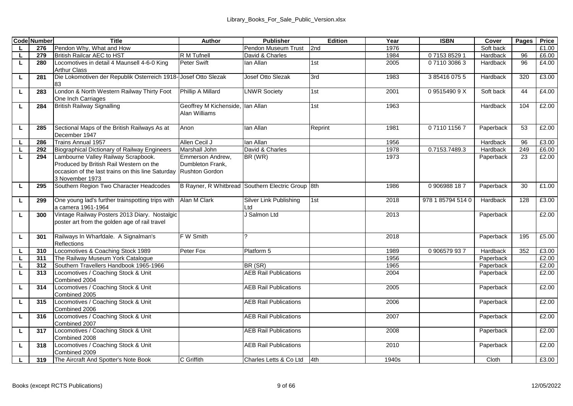|          | <b>Code Number</b> | Title                                                                                                                                                  | Author                                                        | Publisher                                         | Edition | Year  | <b>ISBN</b>       | Cover     | Pages | Price |
|----------|--------------------|--------------------------------------------------------------------------------------------------------------------------------------------------------|---------------------------------------------------------------|---------------------------------------------------|---------|-------|-------------------|-----------|-------|-------|
| <b>L</b> | 276                | Pendon Why, What and How                                                                                                                               |                                                               | Pendon Museum Trust                               | 2nd     | 1976  |                   | Soft back |       | £1.00 |
| L        | 279                | British Railcar AEC to HST                                                                                                                             | R M Tufnell                                                   | David & Charles                                   |         | 1984  | 0715385291        | Hardback  | 96    | £6.00 |
| L.       | 280                | Locomotives in detail 4 Maunsell 4-6-0 King<br>Arthur Class                                                                                            | Peter Swift                                                   | lan Allan                                         | 1st     | 2005  | 0711030863        | Hardback  | 96    | £4.00 |
| г        | 281                | Die Lokomotiven der Republik Osterreich 1918- Josef Otto Slezak<br>83                                                                                  |                                                               | Josef Otto Slezak                                 | 3rd     | 1983  | 3854160755        | Hardback  | 320   | £3.00 |
| L        | 283                | London & North Western Railway Thirty Foot<br>One Inch Carriages                                                                                       | Phillip A Millard                                             | <b>LNWR Society</b>                               | 1st     | 2001  | 095154909X        | Soft back | 44    | £4.00 |
| L.       | 284                | <b>British Railway Signalling</b>                                                                                                                      | Geoffrey M Kichenside, Ian Allan<br>Alan Williams             |                                                   | 1st     | 1963  |                   | Hardback  | 104   | £2.00 |
| L.       | 285                | Sectional Maps of the British Railways As at<br>December 1947                                                                                          | Anon                                                          | lan Allan                                         | Reprint | 1981  | 0711011567        | Paperback | 53    | £2.00 |
| τ        | 286                | Trains Annual 1957                                                                                                                                     | Allen Cecil J                                                 | lan Allan                                         |         | 1956  |                   | Hardback  | 96    | £3.00 |
| L        | 292                | Biographical Dictionary of Railway Engineers                                                                                                           | Marshall John                                                 | David & Charles                                   |         | 1978  | 0.7153.7489.3     | Hardback  | 249   | £6.00 |
| τ        | 294                | Lambourne Valley Railway Scrapbook.<br>Produced by British Rail Western on the<br>occasion of the last trains on this line Saturday<br>3 November 1973 | Emmerson Andrew.<br>Dumbleton Frank.<br><b>Rushton Gordon</b> | BR (WR)                                           |         | 1973  |                   | Paperback | 23    | £2.00 |
| L        | 295                | Southern Region Two Character Headcodes                                                                                                                |                                                               | B Rayner, R Whitbread Southern Electric Group 8th |         | 1986  | 0906988187        | Paperback | 30    | £1.00 |
| τ        | 299                | One young lad's further trainspotting trips with<br>a camera 1961-1964                                                                                 | Alan M Clark                                                  | Silver Link Publishing<br>Ltd                     | 1st     | 2018  | 978 1 85794 514 0 | Hardback  | 128   | £3.00 |
| L.       | 300                | Vintage Railway Posters 2013 Diary. Nostalgic<br>poster art from the golden age of rail travel                                                         |                                                               | J Salmon Ltd                                      |         | 2013  |                   | Paperback |       | £2.00 |
| L.       | 301                | Railways In Wharfdale. A Signalman's<br>Reflections                                                                                                    | F W Smith                                                     | 2                                                 |         | 2018  |                   | Paperback | 195   | £5.00 |
| <b>L</b> | 310                | Locomotives & Coaching Stock 1989                                                                                                                      | Peter Fox                                                     | Platform 5                                        |         | 1989  | 0906579937        | Hardback  | 352   | £3.00 |
| L.       | 311                | The Railway Museum York Catalogue                                                                                                                      |                                                               |                                                   |         | 1956  |                   | Paperback |       | £2.00 |
| L        | 312                | Southern Travellers Handbook 1965-1966                                                                                                                 |                                                               | BR (SR)                                           |         | 1965  |                   | Paperback |       | £2.00 |
| L.       | 313                | Locomotives / Coaching Stock & Unit<br>Combined 2004                                                                                                   |                                                               | <b>AEB Rail Publications</b>                      |         | 2004  |                   | Paperback |       | £2.00 |
| L        | 314                | Locomotives / Coaching Stock & Unit<br>Combined 2005                                                                                                   |                                                               | <b>AEB Rail Publications</b>                      |         | 2005  |                   | Paperback |       | £2.00 |
| г        | 315                | Locomotives / Coaching Stock & Unit<br>Combined 2006                                                                                                   |                                                               | <b>AEB Rail Publications</b>                      |         | 2006  |                   | Paperback |       | £2.00 |
| L.       | 316                | Locomotives / Coaching Stock & Unit<br>Combined 2007                                                                                                   |                                                               | <b>AEB Rail Publications</b>                      |         | 2007  |                   | Paperback |       | £2.00 |
| L        | 317                | Locomotives / Coaching Stock & Unit<br>Combined 2008                                                                                                   |                                                               | <b>AEB Rail Publications</b>                      |         | 2008  |                   | Paperback |       | £2.00 |
| L.       | 318                | Locomotives / Coaching Stock & Unit<br>Combined 2009                                                                                                   |                                                               | <b>AEB Rail Publications</b>                      |         | 2010  |                   | Paperback |       | £2.00 |
| <b>L</b> | 319                | The Aircraft And Spotter's Note Book                                                                                                                   | C Griffith                                                    | Charles Letts & Co Ltd 4th                        |         | 1940s |                   | Cloth     |       | £3.00 |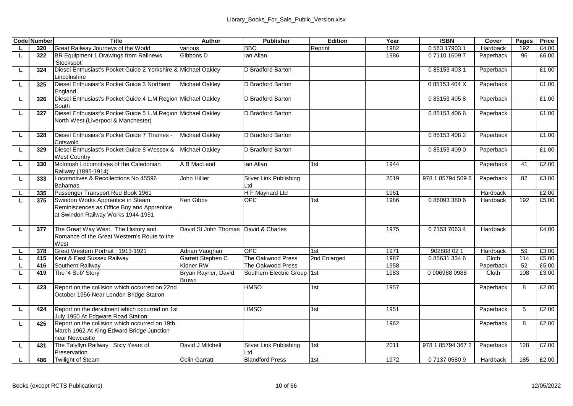|          | <b>Code Number</b> | <b>Title</b>                                                                                                           | Author                       | Publisher                      | Edition         | Year | <b>ISBN</b>       | Cover     | Pages                   | Price |
|----------|--------------------|------------------------------------------------------------------------------------------------------------------------|------------------------------|--------------------------------|-----------------|------|-------------------|-----------|-------------------------|-------|
| <b>L</b> | 320                | Great Railway Journeys of the World                                                                                    | various                      | <b>BBC</b>                     | Reprint         | 1982 | 0 563 17903 1     | Hardback  | 192                     | £4.00 |
| L        | 322                | BR Equipment 1 Drawings from Railnews<br>'Stockspot'                                                                   | Gibbons D                    | lan Allan                      |                 | 1986 | 0711016097        | Paperback | 96                      | £6.00 |
| L        | 324                | Diesel Enthusiast's Pocket Guide 2 Yorkshire & Michael Oakley<br>I incolnshire                                         |                              | D Bradford Barton              |                 |      | 0 85153 403 1     | Paperback |                         | £1.00 |
| ш        | 325                | Diesel Enthusiast's Pocket Guide 3 Northern<br>England                                                                 | Michael Oakley               | D Bradford Barton              |                 |      | 085153404X        | Paperback |                         | £1.00 |
| ш        | 326                | Diesel Enthusiast's Pocket Guide 4 L.M.Region Michael Oakley<br>South                                                  |                              | D Bradford Barton              |                 |      | 0 85153 405 8     | Paperback |                         | £1.00 |
| L        | 327                | Diesel Enthusiast's Pocket Guide 5 L.M.Region Michael Oakley<br>North West (Liverpool & Manchester)                    |                              | D Bradford Barton              |                 |      | 0 85153 406 6     | Paperback |                         | £1.00 |
| ш        | 328                | Diesel Enthusiast's Pocket Guide 7 Thames -<br>Cotswold                                                                | Michael Oakley               | D Bradford Barton              |                 |      | 0 85153 408 2     | Paperback |                         | £1.00 |
| Ц        | 329                | Diesel Enthusiast's Pocket Guide 8 Wessex &<br>West Country                                                            | Michael Oakley               | D Bradford Barton              |                 |      | 0 85153 409 0     | Paperback |                         | £1.00 |
| ш        | 330                | McIntosh Locomotives of the Caledonian<br>Railway (1895-1914)                                                          | A B MacLeod                  | lan Allan                      | 1st             | 1944 |                   | Paperback | 41                      | £2.00 |
| L.       | 333                | Locomotives & Recollections No 45596<br><b>Bahamas</b>                                                                 | John Hillier                 | Silver Link Publishing<br>ht I |                 | 2019 | 978 1 85794 509 6 | Paperback | 82                      | £3.00 |
| L.       | 335                | Passenger Transport Red Book 1961                                                                                      |                              | H F Maynard Ltd                |                 | 1961 |                   | Hardback  |                         | £2.00 |
| τ        | 375                | Swindon Works Apprentice in Steam.<br>Reminiscences as Office Boy and Apprentice<br>at Swindon Railway Works 1944-1951 | Ken Gibbs                    | OPC                            | 1st             | 1986 | 0 86093 380 6     | Hardback  | 192                     | f5.00 |
| L        | 377                | The Great Way West. The History and<br>Romance of the Great Western's Route to the<br>West                             | David St John Thomas         | David & Charles                |                 | 1975 | 0715370634        | Hardback  |                         | f4.00 |
| L.       | 378                | Great Western Portrait: 1913-1921                                                                                      | Adrian Vaughan               | OPC                            | 1st             | 1971 | 902888 02 1       | Hardback  | 59                      | £3.00 |
| L        | 415                | Kent & East Sussex Railway                                                                                             | Garrett Stephen C            | The Oakwood Press              | 2nd Enlarged    | 1987 | 0 85631 334 6     | Cloth     | 114                     | £5.00 |
| L        | 416                | Southern Railway                                                                                                       | Kidner RW                    | The Oakwood Press              |                 | 1958 |                   | Paperback | 52                      | £5.00 |
| L.       | 419                | The '4 Sub' Storv                                                                                                      | Bryan Rayner, David<br>Brown | Southern Electric Group 1st    |                 | 1983 | 0 906988 0988     | Cloth     | 108                     | £3.00 |
| τ        | 423                | Report on the collision which occurred on 22nd<br>October 1956 Near London Bridge Station                              |                              | <b>HMSO</b>                    | 1st             | 1957 |                   | Paperback | $\overline{\mathbf{g}}$ | £2.00 |
| Ц        | 424                | Report on the derailment which occurred on 1st<br>July 1950 At Edgware Road Station                                    |                              | <b>HMSO</b>                    | 1st             | 1951 |                   | Paperback | $\overline{5}$          | £2.00 |
| L        | 425                | Report on the collision which occurred on 19th<br>March 1962 At King Edward Bridge Junction<br>near Newcastle          |                              |                                |                 | 1962 |                   | Paperback | 8                       | £2.00 |
| L        | 431                | The Talyllyn Railway. Sixty Years of<br>Preservation                                                                   | David J Mitchell             | Silver Link Publishing<br>Ltd  | 1 <sub>st</sub> | 2011 | 978 1 85794 367 2 | Paperback | 128                     | £7.00 |
| <b>L</b> | 486                | <b>Twilight of Steam</b>                                                                                               | Colin Garratt                | <b>Blandford Press</b>         | 1st             | 1972 | 0713705809        | Hardback  | 185                     | £2.00 |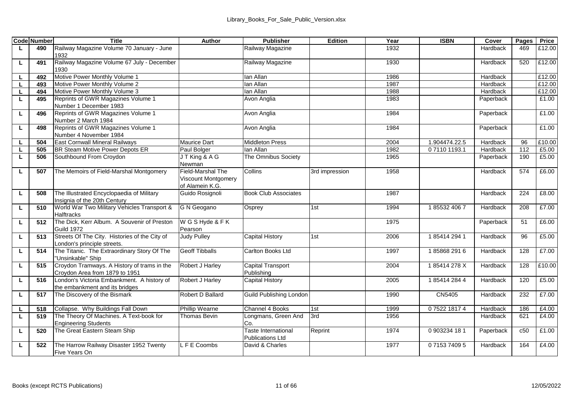|    | <b>Code Number</b> | Title                                                              | Author                        | <b>Publisher</b>            | Edition        | Year | <b>ISBN</b>   | Cover     | Pages | Price  |
|----|--------------------|--------------------------------------------------------------------|-------------------------------|-----------------------------|----------------|------|---------------|-----------|-------|--------|
| L. | 490                | Railway Magazine Volume 70 January - June                          |                               | Railway Magazine            |                | 1932 |               | Hardback  | 469   | £12.00 |
|    |                    | 1932                                                               |                               |                             |                |      |               |           |       |        |
| L  | 491                | Railway Magazine Volume 67 July - December                         |                               | Railway Magazine            |                | 1930 |               | Hardback  | 520   | £12.00 |
|    |                    | 1930                                                               |                               |                             |                |      |               |           |       |        |
| L  | 492                | Motive Power Monthly Volume 1                                      |                               | lan Allan                   |                | 1986 |               | Hardback  |       | £12.00 |
| г  | 493                | Motive Power Monthly Volume 2                                      |                               | lan Allan                   |                | 1987 |               | Hardback  |       | £12.00 |
|    | 494                | Motive Power Monthly Volume 3                                      |                               | lan Allan                   |                | 1988 |               | Hardback  |       | £12.00 |
| L  | 495                | Reprints of GWR Magazines Volume 1                                 |                               | Avon Anglia                 |                | 1983 |               | Paperback |       | £1.00  |
|    |                    | Number 1 December 1983                                             |                               |                             |                |      |               |           |       |        |
| L. | 496                | Reprints of GWR Magazines Volume 1                                 |                               | Avon Anglia                 |                | 1984 |               | Paperback |       | £1.00  |
|    |                    | Number 2 March 1984                                                |                               |                             |                |      |               |           |       |        |
| L  | 498                | Reprints of GWR Magazines Volume 1                                 |                               | Avon Anglia                 |                | 1984 |               | Paperback |       | £1.00  |
|    |                    | Number 4 November 1984                                             |                               |                             |                |      |               |           |       |        |
| L  | 504                | <b>East Cornwall Mineral Railways</b>                              | Maurice Dart                  | <b>Middleton Press</b>      |                | 2004 | 1.904474.22.5 | Hardback  | 96    | £10.00 |
| Ц  | 505                | BR Steam Motive Power Depots ER                                    | Paul Bolger                   | lan Allan                   |                | 1982 | 071101193.1   | Hardback  | 112   | £5.00  |
| г  | 506                | Southbound From Croydon                                            | JT King & A G                 | The Omnibus Society         |                | 1965 |               | Paperback | 190   | £5.00  |
|    |                    |                                                                    | Newman                        |                             |                |      |               |           |       |        |
| L  | 507                | The Memoirs of Field-Marshal Montgomery                            | Field-Marshal The             | Collins                     | 3rd impression | 1958 |               | Hardback  | 574   | £6.00  |
|    |                    |                                                                    | Viscount Montgomery           |                             |                |      |               |           |       |        |
|    |                    |                                                                    | of Alamein K.G.               |                             |                |      |               |           |       |        |
| L. | 508                | The Illustrated Encyclopaedia of Military                          | Guido Rosianoli               | <b>Book Club Associates</b> |                | 1987 |               | Hardback  | 224   | £8.00  |
|    |                    | Insignia of the 20th Century                                       |                               |                             |                |      |               |           |       |        |
| L. | 510                | World War Two Military Vehicles Transport &                        | G N Geogano                   | Osprey                      | 1st            | 1994 | 1855324067    | Hardback  | 208   | £7.00  |
|    |                    | <b>Halftracks</b>                                                  |                               |                             |                |      |               |           |       |        |
| L  | 512                | The Dick, Kerr Album. A Souvenir of Preston                        | W G S Hyde & F K              |                             |                | 1975 |               | Paperback | 51    | £6.00  |
|    | 513                | <b>Guild 1972</b><br>Streets Of The City. Histories of the City of | Pearson<br><b>Judy Pulley</b> | Capital History             |                |      | 1854142941    |           | 96    | £5.00  |
| г  |                    | London's principle streets.                                        |                               |                             | 1st            | 2006 |               | Hardback  |       |        |
| L  | 514                | The Titanic. The Extraordinary Story Of The                        | Geoff Tibballs                | Carlton Books Ltd           |                | 1997 | 1858682916    | Hardback  | 128   | £7.00  |
|    |                    | 'Unsinkable" Ship                                                  |                               |                             |                |      |               |           |       |        |
| L  | 515                | Croydon Tramways. A History of trams in the                        | Robert J Harley               | Capital Transport           |                | 2004 | 185414278X    | Hardback  | 128   | £10.00 |
|    |                    | Crovdon Area from 1879 to 1951                                     |                               | Publishing                  |                |      |               |           |       |        |
| г  | 516                | London's Victoria Embankment. A history of                         | Robert J Harley               | Capital History             |                | 2005 | 1854142844    | Hardback  | 120   | £5.00  |
|    |                    | the embankment and its bridges                                     |                               |                             |                |      |               |           |       |        |
| г  | 517                | The Discovery of the Bismark                                       | Robert D Ballard              | Guild Publishing London     |                | 1990 | CN5405        | Hardback  | 232   | £7.00  |
|    |                    |                                                                    |                               |                             |                |      |               |           |       |        |
| L  | 518                | Collapse. Why Buildings Fall Down                                  | Phillip Wearne                | Channel 4 Books             | 1st            | 1999 | 0752218174    | Hardback  | 186   | £4.00  |
| L  | 519                | The Theory Of Machines. A Text-book for                            | Thomas Bevin                  | Longmans, Green And         | 3rd            | 1956 |               | Hardback  | 621   | £4.00  |
|    |                    | <b>Engineering Students</b>                                        |                               | Co.                         |                |      |               |           |       |        |
| L  | 520                | The Great Eastern Steam Ship                                       |                               | Taste International         | Reprint        | 1974 | 0903234 18 1  | Paperback | c50   | £1.00  |
|    |                    |                                                                    |                               | Publications Ltd            |                |      |               |           |       |        |
| г  | 522                | The Harrow Railway Disaster 1952 Twenty                            | LFE Coombs                    | David & Charles             |                | 1977 | 0715374095    | Hardback  | 164   | £4.00  |
|    |                    | Five Years On                                                      |                               |                             |                |      |               |           |       |        |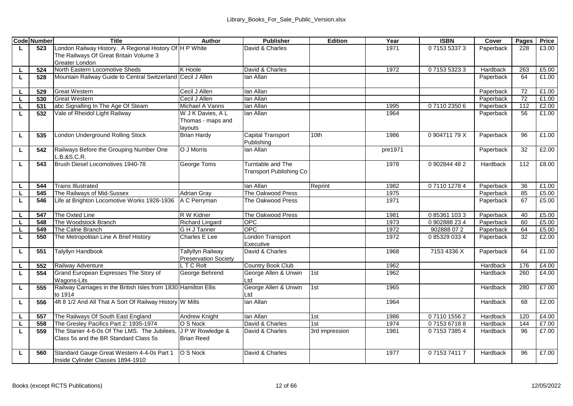|              | <b>Code Number</b> | <b>Title</b>                                                                         | Author                                            | <b>Publisher</b>                            | Edition        | Year    | <b>ISBN</b>   | Cover     | Pages | Price |
|--------------|--------------------|--------------------------------------------------------------------------------------|---------------------------------------------------|---------------------------------------------|----------------|---------|---------------|-----------|-------|-------|
| L.           | 523                | London Railway History. A Regional History Of H P White                              |                                                   | David & Charles                             |                | 1971    | 0715353373    | Paperback | 228   | £3.00 |
|              |                    | The Railways Of Great Britain Volume 3                                               |                                                   |                                             |                |         |               |           |       |       |
|              |                    | Greater London                                                                       |                                                   |                                             |                |         |               |           |       |       |
| L.           | 524                | North Eastern Locomotive Sheds                                                       | K Hoole                                           | David & Charles                             |                | 1972    | 0715353233    | Hardback  | 263   | £5.00 |
| L.           | 528                | Mountain Railway Guide to Central Switzerland                                        | Cecil J Allen                                     | lan Allan                                   |                |         |               | Paperback | 64    | £1.00 |
| L            | 529                | Great Western                                                                        | Cecil J Allen                                     | lan Allan                                   |                |         |               | Paperback | 72    | £1.00 |
| L.           | 530                | <b>Great Western</b>                                                                 | Cecil J Allen                                     | lan Allan                                   |                |         |               | Paperback | 72    | £1.00 |
| L            | 531                | abc Signalling In The Age Of Steam                                                   | Michael A Vanns                                   | lan Allan                                   |                | 1995    | 0711023506    | Paperback | 112   | £2.00 |
| L            | 532                | Vale of Rheidol Light Railway                                                        | W J K Davies, A L<br>Thomas - maps and<br>layouts | lan Allan                                   |                | 1964    |               | Paperback | 56    | £1.00 |
| L.           | 535                | London Underground Rolling Stock                                                     | <b>Brian Hardy</b>                                | Capital Transport<br>Publishing             | 10th           | 1986    | 0.904711 79 X | Paperback | 96    | £1.00 |
| L.           | 542                | Railways Before the Grouping Number One<br>L.B.8S.C.R.                               | O J Morris                                        | lan Allan                                   |                | pre1971 |               | Paperback | 32    | £2.00 |
| L            | 543                | Brush Diesel Locomotives 1940-78                                                     | George Toms                                       | Tumtable and The<br>Transport Publishing Co |                | 1978    | 0902844482    | Hardback  | 112   | £8.00 |
| L.           | 544                | <b>Trains Illustrated</b>                                                            |                                                   | lan Allan                                   | Reprint        | 1982    | 0711012784    | Paperback | 36    | £1.00 |
| L.           | 545                | The Railways of Mid-Sussex                                                           | <b>Adrian Gray</b>                                | The Oakwood Press                           |                | 1975    |               | Paperback | 85    | £5.00 |
| L.           | 546                | Life at Brighton Locomotive Works 1928-1936                                          | A C Perryman                                      | The Oakwood Press                           |                | 1971    |               | Paperback | 67    | £5.00 |
| L            | 547                | The Oxted Line                                                                       | R W Kidner                                        | The Oakwood Press                           |                | 1981    | 0 85361 103 3 | Paperback | 40    | £5.00 |
| τ            | 548                | The Woodstock Branch                                                                 | <b>Richard Lingard</b>                            | OPC                                         |                | 1973    | 0902888234    | Paperback | 60    | £5.00 |
| L            | 549                | The Caine Branch                                                                     | G H J Tanner                                      | OPC                                         |                | 1972    | 902888072     | Paperback | 64    | £5.00 |
| L            | 550                | The Metropolitan Line A Brief History                                                | Charles E Lee                                     | London Transport<br>Executive               |                | 1972    | 0853290334    | Paperback | 32    | £2.00 |
| L            | 551                | Talyllyn Handbook                                                                    | <b>Tallyllyn Railway</b><br>Preservation Society  | David & Charles                             |                | 1968    | 7153 4336 X   | Paperback | 64    | £1.00 |
| L            | 552                | Railway Adventure                                                                    | LTC Rolt                                          | Country Book Club                           |                | 1962    |               | Hardback  | 176   | £4.00 |
| L.           | 554                | Grand European Expresses The Story of<br>Wagons-Lits                                 | George Behrend                                    | George Allen & Unwin<br>Ltd                 | 1st            | 1962    |               | Hardback  | 260   | £4.00 |
| г            | 555                | Railway Carriages in the British Isles from 1830<br>to 1914                          | <b>Hamilton Ellis</b>                             | George Allen & Unwin<br>Ltd                 | 1st            | 1965    |               | Hardback  | 280   | £7.00 |
| г            | 556                | 4ft 8 1/2 And All That A Sort Of Railway History W Mills                             |                                                   | lan Allan                                   |                | 1964    |               | Hardback  | 68    | £2.00 |
|              | 557                | The Railways Of South East England                                                   | Andrew Knight                                     | lan Allan                                   | 1st            | 1986    | 0711015562    | Hardback  | 120   | £4.00 |
| $\mathbf{I}$ | 558                | The Greslev Pacifics Part 2: 1935-1974                                               | O S Nock                                          | David & Charles                             | 1st            | 1974    | 0715367188    | Hardback  | 144   | £7.00 |
| L            | 559                | The Stanier 4-6-0s Of The LMS. The Jubilees<br>Class 5s and the BR Standard Class 5s | J P W Rowledge &<br><b>Brian Reed</b>             | David & Charles                             | 3rd impression | 1981    | 0715373854    | Hardback  | 96    | £7.00 |
| L            | 560                | Standard Gauge Great Western 4-4-0s Part 1<br>Inside Cvlinder Classes 1894-1910      | O S Nock                                          | David & Charles                             |                | 1977    | 0715374117    | Hardback  | 96    | £7.00 |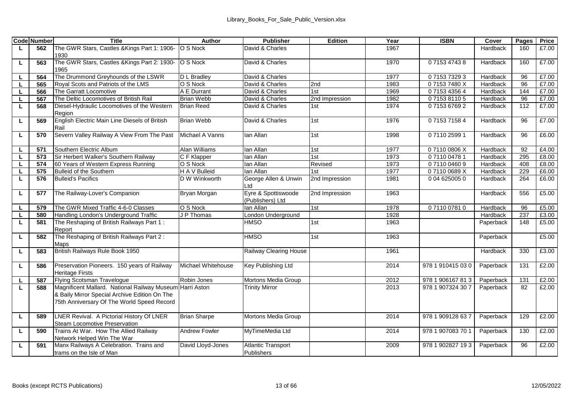|    | <b>Code Number</b> | Title                                                                 | Author               | <b>Publisher</b>            | Edition        | Year         | <b>ISBN</b>       | Cover     | Pages      | Price |
|----|--------------------|-----------------------------------------------------------------------|----------------------|-----------------------------|----------------|--------------|-------------------|-----------|------------|-------|
| L. | 562                | The GWR Stars, Castles &Kings Part 1: 1906-                           | O S Nock             | David & Charles             |                | 1967         |                   | Hardback  | 160        | £7.00 |
|    |                    | 1930                                                                  |                      |                             |                |              |                   |           |            |       |
| L  | 563                | The GWR Stars, Castles &Kings Part 2: 1930-                           | O S Nock             | David & Charles             |                | 1970         | 0715347438        | Hardback  | 160        | £7.00 |
|    |                    | 1965                                                                  |                      |                             |                |              |                   |           |            |       |
| L  | 564                | The Drummond Greyhounds of the LSWR                                   | D L Bradlev          | David & Charles             |                | 1977         | 0715373293        | Hardback  | 96         | £7.00 |
| г  | 565                | Roval Scots and Patriots of the LMS                                   | O S Nock             | David & Charles             | 2nd            | 1983         | 071537480X        | Hardback  | 96         | £7.00 |
|    | 566                | The Garratt Locomotive                                                | A E Durrant          | David & Charles             | 1st            | 1969         | 0715343564        | Hardback  | 144        | £7.00 |
|    | 567                | The Deltic Locomotives of British Rail                                | <b>Brian Webb</b>    | David & Charles             | 2nd Impression | 1982         | 0715381105        | Hardback  | 96         | £7.00 |
| г  | 568                | Diesel-Hydraulic Locomotives of the Western<br>Region                 | <b>Brian Reed</b>    | David & Charles             | 1st            | 1974         | 0715367692        | Hardback  | 112        | £7.00 |
| г  | 569                | English Electric Main Line Diesels of British                         | Brian Webb           | David & Charles             | 1st            | 1976         | 0715371584        | Hardback  | 96         | £7.00 |
|    |                    | Rail<br>Severn Valley Railway A View From The Past                    | Michael A Vanns      | lan Allan                   | 1st            | 1998         | 0711025991        | Hardback  | 96         | £6.00 |
| L  | 570                |                                                                       |                      |                             |                |              |                   |           |            |       |
| L  | 571                | Southern Electric Album                                               | Alan Williams        | lan Allan                   | 1st            | 1977         | 071100806X        | Hardback  | 92         | £4.00 |
| г  | 573                | Sir Herbert Walker's Southern Railway                                 | C F Klapper          | lan Allan                   | 1st            | 1973         | 0711004781        | Hardback  | 295        | £8.00 |
|    | 574                | 60 Years of Western Express Running                                   | O S Nock             | lan Allan                   | Revised        | 1973         | 0711004609        | Hardback  | 408        | £8.00 |
|    | 575                | Bulleid of the Southern                                               | H A V Bulleid        | lan Allan                   | 1st            | 1977         | 071100689X        | Hardback  | 229        | £6.00 |
| L. | 576                | <b>Bulleid's Pacifics</b>                                             | D W Winkworth        | George Allen & Unwin<br>Ltd | 2nd Impression | 1981         | 0 04 625005 0     | Hardback  | 264        | £6.00 |
| L  | 577                | The Railway-Lover's Companion                                         | Bryan Morgan         | Eyre & Spottiswoode         | 2nd Impression | 1963         |                   | Hardback  | 556        | £5.00 |
|    |                    | The GWR Mixed Traffic 4-6-0 Classes                                   | O S Nock             | (Publishers) Ltd            |                |              |                   |           |            | £5.00 |
|    | 579                |                                                                       |                      | lan Allan                   | 1st            | 1978         | 0711007810        | Hardback  | 96         |       |
| L  | 580<br>581         | Handling London's Underground Traffic                                 | J P Thomas           | London Underground          | 1st            | 1928<br>1963 |                   | Hardback  | 237<br>148 | £3.00 |
| г  |                    | The Reshaping of British Railways Part 1:<br>Report                   |                      | <b>HMSO</b>                 |                |              |                   | Paperback |            | £5.00 |
| г  | 582                | The Reshaping of British Railways Part 2:                             |                      | <b>HMSO</b>                 | 1st            | 1963         |                   | Paperback |            | £5.00 |
|    |                    | Maps                                                                  |                      |                             |                |              |                   |           |            |       |
| L  | 583                | British Railways Rule Book 1950                                       |                      | Railway Clearing House      |                | 1961         |                   | Hardback  | 330        | £3.00 |
|    |                    |                                                                       |                      |                             |                |              |                   |           |            |       |
| τ  | 586                | Preservation Pioneers. 150 years of Railway<br><b>Heritage Firsts</b> | Michael Whitehouse   | Key Publishing Ltd          |                | 2014         | 978 1 910415 03 0 | Paperback | 131        | £2.00 |
| г  | 587                | Flying Scotsman Travelogue                                            | Robin Jones          | Mortons Media Group         |                | 2012         | 978 1 906167 813  | Paperback | 131        | £2.00 |
| L. | 588                | Magnificent Mallard. National Railway Museum Harri Aston              |                      | <b>Trinity Mirror</b>       |                | 2013         | 978 1 907324 30 7 | Paperback | 82         | £2.00 |
|    |                    | & Baily Mirror Special Archive Edition On The                         |                      |                             |                |              |                   |           |            |       |
|    |                    | 75th Anniversary Of The World Speed Record                            |                      |                             |                |              |                   |           |            |       |
|    |                    |                                                                       |                      |                             |                |              |                   |           |            |       |
| L  | 589                | LNER Revival. A Pictorial History Of LNER                             | <b>Brian Sharpe</b>  | Mortons Media Group         |                | 2014         | 978 1 909128 637  | Paperback | 129        | £2.00 |
|    |                    | Steam Locomotive Preservation                                         |                      |                             |                |              |                   |           |            |       |
| г  | 590                | Trains At War. How The Allied Railway                                 | <b>Andrew Fowler</b> | MvTimeMedia Ltd             |                | 2014         | 978 1 907083 70 1 | Paperback | 130        | £2.00 |
|    |                    | Network Helped Win The War                                            |                      |                             |                |              |                   |           |            |       |
| L. | 591                | Manx Railways A Celebration. Trains and                               | David Lloyd-Jones    | Atlantic Transport          |                | 2009         | 978 1 902827 193  | Paperback | 96         | £2.00 |
|    |                    | trams on the Isle of Man                                              |                      | Publishers                  |                |              |                   |           |            |       |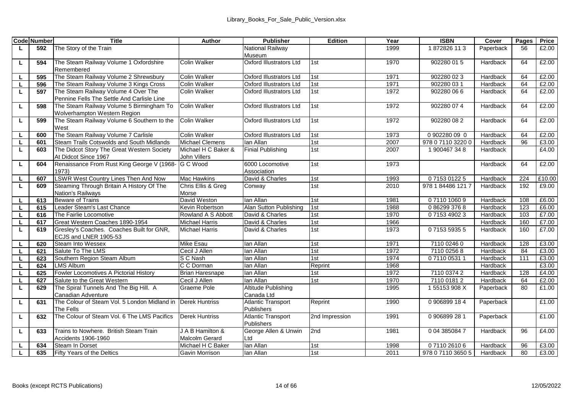|    | <b>Code Number</b> | Title                                        | Author                 | <b>Publisher</b>          | Edition        | Year | <b>ISBN</b>       | Cover     | Pages | Price  |
|----|--------------------|----------------------------------------------|------------------------|---------------------------|----------------|------|-------------------|-----------|-------|--------|
| L. | 592                | The Story of the Train                       |                        | National Railway          |                | 1999 | 1872826 113       | Paperback | 56    | £2.00  |
|    |                    |                                              |                        | Museum                    |                |      |                   |           |       |        |
| L  | 594                | The Steam Railway Volume 1 Oxfordshire       | Colin Walker           | Oxford Illustrators Ltd   | 1st            | 1970 | 902280 015        | Hardback  | 64    | £2.00  |
|    |                    | Remembered                                   |                        |                           |                |      |                   |           |       |        |
| L. | 595                | The Steam Railway Volume 2 Shrewsbury        | <b>Colin Walker</b>    | Oxford Illustrators Ltd   | 1st            | 1971 | 902280 023        | Hardback  | 64    | £2.00  |
| L. | 596                | The Steam Railway Volume 3 Kings Cross       | Colin Walker           | Oxford Illustrators Ltd   | 1st            | 1971 | 902280 03 1       | Hardback  | 64    | £2.00  |
| L. | 597                | The Steam Railway Volume 4 Over The          | Colin Walker           | Oxford Illustrators Ltd   | 1st            | 1972 | 902280 066        | Hardback  | 64    | £2.00  |
|    |                    | Pennine Fells The Settle And Carlisle Line   |                        |                           |                |      |                   |           |       |        |
| L  | 598                | The Steam Railway Volume 5 Birmingham To     | Colin Walker           | Oxford Illustrators Ltd   | 1st            | 1972 | 902280 07 4       | Hardback  | 64    | £2.00  |
|    |                    | Wolverhampton Western Region                 |                        |                           |                |      |                   |           |       |        |
| г  | 599                | The Steam Railway Volume 6 Southern to the   | Colin Walker           | Oxford Illustrators Ltd   | 1st            | 1972 | 902280 08 2       | Hardback  | 64    | £2.00  |
|    |                    | West                                         |                        |                           |                |      |                   |           |       |        |
| L. | 600                | The Steam Railway Volume 7 Carlisle          | Colin Walker           | Oxford Illustrators Ltd   | 1st            | 1973 | 0 902280 09 0     | Hardback  | 64    | £2.00  |
| L  | 601                | Steam Trails Cotswolds and South Midlands    | <b>Michael Clemens</b> | lan Allan                 | 1st            | 2007 | 978 0 7110 3220 0 | Hardback  | 96    | £3.00  |
| L. | 603                | The Didcot Story The Great Western Society   | Michael H C Baker &    | <b>Finial Publishing</b>  | 1st            | 2007 | 1 900467 34 8     | Hardback  |       | £4.00  |
|    |                    | At Didcot Since 1967                         | John Villers           |                           |                |      |                   |           |       |        |
| г  | 604                | Renaissance From Rust King George V (1968-   | G C Wood               | 6000 Locomotive           | 1st            | 1973 |                   | Hardback  | 64    | £2.00  |
|    |                    | 1973)                                        |                        | Association               |                |      |                   |           |       |        |
| L. | 607                | LSWR West Country Lines Then And Now         | Mac Hawkins            | David & Charles           | 1st            | 1993 | 0715301225        | Hardback  | 224   | £10.00 |
| L  | 609                | Steaming Through Britain A History Of The    | Chris Ellis & Greg     | Conway                    | 1st            | 2010 | 978 1 84486 1217  | Hardback  | 192   | £9.00  |
|    |                    | Nation's Railways                            | Morse                  |                           |                |      |                   |           |       |        |
| L. | 613                | <b>Beware of Trains</b>                      | David Weston           | lan Allan                 | 1st            | 1981 | 0711010609        | Hardback  | 108   | £6.00  |
|    | 615                | Leader Steam's Last Chance                   | Kevin Robertson        | Alan Sutton Publishing    | 1st            | 1988 | 0862993768        | Hardback  | 123   | £6.00  |
|    | 616                | The Fairlie Locomotive                       | Rowland A S Abbott     | David & Charles           | 1st            | 1970 | 0715349023        | Hardback  | 103   | £7.00  |
| г  | 617                | Great Western Coaches 1890-1954              | Michael Harris         | David & Charles           | 1st            | 1966 |                   | Hardback  | 160   | £7.00  |
| г  | 619                | Gresley's Coaches. Coaches Built for GNR,    | <b>Michael Harris</b>  | David & Charles           | 1st            | 1973 | 0715359355        | Hardback  | 160   | £7.00  |
|    |                    | ECJS and LNER 1905-53                        |                        |                           |                |      |                   |           |       |        |
|    | 620                | Steam Into Wessex                            | Mike Esau              | lan Allan                 | 1st            | 1971 | 7110 0246 0       | Hardback  | 128   | £3.00  |
|    | 621                | Salute To The LMS                            | Cecil J Allen          | lan Allan                 | 1st            | 1972 | 7110 0256 8       | Hardback  | 84    | £3.00  |
| L. | 623                | Southern Region Steam Album                  | S C Nash               | lan Allan                 | 1st            | 1974 | 0711005311        | Hardback  | 111   | £3.00  |
| L. | 624                | <b>LMS Album</b>                             | C C Dorman             | lan Allan                 | Reprint        | 1968 |                   | Hardback  |       | £3.00  |
| г  | 625                | Fowler Locomotives A Pictorial History       | <b>Brian Haresnape</b> | lan Allan                 | 1st            | 1972 | 7110 0374 2       | Hardback  | 128   | £4.00  |
|    | 627                | Salute to the Great Western                  | Cecil J Allen          | lan Allan                 | 1st            | 1970 | 7110 0181 2       | Hardback  | 64    | £2.00  |
| L  | 629                | The Spiral Tunnels And The Big Hill. A       | Graeme Pole            | Altitude Publishing       |                | 1995 | 155153908X        | Paperback | 80    | £1.00  |
|    |                    | Canadian Adventure                           |                        | Canada Ltd                |                |      |                   |           |       |        |
| L. | 631                | The Colour of Steam Vol. 5 London Midland in | <b>Derek Huntriss</b>  | <b>Atlantic Transport</b> | Reprint        | 1990 | 0906899184        | Paperback |       | £1.00  |
|    |                    | The Fells                                    |                        | Publishers                |                |      |                   |           |       |        |
| L  | 632                | The Colour of Steam Vol. 6 The LMS Pacifics  | <b>Derek Huntriss</b>  | <b>Atlantic Transport</b> | 2nd Impression | 1991 | 0906899281        | Paperback |       | £1.00  |
|    |                    |                                              |                        | Publishers                |                |      |                   |           |       |        |
| L  | 633                | Trains to Nowhere. British Steam Train       | J A B Hamilton &       | George Allen & Unwin      | 2nd            | 1981 | 0 04 385084 7     | Hardback  | 96    | £4.00  |
|    |                    | Accidents 1906-1960                          | Malcolm Gerard         | Ltd                       |                |      |                   |           |       |        |
|    | 634                | Steam In Dorset                              | Michael H C Baker      | lan Allan                 | 1st            | 1998 | 0711026106        | Hardback  | 96    | £3.00  |
|    | 635                | Fifty Years of the Deltics                   | Gavin Morrison         | lan Allan                 | 1st            | 2011 | 978 0 7110 3650 5 | Hardback  | 80    | £3.00  |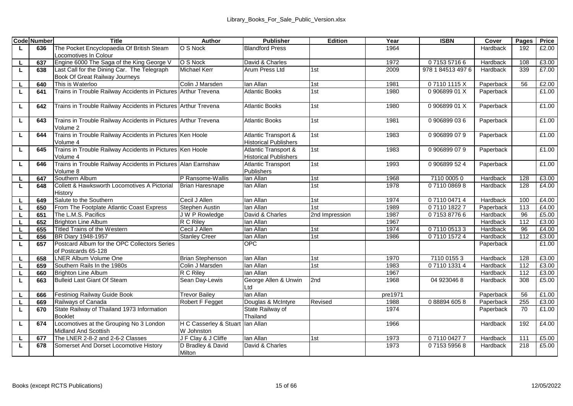|              | <b>Code Number</b> | Title                                                                         | Author                                         | <b>Publisher</b>                                     | Edition        | Year    | <b>ISBN</b>       | Cover     | Pages | Price |
|--------------|--------------------|-------------------------------------------------------------------------------|------------------------------------------------|------------------------------------------------------|----------------|---------|-------------------|-----------|-------|-------|
| L.           | 636                | The Pocket Encyclopaedia Of British Steam<br>Locomotives In Colour            | O S Nock                                       | <b>Blandford Press</b>                               |                | 1964    |                   | Hardback  | 192   | £2.00 |
| $\mathbf{I}$ | 637                | Engine 6000 The Saga of the King George V                                     | O S Nock                                       | David & Charles                                      |                | 1972    | 0715357166        | Hardback  | 108   | £3.00 |
| L.           | 638                | Last Call for the Dining Car. The Telegraph<br>Book Of Great Railway Journeys | Michael Kerr                                   | Arum Press Ltd                                       | 1st            | 2009    | 978 1 84513 497 6 | Hardback  | 339   | £7.00 |
| L            | 640                | This is Waterloo                                                              | Colin J Marsden                                | lan Allan                                            | 1st            | 1981    | 071101115X        | Paperback | 56    | £2.00 |
| L            | 641                | Trains in Trouble Railway Accidents in Pictures Arthur Trevena                |                                                | <b>Atlantic Books</b>                                | 1st            | 1980    | 090689901X        | Paperback |       | £1.00 |
| L.           | 642                | Trains in Trouble Railway Accidents in Pictures Arthur Trevena                |                                                | Atlantic Books                                       | 1st            | 1980    | 090689901X        | Paperback |       | £1.00 |
| L            | 643                | Trains in Trouble Railway Accidents in Pictures Arthur Trevena<br>Volume 2    |                                                | <b>Atlantic Books</b>                                | 1st            | 1981    | 0906899036        | Paperback |       | £1.00 |
| L            | 644                | Trains in Trouble Railway Accidents in Pictures Ken Hoole<br>Volume 4         |                                                | Atlantic Transport &<br><b>Historical Publishers</b> | 1st            | 1983    | 0906899079        | Paperback |       | £1.00 |
| L            | 645                | Trains in Trouble Railway Accidents in Pictures Ken Hoole<br>Volume 4         |                                                | Atlantic Transport &<br><b>Historical Publishers</b> | 1st            | 1983    | 0906899079        | Paperback |       | £1.00 |
| г            | 646                | Trains in Trouble Railway Accidents in Pictures Alan Earnshaw<br>Volume 8     |                                                | <b>Atlantic Transport</b><br>Publishers              | 1st            | 1993    | 0906899524        | Paperback |       | £1.00 |
| L.           | 647                | Southern Album                                                                | P Ransome-Wallis                               | lan Allan                                            | 1st            | 1968    | 7110 0005 0       | Hardback  | 128   | £3.00 |
| L            | 648                | Collett & Hawksworth Locomotives A Pictorial<br>History                       | <b>Brian Haresnape</b>                         | lan Allan                                            | 1st            | 1978    | 0711008698        | Hardback  | 128   | £4.00 |
| L            | 649                | Salute to the Southern                                                        | Cecil J Allen                                  | lan Allan                                            | 1st            | 1974    | 0711004714        | Hardback  | 100   | £4.00 |
| L.           | 650                | From The Footplate Atlantic Coast Express                                     | Stephen Austin                                 | lan Allan                                            | 1st            | 1989    | 0711018227        | Paperback | 113   | £4.00 |
|              | 651                | The L.M.S. Pacifics                                                           | J W P Rowledge                                 | David & Charles                                      | 2nd Impression | 1987    | 0715387766        | Hardback  | 96    | £5.00 |
| L            | 652                | <b>Brighton Line Album</b>                                                    | R C Rilev                                      | lan Allan                                            |                | 1967    |                   | Hardback  | 112   | £3.00 |
| L.           | 655                | Titled Trains of the Western                                                  | Cecil J Allen                                  | lan Allan                                            | 1st            | 1974    | 0711005133        | Hardback  | 96    | £4.00 |
| L.           | 656                | BR Diary 1948-1957                                                            | <b>Stanley Creer</b>                           | lan Allan                                            | 1st            | 1986    | 0711015724        | Hardback  | 112   | £3.00 |
| L            | 657                | Postcard Album for the OPC Collectors Series<br>of Postcards 65-128           |                                                | OPC                                                  |                |         |                   | Paperback |       | £1.00 |
| L.           | 658                | <b>LNER Album Volume One</b>                                                  | <b>Brian Stephenson</b>                        | lan Allan                                            | 1st            | 1970    | 7110 0155 3       | Hardback  | 128   | £3.00 |
| г            | 659                | Southern Rails In the 1980s                                                   | Colin J Marsden                                | lan Allan                                            | 1st            | 1983    | 0711013314        | Hardback  | 112   | £3.00 |
| L.           | 660                | <b>Brighton Line Album</b>                                                    | R C Rilev                                      | lan Allan                                            |                | 1967    |                   | Hardback  | 112   | £3.00 |
| L            | 663                | Bulleid Last Giant Of Steam                                                   | Sean Day-Lewis                                 | George Allen & Unwin<br>ht I                         | 2nd            | 1968    | 04 9230468        | Hardback  | 308   | £5.00 |
| L.           | 666                | Festiniog Railway Guide Book                                                  | <b>Trevor Bailey</b>                           | lan Allan                                            |                | pre1971 |                   | Paperback | 56    | £1.00 |
| L            | 669                | Railways of Canada                                                            | Robert F Fegget                                | Douglas & McIntyre                                   | Revised        | 1988    | 0 88894 605 8     | Paperback | 255   | £3.00 |
| L.           | 670                | State Railway of Thailand 1973 Information<br><b>Booklet</b>                  |                                                | State Railway of<br>Thailand                         |                | 1974    |                   | Paperback | 70    | £1.00 |
| L            | 674                | Locomotives at the Grouping No 3 London<br>Midland And Scottish               | H C Casserley & Stuart Ian Allan<br>W Johnston |                                                      |                | 1966    |                   | Hardback  | 192   | £4.00 |
| L            | 677                | The LNER 2-8-2 and 2-6-2 Classes                                              | J F Clay & J Cliffe                            | lan Allan                                            | 1st            | 1973    | 0711004277        | Hardback  | 111   | £5.00 |
| L            | 678                | Somerset And Dorset Locomotive History                                        | D Bradley & David<br>Milton                    | David & Charles                                      |                | 1973    | 0715359568        | Hardback  | 218   | £5.00 |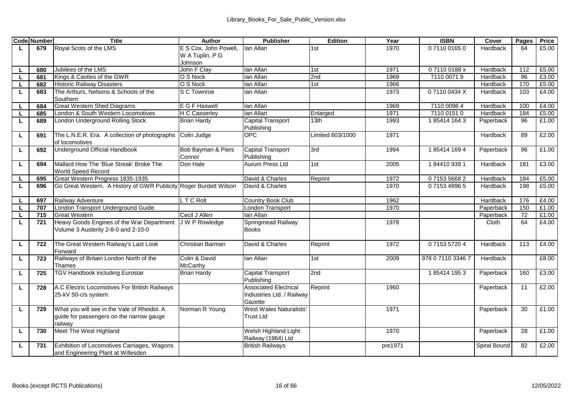|    | <b>Code Number</b> | Title                                                             | Author                | Publisher                       | Edition          | Year    | <b>ISBN</b>       | Cover        | Pages | Price |
|----|--------------------|-------------------------------------------------------------------|-----------------------|---------------------------------|------------------|---------|-------------------|--------------|-------|-------|
| L. | 679                | Roval Scots of the LMS                                            | E S Cox. John Powell. | lan Allan                       | 1st              | 1970    | 0711001650        | Hardback     | 64    | £5.00 |
|    |                    |                                                                   | W A Tuplin, P G       |                                 |                  |         |                   |              |       |       |
|    |                    |                                                                   | Johnson               |                                 |                  |         |                   |              |       |       |
| L. | 680                | Jubilees of the LMS                                               | John F Clav           | lan Allan                       | 1st              | 1971    | 071100188x        | Hardback     | 112   | £5.00 |
| L  | 681                | Kings & Castles of the GWR                                        | O S Nock              | lan Allan                       | 2nd              | 1969    | 7110 00719        | Hardback     | 96    | £3.00 |
| L. | 682                | <b>Historic Railway Disasters</b>                                 | O S Nock              | lan Allan                       | 1st              | 1966    |                   | Hardback     | 170   | £5.00 |
| L  | 683                | The Arthurs, Nelsons & Schools of the                             | S C Townroe           | lan Allan                       |                  | 1973    | 071100434X        | Hardback     | 103   | £4.00 |
|    |                    | Southern                                                          |                       |                                 |                  |         |                   |              |       |       |
| г  | 684                | <b>Great Western Shed Diagrams</b>                                | E G F Haswell         | lan Allan                       |                  | 1969    | 7110 0096 4       | Hardback     | 100   | £4.00 |
| L. | 685                | London & South Western Locomotives                                | <b>H C Casserlev</b>  | lan Allan                       | Enlarged         | 1971    | 7110 0151 0       | Hardback     | 184   | £5.00 |
| г  | 689                | London Underground Rolling Stock                                  | <b>Brian Hardy</b>    | Capital Transport<br>Publishing | 13th             | 1993    | 1854141643        | Paperback    | 96    | £1.00 |
| L. | 691                | The L.N.E.R. Era. A collection of photographs                     | Colin Judge           | OPC                             | Limited 603/1000 | 1971    |                   | Hardback     | 89    | £2.00 |
|    |                    | of locomotives                                                    |                       |                                 |                  |         |                   |              |       |       |
| г  | 692                | Underground Official Handbook                                     | Bob Bayman & Piers    | Capital Transport               | 3rd              | 1994    | 1854141694        | Paperback    | 96    | £1.00 |
|    |                    |                                                                   | Connor                | Publishing                      |                  |         |                   |              |       |       |
| L  | 694                | Mallard How The 'Blue Streak' Broke The                           | Don Hale              | Aurum Press Ltd                 | 1st              | 2005    | 1844109391        | Hardback     | 181   | £3.00 |
|    |                    | World Speed Record                                                |                       |                                 |                  |         |                   |              |       |       |
| г  | 695                | Great Western Progress 1835-1935                                  |                       | David & Charles                 | Reprint          | 1972    | 0715356682        | Hardback     | 184   | £5.00 |
| τ  | 696                | Go Great Western. A History of GWR Publicity Roger Burdett Wilson |                       | David & Charles                 |                  | 1970    | 0715348965        | Hardback     | 198   | £5.00 |
| г  | 697                | Railway Adventure                                                 | LTC Rolt              | Country Book Club               |                  | 1962    |                   | Hardback     | 176   | £4.00 |
| L. | 707                | London Transport Underground Guide                                |                       | London Transport                |                  | 1970    |                   | Paperback    | 150   | £1.00 |
| L  | 715                | <b>Great Western</b>                                              | Cecil J Allen         | lan Allan                       |                  |         |                   | Paperback    | 72    | £1.00 |
| L  | 721                | Heavy Goods Engines of the War Department                         | J W P Rowledge        | Springmead Railway              |                  | 1978    |                   | Cloth        | 64    | £4.00 |
|    |                    | Volume 3 Austerity 2-8-0 and 2-10-0                               |                       | <b>Books</b>                    |                  |         |                   |              |       |       |
|    |                    |                                                                   |                       |                                 |                  | 1972    | 0715357204        |              | 113   | £4.00 |
| L  | 722                | The Great Western Railway's Last Look                             | Christian Barman      | David & Charles                 | Reprint          |         |                   | Hardback     |       |       |
|    | 723                | Forward<br>Railways of Britain London North of the                | Colin & David         | lan Allan                       | 1st              |         | 978 0 7110 3346 7 | Hardback     |       | £8.00 |
| г  |                    | Thames                                                            | McCarthy              |                                 |                  | 2009    |                   |              |       |       |
| г  | 725                | TGV Handbook including Eurostar                                   | Brian Hardy           | Capital Transport               | 2nd              |         | 1854141953        | Paperback    | 160   | £3.00 |
|    |                    |                                                                   |                       | Publishing                      |                  |         |                   |              |       |       |
| г  | 728                | A.C Electric Locomotives For British Railways                     |                       | <b>Associated Electrical</b>    | Reprint          | 1960    |                   | Paperback    | 11    | £2.00 |
|    |                    | 25-kV 50-c/s system.                                              |                       | Indiustries Ltd. / Railway      |                  |         |                   |              |       |       |
|    |                    |                                                                   |                       | Gazette                         |                  |         |                   |              |       |       |
| г  | 729                | What you will see in the Vale of Rheidol. A                       | Norman R Young        | West Wales Naturalists'         |                  | 1971    |                   | Paperback    | 30    | £1.00 |
|    |                    | quide for passengers on the narrow gauge                          |                       | <b>Trust Ltd</b>                |                  |         |                   |              |       |       |
|    |                    | railwav                                                           |                       |                                 |                  |         |                   |              |       |       |
| L  | 730                | Meet The West Highland                                            |                       | Welsh Highland Light            |                  | 1970    |                   | Paperback    | 28    | £1.00 |
|    |                    |                                                                   |                       | Railway (1964) Ltd              |                  |         |                   |              |       |       |
| г  | 731                | Exhibition of Locomotives Carriages, Wagons                       |                       | <b>British Railways</b>         |                  | pre1971 |                   | Spiral Bound | 82    | £2.00 |
|    |                    | and Engineering Plant at Willesden                                |                       |                                 |                  |         |                   |              |       |       |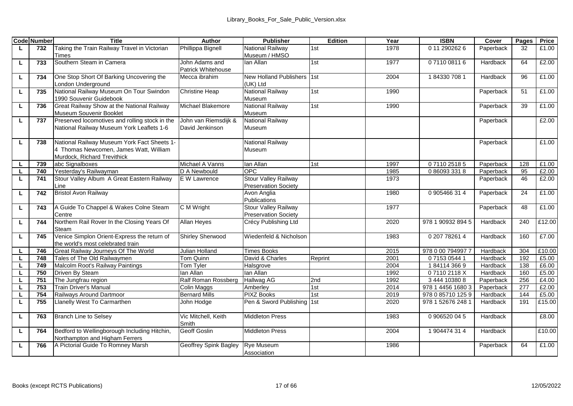|    | <b>Code Number</b> | Title                                          | Author                          | <b>Publisher</b>                           | Edition | Year         | <b>ISBN</b>              | Cover     | Pages    | Price          |
|----|--------------------|------------------------------------------------|---------------------------------|--------------------------------------------|---------|--------------|--------------------------|-----------|----------|----------------|
| L. | 732                | Taking the Train Railway Travel in Victorian   | Phillippa Bignell               | National Railway                           | 1st     | 1978         | 0 11 290 262 6           | Paperback | 32       | £1.00          |
|    |                    | Times                                          |                                 | Museum / HMSO                              |         |              |                          |           |          |                |
| ш  | 733                | Southern Steam in Camera                       | John Adams and                  | lan Allan                                  | 1st     | 1977         | 0711008116               | Hardback  | 64       | £2.00          |
|    |                    |                                                | Patrick Whitehouse              |                                            |         |              |                          |           |          |                |
| L. | 734                | One Stop Short Of Barking Uncovering the       | Mecca ibrahim                   | New Holland Publishers 1st                 |         | 2004         | 1843307081               | Hardback  | 96       | £1.00          |
|    |                    | London Underground                             |                                 | (UK) Ltd                                   |         |              |                          |           |          |                |
| г  | 735                | National Railway Museum On Tour Swindon        | Christine Heap                  | National Railway                           | 1st     | 1990         |                          | Paperback | 51       | £1.00          |
|    |                    | 1990 Souvenir Guidebook                        |                                 | Museum                                     |         |              |                          |           |          |                |
| ш  | 736                | Great Railway Show at the National Railway     | Michael Blakemore               | National Railway                           | 1st     | 1990         |                          | Paperback | 39       | £1.00          |
|    |                    | Museum Souvenir Booklet                        |                                 | Museum                                     |         |              |                          |           |          |                |
| ш  | 737                | Preserved locomotives and rolling stock in the | John van Riemsdijk &            | National Railway                           |         |              |                          | Paperback |          | £2.00          |
|    |                    | National Railway Museum York Leaflets 1-6      | David Jenkinson                 | Museum                                     |         |              |                          |           |          |                |
|    |                    |                                                |                                 |                                            |         |              |                          |           |          |                |
| L. | 738                | National Railway Museum York Fact Sheets 1-    |                                 | National Railway                           |         |              |                          | Paperback |          | £1.00          |
|    |                    | 4 Thomas Newcomen, James Watt, William         |                                 | Museum                                     |         |              |                          |           |          |                |
|    |                    | Murdock, Richard Trevithick                    |                                 |                                            |         |              |                          |           |          |                |
| ш  | 739                | abc Signalboxes<br>Yesterday's Railwayman      | Michael A Vanns<br>D A Newbould | lan Allan<br>OPC.                          | 1st     | 1997<br>1985 | 0711025185<br>0860933318 | Paperback | 128      | £1.00<br>£2.00 |
| г  | 740                | Stour Valley Album A Great Eastern Railway     | E W Lawrence                    | Stour Valley Railway                       |         | 1973         |                          | Paperback | 95<br>46 | £2.00          |
| ш  | 741                |                                                |                                 |                                            |         |              |                          | Paperback |          |                |
| L  | 742                | Line<br><b>Bristol Avon Railway</b>            |                                 | <b>Preservation Society</b><br>Avon Anglia |         | 1980         | 0905466314               | Paperback | 24       | £1.00          |
|    |                    |                                                |                                 | Publications                               |         |              |                          |           |          |                |
| L. | 743                | A Guide To Chappel & Wakes Colne Steam         | C M Wright                      | <b>Stour Valley Railway</b>                |         | 1977         |                          | Paperback | 48       | £1.00          |
|    |                    | Centre                                         |                                 | <b>Preservation Society</b>                |         |              |                          |           |          |                |
| ш  | 744                | Northern Rail Rover In the Closing Years Of    | Allan Heyes                     | Crécy Publishing Ltd                       |         | 2020         | 978 1 90932 894 5        | Hardback  | 240      | £12.00         |
|    |                    | Steam                                          |                                 |                                            |         |              |                          |           |          |                |
| ш  | 745                | Venice Simplon Orient-Express the return of    | Shirley Sherwood                | Wiedenfeld & Nicholson                     |         | 1983         | 0 207 78261 4            | Hardback  | 160      | £7.00          |
|    |                    | the world's most celebrated train              |                                 |                                            |         |              |                          |           |          |                |
| ш  | 746                | Great Railway Journeys Of The World            | Julian Holland                  | <b>Times Books</b>                         |         | 2015         | 978 0 00 794997 7        | Hardback  | 304      | £10.00         |
| л. | 748                | Tales of The Old Railwaymen                    | Tom Quinn                       | David & Charles                            | Reprint | 2001         | 0715305441               | Hardback  | 192      | £5.00          |
|    | 749                | Malcolm Root's Railway Paintings               | Tom Tyler                       | Halsgrove                                  |         | 2004         | 1841143669               | Hardback  | 138      | £6.00          |
| L  | 750                | Driven By Steam                                | lan Allan                       | lan Allan                                  |         | 1992         | 071102118X               | Hardback  | 160      | £5.00          |
| ш  | 751                | The Jungfrau region                            | Ralf Roman Rossberg             | <b>Hallwag AG</b>                          | 2nd     | 1992         | 3 444 10380 8            | Paperback | 256      | £4.00          |
|    | 753                | <b>Train Driver's Manual</b>                   | <b>Colin Maggs</b>              | Amberley                                   | 1st     | 2014         | 978 1 4456 1680 3        | Paperback | 277      | £2.00          |
| L. | 754                | Railways Around Dartmoor                       | <b>Bernard Mills</b>            | <b>PIXZ Books</b>                          | 1st     | 2019         | 978 0 85710 125 9        | Hardback  | 144      | £5.00          |
| L. | 755                | Llanelly West To Carmarthen                    | John Hodge                      | Pen & Sword Publishing 1st                 |         | 2020         | 978 1 52676 248 1        | Hardback  | 191      | £15.00         |
|    |                    |                                                |                                 |                                            |         |              |                          |           |          |                |
| г  | 763                | <b>Branch Line to Selsey</b>                   | Vic Mitchell, Keith             | <b>Middleton Press</b>                     |         | 1983         | 0 906520 04 5            | Hardback  |          | £8.00          |
|    |                    |                                                | Smith                           |                                            |         |              |                          |           |          |                |
| г  | 764                | Bedford to Wellingborough Including Hitchin,   | Geoff Goslin                    | <b>Middleton Press</b>                     |         | 2004         | 1904474314               | Hardback  |          | £10.00         |
|    |                    | Northampton and Higham Ferrers                 |                                 |                                            |         |              |                          |           |          |                |
| L. | 766                | A Pictorial Guide To Romney Marsh              | Geoffrey Spink Bagley           | Rye Museum                                 |         | 1986         |                          | Paperback | 64       | £1.00          |
|    |                    |                                                |                                 | Association                                |         |              |                          |           |          |                |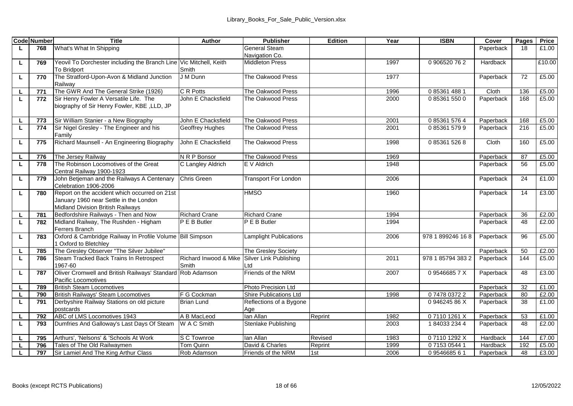|    | <b>Code Number</b> | Title                                                              | Author                | <b>Publisher</b>            | Edition | Year | <b>ISBN</b>       | Cover     | Pages | Price  |
|----|--------------------|--------------------------------------------------------------------|-----------------------|-----------------------------|---------|------|-------------------|-----------|-------|--------|
| L. | 768                | What's What In Shipping                                            |                       | General Steam               |         |      |                   | Paperback | 18    | £1.00  |
|    |                    |                                                                    |                       | Navigation Co.              |         |      |                   |           |       |        |
| ш  | 769                | Yeovil To Dorchester including the Branch Line Vic Mitchell, Keith |                       | <b>Middleton Press</b>      |         | 1997 | 0906520762        | Hardback  |       | £10.00 |
|    |                    | To Bridport                                                        | Smith                 |                             |         |      |                   |           |       |        |
| L  | 770                | The Stratford-Upon-Avon & Midland Junction                         | J M Dunn              | The Oakwood Press           |         | 1977 |                   | Paperback | 72    | £5.00  |
|    |                    | Railway                                                            |                       |                             |         |      |                   |           |       |        |
| г  | 771                | The GWR And The General Strike (1926)                              | C R Potts             | The Oakwood Press           |         | 1996 | 0 85361 488 1     | Cloth     | 136   | £5.00  |
| L  | 772                | Sir Henry Fowler A Versatile Life. The                             | John E Chacksfield    | The Oakwood Press           |         | 2000 | 0853615500        | Paperback | 168   | £5.00  |
|    |                    | biography of Sir Henry Fowler, KBE ,LLD, JP                        |                       |                             |         |      |                   |           |       |        |
|    |                    |                                                                    |                       |                             |         |      |                   |           |       |        |
| L. | 773                | Sir William Stanier - a New Biography                              | John E Chacksfield    | The Oakwood Press           |         | 2001 | 0 85361 576 4     | Paperback | 168   | £5.00  |
| L  | 774                | Sir Nigel Gresley - The Engineer and his                           | Geoffrey Hughes       | The Oakwood Press           |         | 2001 | 0853615799        | Paperback | 216   | £5.00  |
|    |                    | Family                                                             |                       |                             |         |      |                   |           |       |        |
| г  | 775                | Richard Maunsell - An Engineering Biography                        | John E Chacksfield    | The Oakwood Press           |         | 1998 | 0 85361 526 8     | Cloth     | 160   | £5.00  |
|    |                    |                                                                    |                       |                             |         |      |                   |           |       |        |
|    | 776                | The Jersey Railway                                                 | N R P Bonsor          | The Oakwood Press           |         | 1969 |                   | Paperback | 87    | £5.00  |
|    | 778                | The Robinson Locomotives of the Great<br>Central Railway 1900-1923 | C Langley Aldrich     | E V Aldrich                 |         | 1948 |                   | Paperback | 56    | £5.00  |
|    |                    | John Betjeman and the Railways A Centenary                         | Chris Green           | <b>Transport For London</b> |         | 2006 |                   | Paperback | 24    | £1.00  |
| ш  | 779                | Celebration 1906-2006                                              |                       |                             |         |      |                   |           |       |        |
| L  | 780                | Report on the accident which occurred on 21st                      |                       | <b>HMSO</b>                 |         | 1960 |                   | Paperback | 14    | £3.00  |
|    |                    | January 1960 near Settle in the London                             |                       |                             |         |      |                   |           |       |        |
|    |                    | Midland Division British Railways                                  |                       |                             |         |      |                   |           |       |        |
|    | 781                | Bedfordshire Railways - Then and Now                               | <b>Richard Crane</b>  | <b>Richard Crane</b>        |         | 1994 |                   | Paperback | 36    | £2.00  |
| L  | 782                | Midland Railway, The Rushden - Higham                              | P E B Butler          | P E B Butler                |         | 1994 |                   | Paperback | 48    | £2.00  |
|    |                    | Ferrers Branch                                                     |                       |                             |         |      |                   |           |       |        |
| Ц  | 783                | Oxford & Cambridge Railway In Profile Volume Bill Simpson          |                       | Lamplight Publications      |         | 2006 | 978 1 899246 168  | Paperback | 96    | £5.00  |
|    |                    | 1 Oxford to Bletchlev                                              |                       |                             |         |      |                   |           |       |        |
|    | 785                | The Gresley Observer "The Silver Jubilee"                          |                       | The Gresley Society         |         |      |                   | Paperback | 50    | £2.00  |
| L. | 786                | Steam Tracked Back Trains In Retrospect                            | Richard Inwood & Mike | Silver Link Publishing      |         | 2011 | 978 1 85794 383 2 | Paperback | 144   | £5.00  |
|    |                    | 1967-60                                                            | Smith                 | ht                          |         |      |                   |           |       |        |
| г  | 787                | Oliver Cromwell and British Railways' Standard                     | Rob Adamson           | Friends of the NRM          |         | 2007 | 095466857X        | Paperback | 48    | £3.00  |
|    |                    | Pacific Locomotives                                                |                       |                             |         |      |                   |           |       |        |
| г  | 789                | <b>British Steam Locomotives</b>                                   |                       | Photo Precision Ltd         |         |      |                   | Paperback | 32    | £1.00  |
| ш  | 790                | British Railways' Steam Locomotives                                | F G Cockman           | Shire Publications Ltd      |         | 1998 | 0747803722        | Paperback | 80    | £2.00  |
| Ц  | 791                | Derbyshire Railway Stations on old picture                         | <b>Brian Lund</b>     | Reflections of a Bygone     |         |      | 094624586X        | Paperback | 38    | £1.00  |
|    |                    | postcards                                                          |                       | Age                         |         |      |                   |           |       |        |
| г  | 792                | ABC of LMS Locomotives 1943                                        | A B MacLeod           | lan Allan                   | Reprint | 1982 | 071101261X        | Paperback | 53    | £1.00  |
| τ  | 793                | Dumfries And Galloway's Last Days Of Steam                         | W A C Smith           | Stenlake Publishing         |         | 2003 | 1840332344        | Paperback | 48    | £2.00  |
|    |                    |                                                                    |                       |                             |         |      |                   |           |       |        |
|    | 795                | Arthurs', 'Nelsons' & 'Schools At Work                             | S C Townroe           | lan Allan                   | Revised | 1983 | 071101292X        | Hardback  | 144   | £7.00  |
|    | 796                | Tales of The Old Railwaymen                                        | Tom Quinn             | David & Charles             | Reprint | 1999 | 0 7153 0544 1     | Hardback  | 192   | £5.00  |
|    | 797                | Sir Lamiel And The King Arthur Class                               | Rob Adamson           | Friends of the NRM          | 1st     | 2006 | 0954668561        | Paperback | 48    | £3.00  |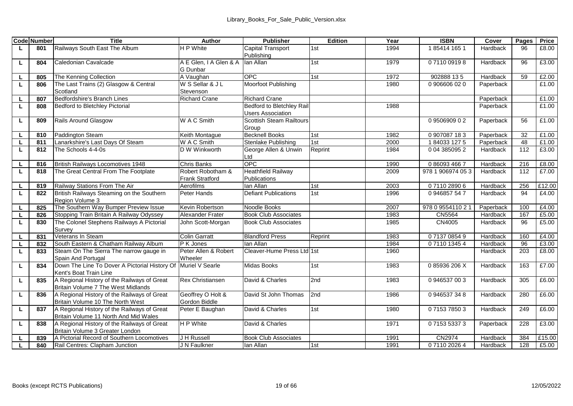|          | <b>Code Number</b> | Title                                         | Author                  | <b>Publisher</b>            | Edition | Year | <b>ISBN</b>      | Cover     | Pages | Price  |
|----------|--------------------|-----------------------------------------------|-------------------------|-----------------------------|---------|------|------------------|-----------|-------|--------|
| ш        | 801                | Railways South East The Album                 | H P White               | Capital Transport           | 1st     | 1994 | 185414 165 1     | Hardback  | 96    | £8.00  |
|          |                    |                                               |                         | Publishing                  |         |      |                  |           |       |        |
| ш        | 804                | Caledonian Cavalcade                          | A E Glen, I A Glen & A  | lan Allan                   | 1st     | 1979 | 0711009198       | Hardback  | 96    | £3.00  |
|          |                    |                                               | G Dunbar                |                             |         |      |                  |           |       |        |
| L.       | 805                | The Kenning Collection                        | A Vaughan               | OPC.                        | 1st     | 1972 | 902888 135       | Hardback  | 59    | £2.00  |
| ш        | 806                | The Last Trains (2) Glasgow & Central         | W S Sellar & J L        | Moorfoot Publishing         |         | 1980 | 0906606020       | Paperback |       | £1.00  |
|          |                    | Scotland                                      | Stevenson               |                             |         |      |                  |           |       |        |
|          | 807                | Bedfordshire's Branch Lines                   | <b>Richard Crane</b>    | <b>Richard Crane</b>        |         |      |                  | Paperback |       | £1.00  |
| ш        | 808                | Bedford to Bletchlev Pictorial                |                         | Bedford to Bletchley Rail   |         | 1988 |                  | Paperback |       | £1.00  |
|          |                    |                                               |                         | <b>Users Association</b>    |         |      |                  |           |       |        |
| L.       | 809                | Rails Around Glasgow                          | W A C Smith             | Scottish Steam Railtours    |         |      | 0950690902       | Paperback | 56    | £1.00  |
|          |                    |                                               |                         | Group                       |         |      |                  |           |       |        |
| L        | 810                | Paddington Steam                              | Keith Montague          | <b>Becknell Books</b>       | 1st     | 1982 | 0907087183       | Paperback | 32    | £1.00  |
| L.       | 811                | Lanarkshire's Last Davs Of Steam              | W A C Smith             | Stenlake Publishing         | 1st     | 2000 | 1840331275       | Paperback | 48    | £1.00  |
| L.       | 812                | The Schools 4-4-0s                            | D W Winkworth           | George Allen & Unwin        | Reprint | 1984 | 0 04 385095 2    | Hardback  | 112   | £3.00  |
|          |                    |                                               |                         | Ltd                         |         |      |                  |           |       |        |
| ш        | 816                | British Railways Locomotives 1948             | <b>Chris Banks</b>      | OPC.                        |         | 1990 | 0 86093 466 7    | Hardback  | 216   | £8.00  |
| L        | 818                | The Great Central From The Footplate          | Robert Robotham &       | <b>Heathfield Railway</b>   |         | 2009 | 978 1 906974 053 | Hardback  | 112   | £7.00  |
|          |                    |                                               | <b>Frank Stratford</b>  | Publications                |         |      |                  |           |       |        |
| L.       | 819                | Railway Stations From The Air                 | Aerofilms               | lan Allan                   | 1st     | 2003 | 0711028906       | Hardback  | 256   | £12.00 |
| ш        | 822                | British Railways Steaming on the Southern     | Peter Hands             | <b>Defiant Publications</b> | 1st     | 1996 | 0946857547       | Hardback  | 94    | £4.00  |
|          |                    | Region Volume 3                               |                         |                             |         |      |                  |           |       |        |
|          | 825                | The Southern Way Bumper Preview Issue         | Kevin Robertson         | Noodle Books                |         | 2007 | 978 0 9554110 21 | Paperback | 100   | £4.00  |
| L.       | 826                | Stopping Train Britain A Railway Odyssey      | Alexander Frater        | <b>Book Club Associates</b> |         | 1983 | CN5564           | Hardback  | 167   | £5.00  |
| L        | 830                | The Colonel Stephens Railways A Pictorial     | John Scott-Morgan       | <b>Book Club Associates</b> |         | 1985 | CN4005           | Hardback  | 96    | £5.00  |
|          |                    | Survey                                        |                         |                             |         |      |                  |           |       |        |
| ш        | 831                | Veterans In Steam                             | <b>Colin Garratt</b>    | <b>Blandford Press</b>      | Reprint | 1983 | 0713708549       | Hardback  | 160   | £4.00  |
|          | 832                | South Eastern & Chatham Railway Album         | P K Jones               | lan Allan                   |         | 1984 | 0711013454       | Hardback  | 96    | £3.00  |
| ш        | 833                | Steam On The Sierra The narrow gauge in       | Peter Allen & Robert    | Cleaver-Hume Press Ltd 1st  |         | 1960 |                  | Hardback  | 203   | £8.00  |
|          |                    | Spain And Portugal                            | Wheeler                 |                             |         |      |                  |           |       |        |
| г        | 834                | Down The Line To Dover A Pictorial History Of | Muriel V Searle         | Midas Books                 | 1st     | 1983 | 085936206X       | Hardback  | 163   | £7.00  |
|          |                    | Kent's Boat Train Line                        |                         |                             |         |      |                  |           |       |        |
| г        | 835                | A Regional History of the Railways of Great   | <b>Rex Christiansen</b> | David & Charles             | 2nd     | 1983 | 0946537003       | Hardback  | 305   | £6.00  |
|          |                    | Britain Volume 7 The West Midlands            |                         |                             |         |      |                  |           |       |        |
| ш        | 836                | A Regional History of the Railways of Great   | Geoffrey O Holt &       | David St John Thomas        | 2nd     | 1986 | 0946537348       | Hardback  | 280   | £6.00  |
|          |                    | Britain Volume 10 The North West              | Gordon Biddle           |                             |         |      |                  |           |       |        |
| L.       | 837                | A Regional History of the Railways of Great   | Peter E Baughan         | David & Charles             | 1st     | 1980 | 0715378503       | Hardback  | 249   | £6.00  |
|          |                    | Britain Volume 11 North And Mid Wales         |                         |                             |         |      |                  |           |       |        |
| ш        | 838                | A Regional History of the Railways of Great   | H P White               | David & Charles             |         | 1971 | 0715353373       | Paperback | 228   | £3.00  |
|          |                    | Britain Volume 3 Greater London               |                         |                             |         |      |                  |           |       |        |
|          | 839                | A Pictorial Record of Southern Locomotives    | J H Russell             | <b>Book Club Associates</b> |         | 1991 | CN2974           | Hardback  | 384   | £15.00 |
| <b>L</b> | 840                | Rail Centres: Clapham Junction                | J N Faulkner            | lan Allan                   | 1st     | 1991 | 0711020264       | Hardback  | 128   | £5.00  |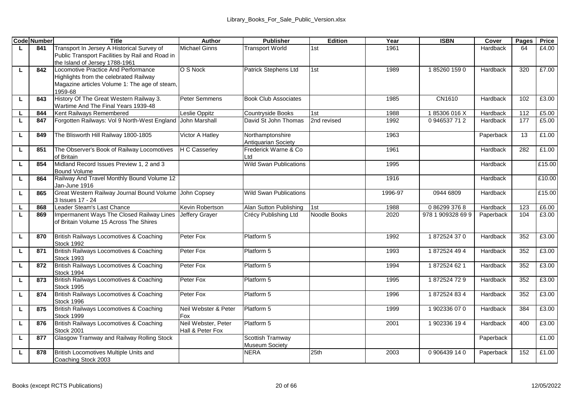|    | <b>Code Number</b> | <b>Title</b>                                                      | Author               | <b>Publisher</b>                   | Edition      | Year    | <b>ISBN</b>       | Cover     | Pages | Price  |
|----|--------------------|-------------------------------------------------------------------|----------------------|------------------------------------|--------------|---------|-------------------|-----------|-------|--------|
| L  | 841                | Transport In Jersey A Historical Survey of                        | Michael Ginns        | <b>Transport World</b>             | 1st          | 1961    |                   | Hardback  | 64    | £4.00  |
|    |                    | Public Transport Facilities by Rail and Road in                   |                      |                                    |              |         |                   |           |       |        |
|    |                    | the Island of Jersey 1788-1961                                    |                      |                                    |              |         |                   |           |       |        |
| L. | 842                | Locomotive Practice And Performance                               | O S Nock             | Patrick Stephens Ltd               | 1st          | 1989    | 1852601590        | Hardback  | 320   | £7.00  |
|    |                    | Highlights from the celebrated Railway                            |                      |                                    |              |         |                   |           |       |        |
|    |                    | Magazine articles Volume 1: The age of steam,<br>1959-68          |                      |                                    |              |         |                   |           |       |        |
| L  | 843                | History Of The Great Western Railway 3.                           | Peter Semmens        | <b>Book Club Associates</b>        |              | 1985    | CN1610            | Hardback  | 102   | £3.00  |
|    |                    | Wartime And The Final Years 1939-48                               |                      |                                    |              |         |                   |           |       |        |
| L. | 844                | Kent Railways Remembered                                          | eslie Oppitz         | Countryside Books                  | 1st          | 1988    | 185306016X        | Hardback  | 112   | £5.00  |
| ш  | 847                | Forgotten Railways: Vol 9 North-West England                      | John Marshall        | David St John Thomas               | 2nd revised  | 1992    | 0946537712        | Hardback  | 177   | £5.00  |
|    |                    |                                                                   |                      |                                    |              |         |                   |           |       |        |
| г  | 849                | The Blisworth Hill Railway 1800-1805                              | Victor A Hatley      | Northamptonshire                   |              | 1963    |                   | Paperback | 13    | £1.00  |
|    |                    |                                                                   |                      | Antiquarian Society                |              |         |                   |           |       |        |
| ш  | 851                | The Observer's Book of Railway Locomotives                        | <b>H C Casserlev</b> | Frederick Warne & Co.              |              | 1961    |                   | Hardback  | 282   | £1.00  |
|    |                    | of Britain                                                        |                      | ht I                               |              |         |                   |           |       |        |
| г  | 854                | Midland Record Issues Preview 1, 2 and 3                          |                      | Wild Swan Publications             |              | 1995    |                   | Hardback  |       | £15.00 |
|    |                    | <b>Bound Volume</b><br>Railway And Travel Monthly Bound Volume 12 |                      |                                    |              | 1916    |                   | Hardback  |       | £10.00 |
| ш  | 864                | Jan-June 1916                                                     |                      |                                    |              |         |                   |           |       |        |
| L  | 865                | Great Western Railway Journal Bound Volume John Copsey            |                      | Wild Swan Publications             |              | 1996-97 | 0944 6809         | Hardback  |       | £15.00 |
|    |                    | 3 Issues 17 - 24                                                  |                      |                                    |              |         |                   |           |       |        |
| L. | 868                | Leader Steam's Last Chance                                        | Kevin Robertson      | Alan Sutton Publishing             | 1st          | 1988    | 0862993768        | Hardback  | 123   | £6.00  |
| τ  | 869                | Impermanent Ways The Closed Railway Lines                         | Jeffery Grayer       | Crécy Publishing Ltd               | Noodle Books | 2020    | 978 1 909328 69 9 | Paperback | 104   | £3.00  |
|    |                    | of Britain Volume 15 Across The Shires                            |                      |                                    |              |         |                   |           |       |        |
|    |                    |                                                                   |                      |                                    |              |         |                   |           |       |        |
| L  | 870                | British Railways Locomotives & Coaching                           | Peter Fox            | Platform 5                         |              | 1992    | 1872524370        | Hardback  | 352   | £3.00  |
|    |                    | Stock 1992                                                        |                      |                                    |              |         |                   |           |       |        |
| г  | 871                | British Railways Locomotives & Coaching<br>Stock 1993             | Peter Fox            | Platform 5                         |              | 1993    | 1872524494        | Hardback  | 352   | £3.00  |
| ш  | 872                | British Railways Locomotives & Coaching                           | Peter Fox            | Platform 5                         |              | 1994    | 1872524621        | Hardback  | 352   | £3.00  |
|    |                    | Stock 1994                                                        |                      |                                    |              |         |                   |           |       |        |
| г  | 873                | British Railways Locomotives & Coaching                           | Peter Fox            | Platform 5                         |              | 1995    | 1872524729        | Hardback  | 352   | £3.00  |
|    |                    | Stock 1995                                                        |                      |                                    |              |         |                   |           |       |        |
| ш  | 874                | British Railways Locomotives & Coaching                           | Peter Fox            | Platform 5                         |              | 1996    | 1872524834        | Hardback  | 352   | £3.00  |
|    |                    | Stock 1996                                                        |                      |                                    |              |         |                   |           |       |        |
| г  | 875                | British Railways Locomotives & Coaching                           | Neil Webster & Peter | Platform 5                         |              | 1999    | 1902336070        | Hardback  | 384   | £3.00  |
|    |                    | Stock 1999                                                        | Fox                  |                                    |              |         |                   |           |       |        |
| г  | 876                | British Railways Locomotives & Coaching                           | Neil Webster, Peter  | Platform 5                         |              | 2001    | 1902336 194       | Hardback  | 400   | £3.00  |
|    |                    | <b>Stock 2001</b>                                                 | Hall & Peter Fox     |                                    |              |         |                   |           |       |        |
| L. | 877                | Glasgow Tramway and Railway Rolling Stock                         |                      | Scottish Tramway<br>Museum Society |              |         |                   | Paperback |       | £1.00  |
| L  | 878                | British Locomotives Multiple Units and                            |                      | <b>NFRA</b>                        | 25th         | 2003    | 0906439140        | Paperback | 152   | £1.00  |
|    |                    | Coaching Stock 2003                                               |                      |                                    |              |         |                   |           |       |        |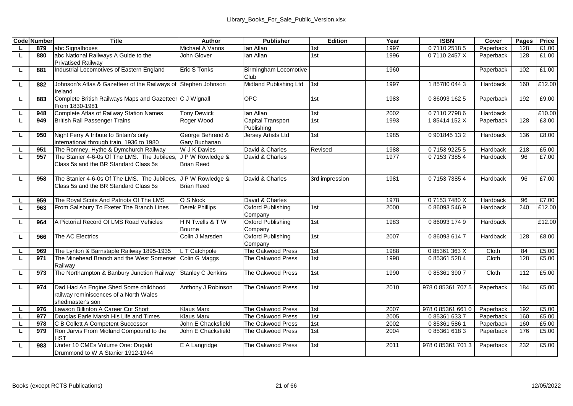|    | <b>Code Number</b> | Title                                                                                               | Author                              | Publisher                       | Edition        | Year | <b>ISBN</b>       | Cover     | Pages | Price  |
|----|--------------------|-----------------------------------------------------------------------------------------------------|-------------------------------------|---------------------------------|----------------|------|-------------------|-----------|-------|--------|
| L. | 879                | abc Signalboxes                                                                                     | Michael A Vanns                     | lan Allan                       | 1st            | 1997 | 0711025185        | Paperback | 128   | £1.00  |
| τ  | 880                | abc National Railways A Guide to the                                                                | John Glover                         | lan Allan                       | 1st            | 1996 | 071102457X        | Paperback | 128   | £1.00  |
|    |                    | <b>Privatised Railwav</b>                                                                           |                                     |                                 |                |      |                   |           |       |        |
| L  | 881                | Industrial Locomotives of Eastern England                                                           | <b>Eric S Tonks</b>                 | Birmingham Locomotive<br>Club   |                | 1960 |                   | Paperback | 102   | £1.00  |
| L. | 882                | Johnson's Atlas & Gazetteer of the Railways of Stephen Johnson<br>Ireland                           |                                     | Midland Publishing Ltd          | 1st            | 1997 | 1857800443        | Hardback  | 160   | £12.00 |
| L  | 883                | Complete British Railways Maps and Gazetteer C J Wignall<br>From 1830-1981                          |                                     | OPC.                            | 1st            | 1983 | 0 86093 162 5     | Paperback | 192   | £9.00  |
| L. | 948                | Complete Atlas of Railway Station Names                                                             | <b>Tony Dewick</b>                  | lan Allan                       | 1st            | 2002 | 0711027986        | Hardback  |       | £10.00 |
| L. | 949                | <b>British Rail Passenger Trains</b>                                                                | Roger Wood                          | Capital Transport<br>Publishing | 1st            | 1993 | 185414 152 X      | Paperback | 128   | £3.00  |
| L  | 950                | Night Ferry A tribute to Britain's only<br>international through train, 1936 to 1980                | George Behrend &<br>Gary Buchanan   | Jersey Artists Ltd              | 1st            | 1985 | 0901845132        | Hardback  | 136   | £8.00  |
| L  | 951                | The Romney, Hythe & Dymchurch Railway                                                               | W J K Davies                        | David & Charles                 | Revised        | 1988 | 0715392255        | Hardback  | 218   | £5.00  |
| τ  | 957                | The Stanier 4-6-0s Of The LMS. The Jubilees.<br>Class 5s and the BR Standard Class 5s               | JPW Rowledge &<br><b>Brian Reed</b> | David & Charles                 |                | 1977 | 0715373854        | Hardback  | 96    | £7.00  |
| L. | 958                | The Stanier 4-6-0s Of The LMS. The Jubilees<br>Class 5s and the BR Standard Class 5s                | JPW Rowledge &<br><b>Brian Reed</b> | David & Charles                 | 3rd impression | 1981 | 0715373854        | Hardback  | 96    | £7.00  |
| L  | 959                | The Royal Scots And Patriots Of The LMS                                                             | O S Nock                            | David & Charles                 |                | 1978 | 071537480X        | Hardback  | 96    | £7.00  |
| L. | 963                | From Salisbury To Exeter The Branch Lines                                                           | <b>Derek Phillips</b>               | Oxford Publishing<br>Company    | 1st            | 2000 | 0 86093 546 9     | Hardback  | 240   | £12.00 |
| L  | 964                | A Pictorial Record Of LMS Road Vehicles                                                             | H N Twells & T W<br>Bourne          | Oxford Publishing<br>Company    | 1st            | 1983 | 0 86093 174 9     | Hardback  |       | £12.00 |
| L. | 966                | The AC Electrics                                                                                    | Colin J Marsden                     | Oxford Publishing<br>Company    | 1st            | 2007 | 0860936147        | Hardback  | 128   | £8.00  |
| L. | 969                | The Lynton & Barnstaple Railway 1895-1935                                                           | L T Catchpole                       | The Oakwood Press               | 1st            | 1988 | 085361363X        | Cloth     | 84    | £5.00  |
| L  | 971                | The Minehead Branch and the West Somerset<br>Railway                                                | Colin G Maggs                       | The Oakwood Press               | 1st            | 1998 | 0 85361 528 4     | Cloth     | 128   | £5.00  |
| L  | 973                | The Northampton & Banbury Junction Railway                                                          | Stanley C Jenkins                   | The Oakwood Press               | 1st            | 1990 | 0 85361 390 7     | Cloth     | 112   | £5.00  |
| L. | 974                | Dad Had An Engine Shed Some childhood<br>railway reminiscences of a North Wales<br>shedmaster's son | Anthony J Robinson                  | The Oakwood Press               | 1st            | 2010 | 978 0 85361 707 5 | Paperback | 184   | £5.00  |
| L. | 976                | Lawson Billinton A Career Cut Short                                                                 | <b>Klaus Marx</b>                   | The Oakwood Press               | 1st            | 2007 | 978 0 85361 661 0 | Paperback | 192   | £5.00  |
| τ  | 977                | Douglas Earle Marsh His Life and Times                                                              | <b>Klaus Marx</b>                   | The Oakwood Press               | 1st            | 2005 | 0853616337        | Paperback | 160   | £5.00  |
| L. | 978                | C B Collett A Competent Successor                                                                   | John E Chacksfield                  | The Oakwood Press               | 1st            | 2002 | 0 85361 586 1     | Paperback | 160   | £5.00  |
| L  | 979                | Ron Jarvis From Midland Compound to the<br><b>HST</b>                                               | John E Chacksfield                  | The Oakwood Press               | 1st            | 2004 | 0853616183        | Paperback | 176   | £5.00  |
| L  | 983                | Under 10 CMEs Volume One: Dugald<br>Drummond to W A Stanier 1912-1944                               | E A Langridge                       | The Oakwood Press               | 1st            | 2011 | 978 0 85361 701 3 | Paperback | 232   | £5.00  |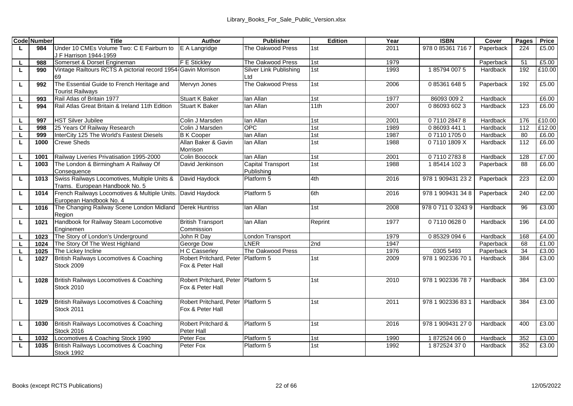|    | <b>Code Number</b> | Title                                                                          | Author                                                 | <b>Publisher</b>       | Edition         | Year | <b>ISBN</b>        | Cover     | Pages | Price  |
|----|--------------------|--------------------------------------------------------------------------------|--------------------------------------------------------|------------------------|-----------------|------|--------------------|-----------|-------|--------|
| L. | 984                | Under 10 CMEs Volume Two: C E Fairburn to                                      | E A Langridge                                          | The Oakwood Press      | 1st             | 2011 | 978 0 85361 716 7  | Paperback | 224   | £5.00  |
|    |                    | J F Harrison 1944-1959                                                         |                                                        |                        |                 |      |                    |           |       |        |
| L. | 988                | Somerset & Dorset Engineman                                                    | <b>F E Stickley</b>                                    | The Oakwood Press      | 1st             | 1979 |                    | Paperback | 51    | £5.00  |
| L. | 990                | Vintage Railtours RCTS A pictorial record 1954-Gavin Morrison                  |                                                        | Silver Link Publishing | 1st             | 1993 | 185794 0075        | Hardback  | 192   | £10.00 |
|    |                    | 69                                                                             |                                                        | Ltd                    |                 |      |                    |           |       |        |
| L. | 992                | The Essential Guide to French Heritage and<br><b>Tourist Railways</b>          | Mervyn Jones                                           | The Oakwood Press      | 1st             | 2006 | 0 85361 648 5      | Paperback | 192   | £5.00  |
| L  | 993                | Rail Atlas of Britain 1977                                                     | <b>Stuart K Baker</b>                                  | lan Allan              | 1st             | 1977 | 86093 009 2        | Hardback  |       | £6.00  |
| L. | 994                | Rail Atlas Great Britain & Ireland 11th Edition                                | Stuart K Baker                                         | lan Allan              | 11th            | 2007 | 0 86093 602 3      | Hardback  | 123   | £6.00  |
| L. | 997                | <b>HST Silver Jubilee</b>                                                      | Colin J Marsden                                        | lan Allan              | 1st             | 2001 | 0711028478         | Hardback  | 176   | £10.00 |
| ш  | 998                | 25 Years Of Railway Research                                                   | Colin J Marsden                                        | OPC                    | 1st             | 1989 | 0 86093 441 1      | Hardback  | 112   | £12.00 |
| L. | 999                | InterCity 125 The World's Fastest Diesels                                      | <b>B K Cooper</b>                                      | lan Allan              | 1st             | 1987 | 0711017050         | Hardback  | 80    | £6.00  |
| L. | 1000               | <b>Crewe Sheds</b>                                                             | Allan Baker & Gavin<br>Morrison                        | lan Allan              | 1st             | 1988 | 071101809X         | Hardback  | 112   | £6.00  |
| ш  | 1001               | Railway Liveries Privatisation 1995-2000                                       | Colin Boocock                                          | lan Allan              | 1st             | 2001 | 0711027838         | Hardback  | 128   | £7.00  |
| L. | 1003               | The London & Birmingham A Railway Of                                           | David Jenkinson                                        | Capital Transport      | 1st             | 1988 | 1854141023         | Paperback | 88    | £6.00  |
|    |                    | Consequence                                                                    |                                                        | Publishing             |                 |      |                    |           |       |        |
| ш  | 1013               | Swiss Railways Locomotives, Multiple Units &<br>Trams. European Handbook No. 5 | David Havdock                                          | Platform 5             | 4th             | 2016 | 978 1 909431 23 2  | Paperback | 223   | £2.00  |
| ш  | 1014               | French Railways Locomotives & Multiple Units.                                  | David Havdock                                          | Platform 5             | 6th             | 2016 | 978 1 909431 34 8  | Paperback | 240   | £2.00  |
|    |                    | European Handbook No. 4                                                        |                                                        |                        |                 |      |                    |           |       |        |
| L. | 1016               | The Changing Railway Scene London Midland<br>Region                            | <b>Derek Huntriss</b>                                  | lan Allan              | 1st             | 2008 | 978 0 711 0 3243 9 | Hardback  | 96    | £3.00  |
| ш  | 1021               | Handbook for Railway Steam Locomotive                                          | <b>British Transport</b>                               | lan Allan              | Reprint         | 1977 | 0711006280         | Hardback  | 196   | £4.00  |
|    |                    | Enginemen                                                                      | Commission                                             |                        |                 |      |                    |           |       |        |
| L  | 1023               | The Story of London's Underground                                              | John R Dav                                             | London Transport       |                 | 1979 | 0853290946         | Hardback  | 168   | £4.00  |
| L. | 1024               | The Story Of The West Highland                                                 | George Dow                                             | <b>INFR</b>            | 2 <sub>nd</sub> | 1947 |                    | Paperback | 68    | £1.00  |
| L  | 1025               | The Lickey Incline                                                             | <b>H C Casserlev</b>                                   | The Oakwood Press      |                 | 1976 | 0305 5493          | Paperback | 34    | £3.00  |
| L  | 1027               | British Railways Locomotives & Coaching<br><b>Stock 2009</b>                   | Robert Pritchard, Peter Platform 5<br>Fox & Peter Hall |                        | 1st             | 2009 | 978 1 902336 70 1  | Hardback  | 384   | £3.00  |
| L. | 1028               | British Railways Locomotives & Coaching<br>Stock 2010                          | Robert Pritchard, Peter Platform 5<br>Fox & Peter Hall |                        | 1st             | 2010 | 978 1 902336 78 7  | Hardback  | 384   | £3.00  |
| L  | 1029               | British Railways Locomotives & Coaching<br><b>Stock 2011</b>                   | Robert Pritchard, Peter<br>Fox & Peter Hall            | Platform 5             | 1st             | 2011 | 978 1 902336 83 1  | Hardback  | 384   | £3.00  |
| L. | 1030               | British Railways Locomotives & Coaching                                        | Robert Pritchard &                                     | Platform 5             | 1st             | 2016 | 978 1 909431 27 0  | Hardback  | 400   | £3.00  |
|    |                    | Stock 2016                                                                     | Peter Hall                                             |                        |                 |      |                    |           |       |        |
| L  | 1032               | Locomotives & Coaching Stock 1990                                              | Peter Fox                                              | Platform 5             | 1st             | 1990 | 1872524060         | Hardback  | 352   | £3.00  |
| ш  | 1035               | British Railways Locomotives & Coaching<br>Stock 1992                          | Peter Fox                                              | Platform 5             | 1st             | 1992 | 1872524370         | Hardback  | 352   | £3.00  |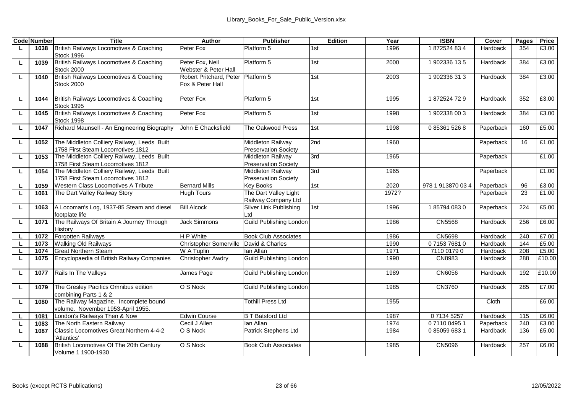|    | <b>Code Number</b> | Title                                       | Author                  | <b>Publisher</b>            | Edition | Year  | <b>ISBN</b>       | Cover     | Pages | Price  |
|----|--------------------|---------------------------------------------|-------------------------|-----------------------------|---------|-------|-------------------|-----------|-------|--------|
| ш  | 1038               | British Railways Locomotives & Coaching     | Peter Fox               | Platform 5                  | 1st     | 1996  | 1872524834        | Hardback  | 354   | £3.00  |
|    |                    | Stock 1996                                  |                         |                             |         |       |                   |           |       |        |
| L. | 1039               | British Railways Locomotives & Coaching     | Peter Fox, Neil         | Platform 5                  | 1st     | 2000  | 1902336135        | Hardback  | 384   | £3.00  |
|    |                    | Stock 2000                                  | Webster & Peter Hall    |                             |         |       |                   |           |       |        |
| ш  | 1040               | British Railways Locomotives & Coaching     | Robert Pritchard, Peter | Platform 5                  | 1st     | 2003  | 1902336313        | Hardback  | 384   | £3.00  |
|    |                    | Stock 2000                                  | Fox & Peter Hall        |                             |         |       |                   |           |       |        |
|    |                    |                                             |                         |                             |         |       |                   |           |       |        |
| L  | 1044               | British Railways Locomotives & Coaching     | Peter Fox               | Platform 5                  | 1st     | 1995  | 1872524729        | Hardback  | 352   | £3.00  |
|    |                    | Stock 1995                                  |                         |                             |         |       |                   |           |       |        |
| L. | 1045               | British Railways Locomotives & Coaching     | Peter Fox               | Platform 5                  | 1st     | 1998  | 1902338 003       | Hardback  | 384   | £3.00  |
|    |                    | Stock 1998                                  |                         |                             |         |       |                   |           |       |        |
| ш  | 1047               | Richard Maunsell - An Engineering Biography | John E Chacksfield      | The Oakwood Press           | 1st     | 1998  | 0 85361 526 8     | Paperback | 160   | £5.00  |
| L. | 1052               | The Middleton Colliery Railway, Leeds Built |                         | Middleton Railway           | 2nd     | 1960  |                   | Paperback | 16    | £1.00  |
|    |                    | 1758 First Steam Locomotives 1812           |                         | Preservation Society        |         |       |                   |           |       |        |
| L. | 1053               | The Middleton Colliery Railway, Leeds Built |                         | Middleton Railway           | 3rd     | 1965  |                   | Paperback |       | £1.00  |
|    |                    | 1758 First Steam Locomotives 1812           |                         | <b>Preservation Society</b> |         |       |                   |           |       |        |
| ш  | 1054               | The Middleton Colliery Railway, Leeds Built |                         | Middleton Railway           | 3rd     | 1965  |                   | Paperback |       | £1.00  |
|    |                    | 1758 First Steam Locomotives 1812           |                         | <b>Preservation Society</b> |         |       |                   |           |       |        |
|    | 1059               | Western Class Locomotives A Tribute         | <b>Bernard Mills</b>    | <b>Kev Books</b>            | 1st     | 2020  | 978 1 913870 03 4 | Paperback | 96    | £3.00  |
| ш  | 1061               | The Dart Valley Railway Story               | <b>Hugh Tours</b>       | The Dart Valley Light       |         | 1972? |                   | Paperback | 23    | £1.00  |
|    |                    |                                             |                         | Railway Company Ltd         |         |       |                   |           |       |        |
| L. | 1063               | A Locoman's Log, 1937-85 Steam and diesel   | <b>Bill Alcock</b>      | Silver Link Publishing      | 1st     | 1996  | 1857940830        | Paperback | 224   | £5.00  |
|    |                    | footplate life                              |                         | Ltd                         |         |       |                   |           |       |        |
| г  | 1071               | The Railways Of Britain A Journey Through   | <b>Jack Simmons</b>     | Guild Publishing London     |         | 1986  | <b>CN5568</b>     | Hardback  | 256   | £6.00  |
|    |                    | History                                     |                         |                             |         |       |                   |           |       |        |
| ш  | 1072               | <b>Forgotten Railways</b>                   | <b>HP</b> White         | <b>Book Club Associates</b> |         | 1986  | CN5698            | Hardback  | 240   | £7.00  |
| L  | 1073               | Walking Old Railways                        | Christopher Somerville  | David & Charles             |         | 1990  | 0715376810        | Hardback  | 144   | £5.00  |
| ш  | 1074               | <b>Great Northern Steam</b>                 | W A Tuplin              | lan Allan                   |         | 1971  | 7110 0179 0       | Hardback  | 208   | £5.00  |
| L  | 1075               | Encyclopaedia of British Railway Companies  | Christopher Awdry       | Guild Publishing London     |         | 1990  | CN8983            | Hardback  | 288   | £10.00 |
|    |                    |                                             |                         |                             |         |       |                   |           |       |        |
| ш  | 1077               | Rails In The Valleys                        | James Page              | Guild Publishing London     |         | 1989  | CN6056            | Hardback  | 192   | £10.00 |
|    |                    |                                             |                         |                             |         |       |                   |           |       |        |
| ш  | 1079               | The Greslev Pacifics Omnibus edition        | O S Nock                | Guild Publishing London     |         | 1985  | CN3760            | Hardback  | 285   | £7.00  |
|    |                    | combining Parts 1 & 2                       |                         |                             |         |       |                   |           |       |        |
| ш  | 1080               | The Railway Magazine. Incomplete bound      |                         | <b>Tothill Press Ltd</b>    |         | 1955  |                   | Cloth     |       | £6.00  |
|    |                    | volume. November 1953-April 1955.           |                         |                             |         |       |                   |           |       |        |
|    | 1081               | London's Railways Then & Now                | <b>Edwin Course</b>     | <b>B T Batsford Ltd</b>     |         | 1987  | 0 7134 5257       | Hardback  | 115   | £6.00  |
| L  | 1083               | The North Eastern Railway                   | Cecil J Allen           | lan Allan                   |         | 1974  | 0711004951        | Paperback | 240   | £3.00  |
| ш  | 1087               | Classic Locomotives Great Northern 4-4-2    | O S Nock                | Patrick Stephens Ltd        |         | 1984  | 0850596831        | Hardback  | 136   | £5.00  |
|    |                    | 'Atlantics'                                 |                         |                             |         |       |                   |           |       |        |
| ш  | 1088               | British Locomotives Of The 20th Century     | O S Nock                | <b>Book Club Associates</b> |         | 1985  | CN5096            | Hardback  | 257   | £6.00  |
|    |                    | Volume 1 1900-1930                          |                         |                             |         |       |                   |           |       |        |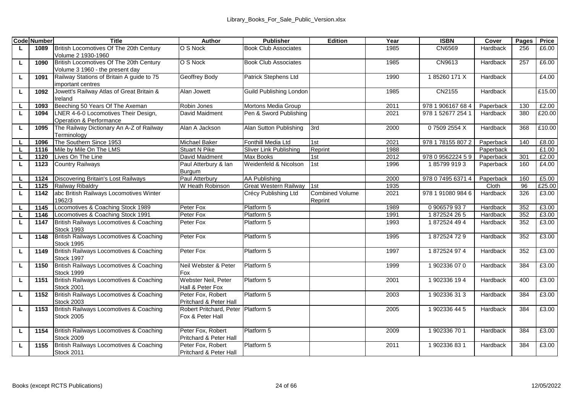|    | <b>Code Number</b> | Title                                             | Author                             | <b>Publisher</b>            | Edition                           | Year | <b>ISBN</b>       | Cover     | Pages | Price  |
|----|--------------------|---------------------------------------------------|------------------------------------|-----------------------------|-----------------------------------|------|-------------------|-----------|-------|--------|
| L. | 1089               | British Locomotives Of The 20th Century           | O S Nock                           | <b>Book Club Associates</b> |                                   | 1985 | CN6569            | Hardback  | 256   | £6.00  |
|    |                    | Volume 2 1930-1960                                |                                    |                             |                                   |      |                   |           |       |        |
| ш  | 1090               | British Locomotives Of The 20th Century           | O S Nock                           | <b>Book Club Associates</b> |                                   | 1985 | CN9613            | Hardback  | 257   | £6.00  |
|    |                    | Volume 3 1960 - the present day                   |                                    |                             |                                   |      |                   |           |       |        |
| Ц  | 1091               | Railway Stations of Britain A guide to 75         | Geoffrey Body                      | Patrick Stephens Ltd        |                                   | 1990 | 185260 171 X      | Hardback  |       | £4.00  |
|    |                    | important centres                                 |                                    |                             |                                   |      |                   |           |       |        |
| L. | 1092               | Jowett's Railway Atlas of Great Britain &         | Alan Jowett                        | Guild Publishing London     |                                   | 1985 | CN2155            | Hardback  |       | £15.00 |
|    |                    | Ireland                                           |                                    |                             |                                   |      |                   |           |       |        |
|    | 1093               | Beeching 50 Years Of The Axeman                   | Robin Jones                        | Mortons Media Group         |                                   | 2011 | 978 1 906167 68 4 | Paperback | 130   | £2.00  |
| г  | 1094               | LNER 4-6-0 Locomotives Their Design,              | David Maidment                     | Pen & Sword Publishing      |                                   | 2021 | 978 1 52677 254 1 | Hardback  | 380   | £20.00 |
|    |                    | Operation & Performance                           |                                    |                             |                                   |      |                   |           |       |        |
| ш  | 1095               | The Railway Dictionary An A-Z of Railway          | Alan A Jackson                     | Alan Sutton Publishing      | 3rd                               | 2000 | 07509 2554 X      | Hardback  | 368   | £10.00 |
|    |                    | Terminology                                       |                                    |                             |                                   |      |                   |           |       |        |
|    | 1096               | The Southern Since 1953                           | Michael Baker                      | Fonthill Media Ltd          | 1st                               | 2021 | 978 1 78155 807 2 | Paperback | 140   | £8.00  |
| г  | 1116               | Mile by Mile On The LMS                           | Stuart N Pike                      | Sliver Link Publishing      | Reprint                           | 1988 |                   | Paperback |       | £1.00  |
| г  | 1120               | Lives On The Line                                 | David Maidment                     | Max Books                   | 1st                               | 2012 | 978 0 9562224 5 9 | Paperback | 301   | £2.00  |
| г  | 1123               | <b>Country Railways</b>                           | Paul Atterbury & lan               | Weidenfeld & Nicolson       | 1st                               | 1996 | 1857999193        | Paperback | 160   | £4.00  |
|    |                    |                                                   | Burgum                             |                             |                                   |      |                   |           |       |        |
|    | 1124               | Discovering Britain's Lost Railways               | Paul Atterbury                     | AA Publishing               |                                   | 2000 | 978 0 7495 6371 4 | Paperback | 160   | £5.00  |
| L  | 1125               | Railway Ribaldry                                  | W Heath Robinson                   | Great Western Railway       | 1st                               | 1935 |                   | Cloth     | 96    | £25.00 |
| L. | 1142               | abc British Railways Locomotives Winter<br>1962/3 |                                    | Crécy Publishing Ltd        | <b>Combined Volume</b><br>Reprint | 2021 | 978 1 91080 984 6 | Hardback  | 326   | £3.00  |
|    | 1145               | Locomotives & Coaching Stock 1989                 | Peter Fox                          | Platform 5                  |                                   | 1989 | 0906579937        | Hardback  | 352   | £3.00  |
|    | 1146               | Locomotives & Coaching Stock 1991                 | Peter Fox                          | Platform 5                  |                                   | 1991 | 1872524265        | Hardback  | 352   | £3.00  |
| L  | 1147               | British Railways Locomotives & Coaching           | Peter Fox                          | Platform 5                  |                                   | 1993 | 1872524494        | Hardback  | 352   | £3.00  |
|    |                    | Stock 1993                                        |                                    |                             |                                   |      |                   |           |       |        |
| г  | 1148               | British Railways Locomotives & Coaching           | Peter Fox                          | Platform 5                  |                                   | 1995 | 1872524729        | Hardback  | 352   | £3.00  |
|    |                    | Stock 1995                                        |                                    |                             |                                   |      |                   |           |       |        |
| ш  | 1149               | British Railways Locomotives & Coaching           | Peter Fox                          | Platform 5                  |                                   | 1997 | 1872524974        | Hardback  | 352   | £3.00  |
|    |                    | Stock 1997                                        |                                    |                             |                                   |      |                   |           |       |        |
| ш  | 1150               | British Railways Locomotives & Coaching           | Neil Webster & Peter               | Platform 5                  |                                   | 1999 | 1902336070        | Hardback  | 384   | £3.00  |
|    |                    | Stock 1999                                        | Fox                                |                             |                                   |      |                   |           |       |        |
| L. | 1151               | British Railways Locomotives & Coaching           | Webster Neil, Peter                | Platform 5                  |                                   | 2001 | 1902336194        | Hardback  | 400   | £3.00  |
|    |                    | Stock 2001                                        | Hall & Peter Fox                   |                             |                                   |      |                   |           |       |        |
| L  | 1152               | British Railways Locomotives & Coaching           | Peter Fox, Robert                  | Platform 5                  |                                   | 2003 | 1902336313        | Hardback  | 384   | £3.00  |
|    |                    | <b>Stock 2003</b>                                 | Pritchard & Peter Hall             |                             |                                   |      |                   |           |       |        |
| Ц  | 1153               | British Railways Locomotives & Coaching           | Robert Pritchard, Peter Platform 5 |                             |                                   | 2005 | 1 902336 44 5     | Hardback  | 384   | £3.00  |
|    |                    | <b>Stock 2005</b>                                 | Fox & Peter Hall                   |                             |                                   |      |                   |           |       |        |
|    |                    |                                                   |                                    |                             |                                   |      |                   |           |       |        |
| L. | 1154               | British Railways Locomotives & Coaching           | Peter Fox, Robert                  | Platform 5                  |                                   | 2009 | 1902336701        | Hardback  | 384   | £3.00  |
|    |                    | <b>Stock 2009</b>                                 | Pritchard & Peter Hall             |                             |                                   |      |                   |           |       |        |
| г  | 1155               | British Railways Locomotives & Coaching           | Peter Fox, Robert                  | Platform 5                  |                                   | 2011 | 1902336831        | Hardback  | 384   | £3.00  |
|    |                    | <b>Stock 2011</b>                                 | Pritchard & Peter Hall             |                             |                                   |      |                   |           |       |        |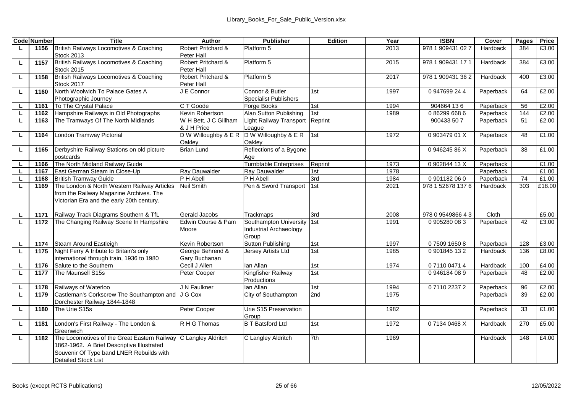|    | <b>Code Number</b> | <b>Title</b>                                                      | Author                              | <b>Publisher</b>                 | Edition    | Year         | <b>ISBN</b>       | Cover     | Pages    | Price  |
|----|--------------------|-------------------------------------------------------------------|-------------------------------------|----------------------------------|------------|--------------|-------------------|-----------|----------|--------|
| L  | 1156               | British Railways Locomotives & Coaching                           | Robert Pritchard &                  | Platform 5                       |            | 2013         | 978 1 909431 027  | Hardback  | 384      | £3.00  |
|    |                    | <b>Stock 2013</b>                                                 | Peter Hall                          |                                  |            |              |                   |           |          |        |
| ш  | 1157               | British Railways Locomotives & Coaching                           | Robert Pritchard &                  | Platform 5                       |            | 2015         | 978 1 909431 17 1 | Hardback  | 384      | £3.00  |
|    |                    | <b>Stock 2015</b>                                                 | Peter Hall                          |                                  |            |              |                   |           |          |        |
| ш  | 1158               | British Railways Locomotives & Coaching                           | Robert Pritchard &                  | Platform 5                       |            | 2017         | 978 1 909431 36 2 | Hardback  | 400      | £3.00  |
|    |                    | Stock 2017                                                        | Peter Hall                          |                                  |            |              |                   |           |          |        |
| г  | 1160               | North Woolwich To Palace Gates A                                  | J E Connor                          | Connor & Butler                  | 1st        | 1997         | 0947699244        | Paperback | 64       | £2.00  |
|    |                    | Photographic Journey                                              |                                     | Specialist Publishers            |            |              |                   |           |          |        |
|    | 1161               | To The Crystal Palace                                             | C T Goode                           | Forge Books                      | 1st        | 1994         | 904664 136        | Paperback | 56       | £2.00  |
| L  | 1162               | Hampshire Railways in Old Photographs                             | Kevin Robertson                     | Alan Sutton Publishing           | 1st        | 1989         | 0862996686        | Paperback | 144      | £2.00  |
| ш  | 1163               | The Tramways Of The North Midlands                                | W H Bett, J C Gillham               | <b>Light Railway Transport</b>   | Reprint    |              | 900433 50 7       | Paperback | 51       | £2.00  |
|    |                    | London Tramway Pictorial                                          | & J H Price<br>D W Willoughby & E R | League<br>D W Willoughby & E R   | 1st        | 1972         | 090347901X        | Paperback | 48       | £1.00  |
| г  | 1164               |                                                                   | Oaklev                              | Oaklev                           |            |              |                   |           |          |        |
| ш  | 1165               | Derbyshire Railway Stations on old picture                        | Brian Lund                          | Reflections of a Bygone          |            |              | 094624586X        | Paperback | 38       | £1.00  |
|    |                    | postcards                                                         |                                     | Age                              |            |              |                   |           |          |        |
| ш  | 1166               | The North Midland Railway Guide                                   |                                     | <b>Tumbtable Enterprises</b>     | Reprint    | 1973         | 090284413X        | Paperback |          | £1.00  |
| L. | 1167               | East German Steam In Close-Up                                     | Ray Dauwalder                       | Ray Dauwalder                    | 1st        | 1978         |                   | Paperback |          | £1.00  |
|    | 1168               | <b>British Tramway Guide</b>                                      | P H Abell                           | P H Abell                        | 3rd        | 1984         | 0901182060        | Paperback | 74       | £1.00  |
| L  | 1169               | The London & North Western Railway Articles                       | Neil Smith                          | Pen & Sword Transport            | 1st        | 2021         | 978 1 52678 137 6 | Hardback  | 303      | £18.00 |
|    |                    | from the Railway Magazine Archives. The                           |                                     |                                  |            |              |                   |           |          |        |
|    |                    | Victorian Era and the early 20th century.                         |                                     |                                  |            |              |                   |           |          |        |
|    |                    |                                                                   |                                     |                                  |            |              |                   |           |          |        |
|    | 1171               | Railway Track Diagrams Southern & TfL                             | Gerald Jacobs                       | Trackmaps                        | 3rd        | 2008         | 978 0 9549866 43  | Cloth     |          | £5.00  |
| L. | 1172               | The Changing Railway Scene In Hampshire                           | Edwin Course & Pam                  | Southampton University           | 1st        | 1991         | 0905280083        | Paperback | 42       | £3.00  |
|    |                    |                                                                   | Moore                               | Industrial Archaeology           |            |              |                   |           |          |        |
|    |                    |                                                                   |                                     | Group                            |            |              |                   |           |          |        |
| L. | 1174               | Steam Around Eastleigh                                            | Kevin Robertson                     | Sutton Publishing                | 1st        | 1997         | 0750916508        | Paperback | 128      | £3.00  |
| ш  | 1175               | Night Ferry A tribute to Britain's only                           | George Behrend &                    | <b>Jersey Artists Ltd</b>        | 1st        | 1985         | 0901845132        | Hardback  | 136      | £8.00  |
|    |                    | international through train, 1936 to 1980                         | Gary Buchanan                       |                                  |            |              |                   |           |          |        |
|    | 1176               | Salute to the Southern                                            | Cecil J Allen                       | lan Allan                        | 1st        | 1974         | 0711004714        | Hardback  | 100      | £4.00  |
| ш  | 1177               | The Maunsell S15s                                                 | Peter Cooper                        | Kingfisher Railway               | 1st        |              | 0946184089        | Paperback | 48       | £2.00  |
|    |                    |                                                                   |                                     | Productions                      |            |              |                   |           |          |        |
|    | 1178               | Railways of Waterloo<br>Castleman's Corkscrew The Southampton and | J N Faulkner                        | lan Allan                        | 1st<br>2nd | 1994<br>1975 | 0711022372        | Paperback | 96<br>39 | £2.00  |
| L  | 1179               |                                                                   | J G Cox                             | City of Southampton              |            |              |                   | Paperback |          | £2.00  |
|    |                    | Dorchester Railway 1844-1848<br>The Urie S15s                     | Peter Cooper                        | Urie S15 Preservation            |            | 1982         |                   | Paperback | 33       | £1.00  |
| г  | 1180               |                                                                   |                                     |                                  |            |              |                   |           |          |        |
| г  | 1181               | London's First Railway - The London &                             | R H G Thomas                        | Group<br><b>B T Batsford Ltd</b> | 1st        | 1972         | 07134 0468 X      | Hardback  | 270      | £5.00  |
|    |                    | Greenwich                                                         |                                     |                                  |            |              |                   |           |          |        |
| L  | 1182               | The Locomotives of the Great Eastern Railway                      | C Langley Aldritch                  | C Langley Aldritch               | 7th        | 1969         |                   | Hardback  | 148      | £4.00  |
|    |                    | 1862-1962. A Brief Descriptive Illustrated                        |                                     |                                  |            |              |                   |           |          |        |
|    |                    | Souvenir Of Type band LNER Rebuilds with                          |                                     |                                  |            |              |                   |           |          |        |
|    |                    | <b>Detailed Stock List</b>                                        |                                     |                                  |            |              |                   |           |          |        |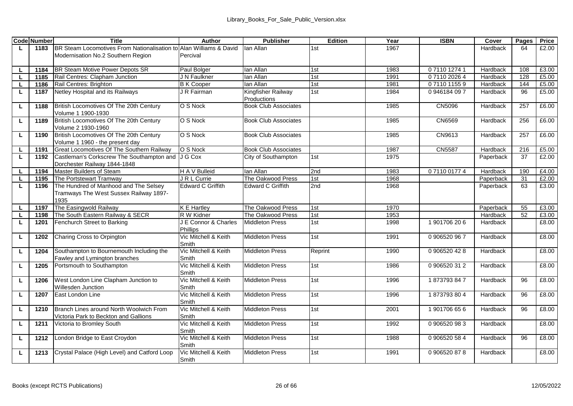|    | <b>Code Number</b> | Title                                                                      | Author                           | <b>Publisher</b>                | Edition    | Year         | <b>ISBN</b>              | Cover                | Pages     | Price          |
|----|--------------------|----------------------------------------------------------------------------|----------------------------------|---------------------------------|------------|--------------|--------------------------|----------------------|-----------|----------------|
| L. | 1183               | BR Steam Locomotives From Nationalisation to Alan Williams & David         |                                  | lan Allan                       | 1st        | 1967         |                          | Hardback             | 64        | £2.00          |
|    |                    | Modernisation No.2 Southern Region                                         | Percival                         |                                 |            |              |                          |                      |           |                |
|    |                    |                                                                            |                                  |                                 |            |              |                          |                      |           |                |
| L  | 1184               | BR Steam Motive Power Depots SR                                            | Paul Bolger                      | lan Allan                       | 1st        | 1983         | 0711012741               | Hardback             | 108       | £3.00          |
| L. | 1185               | Rail Centres: Clapham Junction                                             | J N Faulkner                     | lan Allan                       | 1st        | 1991         | 0711020264               | Hardback             | 128       | £5.00<br>£5.00 |
|    | 1186               | Rail Centres: Brighton<br>Netley Hospital and its Railways                 | <b>B</b> K Cooper<br>J R Fairman | lan Allan<br>Kingfisher Railway | 1st<br>1st | 1981<br>1984 | 0711011559<br>0946184097 | Hardback<br>Hardback | 144<br>96 | £5.00          |
| L  | 1187               |                                                                            |                                  | Productions                     |            |              |                          |                      |           |                |
| г  | 1188               | British Locomotives Of The 20th Century                                    | O S Nock                         | <b>Book Club Associates</b>     |            | 1985         | CN5096                   | Hardback             | 257       | £6.00          |
|    |                    | Volume 1 1900-1930                                                         |                                  |                                 |            |              |                          |                      |           |                |
| г  | 1189               | British Locomotives Of The 20th Century<br>Volume 2 1930-1960              | O S Nock                         | <b>Book Club Associates</b>     |            | 1985         | CN6569                   | Hardback             | 256       | £6.00          |
| L. | 1190               | British Locomotives Of The 20th Century<br>Volume 1 1960 - the present day | O S Nock                         | <b>Book Club Associates</b>     |            | 1985         | CN9613                   | Hardback             | 257       | £6.00          |
|    | 1191               | Great Locomotives Of The Southern Railway                                  | O S Nock                         | <b>Book Club Associates</b>     |            | 1987         | CN5587                   | Hardback             | 216       | £5.00          |
| τ  | 1192               | Castleman's Corkscrew The Southampton and<br>Dorchester Railway 1844-1848  | J G Cox                          | City of Southampton             | 1st        | 1975         |                          | Paperback            | 37        | £2.00          |
|    | 1194               | Master Builders of Steam                                                   | H A V Bulleid                    | lan Allan                       | 2nd        | 1983         | 0711001774               | Hardback             | 190       | £4.00          |
| г  | 1195               | The Portstewart Tramway                                                    | J R L Currie                     | The Oakwood Press               | 1st        | 1968         |                          | Paperback            | 31        | £2.00          |
| г  | 1196               | The Hundred of Manhood and The Selsey                                      | Edward C Griffith                | Edward C Griffith               | 2nd        | 1968         |                          | Paperback            | 63        | £3.00          |
|    |                    | Tramways The West Sussex Railway 1897-<br>1935                             |                                  |                                 |            |              |                          |                      |           |                |
|    | 1197               | The Easingwold Railway                                                     | <b>K E Hartley</b>               | The Oakwood Press               | 1st        | 1970         |                          | Paperback            | 55        | £3.00          |
|    | 1198               | The South Eastern Railway & SECR                                           | R W Kidner                       | The Oakwood Press               | 1st        | 1953         |                          | Hardback             | 52        | £3.00          |
| τ  | 1201               | Fenchurch Street to Barking                                                | J E Connor & Charles<br>Phillips | <b>Middleton Press</b>          | 1st        | 1998         | 1901706206               | Hardback             |           | £8.00          |
| L  | 1202               | Charing Cross to Orpington                                                 | Vic Mitchell & Keith<br>Smith    | <b>Middleton Press</b>          | 1st        | 1991         | 0906520967               | Hardback             |           | £8.00          |
| ш  | 1204               | Southampton to Bournemouth Including the<br>Fawley and Lymington branches  | Vic Mitchell & Keith<br>Smith    | <b>Middleton Press</b>          | Reprint    | 1990         | 0 906520 42 8            | Hardback             |           | £8.00          |
| τ  | 1205               | Portsmouth to Southampton                                                  | Vic Mitchell & Keith<br>Smith    | <b>Middleton Press</b>          | 1st        | 1986         | 0906520312               | Hardback             |           | £8.00          |
| г  | 1206               | West London Line Clapham Junction to<br>Willesden Junction                 | Vic Mitchell & Keith<br>Smith    | <b>Middleton Press</b>          | 1st        | 1996         | 1873793847               | Hardback             | 96        | £8.00          |
| L. | 1207               | East London Line                                                           | Vic Mitchell & Keith<br>Smith    | Middleton Press                 | 1st        | 1996         | 1873793804               | Hardback             | 96        | £8.00          |
| г  | 1210               | Branch Lines around North Woolwich From                                    | Vic Mitchell & Keith             | <b>Middleton Press</b>          | 1st        | 2001         | 1901706656               | Hardback             | 96        | £8.00          |
|    |                    | Victoria Park to Beckton and Gallions                                      | Smith                            |                                 |            |              |                          |                      |           |                |
| г  | 1211               | Victoria to Bromley South                                                  | Vic Mitchell & Keith<br>Smith    | <b>Middleton Press</b>          | 1st        | 1992         | 0906520983               | Hardback             |           | £8.00          |
| L. | 1212               | London Bridge to East Croydon                                              | Vic Mitchell & Keith<br>Smith    | <b>Middleton Press</b>          | 1st        | 1988         | 0 906520 58 4            | Hardback             | 96        | £8.00          |
| L  | 1213               | Crystal Palace (High Level) and Catford Loop                               | Vic Mitchell & Keith<br>Smith    | <b>Middleton Press</b>          | 1st        | 1991         | 0906520878               | Hardback             |           | £8.00          |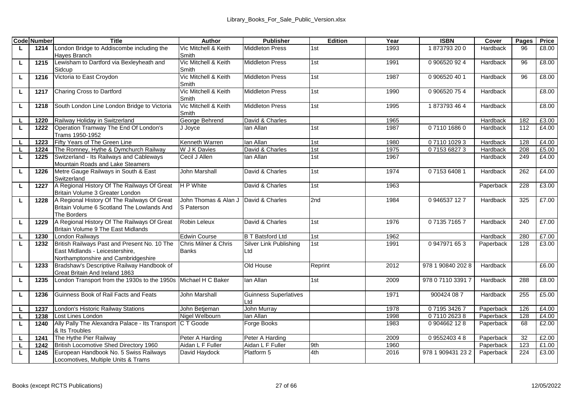|    | <b>Code Number</b> | <b>Title</b>                                                                                                           | Author                               | <b>Publisher</b>                    | Edition | Year | <b>ISBN</b>       | Cover     | Pages | Price |
|----|--------------------|------------------------------------------------------------------------------------------------------------------------|--------------------------------------|-------------------------------------|---------|------|-------------------|-----------|-------|-------|
| L. | 1214               | London Bridge to Addiscombe including the<br>Haves Branch                                                              | Vic Mitchell & Keith<br>Smith        | <b>Middleton Press</b>              | 1st     | 1993 | 1873793200        | Hardback  | 96    | £8.00 |
| ш  | 1215               | Lewisham to Dartford via Bexleyheath and<br>Sidcup                                                                     | Vic Mitchell & Keith<br>Smith        | <b>Middleton Press</b>              | 1st     | 1991 | 0 906520 92 4     | Hardback  | 96    | £8.00 |
| L  | 1216               | Victoria to East Croydon                                                                                               | Vic Mitchell & Keith<br>Smith        | <b>Middleton Press</b>              | 1st     | 1987 | 0 906520 40 1     | Hardback  | 96    | £8.00 |
| ш  | 1217               | Charing Cross to Dartford                                                                                              | Vic Mitchell & Keith<br>Smith        | Middleton Press                     | 1st     | 1990 | 0906520754        | Hardback  |       | £8.00 |
| L  | 1218               | South London Line London Bridge to Victoria                                                                            | Vic Mitchell & Keith<br>Smith        | <b>Middleton Press</b>              | 1st     | 1995 | 1873793464        | Hardback  |       | £8.00 |
| L. | 1220               | Railway Holiday in Switzerland                                                                                         | George Behrend                       | David & Charles                     |         | 1965 |                   | Hardback  | 182   | £3.00 |
| τ  | 1222               | Operation Tramway The End Of London's<br>Trams 1950-1952                                                               | J Joyce                              | lan Allan                           | 1st     | 1987 | 0711016860        | Hardback  | 112   | £4.00 |
| L  | 1223               | Fifty Years of The Green Line                                                                                          | Kenneth Warren                       | lan Allan                           | 1st     | 1980 | 0711010293        | Hardback  | 128   | £4.00 |
| L  | 1224               | The Romney, Hythe & Dymchurch Railway                                                                                  | W J K Davies                         | David & Charles                     | 1st     | 1975 | 0715368273        | Hardback  | 208   | £5.00 |
| ш  | 1225               | Switzerland - Its Railways and Cableways<br>Mountain Roads and Lake Steamers                                           | Cecil J Allen                        | Ian Allan                           | 1st     | 1967 |                   | Hardback  | 249   | £4.00 |
| г  | 1226               | Metre Gauge Railways in South & East<br>Switzerland                                                                    | John Marshall                        | David & Charles                     | 1st     | 1974 | 0715364081        | Hardback  | 262   | £4.00 |
| L  | 1227               | A Regional History Of The Railways Of Great<br>Britain Volume 3 Greater London                                         | H P White                            | David & Charles                     | 1st     | 1963 |                   | Paperback | 228   | £3.00 |
| τ  | 1228               | A Regional History Of The Railways Of Great<br>Britain Volume 6 Scotland The Lowlands And<br>The Borders               | John Thomas & Alan J<br>S Paterson   | David & Charles                     | 2nd     | 1984 | 0946537127        | Hardback  | 325   | £7.00 |
| L  | 1229               | A Regional History Of The Railways Of Great<br>Britain Volume 9 The East Midlands                                      | Robin Leleux                         | David & Charles                     | 1st     | 1976 | 0713571657        | Hardback  | 240   | £7.00 |
| L  | 1230               | <b>London Railways</b>                                                                                                 | <b>Edwin Course</b>                  | <b>B T Batsford Ltd</b>             | 1st     | 1962 |                   | Hardback  | 280   | £7.00 |
| τ  | 1232               | British Railways Past and Present No. 10 The<br>East Midlands - Leicestershire.<br>Northamptonshire and Cambridgeshire | Chris Milner & Chris<br><b>Banks</b> | Silver Link Publishing<br>Ltd       | 1st     | 1991 | 0947971653        | Paperback | 128   | £3.00 |
| L  | 1233               | Bradshaw's Descriptive Railway Handbook of<br>Great Britain And Ireland 1863                                           |                                      | Old House                           | Reprint | 2012 | 978 1 90840 202 8 | Hardback  |       | £6.00 |
| г  | 1235               | London Transport from the 1930s to the 1950s                                                                           | Michael H C Baker                    | lan Allan                           | 1st     | 2009 | 978 0 7110 3391 7 | Hardback  | 288   | £8.00 |
| L. | 1236               | Guinness Book of Rail Facts and Feats                                                                                  | John Marshall                        | <b>Guinness Superlatives</b><br>Ltd |         | 1971 | 900424 08 7       | Hardback  | 255   | £5.00 |
|    | 1237               | London's Historic Railway Stations                                                                                     | John Betieman                        | John Murray                         |         | 1978 | 0719534267        | Paperback | 126   | £4.00 |
| L. | 1238               | Lost Lines London                                                                                                      | Nigel Welbourn                       | lan Allan                           |         | 1998 | 0711026238        | Paperback | 128   | £4.00 |
| L  | 1240               | Ally Pally The Alexandra Palace - Its Transport<br>& Its Troubles                                                      | C T Goode                            | Forge Books                         |         | 1983 | 0904662128        | Paperback | 68    | £2.00 |
|    | 1241               | The Hythe Pier Railway                                                                                                 | Peter A Harding                      | Peter A Harding                     |         | 2009 | 0955240348        | Paperback | 32    | £2.00 |
| L  | 1242               | British Locomotive Shed Directory 1960                                                                                 | Aidan L F Fuller                     | Aidan L F Fuller                    | 9th     | 1960 |                   | Paperback | 123   | £1.00 |
| L  | 1245               | European Handbook No. 5 Swiss Railways<br>Locomotives, Multiple Units & Trams                                          | David Havdock                        | Platform 5                          | 4th     | 2016 | 978 1 909431 23 2 | Paperback | 224   | £3.00 |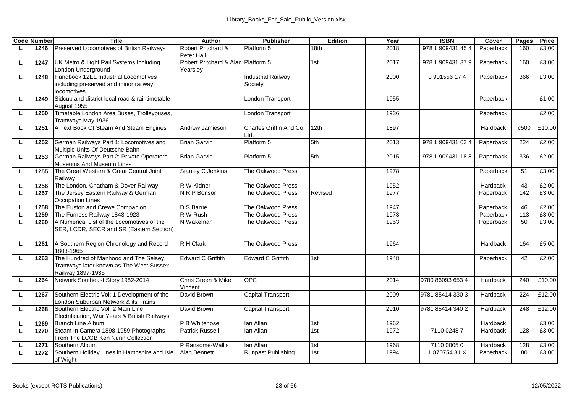|    | <b>Code Number</b> | Title                                                                                                 | Author                                         | <b>Publisher</b>                     | Edition | Year | <b>ISBN</b>       | Cover     | Pages | Price  |
|----|--------------------|-------------------------------------------------------------------------------------------------------|------------------------------------------------|--------------------------------------|---------|------|-------------------|-----------|-------|--------|
|    | 1246               | Preserved Locomotives of British Railways                                                             | Robert Pritchard &<br>Peter Hall               | Platform 5                           | 18th    | 2018 | 978 1 909431 45 4 | Paperback | 160   | £3.00  |
| г  | 1247               | UK Metro & Light Rail Systems Including<br>London Underground                                         | Robert Pritchard & Alan Platform 5<br>Yearsley |                                      | 1st     | 2017 | 978 1 909431 37 9 | Paperback | 160   | £3.00  |
| г  | 1248               | Handbook 12EL Industrial Locomotives<br>including preserved and minor railway<br>locomotives          |                                                | <b>Industrial Railway</b><br>Society |         | 2000 | 0901556174        | Paperback | 366   | £3.00  |
| L  | 1249               | Sidcup and district local road & rail timetable<br>August 1955                                        |                                                | London Transport                     |         | 1955 |                   | Paperback |       | £1.00  |
| L  | 1250               | Timetable London Area Buses, Trolleybuses,<br>Tramways May 1936                                       |                                                | London Transport                     |         | 1936 |                   | Paperback |       | £2.00  |
| г  | 1251               | A Text Book Of Steam And Steam Engines                                                                | Andrew Jamieson                                | Charles Griffin And Co.<br>Ltd.      | 12th    | 1897 |                   | Hardback  | c500  | £10.00 |
| г  | 1252               | German Railways Part 1: Locomotives and<br>Multiple Units Of Deutsche Bahn                            | <b>Brian Garvin</b>                            | Platform 5                           | 5th     | 2013 | 978 1 909431 03 4 | Paperback | 224   | £2.00  |
| L  | 1253               | German Railways Part 2: Private Operators.<br>Museums And Museum Lines                                | <b>Brian Garvin</b>                            | Platform 5                           | 5th     | 2015 | 978 1 909431 188  | Paperback | 336   | £2.00  |
| L. | 1255               | The Great Western & Great Central Joint<br>Railway                                                    | <b>Stanley C Jenkins</b>                       | The Oakwood Press                    |         | 1978 |                   | Paperback | 51    | £3.00  |
|    | 1256               | The London, Chatham & Dover Railway                                                                   | R W Kidner                                     | The Oakwood Press                    |         | 1952 |                   | Hardback  | 43    | £2.00  |
| L. | 1257               | The Jersey Eastern Railway & German<br>Occupation Lines                                               | N R P Bonsor                                   | The Oakwood Press                    | Revised | 1977 |                   | Paperback | 142   | £3.00  |
| г  | 1258               | The Euston and Crewe Companion                                                                        | D S Barrie                                     | The Oakwood Press                    |         | 1947 |                   | Paperback | 46    | £2.00  |
| г  | 1259               | The Furness Railway 1843-1923                                                                         | R W Rush                                       | The Oakwood Press                    |         | 1973 |                   | Paperback | 113   | £3.00  |
| г  | 1260               | A Numerical List of the Locomotives of the<br>SER, LCDR, SECR and SR (Eastern Section)                | N Wakeman                                      | The Oakwood Press                    |         | 1953 |                   | Paperback | 50    | £3.00  |
| τ  | 1261               | A Southern Region Chronology and Record<br>1803-1965                                                  | R H Clark                                      | The Oakwood Press                    |         | 1964 |                   | Hardback  | 164   | £5.00  |
| г  | 1263               | The Hundred of Manhood and The Selsey<br>Tramways later known as The West Sussex<br>Railway 1897-1935 | Edward C Griffith                              | <b>Edward C Griffith</b>             | 1st     | 1948 |                   | Paperback | 42    | £2.00  |
| г  | 1264               | Network Southeast Story 1982-2014                                                                     | Chris Green & Mike<br>Vincent                  | OPC.                                 |         | 2014 | 9780 86093 653 4  | Hardback  | 240   | £10.00 |
| L  | 1267               | Southern Electric Vol: 1 Development of the<br>London Suburban Network & its Trains                   | David Brown                                    | Capital Transport                    |         | 2009 | 9781 85414 330 3  | Hardback  | 224   | £12.00 |
| L  | 1268               | Southern Flectric Vol: 2 Main Line<br>Electrification, War Years & British Railways                   | David Brown                                    | Capital Transport                    |         | 2010 | 9781 85414 340 2  | Hardback  | 248   | £12.00 |
| L  | 1269               | <b>Branch Line Album</b>                                                                              | P B Whitehose                                  | lan Allan                            | 1st     | 1962 |                   | Hardback  |       | £3.00  |
| τ  | 1270               | Steam In Camera 1898-1959 Photographs<br>From The LCGB Ken Nunn Collection                            | <b>Patrick Russell</b>                         | lan Allan                            | 1st     | 1972 | 7110 0248 7       | Hardback  | 128   | £3.00  |
|    | 1271               | Southern Album                                                                                        | P Ransome-Wallis                               | lan Allan                            | 1st     | 1968 | 7110 00050        | Hardback  | 128   | £3.00  |
| L. | 1272               | Southern Holiday Lines in Hampshire and Isle<br>of Wight                                              | Alan Bennett                                   | Runpast Publishing                   | 1st     | 1994 | 187075431X        | Paperback | 80    | £3.00  |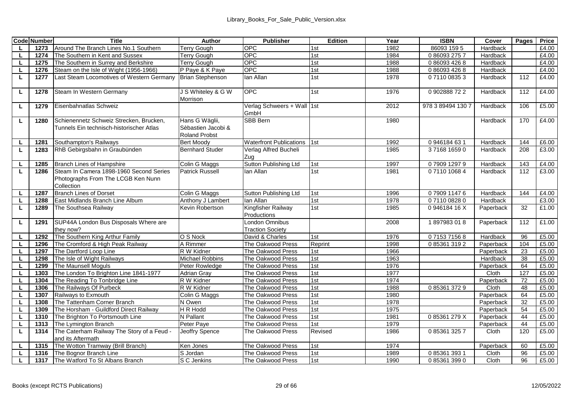|        | <b>Code Number</b> | <b>Title</b>                                                                        | Author                                                | Publisher                                 | Edition    | Year         | <b>ISBN</b>       | Cover                  | Pages    | Price          |
|--------|--------------------|-------------------------------------------------------------------------------------|-------------------------------------------------------|-------------------------------------------|------------|--------------|-------------------|------------------------|----------|----------------|
| L.     | 1273               | Around The Branch Lines No.1 Southern                                               | <b>Terry Gough</b>                                    | OPC                                       | 1st        | 1982         | 86093 159 5       | Hardback               |          | £4.00          |
|        | 1274               | The Southern in Kent and Sussex                                                     | <b>Terry Gough</b>                                    | OPC.                                      | 1st        | 1984         | 0860932757        | Hardback               |          | £4.00          |
| L.     | 1275               | The Southern in Surrey and Berkshire                                                | Terry Gough                                           | OPC                                       | 1st        | 1988         | 0 86093 426 8     | Hardback               |          | £4.00          |
| L      | 1276               | Steam on the Isle of Wight (1956-1966)                                              | P Paye & K Paye                                       | OPC.                                      | 1st        | 1988         | 0 86093 426 8     | Hardback               |          | £4.00          |
| L      | 1277               | Last Steam Locomotives of Western Germany                                           | <b>Brian Stephenson</b>                               | lan Allan                                 | 1st        | 1978         | 0711008353        | Hardback               | 112      | £4.00          |
| L      | 1278               | Steam In Western Germany                                                            | J S Whitelev & G W<br>Morrison                        | OPC.                                      | 1st        | 1976         | 0902888722        | Hardback               | 112      | £4.00          |
| L.     | 1279               | Eisenbahnatlas Schweiz                                                              |                                                       | Verlag Schweers + Wall 1st<br>GmbH        |            | 2012         | 978 3 89494 130 7 | Hardback               | 106      | £5.00          |
| L      | 1280               | Schienennetz Schweiz Strecken, Brucken,<br>Tunnels Fin technisch-historischer Atlas | Hans G Wäglii,<br>Sèbastien Jacobi &<br>Roland Probst | SBB Bern                                  |            | 1980         |                   | Hardback               | 170      | £4.00          |
| L.     | 1281               | Southampton's Railways                                                              | <b>Bert Moodv</b>                                     | <b>Waterfront Publications</b>            | 1st        | 1992         | 0946184631        | Hardback               | 144      | £6.00          |
| L      | 1283               | RhB Gebirgsbahn in Graubünden                                                       | <b>Bernhard Studer</b>                                | Verlag Alfred Bucheli<br>Zua              |            | 1985         | 3716816590        | Hardback               | 208      | £3.00          |
| L.     | 1285               | Branch Lines of Hampshire                                                           | Colin G Maggs                                         | Sutton Publishing Ltd                     | 1st        | 1997         | 0790912979        | Hardback               | 143      | £4.00          |
| L      | 1286               | Steam In Camera 1898-1960 Second Series<br>Photographs From The LCGB Ken Nunn       | <b>Patrick Russell</b>                                | lan Allan                                 | 1st        | 1981         | 0711010684        | Hardback               | 112      | £3.00          |
|        |                    | Collection                                                                          |                                                       |                                           |            |              |                   |                        |          |                |
| L      | 1287               | <b>Branch Lines of Dorset</b>                                                       | Colin G Maggs                                         | Sutton Publishing Ltd                     | 1st        | 1996         | 0790911476        | Hardback               | 144      | £4.00          |
|        | 1288               | East Midlands Branch Line Album                                                     | Anthony J Lambert                                     | lan Allan                                 | 1st        | 1978         | 0711008280        | Hardback               |          | £3.00          |
| L.     | 1289               | The Southsea Railway                                                                | Kevin Robertson                                       | Kingfisher Railway<br>Productions         | 1st        | 1985         | 0946184 16 X      | Paperback              | 32       | £1.00          |
| L      | 1291               | SUP44A London Bus Disposals Where are<br>they now?                                  |                                                       | London Omnibus<br><b>Traction Society</b> |            | 2008         | 1897983018        | Paperback              | 112      | £1.00          |
| L      | 1292               | The Southern King Arthur Family                                                     | O S Nock                                              | David & Charles                           | 1st        | 1976         | 0715371568        | Hardback               | 96       | £5.00          |
| L.     | 1296               | The Cromford & High Peak Railway                                                    | A Rimmer                                              | The Oakwood Press                         | Reprint    | 1998         | 0853613192        | Paperback              | 104      | £5.00          |
| L.     | 1297               | The Dartford Loop Line                                                              | R W Kidner                                            | The Oakwood Press                         | 1st        | 1966         |                   | Paperback              | 23       | £5.00          |
| L      | 1298               | The Isle of Wight Railways                                                          | <b>Michael Robbins</b>                                | The Oakwood Press                         | 1st        | 1963         |                   | Hardback               | 38       | £5.00          |
| L      | 1299               | The Maunsell Moguls                                                                 | Peter Rowledge                                        | The Oakwood Press                         | 1st        | 1976         |                   | Paperback              | 64       | £5.00          |
|        | 1303               | The London To Brighton Line 1841-1977                                               | <b>Adrian Grav</b>                                    | The Oakwood Press                         | 1st        | 1977         |                   | Cloth                  | 127      | £5.00          |
| L      | 1304               | The Reading To Tonbridge Line                                                       | R W Kidner                                            | The Oakwood Press                         | 1st        | 1974         |                   | Paperback              | 72       | £5.00          |
| L      | 1306               | The Railways Of Purbeck                                                             | R W Kidner                                            | The Oakwood Press                         | 1st<br>1st | 1988<br>1980 | 0853613729        | Cloth                  | 48<br>64 | £5.00<br>£5.00 |
| L.     | 1307               | Railways to Exmouth<br>The Tattenham Corner Branch                                  | Colin G Maggs<br>N Owen                               | The Oakwood Press<br>The Oakwood Press    | 1st        | 1978         |                   | Paperback<br>Paperback | 32       | £5.00          |
|        | 1308<br>1309       | The Horsham - Guildford Direct Railway                                              | H R Hodd                                              | The Oakwood Press                         | 1st        | 1975         |                   | Paperback              | 54       | £5.00          |
| L<br>L | 1310               | The Brighton To Portsmouth Line                                                     | N Pallant                                             | The Oakwood Press                         | 1st        | 1981         | 085361279X        | Paperback              | 44       | £5.00          |
| ш      | 1313               | The Lymington Branch                                                                | Peter Paye                                            | The Oakwood Press                         | 1st        | 1979         |                   | Paperback              | 44       | £5.00          |
| L      | 1314               | The Caterham Railway The Story of a Feud -                                          | Jeoffry Spence                                        | The Oakwood Press                         | Revised    | 1986         | 0853613257        | Cloth                  | 120      | £5.00          |
|        |                    | and its Aftermath                                                                   |                                                       |                                           |            |              |                   |                        |          |                |
|        | 1315               | The Wotton Tramway (Brill Branch)                                                   | Ken Jones                                             | The Oakwood Press                         | 1st        | 1974         |                   | Paperback              | 60       | £5.00          |
| L      | 1316               | The Bognor Branch Line                                                              | S Jordan                                              | The Oakwood Press                         | 1st        | 1989         | 0 85361 393 1     | Cloth                  | 96       | £5.00          |
| L      | 1317               | The Watford To St Albans Branch                                                     | S C Jenkins                                           | The Oakwood Press                         | 1st        | 1990         | 0853613990        | Cloth                  | 96       | £5.00          |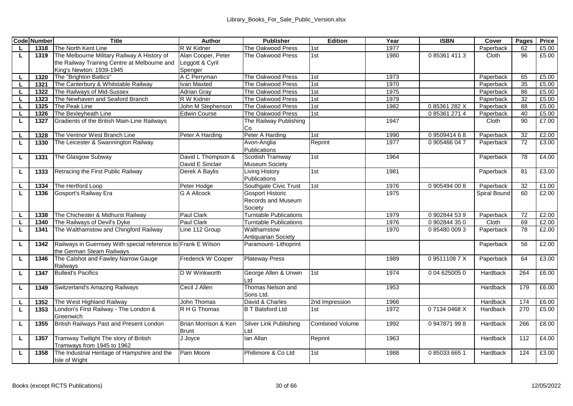|    | <b>Code Number</b> | <b>Title</b>                                                                               | Author                                 | <b>Publisher</b>                              | Edition         | Year | <b>ISBN</b>   | Cover           | Pages | Price |
|----|--------------------|--------------------------------------------------------------------------------------------|----------------------------------------|-----------------------------------------------|-----------------|------|---------------|-----------------|-------|-------|
| L  | 1318               | The North Kent Line                                                                        | R W Kidner                             | The Oakwood Press                             | 1st             | 1977 |               | Paperback       | 62    | £5.00 |
| L  | 1319               | The Melbourne Military Railway A History of                                                | Alan Cooper, Peter                     | The Oakwood Press                             | 1st             | 1980 | 0853614113    | Cloth           | 96    | £5.00 |
|    |                    | the Railway Training Centre at Melbourne and                                               | Leggott & Cyril                        |                                               |                 |      |               |                 |       |       |
|    |                    | King's Newton: 1939-1945                                                                   | Spenger                                |                                               |                 |      |               |                 |       |       |
| L  | 1320               | The "Brighton Baltics"                                                                     | A C Perryman                           | The Oakwood Press                             | 1st             | 1973 |               | Paperback       | 65    | £5.00 |
| L  | 1321               | The Canterbury & Whitstable Railway                                                        | van Maxted                             | The Oakwood Press                             | 1st             | 1970 |               | Paperback       | 35    | £5.00 |
| L. | 1322               | The Railways of Mid-Sussex                                                                 | Adrian Grav                            | The Oakwood Press                             | 1st             | 1975 |               | Paperback       | 86    | £5.00 |
| L  | 1323               | The Newhaven and Seaford Branch                                                            | R W Kidner                             | The Oakwood Press                             | 1st             | 1979 |               | Paperback       | 32    | £5.00 |
| L  | 1325               | The Peak Line                                                                              | John M Stephenson                      | The Oakwood Press                             | 1st             | 1982 | 085361282X    | Paperback       | 88    | £5.00 |
| L  | 1326               | The Bexlevheath Line                                                                       | <b>Edwin Course</b>                    | The Oakwood Press                             | 1st             |      | 0853612714    | Paperback       | 40    | £5.00 |
| L  | 1327               | Gradients of the British Main-Line Railways                                                |                                        | The Railway Publishing                        |                 | 1947 |               | Cloth           | 90    | £7.00 |
|    |                    |                                                                                            |                                        | Сo                                            |                 |      |               |                 |       |       |
| L  | 1328               | The Ventnor West Branch Line                                                               | Peter A Harding                        | Peter A Harding                               | 1st             | 1990 | 0950941468    | Paperback       | 32    | £2.00 |
| L  | 1330               | The Leicester & Swannington Railway                                                        |                                        | Avon-Anglia<br>Publications                   | Reprint         | 1977 | 0905466047    | Paperback       | 72    | £3.00 |
| L  | 1331               | The Glasgow Subway                                                                         | David L Thompson &<br>David E Sinclair | Scottish Tramway<br>Museum Society            | 1st             | 1964 |               | Paperback       | 78    | £4.00 |
| L. | 1333               | Retracing the First Public Railway                                                         | Derek A Bavlis                         | <b>Living History</b><br>Publications         | 1st             | 1981 |               | Paperback       | 81    | £3.00 |
| L  | 1334               | The Hertford Loop                                                                          | Peter Hodge                            | Southgate Civic Trust                         | 1st             | 1976 | 0905494008    | Paperback       | 32    | £1.00 |
| L  | 1336               | Gosport's Railway Era                                                                      | <b>G A Allcock</b>                     | <b>Gosport Historic</b><br>Records and Museum |                 | 1975 |               | Spiral Bound    | 60    | £2.00 |
|    |                    |                                                                                            |                                        | Society                                       |                 |      |               |                 |       |       |
| L. | 1338               | The Chichester & Midhurst Railway                                                          | Paul Clark                             | <b>Tumtable Publications</b>                  |                 | 1979 | 0902844539    | Paperback       | 72    | £2.00 |
| L  | 1340               | The Railways of Devil's Dyke                                                               | Paul Clark                             | <b>Turntable Publications</b>                 |                 | 1976 | 0902844350    | Cloth           | 69    | £2.00 |
| L  | 1341               | The Walthamstow and Chingford Railway                                                      | Line 112 Group                         | Walthamstow                                   |                 | 1970 | 0 85480 009 3 | Paperback       | 78    | £2.00 |
|    |                    |                                                                                            |                                        | Antiguarian Society                           |                 |      |               |                 |       |       |
| L  | 1342               | Railways in Guernsey With special reference to Frank E Wilson<br>the German Steam Railways |                                        | Paramount- Lithoprint                         |                 |      |               | Paperback       | 56    | £2.00 |
| г  | 1346               | The Calshot and Fawley Narrow Gauge<br>Railways                                            | Frederick W Cooper                     | <b>Plateway Press</b>                         |                 | 1989 | 095111087X    | Paperback       | 64    | £3.00 |
| L  | 1347               | <b>Bulleid's Pacifics</b>                                                                  | D W Winkworth                          | George Allen & Unwin<br>Ltd                   | 1st             | 1974 | 0 04 625005 0 | Hardback        | 264   | £6.00 |
| L  | 1349               | Switzerland's Amazing Railways                                                             | Cecil J Allen                          | Thomas Nelson and<br>Sons Ltd.                |                 | 1953 |               | Hardback        | 179   | £6.00 |
| L  | 1352               | The West Highland Railway                                                                  | John Thomas                            | David & Charles                               | 2nd Impression  | 1966 |               | Hardback        | 174   | £6.00 |
| L  | 1353               | London's First Railway - The London &<br>Greenwich                                         | R H G Thomas                           | <b>B T Batsford Ltd</b>                       | 1st             | 1972 | 07134 0468 X  | <b>Hardback</b> | 270   | £5.00 |
| L  | 1355               | British Railways Past and Present London                                                   | Brian Morrison & Ken<br><b>Brunt</b>   | Silver Link Publishing<br>Ltd                 | Combined Volume | 1992 | 0947871998    | Hardback        | 266   | £8.00 |
| L. | 1357               | Tramway Twilight The story of British<br>Tramways from 1945 to 1962                        | J Joyce                                | lan Allan                                     | Reprint         | 1963 |               | Hardback        | 112   | £4.00 |
| L  | 1358               | The Industrial Heritage of Hampshire and the<br>Isle of Wight                              | Pam Moore                              | Phillimore & Co Ltd                           | 1st             | 1988 | 0 85033 665 1 | Hardback        | 124   | £3.00 |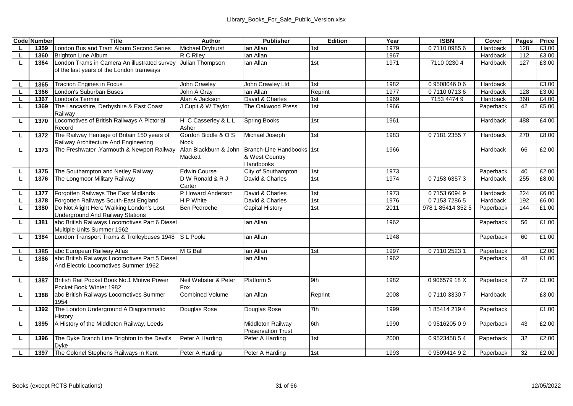|    | <b>Code Number</b> | Title                                                                                  | Author                           | <b>Publisher</b>                                         | Edition | Year | <b>ISBN</b>       | Cover     | Pages | Price |
|----|--------------------|----------------------------------------------------------------------------------------|----------------------------------|----------------------------------------------------------|---------|------|-------------------|-----------|-------|-------|
| L. | 1359               | London Bus and Tram Album Second Series                                                | <b>Michael Drvhurst</b>          | lan Allan                                                | 1st     | 1979 | 0711009856        | Hardback  | 128   | £3.00 |
|    | 1360               | <b>Brighton Line Album</b>                                                             | R C Rilev                        | lan Allan                                                |         | 1967 |                   | Hardback  | 112   | £3.00 |
| L  | 1364               | London Trams in Camera An illustrated survey                                           | Julian Thompson                  | lan Allan                                                | 1st     | 1971 | 7110 0230 4       | Hardback  | 127   | £3.00 |
|    |                    | of the last years of the London tramways                                               |                                  |                                                          |         |      |                   |           |       |       |
| L. | 1365               | <b>Traction Engines in Focus</b>                                                       | John Crawley                     | John Crawley Ltd                                         | 1st     | 1982 | 0950804606        | Hardback  |       | £3.00 |
|    | 1366               | London's Suburban Buses                                                                | John A Grav                      | lan Allan                                                | Reprint | 1977 | 0711007136        | Hardback  | 128   | £3.00 |
| L  | 1367               | London's Termini                                                                       | Alan A Jackson                   | David & Charles                                          | 1st     | 1969 | 7153 4474 9       | Hardback  | 368   | £4.00 |
| L  | 1369               | The Lancashire, Derbyshire & East Coast<br>Railway                                     | J Cupit & W Taylor               | The Oakwood Press                                        | 1st     | 1966 |                   | Paperback | 42    | £5.00 |
| г  | 1370               | Locomotives of British Railways A Pictorial<br>Record                                  | H C Casserley & L L<br>Asher     | <b>Spring Books</b>                                      | 1st     | 1961 |                   | Hardback  | 488   | £4.00 |
| L  | 1372               | The Railway Heritage of Britain 150 years of<br>Railway Architecture And Engineering   | Gordon Biddle & O S<br>Nock      | Michael Joseph                                           | 1st     | 1983 | 0718123557        | Hardback  | 270   | £8.00 |
| L  | 1373               | The Freshwater . Yarmouth & Newport Railway                                            | Alan Blackburn & John<br>Mackett | Branch-Line Handbooks 1st<br>& West Country<br>Handbooks |         | 1966 |                   | Hardback  | 66    | £2.00 |
| L  | 1375               | The Southampton and Netley Railway                                                     | <b>Edwin Course</b>              | City of Southampton                                      | 1st     | 1973 |                   | Paperback | 40    | £2.00 |
| L. | 1376               | The Longmoor Military Railway                                                          | D W Ronald & R J<br>Carter       | David & Charles                                          | 1st     | 1974 | 0715363573        | Hardback  | 255   | £8.00 |
| L  | 1377               | Forgotten Railways The East Midlands                                                   | P Howard Anderson                | David & Charles                                          | 1st     | 1973 | 0715360949        | Hardback  | 224   | £6.00 |
|    | 1378               | Forgotten Railways South-East England                                                  | <b>HP</b> White                  | David & Charles                                          | 1st     | 1976 | 0715372865        | Hardback  | 192   | £6.00 |
| L  | 1380               | Do Not Alight Here Walking London's Lost<br><b>Underground And Railway Stations</b>    | Ben Pedroche                     | Capital History                                          | 1st     | 2011 | 978 1 85414 352 5 | Paperback | 144   | £1.00 |
| L  | 1381               | abc British Railways Locomotives Part 6 Diesel<br>Multiple Units Summer 1962           |                                  | lan Allan                                                |         | 1962 |                   | Paperback | 56    | £1.00 |
| L. | 1384               | London Transport Trams & Trolleybuses 1948                                             | <b>SL Poole</b>                  | lan Allan                                                |         | 1948 |                   | Paperback | 60    | £1.00 |
|    | 1385               | abc European Railway Atlas                                                             | M G Ball                         | lan Allan                                                | 1st     | 1997 | 0711025231        | Paperback |       | £2.00 |
| L. | 1386               | abc British Railways Locomotives Part 5 Diesel<br>And Electric Locomotives Summer 1962 |                                  | lan Allan                                                |         | 1962 |                   | Paperback | 48    | £1.00 |
| L  | 1387               | British Rail Pocket Book No.1 Motive Power<br>Pocket Book Winter 1982                  | Neil Webster & Peter<br>Fox      | Platform 5                                               | 9th     | 1982 | 090657918X        | Paperback | 72    | £1.00 |
| L  | 1388               | abc British Railways Locomotives Summer<br>1954                                        | Combined Volume                  | lan Allan                                                | Reprint | 2008 | 0711033307        | Hardback  |       | £3.00 |
| г  | 1392               | The London Underground A Diagrammatic<br>History                                       | Douglas Rose                     | Douglas Rose                                             | 7th     | 1999 | 1854142194        | Paperback |       | £1.00 |
| L  | 1395               | A History of the Middleton Railway, Leeds                                              |                                  | Middleton Railway<br><b>Preservation Trust</b>           | 6th     | 1990 | 0951620509        | Paperback | 43    | £2.00 |
| L  | 1396               | The Dyke Branch Line Brighton to the Devil's<br>Dyke                                   | Peter A Harding                  | Peter A Harding                                          | 1st     | 2000 | 0952345854        | Paperback | 32    | £2.00 |
|    |                    | 1397 The Colonel Stephens Railways in Kent                                             | Peter A Harding                  | Peter A Harding                                          | 1st     | 1993 | 0950941492        | Paperback | 32    | £2.00 |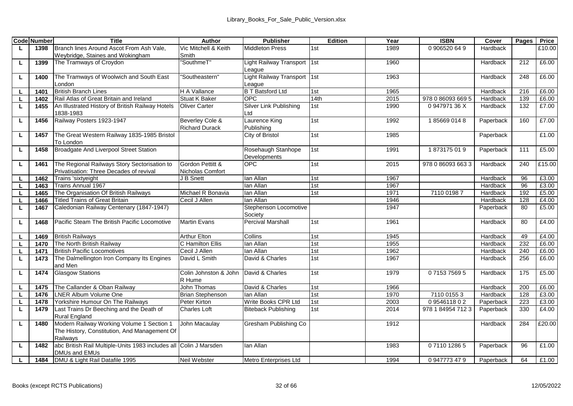|    | <b>Code Number</b> | Title                                                                                     | Author                          | <b>Publisher</b>                   | Edition          | Year | <b>ISBN</b>       | Cover     | Pages | Price  |
|----|--------------------|-------------------------------------------------------------------------------------------|---------------------------------|------------------------------------|------------------|------|-------------------|-----------|-------|--------|
| L  | 1398               | Branch lines Around Ascot From Ash Vale.                                                  | Vic Mitchell & Keith            | Middleton Press                    | 1st              | 1989 | 0.906520.64.9     | Hardback  |       | £10.00 |
|    |                    | Wevbridge, Staines and Wokingham                                                          | Smith                           |                                    |                  |      |                   |           |       |        |
| ш  | 1399               | The Tramways of Croydon                                                                   | 'SouthmeT"                      | Light Railway Transport            | 1 <sub>1st</sub> | 1960 |                   | Hardback  | 212   | £6.00  |
|    |                    |                                                                                           |                                 | eague                              |                  |      |                   |           |       |        |
| г  | 1400               | The Tramways of Woolwich and South East                                                   | 'Southeastern"                  | Light Railway Transport            | 1st              | 1963 |                   | Hardback  | 248   | £6.00  |
|    |                    | London                                                                                    |                                 | League                             |                  |      |                   |           |       |        |
| L. | 1401               | <b>British Branch Lines</b>                                                               | H A Vallance                    | <b>B T Batsford Ltd</b>            | 1st              | 1965 |                   | Hardback  | 216   | £6.00  |
|    | 1402               | Rail Atlas of Great Britain and Ireland                                                   | <b>Stuat K Baker</b>            | OPC.                               | 14th             | 2015 | 978 0 86093 669 5 | Hardback  | 139   | £6.00  |
| L. | 1455               | An Illustrated History of British Railway Hotels<br>1838-1983                             | Oliver Carter                   | Silver Link Publishing<br>Ltd      | 1st              | 1990 | 094797136X        | Hardback  | 132   | £7.00  |
| г  | 1456               | Railway Posters 1923-1947                                                                 | Beverley Cole &                 | Laurence King                      | 1st              | 1992 | 1856690148        | Paperback | 160   | £7.00  |
|    |                    |                                                                                           | <b>Richard Durack</b>           | Publishing                         |                  |      |                   |           |       |        |
| г  | 1457               | The Great Western Railway 1835-1985 Bristol<br>To London                                  |                                 | City of Bristol                    | 1st              | 1985 |                   | Paperback |       | £1.00  |
| L  | 1458               | Broadgate And Liverpool Street Station                                                    |                                 | Rosehaugh Stanhope<br>Developments | 1st              | 1991 | 1873175019        | Paperback | 111   | £5.00  |
| г  | 1461               | The Regional Railways Story Sectorisation to                                              | Gordon Pettitt &                | OPC.                               | 1st              | 2015 | 978 0 86093 663 3 | Hardback  | 240   | £15.00 |
|    |                    | Privatisation: Three Decades of revival                                                   | Nicholas Comfort                |                                    |                  |      |                   |           |       |        |
|    | 1462               | Trains 'sixtyeight                                                                        | J B Snett                       | lan Allan                          | 1st              | 1967 |                   | Hardback  | 96    | £3.00  |
|    | 1463               | Trains Annual 1967                                                                        |                                 | lan Allan                          | 1st              | 1967 |                   | Hardback  | 96    | £3.00  |
|    | 1465               | The Organisation Of British Railways                                                      | Michael R Bonavia               | lan Allan                          | 1st              | 1971 | 7110 01987        | Hardback  | 192   | £5.00  |
|    | 1466               | <b>Titled Trains of Great Britain</b>                                                     | Cecil J Allen                   | lan Allan                          |                  | 1946 |                   | Hardback  | 128   | £4.00  |
|    | 1467               | Caledonian Railway Centenary (1847-1947)                                                  |                                 | Stephenson Locomotive<br>Society   |                  | 1947 |                   | Paperback | 80    | £5.00  |
| L  | 1468               | Pacific Steam The British Pacific Locomotive                                              | Martin Fvans                    | Percival Marshall                  | 1st              | 1961 |                   | Hardback  | 80    | £4.00  |
|    | 1469               | <b>British Railways</b>                                                                   | <b>Arthur Elton</b>             | Collins                            | 1st              | 1945 |                   | Hardback  | 49    | £4.00  |
|    | 1470               | The North British Railway                                                                 | C Hamilton Ellis                | lan Allan                          | 1st              | 1955 |                   | Hardback  | 232   | £6.00  |
|    | 1471               | <b>British Pacific Locomotives</b>                                                        | Cecil J Allen                   | lan Allan                          | 1st              | 1962 |                   | Hardback  | 240   | £6.00  |
| L  | 1473               | The Dalmellington Iron Company Its Engines<br>and Men                                     | David L Smith                   | David & Charles                    | 1st              | 1967 |                   | Hardback  | 256   | £6.00  |
| Ц  | 1474               | <b>Glasgow Stations</b>                                                                   | Colin Johnston & John<br>R Hume | David & Charles                    | 1st              | 1979 | 0715375695        | Hardback  | 175   | £5.00  |
|    | 1475               | The Callander & Oban Railway                                                              | John Thomas                     | David & Charles                    | 1st              | 1966 |                   | Hardback  | 200   | £6.00  |
|    | 1476               | <b>LNER Album Volume One</b>                                                              | <b>Brian Stephenson</b>         | lan Allan                          | 1st              | 1970 | 7110 0155 3       | Hardback  | 128   | £3.00  |
|    | 1478               | Yorkshire Humour On The Railways                                                          | Peter Kirton                    | Write Books CPR Ltd                | 1st              | 2003 | 0954611802        | Paperback | 223   | £3.00  |
| L  | 1479               | Last Trains Dr Beeching and the Death of                                                  | Charles Loft                    | Biteback Publishing                | 1st              | 2014 | 978 1 84954 712 3 | Paperback | 330   | £4.00  |
|    |                    | Rural England                                                                             |                                 |                                    |                  |      |                   |           |       |        |
| г  | 1480               | Modern Railway Working Volume 1 Section 1                                                 | John Macaulav                   | Gresham Publishing Co              |                  | 1912 |                   | Hardback  | 284   | £20.00 |
|    |                    | The History, Constitution, And Management Of                                              |                                 |                                    |                  |      |                   |           |       |        |
|    |                    | Railways                                                                                  |                                 |                                    |                  |      |                   |           |       |        |
| L  | 1482               | abc British Rail Multiple-Units 1983 includes all Colin J Marsden<br><b>DMUs and EMUs</b> |                                 | lan Allan                          |                  | 1983 | 0711012865        | Paperback | 96    | £1.00  |
|    | 1484               | DMU & Light Rail Datafile 1995                                                            | Neil Webster                    | Metro Enterprises Ltd              |                  | 1994 | 0947773479        | Paperback | 64    | £1.00  |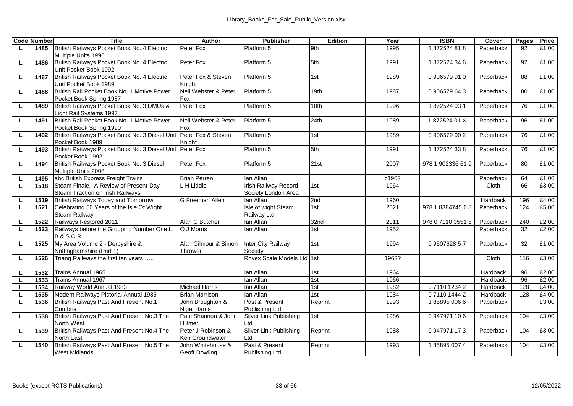|        | <b>Code Number</b> | Title                                                                     | Author                            | <b>Publisher</b>                  | Edition | Year  | <b>ISBN</b>       | Cover     | Pages    | Price          |
|--------|--------------------|---------------------------------------------------------------------------|-----------------------------------|-----------------------------------|---------|-------|-------------------|-----------|----------|----------------|
| L.     | 1485               | British Railways Pocket Book No. 4 Electric                               | Peter Fox                         | Platform 5                        | 9th     | 1995  | 1872524818        | Paperback | 92       | £1.00          |
|        |                    | Multiple Units 1996                                                       |                                   |                                   |         |       |                   |           |          |                |
| г      | 1486               | British Railways Pocket Book No. 4 Electric                               | Peter Fox                         | Platform 5                        | 5th     | 1991  | 1872524346        | Paperback | 92       | £1.00          |
|        |                    | Unit Pocket Book 1992                                                     |                                   |                                   |         |       |                   |           |          |                |
| L      | 1487               | British Railways Pocket Book No. 4 Electric                               | Peter Fox & Steven                | Platform 5                        | 1st     | 1989  | 0906579910        | Paperback | 88       | £1.00          |
|        |                    | Unit Pocket Book 1989                                                     | Knight                            |                                   |         |       |                   |           |          |                |
| L.     | 1488               | British Rail Pocket Book No. 1 Motive Power                               | Neil Webster & Peter              | Platform 5                        | 19th    | 1987  | 0906579643        | Paperback | 80       | £1.00          |
|        |                    | Pocket Book Spring 1987                                                   | Fox                               |                                   |         |       |                   |           |          |                |
| L      | 1489               | British Railways Pocket Book No. 3 DMUs &                                 | Peter Fox                         | Platform 5                        | 10th    | 1996  | 1872524931        | Paperback | 76       | £1.00          |
|        |                    | Light Rail Systems 1997                                                   |                                   |                                   |         |       |                   |           |          |                |
| L      | 1491               | British Rail Pocket Book No. 1 Motive Power                               | Neil Webster & Peter              | Platform 5                        | 24th    | 1989  | 187252401X        | Paperback | 96       | £1.00          |
|        |                    | Pocket Book Spring 1990                                                   | Fox                               |                                   |         |       |                   |           |          |                |
| L.     | 1492               | British Railways Pocket Book No. 3 Diesel Unit Peter Fox & Steven         |                                   | Platform 5                        | 1st     | 1989  | 0906579902        | Paperback | 76       | £1.00          |
|        |                    | Pocket Book 1989                                                          | Knight                            |                                   |         |       |                   |           |          |                |
| L      | 1493               | British Railways Pocket Book No. 3 Diesel Unit                            | Peter Fox                         | Platform 5                        | 5th     | 1991  | 1872524338        | Paperback | 76       | £1.00          |
|        |                    | Pocket Book 1992                                                          |                                   |                                   |         |       |                   |           |          |                |
| L      | 1494               | British Railways Pocket Book No. 3 Diesel                                 | Peter Fox                         | Platform 5                        | 21st    | 2007  | 978 1 902336 61 9 | Paperback | 80       | £1.00          |
|        |                    | Multiple Units 2008                                                       |                                   |                                   |         |       |                   |           |          |                |
| г      | 1495               | abc British Express Freight Trains                                        | <b>Brian Perren</b><br>L H Liddle | lan Allan<br>Irish Railway Record |         | c1962 |                   | Paperback | 64<br>66 | £1.00<br>£3.00 |
| τ      | 1518               | Steam Finale. A Review of Present-Day<br>Steam Traction on Irish Railways |                                   | Society London Area               | 1st     | 1964  |                   | Cloth     |          |                |
|        | 1519               | British Railways Today and Tomorrow                                       | G Freeman Allen                   | lan Allan                         | 2nd     | 1960  |                   | Hardback  | 196      | £4.00          |
| г<br>τ | 1521               | Celebrating 50 Years of the Isle Of Wight                                 |                                   | Isle of wight Steam               | 1st     | 2021  | 978 1 8384745 0 8 | Paperback | 124      | £5.00          |
|        |                    | Steam Railway                                                             |                                   | Railway Ltd                       |         |       |                   |           |          |                |
| L      | 1522               | Railways Restored 2011                                                    | Alan C Butcher                    | lan Allan                         | 32nd    | 2011  | 978 0 7110 3551 5 | Paperback | 240      | £2.00          |
| L.     | 1523               | Railways before the Grouping Number One L.                                | O J Morris                        | lan Allan                         | 1st     | 1952  |                   | Paperback | 32       | £2.00          |
|        |                    | <b>B.&amp; S.C.R.</b>                                                     |                                   |                                   |         |       |                   |           |          |                |
| г      | 1525               | My Area Volume 2 - Derbyshire &                                           | Alan Gilmour & Simon              | Inter City Railway                | 1st     | 1994  | 0950762857        | Paperback | 32       | £1.00          |
|        |                    | Nottinghamshire (Part 1)                                                  | Thrower                           | Society                           |         |       |                   |           |          |                |
| г      | 1526               | Triang Railways the first ten years                                       |                                   | Rovex Scale Models Ltd 1st        |         | 1962? |                   | Cloth     | 116      | £3.00          |
|        |                    |                                                                           |                                   |                                   |         |       |                   |           |          |                |
|        | 1532               | Trains Annual 1965                                                        |                                   | lan Allan                         | 1st     | 1964  |                   | Hardback  | 96       | £2.00          |
|        | 1533               | Trains Annual 1967                                                        |                                   | lan Allan                         | 1st     | 1966  |                   | Hardback  | 96       | £2.00          |
| г      | 1534               | Railway World Annual 1983                                                 | <b>Michael Harris</b>             | lan Allan                         | 1st     | 1982  | 0711012342        | Hardback  | 128      | £4.00          |
| г      | 1535               | Modern Railways Pictorial Annual 1985                                     | <b>Brian Morrison</b>             | lan Allan                         | 1st     | 1984  | 0711014442        | Hardback  | 128      | £4.00          |
| Ц      | 1536               | British Railways Past And Present No.1                                    | John Broughton &                  | Past & Present                    | Reprint | 1993  | 1858950066        | Paperback |          | £3.00          |
|        |                    | Cumbria                                                                   | <b>Nigel Harris</b>               | Publishing Ltd                    |         |       |                   |           |          |                |
| ш      | 1538               | British Railways Past And Present No.3 The                                | Paul Shannon & John               | Silver Link Publishing            | 1st     | 1986  | 0947971106        | Paperback | 104      | £3.00          |
|        |                    | North West                                                                | Hillmer                           | Ltd                               |         |       |                   |           |          |                |
| г      | 1539               | British Railways Past And Present No.4 The                                | Peter J Robinson &                | Silver Link Publishing            | Reprint | 1988  | 0947971173        | Paperback | 104      | £3.00          |
|        |                    | North East                                                                | Ken Groundwater                   | Ltd                               |         |       |                   |           |          |                |
| г      | 1540               | British Railways Past And Present No.5 The                                | John Whitehouse &                 | Past & Present                    | Reprint | 1993  | 1858950074        | Paperback | 104      | £3.00          |
|        |                    | West Midlands                                                             | <b>Geoff Dowling</b>              | Publishing Ltd                    |         |       |                   |           |          |                |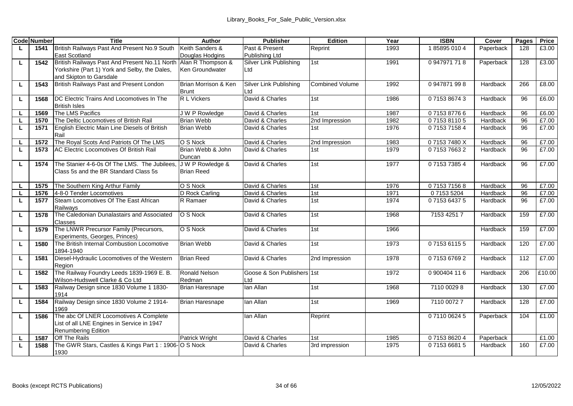|          | <b>Code Number</b> | Title                                                                                | Author                                | <b>Publisher</b>              | Edition                | Year | <b>ISBN</b>   | Cover     | Pages | Price  |
|----------|--------------------|--------------------------------------------------------------------------------------|---------------------------------------|-------------------------------|------------------------|------|---------------|-----------|-------|--------|
| L.       | 1541               | British Railways Past And Present No.9 South                                         | Keith Sanders &                       | Past & Present                | Reprint                | 1993 | 1858950104    | Paperback | 128   | £3.00  |
|          |                    | <b>East Scotland</b>                                                                 | Douglas Hodgins                       | Publishing Ltd                |                        |      |               |           |       |        |
| L.       | 1542               | British Railways Past And Present No.11 North                                        | Alan R Thompson &                     | Silver Link Publishing        | 1st                    | 1991 | 0947971718    | Paperback | 128   | £3.00  |
|          |                    | Yorkshire (Part 1) York and Selby, the Dales,                                        | Ken Groundwater                       | Ltd                           |                        |      |               |           |       |        |
|          |                    | and Skipton to Garsdale                                                              |                                       |                               |                        |      |               |           |       |        |
| L.       | 1543               | British Railways Past and Present London                                             | Brian Morrison & Ken<br>Brunt         | Silver Link Publishing<br>Ltd | <b>Combined Volume</b> | 1992 | 0947871998    | Hardback  | 266   | £8.00  |
| L        | 1568               | DC Flectric Trains And Locomotives In The                                            | R L Vickers                           | David & Charles               | 1st                    | 1986 | 0715386743    | Hardback  | 96    | £6.00  |
|          |                    | <b>British Isles</b>                                                                 |                                       |                               |                        |      |               |           |       |        |
| L.       | 1569               | The LMS Pacifics                                                                     | J W P Rowledge                        | David & Charles               | 1st                    | 1987 | 0715387766    | Hardback  | 96    | £6.00  |
| L.       | 1570               | The Deltic Locomotives of British Rail                                               | <b>Brian Webb</b>                     | David & Charles               | 2nd Impression         | 1982 | 0715381105    | Hardback  | 96    | £7.00  |
| L.       | 1571               | English Electric Main Line Diesels of British                                        | <b>Brian Webb</b>                     | David & Charles               | 1st                    | 1976 | 0715371584    | Hardback  | 96    | £7.00  |
|          |                    | Rail                                                                                 |                                       |                               |                        |      |               |           |       |        |
| <b>L</b> | 1572               | The Roval Scots And Patriots Of The LMS                                              | O S Nock                              | David & Charles               | 2nd Impression         | 1983 | 071537480X    | Hardback  | 96    | £7.00  |
| L        | 1573               | AC Electric Locomotives Of British Rail                                              | Brian Webb & John                     | David & Charles               | 1st                    | 1979 | 0715376632    | Hardback  | 96    | £7.00  |
|          |                    |                                                                                      | Duncan                                |                               |                        |      |               |           |       |        |
| L.       | 1574               | The Stanier 4-6-0s Of The LMS. The Jubilees<br>Class 5s and the BR Standard Class 5s | J W P Rowledge &<br><b>Brian Reed</b> | David & Charles               | 1st                    | 1977 | 0715373854    | Hardback  | 96    | £7.00  |
|          |                    |                                                                                      |                                       |                               |                        |      |               |           |       |        |
| L.       | 1575               | The Southern King Arthur Family                                                      | O S Nock                              | David & Charles               | 1st                    | 1976 | 0715371568    | Hardback  | 96    | £7.00  |
| <b>L</b> | 1576               | 4-8-0 Tender Locomotives                                                             | D Rock Carling                        | David & Charles               | 1st                    | 1971 | 071535204     | Hardback  | 96    | £7.00  |
| г        | 1577               | Steam Locomotives Of The East African                                                | R Ramaer                              | David & Charles               | 1st                    | 1974 | 0715364375    | Hardback  | 96    | £7.00  |
|          |                    | Railways                                                                             |                                       |                               |                        |      |               |           |       |        |
| L.       | 1578               | The Caledonian Dunalastairs and Associated                                           | O S Nock                              | David & Charles               | 1st                    | 1968 | 7153 4251 7   | Hardback  | 159   | £7.00  |
|          |                    | Classes                                                                              |                                       |                               |                        |      |               |           |       |        |
| L.       | 1579               | The LNWR Precursor Family (Precursors,                                               | O S Nock                              | David & Charles               | 1st                    | 1966 |               | Hardback  | 159   | £7.00  |
|          |                    | Experiments, Georges, Princes)                                                       |                                       |                               |                        |      |               |           |       |        |
| τ        | 1580               | The British Internal Combustion Locomotive<br>1894-1940                              | <b>Brian Webb</b>                     | David & Charles               | 1st                    | 1973 | 0715361155    | Hardback  | 120   | £7.00  |
| г        | 1581               | Diesel-Hydraulic Locomotives of the Western                                          | <b>Brian Reed</b>                     | David & Charles               | 2nd Impression         | 1978 | 0715367692    | Hardback  | 112   | £7.00  |
|          |                    | Region                                                                               |                                       |                               |                        |      |               |           |       |        |
| L        | 1582               | The Railway Foundry Leeds 1839-1969 E. B.                                            | Ronald Nelson                         | Goose & Son Publishers 1st    |                        | 1972 | 0 900404 11 6 | Hardback  | 206   | £10.00 |
|          |                    | Wilson-Hudswell Clarke & Co Ltd                                                      | Redman                                | Ltd                           |                        |      |               |           |       |        |
| L.       | 1583               | Railway Design since 1830 Volume 1 1830-                                             | <b>Brian Haresnape</b>                | lan Allan                     | 1st                    | 1968 | 7110 0029 8   | Hardback  | 130   | £7.00  |
|          |                    | 1914                                                                                 |                                       |                               |                        |      |               |           |       |        |
| L.       | 1584               | Railway Design since 1830 Volume 2 1914-                                             | <b>Brian Haresnape</b>                | lan Allan                     | 1st                    | 1969 | 7110 0072 7   | Hardback  | 128   | £7.00  |
|          |                    | 1969                                                                                 |                                       |                               |                        |      |               |           |       |        |
| L        | 1586               | The abc Of LNER Locomotives A Complete                                               |                                       | lan Allan                     | Reprint                |      | 0711006245    | Paperback | 104   | £1.00  |
|          |                    | List of all LNE Engines in Service in 1947                                           |                                       |                               |                        |      |               |           |       |        |
|          |                    | Renumbering Edition                                                                  |                                       |                               |                        |      |               |           |       |        |
| L        | 1587               | Off The Rails                                                                        | Patrick Wright                        | David & Charles               | 1st                    | 1985 | 0715386204    | Paperback |       | £1.00  |
| L.       | 1588               | The GWR Stars, Castles & Kings Part 1 : 1906- O S Nock<br>1930                       |                                       | David & Charles               | 3rd impression         | 1975 | 0715366815    | Hardback  | 160   | £7.00  |
|          |                    |                                                                                      |                                       |                               |                        |      |               |           |       |        |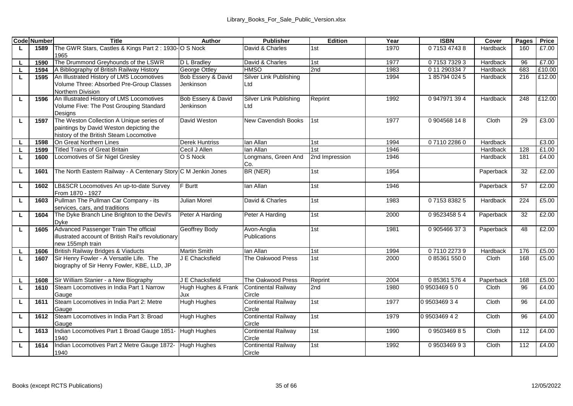|    | <b>Code Number</b> | Title                                                                                                                          | Author                          | <b>Publisher</b>                     | Edition        | Year | <b>ISBN</b>   | Cover     | Pages | Price  |
|----|--------------------|--------------------------------------------------------------------------------------------------------------------------------|---------------------------------|--------------------------------------|----------------|------|---------------|-----------|-------|--------|
| L. | 1589               | The GWR Stars, Castles & Kings Part 2: 1930- O S Nock<br>1965                                                                  |                                 | David & Charles                      | 1st            | 1970 | 0715347438    | Hardback  | 160   | £7.00  |
|    | 1590               | The Drummond Greyhounds of the LSWR                                                                                            | D L Bradlev                     | David & Charles                      | 1st            | 1977 | 0715373293    | Hardback  | 96    | £7.00  |
| L. | 1594               | A Bibliography of British Railway History                                                                                      | George Ottley                   | <b>HMSO</b>                          | 2nd            | 1983 | 0 11 290334 7 | Hardback  | 683   | £10.00 |
| τ  | 1595               | An Illustrated History of LMS Locomotives<br>Volume Three: Absorbed Pre-Group Classes<br>Northern Division                     | Bob Essery & David<br>Jenkinson | Silver Link Publishing<br>Ltd        |                | 1994 | 1857940245    | Hardback  | 216   | £12.00 |
| L  | 1596               | An Illustrated History of LMS Locomotives<br>Volume Five: The Post Grouping Standard<br>Desians                                | Bob Essery & David<br>Jenkinson | Silver Link Publishing<br>Ltd        | Reprint        | 1992 | 0 947971 394  | Hardback  | 248   | £12.00 |
| L  | 1597               | The Weston Collection A Unique series of<br>paintings by David Weston depicting the<br>history of the British Steam Locomotive | David Weston                    | New Cavendish Books                  | 1st            | 1977 | 0904568148    | Cloth     | 29    | £3.00  |
| г  | 1598               | On Great Northern Lines                                                                                                        | <b>Derek Huntriss</b>           | lan Allan                            | 1st            | 1994 | 0711022860    | Hardback  |       | £3.00  |
| L  | 1599               | <b>Titled Trains of Great Britain</b>                                                                                          | Cecil J Allen                   | lan Allan                            | 1st            | 1946 |               | Hardback  | 128   | £1.00  |
| г  | 1600               | Locomotives of Sir Nigel Gresley                                                                                               | O S Nock                        | Longmans, Green And<br>Co.           | 2nd Impression | 1946 |               | Hardback  | 181   | £4.00  |
| ш  | 1601               | The North Eastern Railway - A Centenary Story C M Jenkin Jones                                                                 |                                 | BR (NER)                             | 1st            | 1954 |               | Paperback | 32    | £2.00  |
| ш  | 1602               | LB&SCR Locomotives An up-to-date Survey<br>From 1870 - 1927                                                                    | <b>F</b> Burtt                  | lan Allan                            | 1st            | 1946 |               | Paperback | 57    | £2.00  |
| г  | 1603               | Pullman The Pullman Car Company - its<br>services, cars, and traditions                                                        | Julian Morel                    | David & Charles                      | 1st            | 1983 | 0715383825    | Hardback  | 224   | £5.00  |
| г  | 1604               | The Dyke Branch Line Brighton to the Devil's<br>Dvke                                                                           | Peter A Harding                 | Peter A Harding                      | 1st            | 2000 | 0952345854    | Paperback | 32    | £2.00  |
| г  | 1605               | Advanced Passenger Train The official<br>illustrated account of British Rail's revolutionary<br>new 155mph train               | Geoffrey Body                   | Avon-Anglia<br>Publications          | 1st            | 1981 | 0905466373    | Paperback | 48    | £2.00  |
|    | 1606               | British Railway Bridges & Viaducts                                                                                             | Martin Smith                    | lan Allan                            | 1st            | 1994 | 0711022739    | Hardback  | 176   | £5.00  |
| L  | 1607               | Sir Henry Fowler - A Versatile Life. The<br>biography of Sir Henry Fowler, KBE, LLD, JP                                        | J E Chacksfield                 | The Oakwood Press                    | 1st            | 2000 | 0853615500    | Cloth     | 168   | £5.00  |
|    | 1608               | Sir William Stanier - a New Biography                                                                                          | J E Chacksfield                 | The Oakwood Press                    | Reprint        | 2004 | 0 85361 576 4 | Paperback | 168   | £5.00  |
| L  | 1610               | Steam Locomotives in India Part 1 Narrow<br>Gauge                                                                              | Hugh Hughes & Frank<br>Jux      | <b>Continental Railway</b><br>Circle | 2nd            | 1980 | 0 9503469 5 0 | Cloth     | 96    | £4.00  |
| г  | 1611               | Steam Locomotives in India Part 2: Metre<br>Gauge                                                                              | <b>Hugh Hughes</b>              | Continental Railway<br>Circle        | 1st            | 1977 | 0950346934    | Cloth     | 96    | £4.00  |
| г  | 1612               | Steam Locomotives in India Part 3: Broad<br>Gauge                                                                              | <b>Hugh Hughes</b>              | <b>Continental Railway</b><br>Circle | 1st            | 1979 | 0950346942    | Cloth     | 96    | £4.00  |
| г  | 1613               | Indian Locomotives Part 1 Broad Gauge 1851-<br>1940                                                                            | <b>Hugh Hughes</b>              | <b>Continental Railway</b><br>Circle | 1st            | 1990 | 0950346985    | Cloth     | 112   | £4.00  |
| г  | 1614               | Indian Locomotives Part 2 Metre Gauge 1872-<br>1940                                                                            | <b>Hugh Hughes</b>              | Continental Railway<br>Circle        | 1st            | 1992 | 0950346993    | Cloth     | 112   | £4.00  |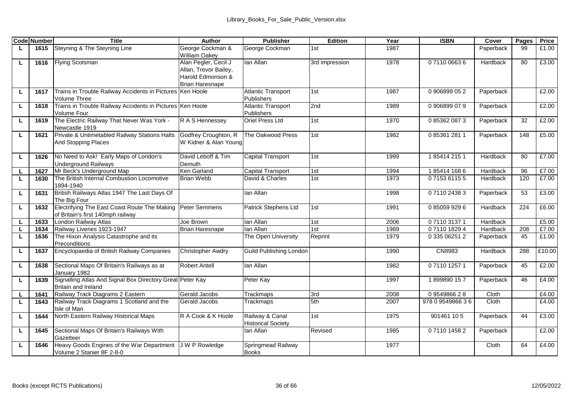|    | <b>Code Number</b> | Title                                                                             | Author                                                                                       | Publisher                                    | Edition        | Year | <b>ISBN</b>      | Cover     | Pages | Price  |
|----|--------------------|-----------------------------------------------------------------------------------|----------------------------------------------------------------------------------------------|----------------------------------------------|----------------|------|------------------|-----------|-------|--------|
| L. | 1615               | Steyning & The Steyning Line                                                      | George Cockman &<br><b>William Oakev</b>                                                     | George Cockman                               | 1st            | 1987 |                  | Paperback | 99    | £1.00  |
| ш  | 1616               | <b>Flying Scotsman</b>                                                            | Alan Pegler, Cecil J<br>Allan, Trevor Bailey,<br>Harold Edmonson &<br><b>Brian Haresnape</b> | lan Allan                                    | 3rd impression | 1978 | 0 7110 0663 6    | Hardback  | 80    | £3.00  |
| ш  | 1617               | Trains in Trouble Railway Accidents in Pictures Ken Hoole<br>Volume Three         |                                                                                              | <b>Atlantic Transport</b><br>Publishers      | 1st            | 1987 | 0906899052       | Paperback |       | £2.00  |
| ш  | 1618               | Trains in Trouble Railway Accidents in Pictures Ken Hoole<br>Volume Four          |                                                                                              | <b>Atlantic Transport</b><br>Publishers      | 2nd            | 1989 | 0906899079       | Paperback |       | £2.00  |
| ш  | 1619               | The Electric Railway That Never Was York -<br>Newcastle 1919                      | R A S Hennessey                                                                              | Oriel Press Ltd                              | 1st            | 1970 | 0 85362 087 3    | Paperback | 32    | £2.00  |
| ш  | 1621               | Private & Untimetabled Railway Stations Halts<br>And Stopping Places              | Godfrey Croughton, R<br>W Kidner & Alan Young                                                | The Oakwood Press                            | 1st            | 1982 | 0853612811       | Paperback | 148   | £5.00  |
| L. | 1626               | No Need to Ask! Early Maps of London's<br><b>Underground Railways</b>             | David Leboff & Tim<br>Demuth                                                                 | Capital Transport                            | 1st            | 1999 | 1854142151       | Hardback  | 80    | £7.00  |
| L. | 1627               | Mr Beck's Underground Map                                                         | Ken Garland                                                                                  | Capital Transport                            | 1st            | 1994 | 1854141686       | Hardback  | 96    | £7.00  |
| ш  | 1630               | The British Internal Combustion Locomotive<br>1894-1940                           | Brian Webb                                                                                   | David & Charles                              | 1st            | 1973 | 0715361155       | Hardback  | 120   | £7.00  |
| ш  | 1631               | British Railways Atlas 1947 The Last Days Of<br>The Big Four                      |                                                                                              | lan Allan                                    |                | 1998 | 0711024383       | Paperback | 53    | £3.00  |
| L. | 1632               | Electrifying The East Coast Route The Making<br>of Britain's first 140mph railway | Peter Semmens                                                                                | Patrick Stephens Ltd                         | 1st            | 1991 | 0850599296       | Hardback  | 224   | £6.00  |
|    | 1633               | London Railway Atlas                                                              | Joe Brown                                                                                    | lan Allan                                    | 1st            | 2006 | 0711031371       | Hardback  |       | £5.00  |
| L. | 1634               | Railway Liveries 1923-1947                                                        | <b>Brian Haresnape</b>                                                                       | lan Allan                                    | 1st            | 1989 | 0711018294       | Hardback  | 208   | £7.00  |
| ш  | 1636               | The Hixon Analysis Catastrophe and its<br>Preconditions                           |                                                                                              | The Open University                          | Reprint        | 1979 | 0 335 06251 2    | Paperback | 45    | £1.00  |
| ш  | 1637               | Encyclopaedia of British Railway Companies                                        | Christopher Awdry                                                                            | Guild Publishing London                      |                | 1990 | CN8983           | Hardback  | 288   | £10.00 |
| ш  | 1638               | Sectional Maps Of Britain's Railways as at<br>January 1982                        | Robert Antell                                                                                | lan Allan                                    |                | 1982 | 0711012571       | Paperback | 45    | £2.00  |
| г  | 1639               | Signalling Atlas And Signal Box Directory Great Peter Kay<br>Britain and Ireland  |                                                                                              | Peter Kay                                    |                | 1997 | 1899890157       | Paperback | 46    | £4.00  |
| ш  | 1641               | Railway Track Diagrams 2 Eastern                                                  | Gerald Jacobs                                                                                | Trackmaps                                    | 3rd            | 2008 | 0954986628       | Cloth     |       | £4.00  |
| L. | 1643               | Railway Track Diagrams 1 Scotland and the<br>Isle of Man                          | Gerald Jacobs                                                                                | Trackmaps                                    | 5th            | 2007 | 978 0 9549866 36 | Cloth     |       | £4.00  |
| ш  | 1644               | North Eastern Railway Historical Maps                                             | R A Cook & K Hoole                                                                           | Railway & Canal<br><b>Historical Society</b> | 1st            | 1975 | 901461 105       | Paperback | 44    | £3.00  |
| г  | 1645               | Sectional Maps Of Britain's Railways With<br>Gazetteer                            |                                                                                              | lan Allan                                    | Revised        | 1985 | 0711014582       | Paperback |       | £2.00  |
| L  | 1646               | Heavy Goods Engines of the War Department<br>Volume 2 Stanier 8F 2-8-0            | J W P Rowledge                                                                               | Springmead Railway<br><b>Books</b>           |                | 1977 |                  | Cloth     | 64    | £4.00  |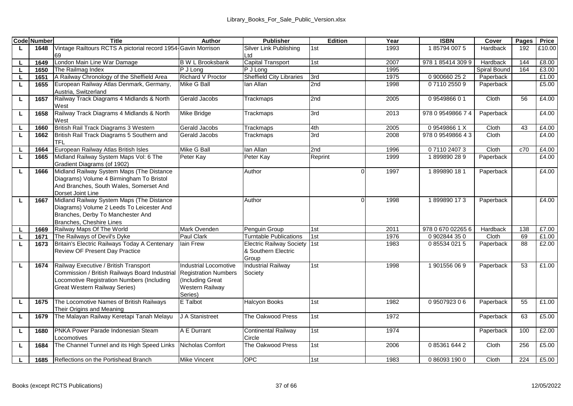|    | <b>Code Number</b> | <b>Title</b>                                                                        | Author                         | <b>Publisher</b>                                    | Edition    | Year         | <b>ISBN</b>                     | Cover          | Pages | Price          |
|----|--------------------|-------------------------------------------------------------------------------------|--------------------------------|-----------------------------------------------------|------------|--------------|---------------------------------|----------------|-------|----------------|
|    | 1648               | Vintage Railtours RCTS A pictorial record 1954-Gavin Morrison                       |                                | Silver Link Publishing                              | 1st        | 1993         | 185794 0075                     | Hardback       | 192   | £10.00         |
|    |                    | 69                                                                                  |                                | Ltd                                                 |            |              |                                 |                |       |                |
|    | 1649               | London Main Line War Damage                                                         | <b>B W L Brooksbank</b>        | Capital Transport                                   | 1st        | 2007         | 978 1 85414 309 9               | Hardback       | 144   | £8.00          |
|    | 1650               | The Railmag Index                                                                   | P J Long                       | P J Long                                            |            | 1995         |                                 | Spiral Bound   | 164   | £3.00          |
| г  | 1651               | A Railway Chronology of the Sheffield Area                                          | <b>Richard V Proctor</b>       | Sheffield City Libraries                            | 3rd        | 1975         | 0900660252                      | Paperback      |       | £1.00          |
| г  | 1655               | European Railway Atlas Denmark, Germany,                                            | Mike G Ball                    | lan Allan                                           | 2nd        | 1998         | 0711025509                      | Paperback      |       | £5.00          |
|    |                    | Austria, Switzerland                                                                |                                |                                                     |            |              |                                 |                |       |                |
| г  | 1657               | Railway Track Diagrams 4 Midlands & North                                           | Gerald Jacobs                  | Trackmaps                                           | 2nd        | 2005         | 0954986601                      | Cloth          | 56    | £4.00          |
|    |                    | West                                                                                |                                |                                                     |            |              |                                 |                |       |                |
| г  | 1658               | Railway Track Diagrams 4 Midlands & North                                           | Mike Bridge                    | Trackmaps                                           | 3rd        | 2013         | 978 0 9549866 7 4               | Paperback      |       | £4.00          |
|    | 1660               | West                                                                                |                                |                                                     |            |              |                                 |                | 43    | £4.00          |
| г  |                    | British Rail Track Diagrams 3 Western<br>British Rail Track Diagrams 5 Southern and | Gerald Jacobs<br>Gerald Jacobs | Trackmaps<br>Trackmaps                              | 4th<br>3rd | 2005<br>2008 | 095498661X<br>978 0 9549866 4 3 | Cloth<br>Cloth |       | f4.00          |
| L  | 1662               | TFI                                                                                 |                                |                                                     |            |              |                                 |                |       |                |
|    | 1664               | European Railway Atlas British Isles                                                | Mike G Ball                    | lan Allan                                           | 2nd        | 1996         | 0711024073                      | Cloth          | c70   | £4.00          |
|    | 1665               | Midland Railway System Maps Vol: 6 The                                              | Peter Kay                      | Peter Kay                                           | Reprint    | 1999         | 1899890289                      | Paperback      |       | £4.00          |
|    |                    | Gradient Diagrams (of 1902)                                                         |                                |                                                     |            |              |                                 |                |       |                |
| L. | 1666               | Midland Railway System Maps (The Distance                                           |                                | Author                                              |            | 1997         | 1899890181                      | Paperback      |       | £4.00          |
|    |                    | Diagrams) Volume 4 Birmingham To Bristol                                            |                                |                                                     |            |              |                                 |                |       |                |
|    |                    | And Branches, South Wales, Somerset And                                             |                                |                                                     |            |              |                                 |                |       |                |
|    |                    | Dorset Joint Line                                                                   |                                |                                                     |            |              |                                 |                |       |                |
| L  | 1667               | Midland Railway System Maps (The Distance                                           |                                | Author                                              |            | 1998         | 1899890173                      | Paperback      |       | f4.00          |
|    |                    | Diagrams) Volume 2 Leeds To Leicester And                                           |                                |                                                     |            |              |                                 |                |       |                |
|    |                    | Branches, Derby To Manchester And                                                   |                                |                                                     |            |              |                                 |                |       |                |
|    |                    | Branches, Cheshire Lines                                                            |                                |                                                     |            |              |                                 |                |       |                |
|    | 1669               | Railway Maps Of The World                                                           | Mark Ovenden                   | Penguin Group                                       | 1st        | 2011         | 978 0 670 02265 6               | Hardback       | 138   | £7.00          |
| L  | 1671<br>1673       | The Railways of Devil's Dyke<br>Britain's Electric Railways Today A Centenary       | Paul Clark                     | <b>Tumtable Publications</b>                        | 1st        | 1976<br>1983 | 0902844350<br>0 85534 021 5     | Cloth          | 69    | £1.00<br>£2.00 |
|    |                    | Review OF Present Day Practice                                                      | lain Frew                      | Electric Railway Society 1st<br>& Southern Electric |            |              |                                 | Paperback      | 88    |                |
|    |                    |                                                                                     |                                | Group                                               |            |              |                                 |                |       |                |
|    | 1674               | Railway Executive / British Transport                                               | Industrial Locomotive          | <b>Industrial Railway</b>                           | 1st        | 1998         | 1 901556 06 9                   | Paperback      | 53    | £1.00          |
|    |                    | Commission / British Railways Board Industrial                                      | <b>Registration Numbers</b>    | Society                                             |            |              |                                 |                |       |                |
|    |                    | Locomotive Registration Numbers (Including                                          | (Including Great               |                                                     |            |              |                                 |                |       |                |
|    |                    | Great Western Railway Series)                                                       | Western Railway                |                                                     |            |              |                                 |                |       |                |
|    |                    |                                                                                     | Series)                        |                                                     |            |              |                                 |                |       |                |
|    | 1675               | The Locomotive Names of British Railways                                            | E Talbot                       | <b>Halcyon Books</b>                                | 1st        | 1982         | 0950792306                      | Paperback      | 55    | £1.00          |
|    |                    | Their Origins and Meaning                                                           |                                |                                                     |            |              |                                 |                |       |                |
| Ц  | 1679               | The Malayan Railway Keretapi Tanah Melayu                                           | J A Stanistreet                | The Oakwood Press                                   | 1st        | 1972         |                                 | Paperback      | 63    | £5.00          |
|    |                    |                                                                                     |                                |                                                     |            |              |                                 |                |       |                |
| L  | 1680               | PNKA Power Parade Indonesian Steam                                                  | A E Durrant                    | Continental Railway                                 | 1st        | 1974         |                                 | Paperback      | 100   | £2.00          |
|    |                    | Locomotives                                                                         |                                | Circle                                              |            |              |                                 |                |       |                |
| L. | 1684               | The Channel Tunnel and its High Speed Links                                         | Nicholas Comfort               | The Oakwood Press                                   | 1st        | 2006         | 0 85361 644 2                   | Cloth          | 256   | £5.00          |
| L  | 1685               | Reflections on the Portishead Branch                                                | <b>Mike Vincent</b>            | OPC                                                 | 1st        | 1983         | 0 86093 190 0                   | Cloth          | 224   | £5.00          |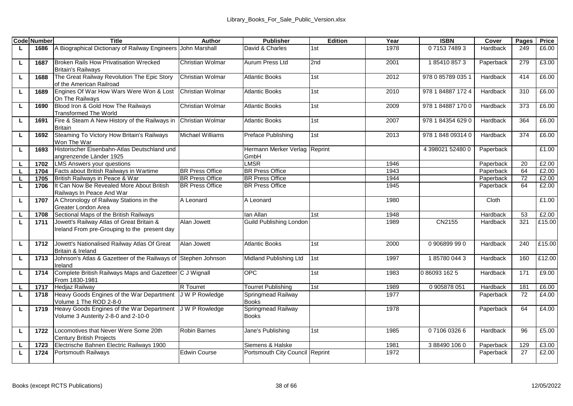|   | <b>Code Number</b> | <b>Title</b>                                                                              | Author                 | <b>Publisher</b>                   | Edition | Year | <b>ISBN</b>       | Cover     | Pages | Price  |
|---|--------------------|-------------------------------------------------------------------------------------------|------------------------|------------------------------------|---------|------|-------------------|-----------|-------|--------|
|   | 1686               | A Biographical Dictionary of Railway Engineers John Marshall                              |                        | David & Charles                    | 1st     | 1978 | 0715374893        | Hardback  | 249   | £6.00  |
| г | 1687               | Broken Rails How Privatisation Wrecked<br><b>Britain's Railwavs</b>                       | Christian Wolmar       | Aurum Press Ltd                    | 2nd     | 2001 | 1854108573        | Paperback | 279   | £3.00  |
| г | 1688               | The Great Railway Revolution The Epic Story<br>of the American Railroad                   | Christian Wolmar       | <b>Atlantic Books</b>              | 1st     | 2012 | 978 0 85789 035 1 | Hardback  | 414   | £6.00  |
| г | 1689               | Engines Of War How Wars Were Won & Lost<br>On The Railwavs                                | Christian Wolmar       | Atlantic Books                     | 1st     | 2010 | 978 1 84887 172 4 | Hardback  | 310   | £6.00  |
| ш | 1690               | Blood Iron & Gold How The Railways<br><b>Transformed The World</b>                        | Christian Wolmar       | <b>Atlantic Books</b>              | 1st     | 2009 | 978 1 84887 1700  | Hardback  | 373   | £6.00  |
| ш | 1691               | Fire & Steam A New History of the Railways in<br><b>Britain</b>                           | Christian Wolmar       | <b>Atlantic Books</b>              | 1st     | 2007 | 978 1 84354 629 0 | Hardback  | 364   | £6.00  |
| τ | 1692               | Steaming To Victory How Britain's Railways<br>Won The War                                 | Michael Williams       | Preface Publishing                 | 1st     | 2013 | 978 1 848 09314 0 | Hardback  | 374   | £6.00  |
| Ц | 1693               | Historischer Eisenbahn-Atlas Deutschland und<br>angrenzende Länder 1925                   |                        | Hermann Merker Verlag<br>GmbH      | Reprint |      | 4 398021 52480 0  | Paperback |       | £1.00  |
| ш | 1702               | <b>LMS Answers vour questions</b>                                                         |                        | <b>LMSR</b>                        |         | 1946 |                   | Paperback | 20    | £2.00  |
| г | 1704               | Facts about British Railways in Wartime                                                   | <b>BR Press Office</b> | <b>BR Press Office</b>             |         | 1943 |                   | Paperback | 64    | £2.00  |
|   | 1705               | British Railways in Peace & War                                                           | <b>BR Press Office</b> | <b>BR Press Office</b>             |         | 1944 |                   | Paperback | 72    | £2.00  |
| L | 1706               | It Can Now Be Revealed More About British<br>Railways In Peace And War                    | <b>BR Press Office</b> | <b>BR Press Office</b>             |         | 1945 |                   | Paperback | 64    | £2.00  |
| г | 1707               | A Chronology of Railway Stations in the<br>Greater London Area                            | A Leonard              | A Leonard                          |         | 1980 |                   | Cloth     |       | £1.00  |
|   | 1708               | Sectional Maps of the British Railways                                                    |                        | lan Allan                          | 1st     | 1948 |                   | Hardback  | 53    | £2.00  |
| L | 1711               | Jowett's Railway Atlas of Great Britain &<br>Ireland From pre-Grouping to the present day | Alan Jowett            | Guild Publishing London            |         | 1989 | CN2155            | Hardback  | 321   | £15.00 |
| L | 1712               | Jowett's Nationalised Railway Atlas Of Great<br>Britain & Ireland                         | Alan Jowett            | <b>Atlantic Books</b>              | 1st     | 2000 | 0906899990        | Hardback  | 240   | £15.00 |
| г | 1713               | Johnson's Atlas & Gazetteer of the Railways of Stephen Johnson<br>Ireland                 |                        | Midland Publishing Ltd             | 1st     | 1997 | 1857800443        | Hardback  | 160   | £12.00 |
| г | 1714               | Complete British Railways Maps and Gazetteer C J Wignall<br>From 1830-1981                |                        | OPC.                               | 1st     | 1983 | 0 86093 162 5     | Hardback  | 171   | £9.00  |
| г | 1717               | <b>Hediaz Railway</b>                                                                     | <b>R</b> Tourret       | Tourret Publishing                 | 1st     | 1989 | 0 905878 051      | Hardback  | 181   | £6.00  |
| τ | 1718               | Heavy Goods Engines of the War Department<br>Volume 1 The ROD 2-8-0                       | J W P Rowledge         | Springmead Railway<br><b>Books</b> |         | 1977 |                   | Paperback | 72    | £4.00  |
| г | 1719               | Heavy Goods Engines of the War Department<br>Volume 3 Austerity 2-8-0 and 2-10-0          | J W P Rowledge         | Springmead Railway<br><b>Books</b> |         | 1978 |                   | Paperback | 64    | £4.00  |
| г | 1722               | Locomotives that Never Were Some 20th<br>Century British Projects                         | Robin Barnes           | Jane's Publishing                  | 1st     | 1985 | 0710603266        | Hardback  | 96    | £5.00  |
|   | 1723               | Electrische Bahnen Electric Railways 1900                                                 |                        | Siemens & Halske                   |         | 1981 | 3884901060        | Paperback | 129   | £3.00  |
| L | 1724               | Portsmouth Railways                                                                       | Edwin Course           | Portsmouth City Council Reprint    |         | 1972 |                   | Paperback | 27    | £2.00  |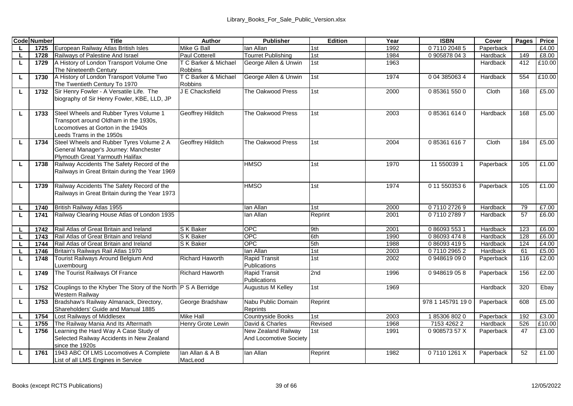|    | <b>Code Number</b> | Title                                                         | Author                 | Publisher                     | Edition | Year | <b>ISBN</b>      | Cover     | Pages | Price  |
|----|--------------------|---------------------------------------------------------------|------------------------|-------------------------------|---------|------|------------------|-----------|-------|--------|
| L  | 1725               | European Railway Atlas British Isles                          | Mike G Ball            | lan Allan                     | 1st     | 1992 | 0711020485       | Paperback |       | £4.00  |
|    | 1728               | Railways of Palestine And Israel                              | Paul Cotterell         | Tourret Publishing            | 1st     | 1984 | 0905878043       | Hardback  | 149   | £8.00  |
| ш  | 1729               | A History of London Transport Volume One                      | T C Barker & Michael   | George Allen & Unwin          | 1st     | 1963 |                  | Hardback  | 412   | £10.00 |
|    |                    | The Nineteenth Century                                        | <b>Robbins</b>         |                               |         |      |                  |           |       |        |
| ш  | 1730               | A History of London Transport Volume Two                      | T C Barker & Michael   | George Allen & Unwin          | 1st     | 1974 | 0 04 385063 4    | Hardback  | 554   | £10.00 |
|    |                    | The Twentieth Century To 1970                                 | <b>Robbins</b>         |                               |         |      |                  |           |       |        |
| ш  | 1732               | Sir Henry Fowler - A Versatile Life. The                      | J E Chacksfield        | The Oakwood Press             | 1st     | 2000 | 0853615500       | Cloth     | 168   | £5.00  |
|    |                    | biography of Sir Henry Fowler, KBE, LLD, JP                   |                        |                               |         |      |                  |           |       |        |
|    |                    | Steel Wheels and Rubber Tyres Volume 1                        | Geoffrey Hilditch      | The Oakwood Press             | 1st     | 2003 | 0853616140       | Hardback  | 168   | £5.00  |
| ш  | 1733               | Transport around Oldham in the 1930s.                         |                        |                               |         |      |                  |           |       |        |
|    |                    | Locomotives at Gorton in the 1940s                            |                        |                               |         |      |                  |           |       |        |
|    |                    | eeds Trams in the 1950s                                       |                        |                               |         |      |                  |           |       |        |
| L  | 1734               | Steel Wheels and Rubber Tyres Volume 2 A                      | Geoffrey Hilditch      | The Oakwood Press             | 1st     | 2004 | 0853616167       | Cloth     | 184   | £5.00  |
|    |                    | General Manager's Journey: Manchester                         |                        |                               |         |      |                  |           |       |        |
|    |                    | Plymouth Great Yarmouth Halifax                               |                        |                               |         |      |                  |           |       |        |
| ш  | 1738               | Railway Accidents The Safety Record of the                    |                        | <b>HMSO</b>                   | 1st     | 1970 | 11 550039 1      | Paperback | 105   | £1.00  |
|    |                    | Railways in Great Britain during the Year 1969                |                        |                               |         |      |                  |           |       |        |
|    |                    |                                                               |                        |                               |         |      |                  |           |       |        |
| L. | 1739               | Railway Accidents The Safety Record of the                    |                        | <b>HMSO</b>                   | 1st     | 1974 | 0 11 550353 6    | Paperback | 105   | £1.00  |
|    |                    | Railways in Great Britain during the Year 1973                |                        |                               |         |      |                  |           |       |        |
|    |                    |                                                               |                        |                               |         |      |                  |           |       |        |
| L  | 1740               | British Railway Atlas 1955                                    |                        | lan Allan                     | 1st     | 2000 | 0711027269       | Hardback  | 79    | £7.00  |
| L. | 1741               | Railway Clearing House Atlas of London 1935                   |                        | lan Allan                     | Reprint | 2001 | 0711027897       | Hardback  | 57    | £6.00  |
|    |                    |                                                               |                        |                               |         |      |                  |           |       |        |
| L. | 1742               | Rail Atlas of Great Britain and Ireland                       | S K Baker              | OPC                           | 9th     | 2001 | 0 86093 553 1    | Hardback  | 123   | £6.00  |
| ш  | 1743               | Rail Atlas of Great Britain and Ireland                       | S K Baker              | OPC                           | 6th     | 1990 | 0 86093 474 8    | Hardback  | 128   | £6.00  |
|    | 1744               | Rail Atlas of Great Britain and Ireland                       | S K Baker              | OPC.                          | 5th     | 1988 | 0 86093 419 5    | Hardback  | 124   | £4.00  |
|    | 1746               | Britain's Railways Rail Atlas 1970                            |                        | lan Allan                     | 1st     | 2003 | 0711029652       | Hardback  | 61    | £5.00  |
| ш  | 1748               | Tourist Railways Around Belgium And                           | <b>Richard Haworth</b> | <b>Rapid Transit</b>          | 1st     | 2002 | 0948619090       | Paperback | 116   | £2.00  |
|    |                    | Luxembourg                                                    |                        | Publications                  |         |      |                  |           |       |        |
| L. | 1749               | The Tourist Railways Of France                                | <b>Richard Haworth</b> | Rapid Transit<br>Publications | 2nd     | 1996 | 0948619058       | Paperback | 156   | £2.00  |
|    | 1752               | Couplings to the Khyber The Story of the North P S A Berridge |                        | Augustus M Kelley             | 1st     | 1969 |                  | Hardback  | 320   | Ebay   |
| ш  |                    | Western Railway                                               |                        |                               |         |      |                  |           |       |        |
| ш  | 1753               | Bradshaw's Railway Almanack, Directory,                       | George Bradshaw        | Nabu Public Domain            | Reprint |      | 978 1 145791 190 | Paperback | 608   | £5.00  |
|    |                    | Shareholders' Guide and Manual 1885                           |                        | Reprints                      |         |      |                  |           |       |        |
|    | 1754               | Lost Railways of Middlesex                                    | <b>Mike Hall</b>       | Countryside Books             | 1st     | 2003 | 1853068020       | Paperback | 192   | £3.00  |
| п. | 1755               | The Railway Mania And Its Aftermath                           | Henry Grote Lewin      | David & Charles               | Revised | 1968 | 7153 4262 2      | Hardback  | 526   | £10.00 |
| ш  | 1756               | Learning the Hard Way A Case Study of                         |                        | New Zealand Railway           | 1st     | 1991 | 090857357X       | Paperback | 47    | £3.00  |
|    |                    | Selected Railway Accidents in New Zealand                     |                        | And Locomotive Society        |         |      |                  |           |       |        |
|    |                    | since the 1920s                                               |                        |                               |         |      |                  |           |       |        |
| L  | 1761               | 1943 ABC Of LMS Locomotives A Complete                        | lan Allan & A B        | lan Allan                     | Reprint | 1982 | 071101261X       | Paperback | 52    | £1.00  |
|    |                    | List of all LMS Engines in Service                            | MacLeod                |                               |         |      |                  |           |       |        |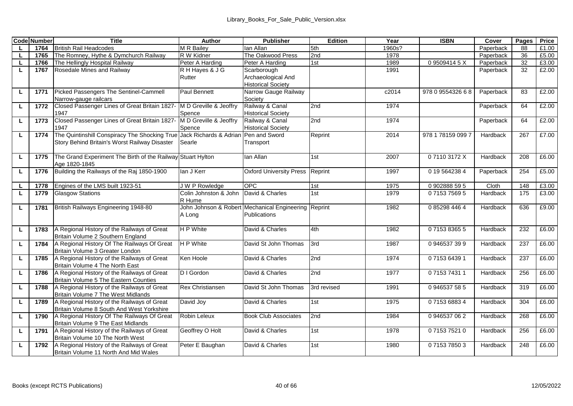|    | <b>Code Number</b> | Title                                         | Author                 | <b>Publisher</b>                                     | Edition     | Year   | <b>ISBN</b>       | Cover     | Pages | Price |
|----|--------------------|-----------------------------------------------|------------------------|------------------------------------------------------|-------------|--------|-------------------|-----------|-------|-------|
|    | 1764               | <b>British Rail Headcodes</b>                 | M R Bailev             | lan Allan                                            | 5th         | 1960s? |                   | Paperback | 88    | £1.00 |
| L. | 1765               | The Romney, Hythe & Dymchurch Railway         | R W Kidner             | The Oakwood Press                                    | 2nd         | 1978   |                   | Paperback | 36    | £5.00 |
| L. | 1766               | The Hellingly Hospital Railway                | Peter A Harding        | Peter A Harding                                      | 1st         | 1989   | 095094145X        | Paperback | 32    | £3.00 |
| L. | 1767               | Rosedale Mines and Railway                    | R H Haves & J G        | Scarborough                                          |             | 1991   |                   | Paperback | 32    | £2.00 |
|    |                    |                                               | Rutter                 | Archaeological And                                   |             |        |                   |           |       |       |
|    |                    |                                               |                        | <b>Historical Society</b>                            |             |        |                   |           |       |       |
| L. | 1771               | Picked Passengers The Sentinel-Cammell        | Paul Bennett           | Narrow Gauge Railway                                 |             | c2014  | 978 0 9554326 6 8 | Paperback | 83    | £2.00 |
|    |                    | Narrow-gauge railcars                         |                        | Society                                              |             |        |                   |           |       |       |
| L  | 1772               | Closed Passenger Lines of Great Britain 1827  | M D Greville & Jeoffry | Railway & Canal                                      | 2nd         | 1974   |                   | Paperback | 64    | £2.00 |
|    |                    | 1947                                          | Spence                 | <b>Historical Society</b>                            |             |        |                   |           |       |       |
| г  | 1773               | Closed Passenger Lines of Great Britain 1827- | M D Greville & Jeoffry | Railway & Canal                                      | 2nd         | 1974   |                   | Paperback | 64    | £2.00 |
|    |                    | 1947                                          | Spence                 | <b>Historical Society</b>                            |             |        |                   |           |       |       |
| L. | 1774               | The Quintinshill Conspiracy The Shocking True | Jack Richards & Adrian | Pen and Sword                                        | Reprint     | 2014   | 978 1 78159 099 7 | Hardback  | 267   | £7.00 |
|    |                    | Story Behind Britain's Worst Railway Disaster | Searle                 | Transport                                            |             |        |                   |           |       |       |
|    |                    |                                               |                        |                                                      |             |        |                   |           |       |       |
| L  | 1775               | The Grand Experiment The Birth of the Railway | Stuart Hylton          | Ian Allan                                            | 1st         | 2007   | 071103172X        | Hardback  | 208   | £6.00 |
|    |                    | Age 1820-1845                                 |                        |                                                      |             |        |                   |           |       |       |
| L  | 1776               | Building the Railways of the Raj 1850-1900    | lan J Kerr             | <b>Oxford University Press</b>                       | Reprint     | 1997   | 0 19 5 64 238 4   | Paperback | 254   | £5.00 |
|    |                    |                                               |                        |                                                      |             |        |                   |           |       |       |
| L  | 1778               | Engines of the LMS built 1923-51              | <b>JWP</b> Rowledge    | OPC                                                  | 1st<br>1st  | 1975   | 0902888595        | Cloth     | 148   | £3.00 |
| τ  | 1779               | <b>Glasgow Stations</b>                       | Colin Johnston & John  | David & Charles                                      |             | 1979   | 0715375695        | Hardback  | 175   | £3.00 |
|    |                    | British Railways Engineering 1948-80          | R Hume                 | John Johnson & Robert Mechanical Engineering Reprint |             | 1982   | 0 85298 446 4     | Hardback  | 636   | £9.00 |
| ш  | 1781               |                                               | A Long                 | Publications                                         |             |        |                   |           |       |       |
|    |                    |                                               |                        |                                                      |             |        |                   |           |       |       |
| L  | 1783               | A Regional History of the Railways of Great   | <b>HP</b> White        | David & Charles                                      | 4th         | 1982   | 0715383655        | Hardback  | 232   | £6.00 |
|    |                    | Britain Volume 2 Southern England             |                        |                                                      |             |        |                   |           |       |       |
| ш  | 1784               | A Regional History Of The Railways Of Great   | <b>HP</b> White        | David St John Thomas                                 | 3rd         | 1987   | 0946537399        | Hardback  | 237   | £6.00 |
|    |                    | Britain Volume 3 Greater London               |                        |                                                      |             |        |                   |           |       |       |
| г  | 1785               | A Regional History of the Railways of Great   | Ken Hoole              | David & Charles                                      | 2nd         | 1974   | 0715364391        | Hardback  | 237   | £6.00 |
|    |                    | Britain Volume 4 The North East               |                        |                                                      |             |        |                   |           |       |       |
| L. | 1786               | A Regional History of the Railways of Great   | D I Gordon             | David & Charles                                      | 2nd         | 1977   | 0715374311        | Hardback  | 256   | £6.00 |
|    |                    | Britain Volume 5 The Eastern Counties         |                        |                                                      |             |        |                   |           |       |       |
| ш  | 1788               | A Regional History of the Railways of Great   | Rex Christiansen       | David St John Thomas                                 | 3rd revised | 1991   | 0946537585        | Hardback  | 319   | £6.00 |
|    |                    | Britain Volume 7 The West Midlands            |                        |                                                      |             |        |                   |           |       |       |
| г  | 1789               | A Regional History of the Railways of Great   | David Joy              | David & Charles                                      | 1st         | 1975   | 0715368834        | Hardback  | 304   | £6.00 |
|    |                    | Britain Volume 8 South And West Yorkshire     |                        |                                                      |             |        |                   |           |       |       |
| ш  | 1790               | A Regional History Of The Railways Of Great   | Robin Leleux           | <b>Book Club Associates</b>                          | 2nd         | 1984   | 0 946537 06 2     | Hardback  | 268   | £6.00 |
|    |                    | Britain Volume 9 The East Midlands            |                        |                                                      |             |        |                   |           |       |       |
| ш  | 1791               | A Regional History of the Railways of Great   | Geoffrey O Holt        | David & Charles                                      | 1st         | 1978   | 0715375210        | Hardback  | 256   | £6.00 |
|    |                    | Britain Volume 10 The North West              |                        |                                                      |             |        |                   |           |       |       |
| L  | 1792               | A Regional History of the Railways of Great   | Peter E Baughan        | David & Charles                                      | 1st         | 1980   | 0715378503        | Hardback  | 248   | £6.00 |
|    |                    | Britain Volume 11 North And Mid Wales         |                        |                                                      |             |        |                   |           |       |       |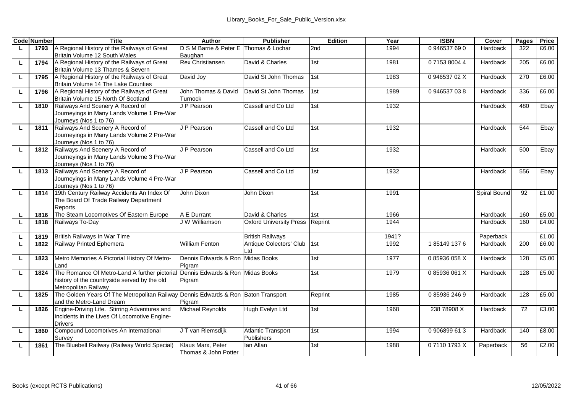|    | <b>Code Number</b> | <b>Title</b>                                                            | Author                               | Publisher                      | Edition | Year  | <b>ISBN</b> | Cover        | Pages | Price |
|----|--------------------|-------------------------------------------------------------------------|--------------------------------------|--------------------------------|---------|-------|-------------|--------------|-------|-------|
| L. | 1793               | A Regional History of the Railways of Great                             | D S M Barrie & Peter E               | Thomas & Lochar                | 2nd     | 1994  | 0946537690  | Hardback     | 322   | £6.00 |
|    |                    | Britain Volume 12 South Wales                                           | Baughan                              |                                |         |       |             |              |       |       |
| ш  | 1794               | A Regional History of the Railways of Great                             | Rex Christiansen                     | David & Charles                | 1st     | 1981  | 0715380044  | Hardback     | 205   | £6.00 |
|    |                    | Britain Volume 13 Thames & Severn                                       |                                      |                                |         |       |             |              |       |       |
| L. | 1795               | A Regional History of the Railways of Great                             | David Joy                            | David St John Thomas           | 1st     | 1983  | 094653702X  | Hardback     | 270   | £6.00 |
|    |                    | Britain Volume 14 The Lake Counties                                     |                                      |                                |         |       |             |              |       |       |
| L. | 1796               | A Regional History of the Railways of Great                             | John Thomas & David                  | David St John Thomas           | 1st     | 1989  | 0946537038  | Hardback     | 336   | £6.00 |
|    |                    | Britain Volume 15 North Of Scotland<br>Railways And Scenery A Record of | Turnock<br>J P Pearson               | Cassell and Co Ltd             |         | 1932  |             | Hardback     | 480   |       |
| L  | 1810               | Journeyings in Many Lands Volume 1 Pre-War                              |                                      |                                | 1st     |       |             |              |       | Ebay  |
|    |                    | Journeys (Nos 1 to 76)                                                  |                                      |                                |         |       |             |              |       |       |
| L  | 1811               | Railways And Scenery A Record of                                        | J P Pearson                          | Cassell and Co Ltd             | 1st     | 1932  |             | Hardback     | 544   | Ebay  |
|    |                    | Journeyings in Many Lands Volume 2 Pre-War                              |                                      |                                |         |       |             |              |       |       |
|    |                    | Journeys (Nos 1 to 76)                                                  |                                      |                                |         |       |             |              |       |       |
| L  | 1812               | Railways And Scenery A Record of                                        | J P Pearson                          | Cassell and Co Ltd             | 1st     | 1932  |             | Hardback     | 500   | Ebay  |
|    |                    | Journeyings in Many Lands Volume 3 Pre-War                              |                                      |                                |         |       |             |              |       |       |
|    |                    | Journeys (Nos 1 to 76)                                                  |                                      |                                |         |       |             |              |       |       |
| L. | 1813               | Railways And Scenery A Record of                                        | J P Pearson                          | Cassell and Co Ltd.            | 1st     | 1932  |             | Hardback     | 556   | Ebav  |
|    |                    | Journeyings in Many Lands Volume 4 Pre-War                              |                                      |                                |         |       |             |              |       |       |
|    |                    | Journeys (Nos 1 to 76)                                                  |                                      |                                |         |       |             |              |       |       |
| ш  | 1814               | 19th Century Railway Accidents An Index Of                              | John Dixon                           | John Dixon                     | 1st     | 1991  |             | Spiral Bound | 92    | £1.00 |
|    |                    | The Board Of Trade Railway Department                                   |                                      |                                |         |       |             |              |       |       |
|    |                    | Reports                                                                 |                                      |                                |         |       |             |              |       |       |
| п. | 1816               | The Steam Locomotives Of Eastern Europe                                 | A E Durrant                          | David & Charles                | 1st     | 1966  |             | Hardback     | 160   | £5.00 |
| L. | 1818               | Railways To-Day                                                         | J W Williamson                       | <b>Oxford University Press</b> | Reprint | 1944  |             | Hardback     | 160   | £4.00 |
| L  | 1819               | British Railways In War Time                                            |                                      | <b>British Railways</b>        |         | 1941? |             | Paperback    |       | £1.00 |
| L. | 1822               | Railway Printed Ephemera                                                | William Fenton                       | Antique Colectors' Club        | 1st     | 1992  | 1851491376  | Hardback     | 200   | £6.00 |
|    |                    |                                                                         |                                      | Ltd                            |         |       |             |              |       |       |
| L  | 1823               | Metro Memories A Pictorial History Of Metro-                            | Dennis Edwards & Ron Midas Books     |                                | 1st     | 1977  | 085936058X  | Hardback     | 128   | £5.00 |
|    |                    | l and                                                                   | Pigram                               |                                |         |       |             |              |       |       |
| ш  | 1824               | The Romance Of Metro-Land A further pictoria                            | Dennis Edwards & Ron Midas Books     |                                | 1st     | 1979  | 085936061X  | Hardback     | 128   | £5.00 |
|    |                    | history of the countryside served by the old                            | Pigram                               |                                |         |       |             |              |       |       |
|    |                    | Metropolitan Railway                                                    |                                      |                                |         |       |             |              |       |       |
| L  | 1825               | The Golden Years Of The Metropolitan Railway                            | Dennis Edwards & Ron Baton Transport |                                | Reprint | 1985  | 0859362469  | Hardback     | 128   | £5.00 |
|    |                    | and the Metro-Land Dream                                                | Pigram                               |                                |         |       |             |              |       |       |
| г  | 1826               | Engine-Driving Life. Stirring Adventures and                            | Michael Revnolds                     | Hugh Evelyn Ltd                | 1st     | 1968  | 238 78908 X | Hardback     | 72    | £3.00 |
|    |                    | Incidents in the Lives Of Locomotive Engine-                            |                                      |                                |         |       |             |              |       |       |
|    |                    | <b>Drivers</b>                                                          |                                      |                                |         |       |             |              |       |       |
| г  | 1860               | Compound Locomotives An International                                   | J T van Riemsdiik                    | <b>Atlantic Transport</b>      | 1st     | 1994  | 0906899613  | Hardback     | 140   | £8.00 |
|    |                    | Survey                                                                  |                                      | Publishers                     |         |       |             |              |       |       |
| L  | 1861               | The Bluebell Railway (Railway World Special)                            | Klaus Marx, Peter                    | lan Allan                      | 1st     | 1988  | 071101793X  | Paperback    | 56    | £2.00 |
|    |                    |                                                                         | Thomas & John Potter                 |                                |         |       |             |              |       |       |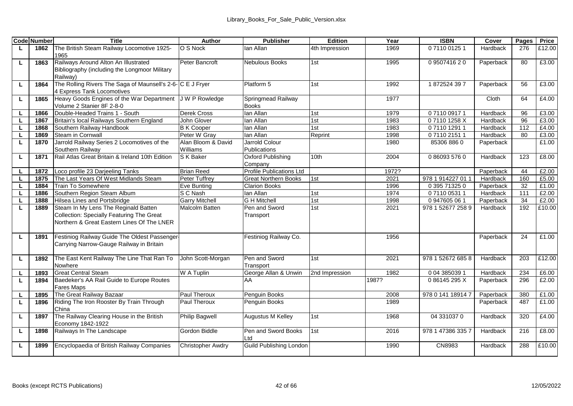|    | <b>Code Number</b> | Title                                                      | Author                | <b>Publisher</b>                | Edition        | Year  | <b>ISBN</b>       | Cover     | Pages | Price  |
|----|--------------------|------------------------------------------------------------|-----------------------|---------------------------------|----------------|-------|-------------------|-----------|-------|--------|
| ш  | 1862               | The British Steam Railway Locomotive 1925-                 | O S Nock              | lan Allan                       | 4th Impression | 1969  | 0711001251        | Hardback  | 276   | £12.00 |
|    |                    | 1965                                                       |                       |                                 |                |       |                   |           |       |        |
| ш  | 1863               | Railways Around Alton An Illustrated                       | Peter Bancroft        | <b>Nebulous Books</b>           | 1st            | 1995  | 0950741620        | Paperback | 80    | £3.00  |
|    |                    | Bibliography (including the Longmoor Military              |                       |                                 |                |       |                   |           |       |        |
|    |                    | Railway)                                                   |                       |                                 |                |       |                   |           |       |        |
| L. | 1864               | The Rolling Rivers The Saga of Maunsell's 2-6-IC E J Frver |                       | Platform 5                      | 1st            | 1992  | 1872524397        | Paperback | 56    | £3.00  |
|    |                    | 4 Express Tank Locomotives                                 |                       |                                 |                |       |                   |           |       |        |
| ш  | 1865               | Heavy Goods Engines of the War Department                  | <b>JWP</b> Rowledge   | Springmead Railway              |                | 1977  |                   | Cloth     | 64    | £4.00  |
|    |                    | Volume 2 Stanier 8F 2-8-0                                  |                       | <b>Books</b>                    |                |       |                   |           |       |        |
| L  | 1866               | Double-Headed Trains 1 - South                             | Derek Cross           | lan Allan                       | 1st            | 1979  | 0711009171        | Hardback  | 96    | £3.00  |
| ш  | 1867               | Britain's local Railways Southern England                  | John Glover           | lan Allan                       | 1st            | 1983  | 071101258X        | Hardback  | 96    | £3.00  |
| L. | 1868               | Southern Railway Handbook                                  | <b>B</b> K Cooper     | lan Allan                       | 1st            | 1983  | 0711012911        | Hardback  | 112   | £4.00  |
| L. | 1869               | Steam in Cornwall                                          | Peter W Grav          | lan Allan                       | Reprint        | 1998  | 0711021511        | Hardback  | 80    | £3.00  |
| ш  | 1870               | Jarrold Railway Series 2 Locomotives of the                | Alan Bloom & David    | Jarrold Colour                  |                | 1980  | 85306 8860        | Paperback |       | £1.00  |
|    |                    | Southern Railway                                           | Williams              | Publications                    |                |       |                   |           |       |        |
| г  | 1871               | Rail Atlas Great Britain & Ireland 10th Edition            | S K Baker             | Oxford Publishing               | 10th           | 2004  | 0860935760        | Hardback  | 123   | £8.00  |
|    |                    |                                                            |                       | Company                         |                |       |                   |           |       |        |
| л. | 1872               | Loco profile 23 Darjeeling Tanks                           | <b>Brian Reed</b>     | <b>Profile Publications Ltd</b> |                | 1972? |                   | Paperback | 44    | £2.00  |
| L  | 1875               | The Last Years Of West Midlands Steam                      | Peter Tuffrev         | <b>Great Northern Books</b>     | 1st            | 2021  | 978 1 914227 01 1 | Hardback  | 160   | £5.00  |
| L. | 1884               | Train To Somewhere                                         | Eve Bunting           | <b>Clarion Books</b>            |                | 1996  | 0 395 71325 0     | Paperback | 32    | £1.00  |
| L  | 1886               | Southern Region Steam Album                                | S C Nash              | lan Allan                       | 1st            | 1974  | 0711005311        | Hardback  | 111   | £2.00  |
|    | 1888               | Hilsea Lines and Portsbridge                               | Garry Mitchell        | <b>G H Mitchell</b>             | 1st            | 1998  | 0 947605 06 1     | Paperback | 34    | £2.00  |
| L  | 1889               | Steam In My Lens The Reginald Batten                       | Malcolm Batten        | Pen and Sword                   | 1st            | 2021  | 978 1 52677 258 9 | Hardback  | 192   | £10.00 |
|    |                    | Collection: Specially Featuring The Great                  |                       | Transport                       |                |       |                   |           |       |        |
|    |                    | Northern & Great Fastern Lines Of The LNFR                 |                       |                                 |                |       |                   |           |       |        |
|    |                    | Festiniog Railway Guide The Oldest Passenger-              |                       |                                 |                | 1956  |                   |           | 24    | £1.00  |
| L  | 1891               | Carrving Narrow-Gauge Railway in Britain                   |                       | Festiniog Railway Co.           |                |       |                   | Paperback |       |        |
|    |                    |                                                            |                       |                                 |                |       |                   |           |       |        |
| L  | 1892               | The East Kent Railway The Line That Ran To                 | John Scott-Morgan     | Pen and Sword                   | 1st            | 2021  | 978 1 52672 685 8 | Hardback  | 203   | £12.00 |
|    |                    | Nowhere                                                    |                       | Transport                       |                |       |                   |           |       |        |
| L. | 1893               | <b>Great Central Steam</b>                                 | W A Tuplin            | George Allan & Unwin            | 2nd Impression | 1982  | 0 04 385039 1     | Hardback  | 234   | £6.00  |
| L. | 1894               | Baedeker's AA Rail Guide to Europe Routes                  |                       | AA                              |                | 1987? | 086145295X        | Paperback | 296   | £2.00  |
|    |                    | <b>Fares Maps</b>                                          |                       |                                 |                |       |                   |           |       |        |
| L  | 1895               | The Great Railway Bazaar                                   | Paul Theroux          | Penguin Books                   |                | 2008  | 978 0 141 18914 7 | Paperback | 380   | £1.00  |
| L. | 1896               | Riding The Iron Rooster By Train Through                   | Paul Theroux          | Penguin Books                   |                | 1989  |                   | Paperback | 487   | £1.00  |
|    |                    | China                                                      |                       |                                 |                |       |                   |           |       |        |
| L  | 1897               | The Railway Clearing House in the British                  | <b>Philip Bagwell</b> | Augustus M Kelley               | 1st            | 1968  | 04 3310370        | Hardback  | 320   | £4.00  |
|    |                    | Economy 1842-1922                                          |                       |                                 |                |       |                   |           |       |        |
| L  | 1898               | Railways In The Landscape                                  | Gordon Biddle         | Pen and Sword Books             | 1st            | 2016  | 978 1 47386 335 7 | Hardback  | 216   | £8.00  |
|    |                    |                                                            |                       | Ltd                             |                |       |                   |           |       |        |
| L. | 1899               | Encyclopaedia of British Railway Companies                 | Christopher Awdry     | Guild Publishing London         |                | 1990  | CN8983            | Hardback  | 288   | £10.00 |
|    |                    |                                                            |                       |                                 |                |       |                   |           |       |        |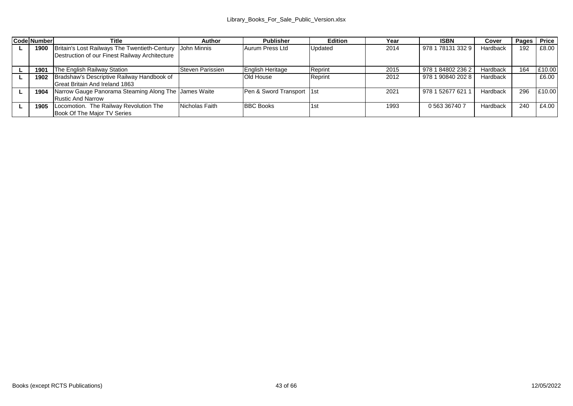| <b>Code Number</b> | Title                                                | Author           | Publisher                 | Edition | Year | <b>ISBN</b>       | Cover    | Pages Price |        |
|--------------------|------------------------------------------------------|------------------|---------------------------|---------|------|-------------------|----------|-------------|--------|
| 1900               | Britain's Lost Railways The Twentieth-Century        | John Minnis      | Aurum Press Ltd           | Updated | 2014 | 978 1 78131 332 9 | Hardback | 192         | £8.00  |
|                    | Destruction of our Finest Railway Architecture       |                  |                           |         |      |                   |          |             |        |
|                    |                                                      |                  |                           |         |      |                   |          |             |        |
| 1901               | The English Railway Station                          | Steven Parissien | English Heritage          | Reprint | 2015 | 978 1 84802 236 2 | Hardback | 164         | £10.00 |
| 1902               | Bradshaw's Descriptive Railway Handbook of           |                  | <b>Old House</b>          | Reprint | 2012 | 978 1 90840 202 8 | Hardback |             | £6.00  |
|                    | Great Britain And Ireland 1863                       |                  |                           |         |      |                   |          |             |        |
| 1904               | Narrow Gauge Panorama Steaming Along The James Waite |                  | Pen & Sword Transport 1st |         | 2021 | 978 1 52677 621 1 | Hardback | 296         | £10.00 |
|                    | Rustic And Narrow                                    |                  |                           |         |      |                   |          |             |        |
| 1905               | Locomotion. The Railway Revolution The               | Nicholas Faith   | <b>BBC Books</b>          | 1st     | 1993 | 0.563.36740.7     | Hardback | 240         | £4.00  |
|                    | Book Of The Maior TV Series                          |                  |                           |         |      |                   |          |             |        |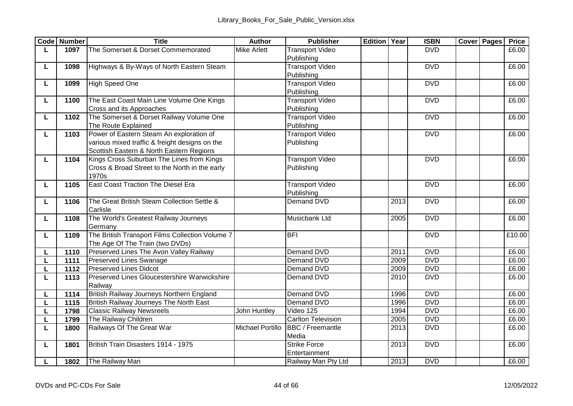|   | Code Number | <b>Title</b>                                    | Author             | <b>Publisher</b>       | <b>Edition Year</b> |      | <b>ISBN</b> | <b>Cover Pages</b> | Price  |
|---|-------------|-------------------------------------------------|--------------------|------------------------|---------------------|------|-------------|--------------------|--------|
| L | 1097        | The Somerset & Dorset Commemorated              | <b>Mike Arlett</b> | <b>Transport Video</b> |                     |      | <b>DVD</b>  |                    | £6.00  |
|   |             |                                                 |                    | Publishing             |                     |      |             |                    |        |
| L | 1098        | Highways & By-Ways of North Eastern Steam       |                    | <b>Transport Video</b> |                     |      | <b>DVD</b>  |                    | £6.00  |
|   |             |                                                 |                    | Publishing             |                     |      |             |                    |        |
| L | 1099        | <b>High Speed One</b>                           |                    | <b>Transport Video</b> |                     |      | <b>DVD</b>  |                    | £6.00  |
|   |             |                                                 |                    | Publishing             |                     |      |             |                    |        |
| L | 1100        | The East Coast Main Line Volume One Kings       |                    | <b>Transport Video</b> |                     |      | <b>DVD</b>  |                    | £6.00  |
|   |             | Cross and its Approaches                        |                    | Publishing             |                     |      |             |                    |        |
| L | 1102        | The Somerset & Dorset Railway Volume One        |                    | <b>Transport Video</b> |                     |      | <b>DVD</b>  |                    | £6.00  |
|   |             | The Route Explained                             |                    | Publishing             |                     |      |             |                    |        |
| L | 1103        | Power of Eastern Steam An exploration of        |                    | <b>Transport Video</b> |                     |      | <b>DVD</b>  |                    | £6.00  |
|   |             | various mixed traffic & freight designs on the  |                    | Publishing             |                     |      |             |                    |        |
|   |             | Scottish Eastern & North Eastern Regions        |                    |                        |                     |      |             |                    |        |
| L | 1104        | Kings Cross Suburban The Lines from Kings       |                    | <b>Transport Video</b> |                     |      | <b>DVD</b>  |                    | £6.00  |
|   |             | Cross & Broad Street to the North in the early  |                    | Publishing             |                     |      |             |                    |        |
|   |             | 1970s                                           |                    |                        |                     |      |             |                    |        |
| L | 1105        | East Coast Traction The Diesel Era              |                    | <b>Transport Video</b> |                     |      | <b>DVD</b>  |                    | £6.00  |
|   |             |                                                 |                    | Publishing             |                     |      |             |                    |        |
| L | 1106        | The Great British Steam Collection Settle &     |                    | Demand DVD             |                     | 2013 | <b>DVD</b>  |                    | £6.00  |
|   |             | Carlisle                                        |                    |                        |                     |      |             |                    |        |
| L | 1108        | The World's Greatest Railway Journeys           |                    | Musicbank Ltd          |                     | 2005 | <b>DVD</b>  |                    | E6.00  |
|   |             | Germany                                         |                    |                        |                     |      |             |                    |        |
| L | 1109        | The British Transport Films Collection Volume 7 |                    | <b>BFI</b>             |                     |      | <b>DVD</b>  |                    | £10.00 |
|   |             | The Age Of The Train (two DVDs)                 |                    |                        |                     |      |             |                    |        |
|   | 1110        | Preserved Lines The Avon Valley Railway         |                    | Demand DVD             |                     | 2011 | <b>DVD</b>  |                    | £6.00  |
| L | 1111        | Preserved Lines Swanage                         |                    | Demand DVD             |                     | 2009 | <b>DVD</b>  |                    | £6.00  |
| L | 1112        | <b>Preserved Lines Didcot</b>                   |                    | Demand DVD             |                     | 2009 | <b>DVD</b>  |                    | £6.00  |
| L | 1113        | Preserved Lines Gloucestershire Warwickshire    |                    | Demand DVD             |                     | 2010 | <b>DVD</b>  |                    | £6.00  |
|   |             | Railway                                         |                    |                        |                     |      |             |                    |        |
|   | 1114        | British Railway Journeys Northern England       |                    | Demand DVD             |                     | 1996 | <b>DVD</b>  |                    | £6.00  |
|   | 1115        | British Railway Journeys The North East         |                    | Demand DVD             |                     | 1996 | <b>DVD</b>  |                    | £6.00  |
| L | 1798        | <b>Classic Railway Newsreels</b>                | John Huntley       | Video 125              |                     | 1994 | <b>DVD</b>  |                    | £6.00  |
| п | 1799        | The Railway Children                            |                    | Carlton Television     |                     | 2005 | <b>DVD</b>  |                    | £6.00  |
| L | 1800        | Railways Of The Great War                       | Michael Portillo   | BBC / Freemantle       |                     | 2013 | <b>DVD</b>  |                    | £6.00  |
|   |             |                                                 |                    | Media                  |                     |      |             |                    |        |
| L | 1801        | British Train Disasters 1914 - 1975             |                    | <b>Strike Force</b>    |                     | 2013 | <b>DVD</b>  |                    | £6.00  |
|   |             |                                                 |                    | Entertainment          |                     |      |             |                    |        |
| L |             | 1802 The Railway Man                            |                    | Railway Man Pty Ltd    |                     | 2013 | <b>DVD</b>  |                    | £6.00  |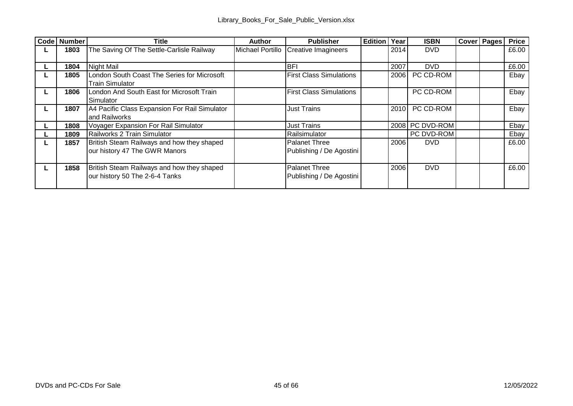| Code Number | Title                                         | Author           | Publisher                      | <b>Edition Year</b> |      | <b>ISBN</b>     | <b>Cover Pages</b> | Price |
|-------------|-----------------------------------------------|------------------|--------------------------------|---------------------|------|-----------------|--------------------|-------|
| 1803        | The Saving Of The Settle-Carlisle Railway     | Michael Portillo | <b>Creative Imagineers</b>     |                     | 2014 | <b>DVD</b>      |                    | £6.00 |
|             |                                               |                  |                                |                     |      |                 |                    |       |
| 1804        | Night Mail                                    |                  | <b>BFI</b>                     |                     | 2007 | <b>DVD</b>      |                    | £6.00 |
| 1805        | London South Coast The Series for Microsoft   |                  | <b>First Class Simulations</b> |                     | 2006 | PC CD-ROM       |                    | Ebay  |
|             | <b>Train Simulator</b>                        |                  |                                |                     |      |                 |                    |       |
| 1806        | London And South East for Microsoft Train     |                  | <b>First Class Simulations</b> |                     |      | PC CD-ROM       |                    | Ebav  |
|             | Simulator                                     |                  |                                |                     |      |                 |                    |       |
| 1807        | A4 Pacific Class Expansion For Rail Simulator |                  | <b>Just Trains</b>             |                     |      | 2010 PC CD-ROM  |                    | Ebay  |
|             | and Railworks                                 |                  |                                |                     |      |                 |                    |       |
| 1808        | Voyager Expansion For Rail Simulator          |                  | Just Trains                    |                     |      | 2008 PC DVD-ROM |                    | Ebay  |
| 1809        | Railworks 2 Train Simulator                   |                  | Railsimulator                  |                     |      | PC DVD-ROM      |                    | Ebav  |
| 1857        | British Steam Railways and how they shaped    |                  | Palanet Three                  |                     | 2006 | <b>DVD</b>      |                    | £6.00 |
|             | our history 47 The GWR Manors                 |                  | Publishing / De Agostini       |                     |      |                 |                    |       |
|             |                                               |                  |                                |                     |      |                 |                    |       |
| 1858        | British Steam Railways and how they shaped    |                  | Palanet Three                  |                     | 2006 | <b>DVD</b>      |                    | £6.00 |
|             | our history 50 The 2-6-4 Tanks                |                  | Publishing / De Agostini       |                     |      |                 |                    |       |
|             |                                               |                  |                                |                     |      |                 |                    |       |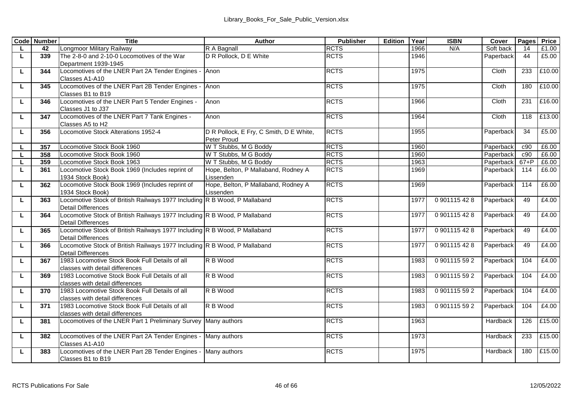|    | <b>Code Number</b> | <b>Title</b>                                                                      | Author                                  | Publisher   | Edition | Year | <b>ISBN</b> | Cover            |          | Pages Price |
|----|--------------------|-----------------------------------------------------------------------------------|-----------------------------------------|-------------|---------|------|-------------|------------------|----------|-------------|
|    | 42                 | <b>Longmoor Military Railway</b>                                                  | R A Bagnall                             | <b>RCTS</b> |         | 1966 | N/A         | Soft back        | 14       | £1.00       |
| L  | 339                | The 2-8-0 and 2-10-0 Locomotives of the War                                       | D R Pollock, D E White                  | <b>RCTS</b> |         | 1946 |             | Paperback        | 44       | £5.00       |
|    |                    | Department 1939-1945                                                              |                                         |             |         |      |             |                  |          |             |
| L  | 344                | Locomotives of the LNER Part 2A Tender Engines -                                  | Anon                                    | <b>RCTS</b> |         | 1975 |             | Cloth            | 233      | £10.00      |
|    |                    | Classes A1-A10                                                                    |                                         |             |         |      |             |                  |          |             |
| L  | 345                | Locomotives of the LNER Part 2B Tender Engines                                    | Anon                                    | <b>RCTS</b> |         | 1975 |             | Cloth            | 180      | £10.00      |
|    |                    | Classes B1 to B19                                                                 |                                         |             |         |      |             |                  |          |             |
| L  | 346                | Locomotives of the LNER Part 5 Tender Engines -                                   | Anon                                    | <b>RCTS</b> |         | 1966 |             | Cloth            | 231      | £16.00      |
|    |                    | Classes J1 to J37                                                                 |                                         |             |         |      |             |                  |          |             |
| L  | 347                | Locomotives of the LNER Part 7 Tank Engines -                                     | Anon                                    | <b>RCTS</b> |         | 1964 |             | Cloth            | 118      | £13.00      |
|    |                    | Classes A5 to H2                                                                  |                                         |             |         |      |             |                  |          |             |
| L. | 356                | Locomotive Stock Alterations 1952-4                                               | D R Pollock, E Fry, C Smith, D E White, | <b>RCTS</b> |         | 1955 |             | Paperback        | 34       | £5.00       |
|    |                    |                                                                                   | Peter Proud                             |             |         |      |             |                  |          |             |
|    | 357                | Locomotive Stock Book 1960                                                        | W T Stubbs, M G Boddy                   | <b>RCTS</b> |         | 1960 |             | <b>Paperback</b> | c90      | £6.00       |
|    | 358                | Locomotive Stock Book 1960                                                        | W T Stubbs, M G Boddy                   | <b>RCTS</b> |         | 1960 |             | Paperback        | c90      | £6.00       |
| L  | 359                | Locomotive Stock Book 1963                                                        | W T Stubbs, M G Boddy                   | <b>RCTS</b> |         | 1963 |             | Paperback        | $67 + P$ | £6.00       |
| L  | 361                | Locomotive Stock Book 1969 (Includes reprint of                                   | Hope, Belton, P Mallaband, Rodney A     | <b>RCTS</b> |         | 1969 |             | Paperback        | 114      | £6.00       |
|    |                    | 1934 Stock Book)                                                                  | Lissenden                               |             |         |      |             |                  |          |             |
| L  | 362                | Locomotive Stock Book 1969 (Includes reprint of                                   | Hope, Belton, P Mallaband, Rodney A     | <b>RCTS</b> |         | 1969 |             | Paperback        | 114      | £6.00       |
|    |                    | 1934 Stock Book)                                                                  | Lissenden                               |             |         |      |             |                  |          |             |
| L  | 363                | Locomotive Stock of British Railways 1977 Including R B Wood, P Mallaband         |                                         | <b>RCTS</b> |         | 1977 | 0901115428  | Paperback        | 49       | £4.00       |
|    |                    | <b>Detail Differences</b>                                                         |                                         |             |         |      |             |                  |          |             |
| L  | 364                | Locomotive Stock of British Railways 1977 Including R B Wood, P Mallaband         |                                         | <b>RCTS</b> |         | 1977 | 0901115428  | Paperback        | 49       | £4.00       |
|    |                    | <b>Detail Differences</b>                                                         |                                         |             |         |      |             |                  |          |             |
| L  | 365                | Locomotive Stock of British Railways 1977 Including R B Wood, P Mallaband         |                                         | <b>RCTS</b> |         | 1977 | 0901115428  | Paperback        | 49       | £4.00       |
|    |                    | <b>Detail Differences</b>                                                         |                                         |             |         |      |             |                  | 49       |             |
| г  | 366                | Locomotive Stock of British Railways 1977 Including R B Wood, P Mallaband         |                                         | <b>RCTS</b> |         | 1977 | 0901115428  | Paperback        |          | £4.00       |
|    | 367                | <b>Detail Differences</b><br>1983 Locomotive Stock Book Full Details of all       | R B Wood                                | <b>RCTS</b> |         |      | 0901115592  |                  |          | £4.00       |
| L  |                    |                                                                                   |                                         |             |         | 1983 |             | Paperback        | 104      |             |
| L  | 369                | classes with detail differences<br>1983 Locomotive Stock Book Full Details of all | R B Wood                                | <b>RCTS</b> |         | 1983 | 0901115592  | Paperback        | 104      | £4.00       |
|    |                    | classes with detail differences                                                   |                                         |             |         |      |             |                  |          |             |
|    | 370                | 1983 Locomotive Stock Book Full Details of all                                    | R B Wood                                | <b>RCTS</b> |         | 1983 | 0901115592  | Paperback        | 104      | £4.00       |
| L  |                    | classes with detail differences                                                   |                                         |             |         |      |             |                  |          |             |
| L  | 371                | 1983 Locomotive Stock Book Full Details of all                                    | R B Wood                                | <b>RCTS</b> |         | 1983 | 0901115592  | Paperback        | 104      | £4.00       |
|    |                    | classes with detail differences                                                   |                                         |             |         |      |             |                  |          |             |
| L. | 381                | Locomotives of the LNER Part 1 Preliminary Survey Many authors                    |                                         | <b>RCTS</b> |         | 1963 |             | Hardback         | 126      | £15.00      |
|    |                    |                                                                                   |                                         |             |         |      |             |                  |          |             |
| L  | 382                | Locomotives of the LNER Part 2A Tender Engines                                    | Many authors                            | <b>RCTS</b> |         | 1973 |             | Hardback         | 233      | £15.00      |
|    |                    | Classes A1-A10                                                                    |                                         |             |         |      |             |                  |          |             |
| L  | 383                | Locomotives of the LNER Part 2B Tender Engines -                                  | Many authors                            | <b>RCTS</b> |         | 1975 |             | Hardback         | 180      | £15.00      |
|    |                    | Classes B1 to B19                                                                 |                                         |             |         |      |             |                  |          |             |
|    |                    |                                                                                   |                                         |             |         |      |             |                  |          |             |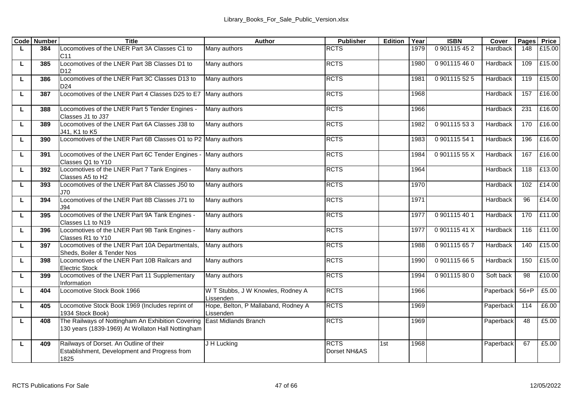|   | <b>Code</b> Number | <b>Title</b>                                                                                           | Author                                           | <b>Publisher</b>            | Edition | Year | <b>ISBN</b>   | Cover     | Pages  | Price  |
|---|--------------------|--------------------------------------------------------------------------------------------------------|--------------------------------------------------|-----------------------------|---------|------|---------------|-----------|--------|--------|
| L | 384                | Locomotives of the LNER Part 3A Classes C1 to<br>C <sub>11</sub>                                       | Many authors                                     | <b>RCTS</b>                 |         | 1979 | 0 901115 45 2 | Hardback  | 148    | £15.00 |
| г | 385                | Locomotives of the LNER Part 3B Classes D1 to<br>D <sub>12</sub>                                       | Many authors                                     | <b>RCTS</b>                 |         | 1980 | 0901115460    | Hardback  | 109    | £15.00 |
| г | 386                | Locomotives of the LNER Part 3C Classes D13 to<br>D <sub>24</sub>                                      | Many authors                                     | <b>RCTS</b>                 |         | 1981 | 0901115525    | Hardback  | 119    | £15.00 |
| г | 387                | Locomotives of the LNER Part 4 Classes D25 to E7 Many authors                                          |                                                  | <b>RCTS</b>                 |         | 1968 |               | Hardback  | 157    | £16.00 |
| г | 388                | Locomotives of the LNER Part 5 Tender Engines -<br>Classes J1 to J37                                   | Many authors                                     | <b>RCTS</b>                 |         | 1966 |               | Hardback  | 231    | £16.00 |
| г | 389                | Locomotives of the LNER Part 6A Classes J38 to<br>J41, K1 to K5                                        | Many authors                                     | <b>RCTS</b>                 |         | 1982 | 0901115533    | Hardback  | 170    | £16.00 |
| г | 390                | Locomotives of the LNER Part 6B Classes O1 to P2 Many authors                                          |                                                  | <b>RCTS</b>                 |         | 1983 | 0901115541    | Hardback  | 196    | £16.00 |
| г | 391                | Locomotives of the LNER Part 6C Tender Engines -<br>Classes Q1 to Y10                                  | Many authors                                     | <b>RCTS</b>                 |         | 1984 | 090111555X    | Hardback  | 167    | £16.00 |
| г | 392                | Locomotives of the LNER Part 7 Tank Engines -<br>Classes A5 to H2                                      | Many authors                                     | <b>RCTS</b>                 |         | 1964 |               | Hardback  | 118    | £13.00 |
| г | 393                | Locomotives of the LNER Part 8A Classes J50 to<br>J70                                                  | Many authors                                     | <b>RCTS</b>                 |         | 1970 |               | Hardback  | 102    | £14.00 |
| L | 394                | Locomotives of the LNER Part 8B Classes J71 to<br>194                                                  | Many authors                                     | <b>RCTS</b>                 |         | 1971 |               | Hardback  | 96     | £14.00 |
| г | 395                | Locomotives of the LNER Part 9A Tank Engines -<br>Classes L1 to N19                                    | Many authors                                     | <b>RCTS</b>                 |         | 1977 | 0901115401    | Hardback  | 170    | £11.00 |
| г | 396                | Locomotives of the LNER Part 9B Tank Engines -<br>Classes R1 to Y10                                    | Many authors                                     | <b>RCTS</b>                 |         | 1977 | 090111541X    | Hardback  | 116    | £11.00 |
| г | 397                | Locomotives of the LNER Part 10A Departmentals,<br>Sheds, Boiler & Tender Nos                          | Many authors                                     | <b>RCTS</b>                 |         | 1988 | 0901115657    | Hardback  | 140    | £15.00 |
| г | 398                | Locomotives of the LNER Part 10B Railcars and<br><b>Electric Stock</b>                                 | Many authors                                     | <b>RCTS</b>                 |         | 1990 | 0901115665    | Hardback  | 150    | £15.00 |
| г | 399                | Locomotives of the LNER Part 11 Supplementary<br>Information                                           | Many authors                                     | <b>RCTS</b>                 |         | 1994 | 0901115800    | Soft back | 98     | £10.00 |
| г | 404                | Locomotive Stock Book 1966                                                                             | W T Stubbs, J W Knowles, Rodney A<br>issenden    | <b>RCTS</b>                 |         | 1966 |               | Paperback | $56+P$ | £5.00  |
| г | 405                | Locomotive Stock Book 1969 (Includes reprint of<br>1934 Stock Book)                                    | Hope, Belton, P Mallaband, Rodney A<br>Lissenden | <b>RCTS</b>                 |         | 1969 |               | Paperback | 114    | £6.00  |
| г | 408                | The Railways of Nottingham An Exhibition Covering<br>130 years (1839-1969) At Wollaton Hall Nottingham | <b>East Midlands Branch</b>                      | <b>RCTS</b>                 |         | 1969 |               | Paperback | 48     | £5.00  |
| г | 409                | Railways of Dorset. An Outline of their<br>Establishment, Development and Progress from<br>1825        | J H Lucking                                      | <b>RCTS</b><br>Dorset NH&AS | 1st     | 1968 |               | Paperback | 67     | £5.00  |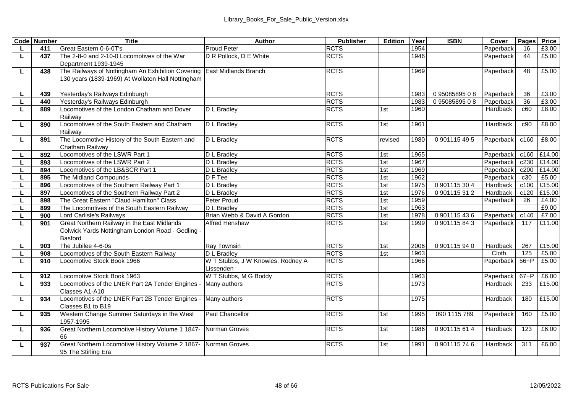|    | <b>Code Number</b> | Title                                                                                 | Author                            | Publisher   | Edition | Year | <b>ISBN</b>  | Cover     | Pages    | Price  |
|----|--------------------|---------------------------------------------------------------------------------------|-----------------------------------|-------------|---------|------|--------------|-----------|----------|--------|
|    | 411                | Great Eastern 0-6-0T's                                                                | <b>Proud Peter</b>                | <b>RCTS</b> |         | 1954 |              | Paperback | 16       | £3.00  |
| L  | 437                | The 2-8-0 and 2-10-0 Locomotives of the War                                           | D R Pollock, D E White            | <b>RCTS</b> |         | 1946 |              | Paperback | 44       | £5.00  |
|    |                    | Department 1939-1945                                                                  |                                   |             |         |      |              |           |          |        |
| L  | 438                | The Railways of Nottingham An Exhibition Covering                                     | <b>East Midlands Branch</b>       | <b>RCTS</b> |         | 1969 |              | Paperback | 48       | £5.00  |
|    |                    | 130 years (1839-1969) At Wollaton Hall Nottingham                                     |                                   |             |         |      |              |           |          |        |
|    |                    |                                                                                       |                                   |             |         |      |              |           |          |        |
|    | 439                | Yesterday's Railways Edinburgh                                                        |                                   | <b>RCTS</b> |         | 1983 | 09508589508  | Paperback | 36       | £3.00  |
| L  | 440                | Yesterday's Railways Edinburgh                                                        |                                   | <b>RCTS</b> |         | 1983 | 09508589508  | Paperback | 36       | £3.00  |
| L  | 889                | Locomotives of the London Chatham and Dover<br>Railway                                | D L Bradlev                       | <b>RCTS</b> | 1st     | 1960 |              | Hardback  | c60      | £8.00  |
| Ц  | 890                | Locomotives of the South Eastern and Chatham                                          | D L Bradlev                       | <b>RCTS</b> | 1st     | 1961 |              | Hardback  | c90      | £8.00  |
|    |                    | Railway                                                                               |                                   |             |         |      |              |           |          |        |
| L  | 891                | The Locomotive History of the South Eastern and                                       | D L Bradlev                       | <b>RCTS</b> | revised | 1980 | 0901115495   | Paperback | c160     | £8.00  |
|    |                    | Chatham Railway                                                                       |                                   |             |         |      |              |           |          |        |
| L  | 892                | Locomotives of the LSWR Part 1                                                        | D L Bradlev                       | <b>RCTS</b> | 1st     | 1965 |              | Paperback | c160     | £14.00 |
| L  | 893                | Locomotives of the LSWR Part 2                                                        | D L Bradley                       | <b>RCTS</b> | 1st     | 1967 |              | Paperback | c230     | £14.00 |
| L  | 894                | Locomotives of the LB&SCR Part 1                                                      | <b>D</b> L Bradley                | <b>RCTS</b> | 1st     | 1969 |              | Paperback | c200     | £14.00 |
| L  | 895                | The Midland Compounds                                                                 | D F Tee                           | <b>RCTS</b> | 1st     | 1962 |              | Paperback | c30      | £5.00  |
|    | 896                | Locomotives of the Southern Railway Part 1                                            | D L Bradley                       | <b>RCTS</b> | 1st     | 1975 | 0901115304   | Hardback  | c100     | £15.00 |
|    | 897                | Locomotives of the Southern Railway Part 2                                            | <b>D</b> L Bradlev                | <b>RCTS</b> | 1st     | 1976 | 0901115312   | Hardback  | c120     | £15.00 |
| L  | 898                | The Great Eastern "Claud Hamilton" Class                                              | Peter Proud                       | <b>RCTS</b> | 1st     | 1959 |              | Paperback | 26       | £4.00  |
| L  | 899                | The Locomotives of the South Eastern Railway                                          | D L Bradlev                       | <b>RCTS</b> | 1st     | 1963 |              |           |          | £9.00  |
| L  | 900                | Lord Carlisle's Railways                                                              | Brian Webb & David A Gordon       | <b>RCTS</b> | 1st     | 1978 | 0901115436   | Paperback | c140     | £7.00  |
| L  | 901                | Great Northern Railway in the East Midlands                                           | <b>Alfred Henshaw</b>             | <b>RCTS</b> | 1st     | 1999 | 0.901115843  | Paperback | 117      | £11.00 |
|    |                    | Colwick Yards Nottingham London Road - Gedling -                                      |                                   |             |         |      |              |           |          |        |
|    |                    | Basford                                                                               |                                   |             |         |      |              |           |          |        |
|    | 903                | The Jubilee 4-6-0s                                                                    | Ray Townsin                       | <b>RCTS</b> | 1st     | 2006 | 0901115940   | Hardback  | 267      | £15.00 |
| L  | 908                | Locomotives of the South Eastern Railway                                              | D L Bradlev                       | <b>RCTS</b> | 1st     | 1963 |              | Cloth     | 125      | £5.00  |
| L  | 910                | Locomotive Stock Book 1966                                                            | W T Stubbs, J W Knowles, Rodney A | <b>RCTS</b> |         | 1966 |              | Paperback | $56+P$   | £5.00  |
|    |                    |                                                                                       | Lissenden                         |             |         |      |              |           |          |        |
| L. | 912                | Locomotive Stock Book 1963                                                            | W T Stubbs, M G Boddy             | <b>RCTS</b> |         | 1963 |              | Paperback | $67 + P$ | £6.00  |
| L  | 933                | Locomotives of the LNER Part 2A Tender Engines -<br>Classes A1-A10                    | Many authors                      | <b>RCTS</b> |         | 1973 |              | Hardback  | 233      | £15.00 |
| L  | 934                | Locomotives of the LNER Part 2B Tender Engines                                        | Many authors                      | <b>RCTS</b> |         | 1975 |              | Hardback  | 180      | £15.00 |
|    |                    | Classes B1 to B19                                                                     |                                   |             |         |      |              |           |          |        |
| L  | 935                | Western Change Summer Saturdays in the West<br>1957-1995                              | Paul Chancellor                   | <b>RCTS</b> | 1st     | 1995 | 090 1115 789 | Paperback | 160      | £5.00  |
| L  | 936                | Great Northern Locomotive History Volume 1 1847- Norman Groves<br>66                  |                                   | <b>RCTS</b> | 1st     | 1986 | 0901115614   | Hardback  | 123      | £6.00  |
| L  | 937                | Great Northern Locomotive History Volume 2 1867- Norman Groves<br>95 The Stirling Era |                                   | <b>RCTS</b> | 1st     | 1991 | 0901115746   | Hardback  | 311      | £6.00  |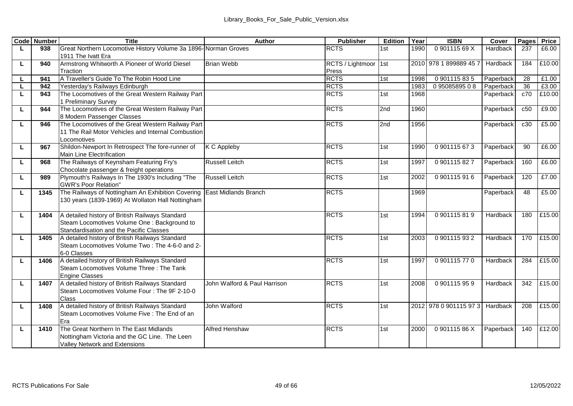|   | <b>Code Number</b> | Title                                                                  | Author                       | Publisher            | Edition | Year | <b>ISBN</b>                     | Cover           | Pages | Price  |
|---|--------------------|------------------------------------------------------------------------|------------------------------|----------------------|---------|------|---------------------------------|-----------------|-------|--------|
| L | 938                | Great Northern Locomotive History Volume 3a 1896-Norman Groves         |                              | <b>RCTS</b>          | 1st     | 1990 | 090111569X                      | <b>Hardback</b> | 237   | £6.00  |
|   |                    | 1911 The Ivatt Era                                                     |                              |                      |         |      |                                 |                 |       |        |
| П | 940                | Armstrong Whitworth A Pioneer of World Diesel                          | <b>Brian Webb</b>            | RCTS / Lightmoor 1st |         |      | 2010 978 1 899889 45 7          | Hardback        | 184   | £10.00 |
|   |                    | Traction                                                               |                              | Press                |         |      |                                 |                 |       |        |
| п | 941                | A Traveller's Guide To The Robin Hood Line                             |                              | <b>RCTS</b>          | 1st     | 1998 | 0901115835                      | Paperback       | 28    | £1.00  |
| L | 942                | Yesterday's Railways Edinburgh                                         |                              | <b>RCTS</b>          |         | 1983 | 09508589508                     | Paperback       | 36    | £3.00  |
| П | 943                | The Locomotives of the Great Western Railway Part                      |                              | <b>RCTS</b>          | 1st     | 1968 |                                 | Paperback       | c70   | £10.00 |
|   |                    | 1 Preliminary Survey                                                   |                              |                      |         |      |                                 |                 |       |        |
| г | 944                | The Locomotives of the Great Western Railway Part                      |                              | <b>RCTS</b>          | 2nd     | 1960 |                                 | Paperback       | c50   | £9.00  |
|   |                    | 8 Modern Passenger Classes                                             |                              |                      |         |      |                                 |                 |       |        |
| г | 946                | The Locomotives of the Great Western Railway Part                      |                              | <b>RCTS</b>          | 2nd     | 1956 |                                 | Paperback       | c30   | £5.00  |
|   |                    | 11 The Rail Motor Vehicles and Internal Combustion                     |                              |                      |         |      |                                 |                 |       |        |
|   |                    | Locomotives                                                            |                              |                      |         |      |                                 |                 |       |        |
| П | 967                | Shildon-Newport In Retrospect The fore-runner of                       | <b>K C Appleby</b>           | <b>RCTS</b>          | 1st     | 1990 | 0901115673                      | Paperback       | 90    | £6.00  |
|   |                    | Main Line Electrification<br>The Railways of Keynsham Featuring Fry's  | <b>Russell Leitch</b>        | <b>RCTS</b>          | 1st     | 1997 | 0901115827                      | Paperback       | 160   | £6.00  |
| П | 968                | Chocolate passenger & freight operations                               |                              |                      |         |      |                                 |                 |       |        |
| П | 989                | Plymouth's Railways In The 1930's Including "The                       | <b>Russell Leitch</b>        | <b>RCTS</b>          | 1st     | 2002 | 0901115916                      | Paperback       | 120   | £7.00  |
|   |                    | <b>GWR's Poor Relation"</b>                                            |                              |                      |         |      |                                 |                 |       |        |
| П | 1345               | The Railways of Nottingham An Exhibition Covering East Midlands Branch |                              | <b>RCTS</b>          |         | 1969 |                                 | Paperback       | 48    | £5.00  |
|   |                    | 130 years (1839-1969) At Wollaton Hall Nottingham                      |                              |                      |         |      |                                 |                 |       |        |
|   |                    |                                                                        |                              |                      |         |      |                                 |                 |       |        |
| L | 1404               | A detailed history of British Railways Standard                        |                              | <b>RCTS</b>          | 1st     | 1994 | 0901115819                      | Hardback        | 180   | £15.00 |
|   |                    | Steam Locomotives Volume One : Background to                           |                              |                      |         |      |                                 |                 |       |        |
|   |                    | Standardisation and the Pacific Classes                                |                              |                      |         |      |                                 |                 |       |        |
| L | 1405               | A detailed history of British Railways Standard                        |                              | <b>RCTS</b>          | 1st     | 2003 | 0901115932                      | Hardback        | 170   | £15.00 |
|   |                    | Steam Locomotives Volume Two: The 4-6-0 and 2-                         |                              |                      |         |      |                                 |                 |       |        |
|   |                    | 6-0 Classes                                                            |                              |                      |         |      |                                 |                 |       |        |
| г | 1406               | A detailed history of British Railways Standard                        |                              | <b>RCTS</b>          | 1st     | 1997 | 0901115770                      | Hardback        | 284   | £15.00 |
|   |                    | Steam Locomotives Volume Three : The Tank                              |                              |                      |         |      |                                 |                 |       |        |
|   |                    | <b>Engine Classes</b>                                                  |                              |                      |         |      |                                 |                 |       |        |
| г | 1407               | A detailed history of British Railways Standard                        | John Walford & Paul Harrison | <b>RCTS</b>          | 1st     | 2008 | 0901115959                      | Hardback        | 342   | £15.00 |
|   |                    | Steam Locomotives Volume Four : The 9F 2-10-0                          |                              |                      |         |      |                                 |                 |       |        |
|   |                    | Class                                                                  |                              |                      |         |      |                                 |                 |       |        |
| L | 1408               | A detailed history of British Railways Standard                        | John Walford                 | <b>RCTS</b>          | 1st     |      | 2012 978 0 901115 97 3 Hardback |                 | 208   | £15.00 |
|   |                    | Steam Locomotives Volume Five : The End of an                          |                              |                      |         |      |                                 |                 |       |        |
|   |                    | Fra                                                                    |                              |                      |         |      |                                 |                 |       |        |
| L | 1410               | The Great Northern In The East Midlands                                | Alfred Henshaw               | <b>RCTS</b>          | 1st     | 2000 | 090111586X                      | Paperback       | 140   | £12.00 |
|   |                    | Nottingham Victoria and the GC Line. The Leen                          |                              |                      |         |      |                                 |                 |       |        |
|   |                    | Valley Network and Extensions                                          |                              |                      |         |      |                                 |                 |       |        |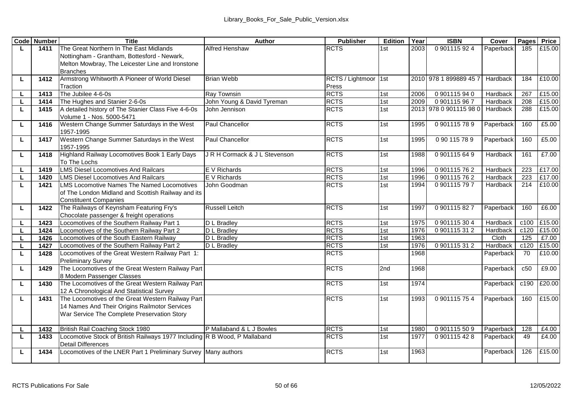|    | <b>Code</b> Number | <b>Title</b>                                                                         | Author                       | Publisher            | Edition | Year | <b>ISBN</b>            | Cover     | Pages | Price  |
|----|--------------------|--------------------------------------------------------------------------------------|------------------------------|----------------------|---------|------|------------------------|-----------|-------|--------|
| L  | 1411               | The Great Northern In The East Midlands                                              | Alfred Henshaw               | <b>RCTS</b>          | 1st     | 2003 | 0901115924             | Paperback | 185   | £15.00 |
|    |                    | Nottingham - Grantham, Bottesford - Newark,                                          |                              |                      |         |      |                        |           |       |        |
|    |                    | Melton Mowbray, The Leicester Line and Ironstone                                     |                              |                      |         |      |                        |           |       |        |
|    |                    | <b>Branches</b>                                                                      |                              |                      |         |      |                        |           |       |        |
| L  | 1412               | Armstrong Whitworth A Pioneer of World Diesel                                        | <b>Brian Webb</b>            | RCTS / Lightmoor 1st |         |      | 2010 978 1 899889 45 7 | Hardback  | 184   | £10.00 |
|    |                    | Traction                                                                             |                              | Press                |         |      |                        |           |       |        |
| L  | 1413               | The Jubilee 4-6-0s                                                                   | Rav Townsin                  | <b>RCTS</b>          | 1st     | 2006 | 0901115940             | Hardback  | 267   | £15.00 |
| п  | 1414               | The Hughes and Stanier 2-6-0s                                                        | John Young & David Tyreman   | <b>RCTS</b>          | 1st     | 2009 | 0901115967             | Hardback  | 208   | £15.00 |
| L  | 1415               | A detailed history of The Stanier Class Five 4-6-0s                                  | John Jennison                | <b>RCTS</b>          | 1st     |      | 2013 978 0 901115 98 0 | Hardback  | 288   | £15.00 |
|    |                    | Volume 1 - Nos. 5000-5471                                                            |                              |                      |         |      |                        |           |       |        |
| L  | 1416               | Western Change Summer Saturdays in the West                                          | Paul Chancellor              | <b>RCTS</b>          | 1st     | 1995 | 0901115789             | Paperback | 160   | £5.00  |
|    |                    | 1957-1995                                                                            |                              |                      |         |      |                        |           |       |        |
| г  | 1417               | Western Change Summer Saturdays in the West                                          | Paul Chancellor              | <b>RCTS</b>          | 1st     | 1995 | 090115789              | Paperback | 160   | £5.00  |
|    |                    | 1957-1995                                                                            |                              |                      |         |      |                        |           |       |        |
| г  | 1418               | Highland Railway Locomotives Book 1 Early Days                                       | JR H Cormack & J L Stevenson | <b>RCTS</b>          | 1st     | 1988 | 0901115649             | Hardback  | 161   | £7.00  |
|    |                    | To The Lochs                                                                         |                              |                      |         |      |                        |           |       |        |
| L  | 1419               | <b>LMS Diesel Locomotives And Railcars</b>                                           | E V Richards                 | <b>RCTS</b>          | 1st     | 1996 | 0901115762             | Hardback  | 223   | £17.00 |
| L  | 1420               | <b>LMS Diesel Locomotives And Railcars</b>                                           | E V Richards                 | <b>RCTS</b>          | 1st     | 1996 | 0901115762             | Hardback  | 223   | £17.00 |
| L  | 1421               | <b>LMS Locomotive Names The Named Locomotives</b>                                    | John Goodman                 | <b>RCTS</b>          | 1st     | 1994 | 0901115797             | Hardback  | 214   | £10.00 |
|    |                    | of The London Midland and Scottish Railway and its<br><b>Constituent Companies</b>   |                              |                      |         |      |                        |           |       |        |
|    | 1422               |                                                                                      | Russell Leitch               | <b>RCTS</b>          |         |      | 0901115827             | Paperback | 160   | £6.00  |
| L  |                    | The Railways of Keynsham Featuring Fry's<br>Chocolate passenger & freight operations |                              |                      | 1st     | 1997 |                        |           |       |        |
| L  | 1423               | Locomotives of the Southern Railway Part 1                                           | D L Bradlev                  | <b>RCTS</b>          | 1st     | 1975 | 0901115304             | Hardback  | c100  | £15.00 |
| г  | 1424               | Locomotives of the Southern Railway Part 2                                           | D L Bradlev                  | <b>RCTS</b>          | 1st     | 1976 | 0901115312             | Hardback  | c120  | £15.00 |
| L  | 1426               | Locomotives of the South Eastern Railway                                             | D L Bradlev                  | <b>RCTS</b>          | 1st     | 1963 |                        | Cloth     | 125   | £7.00  |
| L  | 1427               | Locomotives of the Southern Railway Part 2                                           | <b>D</b> L Bradley           | <b>RCTS</b>          | 1st     | 1976 | 0901115312             | Hardback  | c120  | £15.00 |
| г  | 1428               | Locomotives of the Great Western Railway Part 1:                                     |                              | <b>RCTS</b>          |         | 1968 |                        | Paperback | 70    | £10.00 |
|    |                    | <b>Preliminary Survey</b>                                                            |                              |                      |         |      |                        |           |       |        |
| L  | 1429               | The Locomotives of the Great Western Railway Part                                    |                              | <b>RCTS</b>          | 2nd     | 1968 |                        | Paperback | c50   | £9.00  |
|    |                    | 8 Modern Passenger Classes                                                           |                              |                      |         |      |                        |           |       |        |
| L  | 1430               | The Locomotives of the Great Western Railway Part                                    |                              | <b>RCTS</b>          | 1st     | 1974 |                        | Paperback | c190  | £20.00 |
|    |                    | 12 A Chronological And Statistical Survey                                            |                              |                      |         |      |                        |           |       |        |
| г  | 1431               | The Locomotives of the Great Western Railway Part                                    |                              | <b>RCTS</b>          | 1st     | 1993 | 0901115754             | Paperback | 160   | £15.00 |
|    |                    | 14 Names And Their Origins Railmotor Services                                        |                              |                      |         |      |                        |           |       |        |
|    |                    | War Service The Complete Preservation Story                                          |                              |                      |         |      |                        |           |       |        |
|    |                    |                                                                                      |                              |                      |         |      |                        |           |       |        |
| L. | 1432               | British Rail Coaching Stock 1980                                                     | P Mallaband & L J Bowles     | <b>RCTS</b>          | 1st     | 1980 | 0901115509             | Paperback | 128   | £4.00  |
| L  | 1433               | Locomotive Stock of British Railways 1977 Including R B Wood, P Mallaband            |                              | <b>RCTS</b>          | 1st     | 1977 | 0901115428             | Paperback | 49    | £4.00  |
|    |                    | <b>Detail Differences</b>                                                            |                              |                      |         |      |                        |           |       |        |
| L  | 1434               | Locomotives of the LNER Part 1 Preliminary Survey Many authors                       |                              | <b>RCTS</b>          | 1st     | 1963 |                        | Paperback | 126   | £15.00 |
|    |                    |                                                                                      |                              |                      |         |      |                        |           |       |        |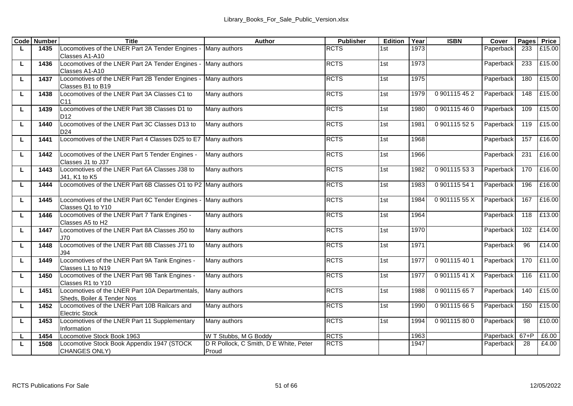|   | <b>Code Number</b> | <b>Title</b>                                                        | Author                                 | Publisher   | Edition | Year | <b>ISBN</b> | Cover     | Pages  | Price  |
|---|--------------------|---------------------------------------------------------------------|----------------------------------------|-------------|---------|------|-------------|-----------|--------|--------|
| L | 1435               | Locomotives of the LNER Part 2A Tender Engines - Many authors       |                                        | <b>RCTS</b> | 1st     | 1973 |             | Paperback | 233    | £15.00 |
|   |                    | Classes A1-A10                                                      |                                        |             |         |      |             |           |        |        |
| г | 1436               | Locomotives of the LNER Part 2A Tender Engines -                    | Many authors                           | <b>RCTS</b> | 1st     | 1973 |             | Paperback | 233    | £15.00 |
|   |                    | Classes A1-A10                                                      |                                        |             |         |      |             |           |        |        |
| п | 1437               | Locomotives of the LNER Part 2B Tender Engines - Many authors       |                                        | <b>RCTS</b> | 1st     | 1975 |             | Paperback | 180    | £15.00 |
|   |                    | Classes B1 to B19                                                   |                                        |             |         |      |             |           |        |        |
| П | 1438               | Locomotives of the LNER Part 3A Classes C1 to                       | Many authors                           | <b>RCTS</b> | 1st     | 1979 | 0901115452  | Paperback | 148    | £15.00 |
|   |                    | C11                                                                 |                                        |             |         |      |             |           |        |        |
| г | 1439               | Locomotives of the LNER Part 3B Classes D1 to                       | Many authors                           | <b>RCTS</b> | 1st     | 1980 | 0901115460  | Paperback | 109    | £15.00 |
|   | 1440               | D <sub>12</sub><br>Locomotives of the LNER Part 3C Classes D13 to   | Many authors                           | <b>RCTS</b> | 1st     | 1981 | 0901115525  | Paperback | 119    | £15.00 |
| г |                    | D <sub>24</sub>                                                     |                                        |             |         |      |             |           |        |        |
| г | 1441               | Locomotives of the LNER Part 4 Classes D25 to E7 Many authors       |                                        | <b>RCTS</b> | 1st     | 1968 |             | Paperback | 157    | £16.00 |
|   |                    |                                                                     |                                        |             |         |      |             |           |        |        |
| П | 1442               | Locomotives of the LNER Part 5 Tender Engines -                     | Many authors                           | <b>RCTS</b> | 1st     | 1966 |             | Paperback | 231    | £16.00 |
|   |                    | Classes J1 to J37                                                   |                                        |             |         |      |             |           |        |        |
| г | 1443               | Locomotives of the LNER Part 6A Classes J38 to                      | Many authors                           | <b>RCTS</b> | 1st     | 1982 | 0901115533  | Paperback | 170    | £16.00 |
|   |                    | J41, K1 to K5                                                       |                                        |             |         |      |             |           |        |        |
| П | 1444               | Locomotives of the LNER Part 6B Classes O1 to P2 Many authors       |                                        | <b>RCTS</b> | 1st     | 1983 | 0901115541  | Paperback | 196    | £16.00 |
|   |                    |                                                                     |                                        |             |         |      |             |           |        |        |
| П | 1445               | Locomotives of the LNER Part 6C Tender Engines                      | Many authors                           | <b>RCTS</b> | 1st     | 1984 | 090111555X  | Paperback | 167    | £16.00 |
|   |                    | Classes Q1 to Y10                                                   |                                        |             |         |      |             |           |        |        |
| П | 1446               | Locomotives of the LNER Part 7 Tank Engines -                       | Many authors                           | <b>RCTS</b> | 1st     | 1964 |             | Paperback | 118    | £13.00 |
|   |                    | Classes A5 to H2                                                    |                                        |             |         |      |             |           |        |        |
| г | 1447               | Locomotives of the LNER Part 8A Classes J50 to                      | Many authors                           | <b>RCTS</b> | 1st     | 1970 |             | Paperback | 102    | £14.00 |
|   |                    | J70                                                                 |                                        |             |         |      |             |           |        |        |
| П | 1448               | Locomotives of the LNER Part 8B Classes J71 to                      | Many authors                           | <b>RCTS</b> | 1st     | 1971 |             | Paperback | 96     | £14.00 |
|   |                    | J94                                                                 |                                        |             |         |      |             |           |        |        |
| П | 1449               | Locomotives of the LNER Part 9A Tank Engines -<br>Classes L1 to N19 | Many authors                           | <b>RCTS</b> | 1st     | 1977 | 0901115401  | Paperback | 170    | £11.00 |
| г | 1450               | Locomotives of the LNER Part 9B Tank Engines -                      | Many authors                           | <b>RCTS</b> | 1st     | 1977 | 090111541X  | Paperback | 116    | £11.00 |
|   |                    | Classes R1 to Y10                                                   |                                        |             |         |      |             |           |        |        |
| П | 1451               | Locomotives of the LNER Part 10A Departmentals,                     | Many authors                           | <b>RCTS</b> | 1st     | 1988 | 0901115657  | Paperback | 140    | £15.00 |
|   |                    | Sheds, Boiler & Tender Nos                                          |                                        |             |         |      |             |           |        |        |
| г | 1452               | Locomotives of the LNER Part 10B Railcars and                       | Many authors                           | <b>RCTS</b> | 1st     | 1990 | 0901115665  | Paperback | 150    | £15.00 |
|   |                    | <b>Electric Stock</b>                                               |                                        |             |         |      |             |           |        |        |
| П | 1453               | Locomotives of the LNER Part 11 Supplementary                       | Many authors                           | <b>RCTS</b> | 1st     | 1994 | 0901115800  | Paperback | 98     | £10.00 |
|   |                    | Information                                                         |                                        |             |         |      |             |           |        |        |
| г | 1454               | Locomotive Stock Book 1963                                          | W T Stubbs, M G Boddy                  | <b>RCTS</b> |         | 1963 |             | Paperback | $67+P$ | £6.00  |
| г | 1508               | Locomotive Stock Book Appendix 1947 (STOCK                          | D R Pollock, C Smith, D E White, Peter | <b>RCTS</b> |         | 1947 |             | Paperback | 28     | £4.00  |
|   |                    | CHANGES ONLY)                                                       | Proud                                  |             |         |      |             |           |        |        |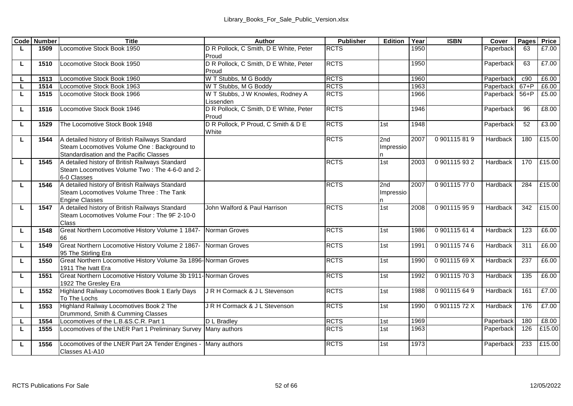|   | <b>Code</b> Number | <b>Title</b>                                                    | Author                                 | Publisher   | Edition   | Year         | <b>ISBN</b>   | Cover            | Pages    | Price           |
|---|--------------------|-----------------------------------------------------------------|----------------------------------------|-------------|-----------|--------------|---------------|------------------|----------|-----------------|
| L | 1509               | Locomotive Stock Book 1950                                      | D R Pollock, C Smith, D E White, Peter | <b>RCTS</b> |           | 1950         |               | Paperback        | 63       | £7.00           |
|   |                    |                                                                 | Proud                                  |             |           |              |               |                  |          |                 |
| г | 1510               | Locomotive Stock Book 1950                                      | D R Pollock, C Smith, D E White, Peter | <b>RCTS</b> |           | 1950         |               | Paperback        | 63       | £7.00           |
|   |                    |                                                                 | Proud                                  |             |           |              |               |                  |          |                 |
| L | 1513               | Locomotive Stock Book 1960                                      | W T Stubbs, M G Boddy                  | <b>RCTS</b> |           | 1960         |               | Paperback        | c90      | £6.00           |
| L | 1514               | Locomotive Stock Book 1963                                      | W T Stubbs, M G Boddy                  | <b>RCTS</b> |           | 1963         |               | <b>Paperback</b> | $67 + P$ | £6.00           |
| г | 1515               | Locomotive Stock Book 1966                                      | W T Stubbs, J W Knowles, Rodney A      | <b>RCTS</b> |           | 1966         |               | Paperback        | $56 + P$ | £5.00           |
|   |                    |                                                                 | Lissenden                              |             |           |              |               |                  |          |                 |
| L | 1516               | Locomotive Stock Book 1946                                      | D R Pollock, C Smith, D E White, Peter | <b>RCTS</b> |           | 1946         |               | Paperback        | 96       | £8.00           |
|   |                    |                                                                 | Proud                                  |             |           |              |               |                  |          |                 |
| п | 1529               | The Locomotive Stock Book 1948                                  | D R Pollock, P Proud, C Smith & D E    | <b>RCTS</b> | 1st       | 1948         |               | Paperback        | 52       | £3.00           |
|   |                    |                                                                 | White                                  |             |           |              |               |                  |          |                 |
| г | 1544               | A detailed history of British Railways Standard                 |                                        | <b>RCTS</b> | 2nd       | 2007         | 0.901115819   | Hardback         | 180      | £15.00          |
|   |                    | Steam Locomotives Volume One : Background to                    |                                        |             | Impressio |              |               |                  |          |                 |
|   |                    | Standardisation and the Pacific Classes                         |                                        |             |           |              |               |                  |          |                 |
| г | 1545               | A detailed history of British Railways Standard                 |                                        | <b>RCTS</b> | 1st       | 2003         | 0901115932    | Hardback         | 170      | £15.00          |
|   |                    | Steam Locomotives Volume Two: The 4-6-0 and 2-                  |                                        |             |           |              |               |                  |          |                 |
|   |                    | 6-0 Classes                                                     |                                        |             |           |              |               |                  |          |                 |
| L | 1546               | A detailed history of British Railways Standard                 |                                        | <b>RCTS</b> | 2nd       | 2007         | 0901115770    | Hardback         | 284      | £15.00          |
|   |                    | Steam Locomotives Volume Three : The Tank                       |                                        |             | Impressio |              |               |                  |          |                 |
|   |                    | <b>Engine Classes</b>                                           |                                        |             |           |              |               |                  |          |                 |
| L | 1547               | A detailed history of British Railways Standard                 | John Walford & Paul Harrison           | <b>RCTS</b> | 1st       | 2008         | 0901115959    | Hardback         | 342      | £15.00          |
|   |                    | Steam Locomotives Volume Four: The 9F 2-10-0                    |                                        |             |           |              |               |                  |          |                 |
|   |                    | Class                                                           |                                        |             |           |              |               |                  |          |                 |
| L | 1548               | Great Northern Locomotive History Volume 1 1847- Norman Groves  |                                        | <b>RCTS</b> | 1st       | 1986         | 0 901115 61 4 | Hardback         | 123      | £6.00           |
|   |                    | 66                                                              |                                        |             |           |              |               |                  |          |                 |
| L | 1549               | Great Northern Locomotive History Volume 2 1867-                | Norman Groves                          | <b>RCTS</b> | 1st       | 1991         | 0901115746    | Hardback         | 311      | £6.00           |
|   |                    | 95 The Stirling Era                                             |                                        |             |           |              |               |                  |          |                 |
| L | 1550               | Great Northern Locomotive History Volume 3a 1896-Norman Groves  |                                        | <b>RCTS</b> | 1st       | 1990         | 0.90111569X   | Hardback         | 237      | £6.00           |
|   |                    | 1911 The Ivatt Era                                              |                                        |             |           |              |               |                  |          |                 |
| L | 1551               | Great Northern Locomotive History Volume 3b 1911- Norman Groves |                                        | <b>RCTS</b> | 1st       | 1992         | 0901115703    | Hardback         | 135      | £6.00           |
|   |                    | 1922 The Greslev Era                                            | JR H Cormack & J L Stevenson           | <b>RCTS</b> |           |              | 0901115649    |                  | 161      | £7.00           |
| г | 1552               | Highland Railway Locomotives Book 1 Early Days<br>To The Lochs  |                                        |             | 1st       | 1988         |               | Hardback         |          |                 |
|   |                    |                                                                 |                                        |             |           |              |               |                  |          |                 |
| г | 1553               | Highland Railway Locomotives Book 2 The                         | JR H Cormack & J L Stevenson           | <b>RCTS</b> | 1st       | 1990         | 090111572X    | Hardback         | 176      | £7.00           |
|   | 1554               | Drummond, Smith & Cumming Classes                               |                                        | <b>RCTS</b> |           |              |               |                  |          |                 |
| L |                    | Locomotives of the L.B.&S.C.R. Part 1                           | D L Bradlev                            |             | 1st       | 1969<br>1963 |               | Paperback        | 180      | £8.00<br>£15.00 |
| п | 1555               | Locomotives of the LNER Part 1 Preliminary Survey Many authors  |                                        | <b>RCTS</b> | 1st       |              |               | Paperback        | 126      |                 |
| г | 1556               | Locomotives of the LNER Part 2A Tender Engines                  | Many authors                           | <b>RCTS</b> | 1st       | 1973         |               | Paperback        | 233      | £15.00          |
|   |                    | Classes A1-A10                                                  |                                        |             |           |              |               |                  |          |                 |
|   |                    |                                                                 |                                        |             |           |              |               |                  |          |                 |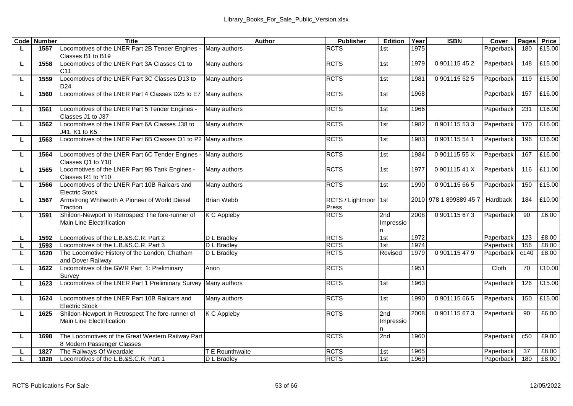|   | <b>Code</b> Number | Title                                                                              | Author            | <b>Publisher</b>          | Edition          | Year | <b>ISBN</b>            | Cover     | Pages | Price  |
|---|--------------------|------------------------------------------------------------------------------------|-------------------|---------------------------|------------------|------|------------------------|-----------|-------|--------|
| L | 1557               | Locomotives of the LNER Part 2B Tender Engines - Many authors<br>Classes B1 to B19 |                   | <b>RCTS</b>               | 1st              | 1975 |                        | Paperback | 180   | £15.00 |
| L | 1558               | Locomotives of the LNER Part 3A Classes C1 to<br>C <sub>11</sub>                   | Many authors      | <b>RCTS</b>               | 1st              | 1979 | 0901115452             | Paperback | 148   | £15.00 |
| п | 1559               | Locomotives of the LNER Part 3C Classes D13 to<br>D <sub>24</sub>                  | Many authors      | <b>RCTS</b>               | 1st              | 1981 | 0901115525             | Paperback | 119   | £15.00 |
| г | 1560               | Locomotives of the LNER Part 4 Classes D25 to E7 Many authors                      |                   | <b>RCTS</b>               | 1st              | 1968 |                        | Paperback | 157   | £16.00 |
| L | 1561               | Locomotives of the LNER Part 5 Tender Engines -<br>Classes J1 to J37               | Many authors      | <b>RCTS</b>               | 1st              | 1966 |                        | Paperback | 231   | £16.00 |
| п | 1562               | Locomotives of the LNER Part 6A Classes J38 to<br>J41. K1 to K5                    | Many authors      | <b>RCTS</b>               | 1st              | 1982 | 0.901115533            | Paperback | 170   | £16.00 |
| г | 1563               | Locomotives of the LNER Part 6B Classes O1 to P2 Many authors                      |                   | <b>RCTS</b>               | 1st              | 1983 | 0901115541             | Paperback | 196   | £16.00 |
| П | 1564               | Locomotives of the LNER Part 6C Tender Engines - Many authors<br>Classes Q1 to Y10 |                   | <b>RCTS</b>               | 1st              | 1984 | 090111555X             | Paperback | 167   | £16.00 |
| L | 1565               | Locomotives of the LNER Part 9B Tank Engines -<br>Classes R1 to Y10                | Many authors      | <b>RCTS</b>               | 1st              | 1977 | 090111541X             | Paperback | 116   | £11.00 |
| П | 1566               | Locomotives of the LNER Part 10B Railcars and<br><b>Electric Stock</b>             | Many authors      | <b>RCTS</b>               | 1st              | 1990 | 0901115665             | Paperback | 150   | £15.00 |
| П | 1567               | Armstrong Whitworth A Pioneer of World Diesel<br>Traction                          | <b>Brian Webb</b> | RCTS / Lightmoor<br>Press | <sup>1</sup> st  |      | 2010 978 1 899889 45 7 | Hardback  | 184   | £10.00 |
| г | 1591               | Shildon-Newport In Retrospect The fore-runner of<br>Main Line Electrification      | K C Appleby       | <b>RCTS</b>               | 2nd<br>Impressio | 2008 | 0901115673             | Paperback | 90    | £6.00  |
| п | 1592               | Locomotives of the L.B.&S.C.R. Part 2                                              | D L Bradlev       | <b>RCTS</b>               | 1st              | 1972 |                        | Paperback | 123   | £8.00  |
| τ | 1593               | Locomotives of the L.B.&S.C.R. Part 3                                              | D L Bradley       | <b>RCTS</b>               | 1st              | 1974 |                        | Paperback | 156   | £8.00  |
| п | 1620               | The Locomotive History of the London, Chatham<br>and Dover Railway                 | D L Bradlev       | <b>RCTS</b>               | Revised          | 1979 | 0901115479             | Paperback | c140  | £8.00  |
| г | 1622               | Locomotives of the GWR Part 1: Preliminary<br>Survey                               | Anon              | <b>RCTS</b>               |                  | 1951 |                        | Cloth     | 70    | £10.00 |
| п | 1623               | Locomotives of the LNER Part 1 Preliminary Survey Many authors                     |                   | <b>RCTS</b>               | 1st              | 1963 |                        | Paperback | 126   | £15.00 |
| τ | 1624               | Locomotives of the LNER Part 10B Railcars and<br><b>Electric Stock</b>             | Many authors      | <b>RCTS</b>               | 1st              | 1990 | 0901115665             | Paperback | 150   | £15.00 |
| L | 1625               | Shildon-Newport In Retrospect The fore-runner of<br>Main Line Electrification      | K C Appleby       | <b>RCTS</b>               | 2nd<br>Impressio | 2008 | 0901115673             | Paperback | 90    | £6.00  |
| L | 1698               | The Locomotives of the Great Western Railway Part<br>8 Modern Passenger Classes    |                   | <b>RCTS</b>               | 2nd              | 1960 |                        | Paperback | c50   | £9.00  |
| г | 1827               | The Railways Of Weardale                                                           | T E Rounthwaite   | <b>RCTS</b>               | 1st              | 1965 |                        | Paperback | 37    | £8.00  |
| L | 1828               | Locomotives of the L.B.&S.C.R. Part 1                                              | D L Bradlev       | <b>RCTS</b>               | 1st              | 1969 |                        | Paperback | 180   | £8.00  |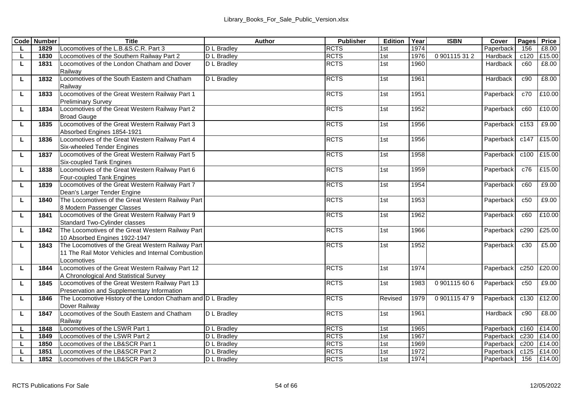| 1829<br>L<br>1830<br>τ<br>1831<br>Railway<br>1832<br>L<br>Railway<br>L<br>1833<br><b>Preliminary Survey</b><br>1834<br>г<br><b>Broad Gauge</b><br>1835<br>г<br>Absorbed Engines 1854-1921<br>1836<br>L<br>Six-wheeled Tender Engines<br>1837<br>L<br>Six-coupled Tank Engines<br>1838<br>L<br>Four-coupled Tank Engines<br>1839<br>г | Locomotives of the L.B.&S.C.R. Part 3<br>Locomotives of the Southern Railway Part 2<br>Locomotives of the London Chatham and Dover<br>Locomotives of the South Eastern and Chatham<br>Locomotives of the Great Western Railway Part 1 | D L Bradlev<br>D L Bradlev<br>D L Bradlev<br>D L Bradlev | <b>RCTS</b><br><b>RCTS</b><br><b>RCTS</b><br><b>RCTS</b> | 1st<br>1st<br>1st<br>1st | 1974<br>1976<br>1960 | 0901115312 | Paperback<br>Hardback<br>Hardback | 156<br>c120<br>c60 | £8.00<br>£15.00<br>£8.00 |
|--------------------------------------------------------------------------------------------------------------------------------------------------------------------------------------------------------------------------------------------------------------------------------------------------------------------------------------|---------------------------------------------------------------------------------------------------------------------------------------------------------------------------------------------------------------------------------------|----------------------------------------------------------|----------------------------------------------------------|--------------------------|----------------------|------------|-----------------------------------|--------------------|--------------------------|
|                                                                                                                                                                                                                                                                                                                                      |                                                                                                                                                                                                                                       |                                                          |                                                          |                          |                      |            |                                   |                    |                          |
|                                                                                                                                                                                                                                                                                                                                      |                                                                                                                                                                                                                                       |                                                          |                                                          |                          |                      |            |                                   |                    |                          |
|                                                                                                                                                                                                                                                                                                                                      |                                                                                                                                                                                                                                       |                                                          |                                                          |                          |                      |            |                                   |                    |                          |
|                                                                                                                                                                                                                                                                                                                                      |                                                                                                                                                                                                                                       |                                                          |                                                          |                          |                      |            |                                   |                    |                          |
|                                                                                                                                                                                                                                                                                                                                      |                                                                                                                                                                                                                                       |                                                          |                                                          |                          | 1961                 |            | Hardback                          | c90                | £8.00                    |
|                                                                                                                                                                                                                                                                                                                                      |                                                                                                                                                                                                                                       |                                                          |                                                          |                          |                      |            |                                   |                    |                          |
|                                                                                                                                                                                                                                                                                                                                      |                                                                                                                                                                                                                                       |                                                          | <b>RCTS</b>                                              | 1st                      | 1951                 |            | Paperback                         | c70                | £10.00                   |
|                                                                                                                                                                                                                                                                                                                                      |                                                                                                                                                                                                                                       |                                                          |                                                          |                          |                      |            |                                   |                    |                          |
|                                                                                                                                                                                                                                                                                                                                      | Locomotives of the Great Western Railway Part 2                                                                                                                                                                                       |                                                          | <b>RCTS</b>                                              | 1st                      | 1952                 |            | Paperback                         | c60                | £10.00                   |
|                                                                                                                                                                                                                                                                                                                                      | Locomotives of the Great Western Railway Part 3                                                                                                                                                                                       |                                                          | <b>RCTS</b>                                              | 1st                      | 1956                 |            | Paperback                         | c153               | £9.00                    |
|                                                                                                                                                                                                                                                                                                                                      |                                                                                                                                                                                                                                       |                                                          |                                                          |                          |                      |            |                                   |                    |                          |
|                                                                                                                                                                                                                                                                                                                                      | Locomotives of the Great Western Railway Part 4                                                                                                                                                                                       |                                                          | <b>RCTS</b>                                              | 1st                      | 1956                 |            | Paperback                         |                    | c147 £15.00              |
|                                                                                                                                                                                                                                                                                                                                      |                                                                                                                                                                                                                                       |                                                          |                                                          |                          |                      |            |                                   |                    |                          |
|                                                                                                                                                                                                                                                                                                                                      | Locomotives of the Great Western Railway Part 5                                                                                                                                                                                       |                                                          | <b>RCTS</b>                                              | 1st                      | 1958                 |            | Paperback                         |                    | c100 £15.00              |
|                                                                                                                                                                                                                                                                                                                                      |                                                                                                                                                                                                                                       |                                                          |                                                          |                          |                      |            |                                   |                    |                          |
|                                                                                                                                                                                                                                                                                                                                      | Locomotives of the Great Western Railway Part 6                                                                                                                                                                                       |                                                          | <b>RCTS</b>                                              | 1st                      | 1959                 |            | Paperback                         | c76                | £15.00                   |
|                                                                                                                                                                                                                                                                                                                                      |                                                                                                                                                                                                                                       |                                                          |                                                          |                          |                      |            |                                   |                    |                          |
|                                                                                                                                                                                                                                                                                                                                      | Locomotives of the Great Western Railway Part 7                                                                                                                                                                                       |                                                          | <b>RCTS</b>                                              | 1st                      | 1954                 |            | Paperback                         | c60                | £9.00                    |
|                                                                                                                                                                                                                                                                                                                                      | Dean's Larger Tender Engine                                                                                                                                                                                                           |                                                          |                                                          |                          |                      |            |                                   |                    |                          |
| 1840<br>L                                                                                                                                                                                                                                                                                                                            | The Locomotives of the Great Western Railway Part                                                                                                                                                                                     |                                                          | <b>RCTS</b>                                              | 1st                      | 1953                 |            | Paperback                         | c50                | £9.00                    |
| 8 Modern Passenger Classes                                                                                                                                                                                                                                                                                                           |                                                                                                                                                                                                                                       |                                                          |                                                          |                          |                      |            |                                   |                    |                          |
| 1841<br>L                                                                                                                                                                                                                                                                                                                            | Locomotives of the Great Western Railway Part 9                                                                                                                                                                                       |                                                          | <b>RCTS</b>                                              | 1st                      | 1962                 |            | Paperback                         | c60                | £10.00                   |
|                                                                                                                                                                                                                                                                                                                                      | Standard Two-Cylinder classes                                                                                                                                                                                                         |                                                          |                                                          |                          |                      |            |                                   |                    |                          |
| L<br>1842                                                                                                                                                                                                                                                                                                                            | The Locomotives of the Great Western Railway Part                                                                                                                                                                                     |                                                          | <b>RCTS</b>                                              | 1st                      | 1966                 |            | Paperback                         | c290               | £25.00                   |
|                                                                                                                                                                                                                                                                                                                                      | 10 Absorbed Engines 1922-1947                                                                                                                                                                                                         |                                                          |                                                          |                          |                      |            |                                   |                    |                          |
| 1843<br>Ц                                                                                                                                                                                                                                                                                                                            | The Locomotives of the Great Western Railway Part                                                                                                                                                                                     |                                                          | <b>RCTS</b>                                              | 1st                      | 1952                 |            | Paperback                         | c30                | £5.00                    |
|                                                                                                                                                                                                                                                                                                                                      | 11 The Rail Motor Vehicles and Internal Combustion                                                                                                                                                                                    |                                                          |                                                          |                          |                      |            |                                   |                    |                          |
| Locomotives                                                                                                                                                                                                                                                                                                                          |                                                                                                                                                                                                                                       |                                                          |                                                          |                          |                      |            |                                   |                    |                          |
| 1844<br>L                                                                                                                                                                                                                                                                                                                            | Locomotives of the Great Western Railway Part 12                                                                                                                                                                                      |                                                          | <b>RCTS</b>                                              | 1st                      | 1974                 |            | Paperback                         | c250               | £20.00                   |
|                                                                                                                                                                                                                                                                                                                                      | A Chronological And Statistical Survey                                                                                                                                                                                                |                                                          |                                                          |                          |                      |            |                                   |                    |                          |
| L<br>1845                                                                                                                                                                                                                                                                                                                            | Locomotives of the Great Western Railway Part 13                                                                                                                                                                                      |                                                          | <b>RCTS</b>                                              | 1st                      | 1983                 | 0901115606 | Paperback                         | c50                | £9.00                    |
| 1846<br>г                                                                                                                                                                                                                                                                                                                            | Preservation and Supplementary Information<br>The Locomotive History of the London Chatham and D L Bradley                                                                                                                            |                                                          | <b>RCTS</b>                                              | Revised                  | 1979                 | 0901115479 | Paperback                         | c130               | £12.00                   |
| Dover Railway                                                                                                                                                                                                                                                                                                                        |                                                                                                                                                                                                                                       |                                                          |                                                          |                          |                      |            |                                   |                    |                          |
| 1847<br>L                                                                                                                                                                                                                                                                                                                            | Locomotives of the South Eastern and Chatham                                                                                                                                                                                          | D L Bradlev                                              | <b>RCTS</b>                                              | 1st                      | 1961                 |            | Hardback                          | c90                | £8.00                    |
| Railway                                                                                                                                                                                                                                                                                                                              |                                                                                                                                                                                                                                       |                                                          |                                                          |                          |                      |            |                                   |                    |                          |
| 1848                                                                                                                                                                                                                                                                                                                                 | Locomotives of the LSWR Part 1                                                                                                                                                                                                        | D L Bradlev                                              | <b>RCTS</b>                                              | 1st                      | 1965                 |            | Paperback                         | c160               | £14.00                   |
| 1849<br>L                                                                                                                                                                                                                                                                                                                            | Locomotives of the LSWR Part 2                                                                                                                                                                                                        | D L Bradley                                              | <b>RCTS</b>                                              | 1st                      | 1967                 |            | Paperback                         | c230               | £14.00                   |
| 1850<br>L                                                                                                                                                                                                                                                                                                                            | Locomotives of the LB&SCR Part 1                                                                                                                                                                                                      | D L Bradlev                                              | <b>RCTS</b>                                              | 1st                      | 1969                 |            | Paperback                         | c200               | £14.00                   |
| 1851                                                                                                                                                                                                                                                                                                                                 |                                                                                                                                                                                                                                       |                                                          |                                                          |                          |                      |            |                                   |                    |                          |
| 1852<br>Locomotives of the LB&SCR Part 3<br>L                                                                                                                                                                                                                                                                                        | Locomotives of the LB&SCR Part 2                                                                                                                                                                                                      | D L Bradlev                                              | <b>RCTS</b>                                              | 1st                      | 1972                 |            | Paperback                         | c125               | £14.00                   |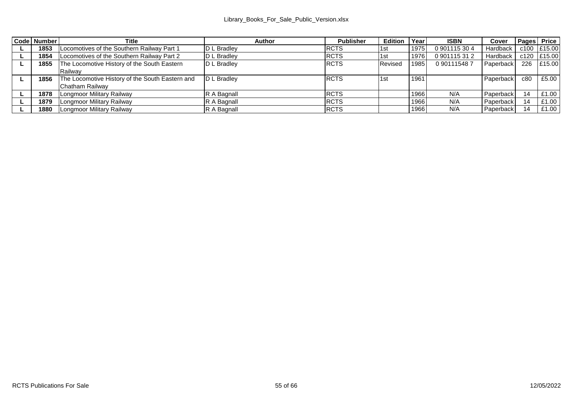| Code Number | Title                                           | Author      | <b>Publisher</b> | <b>Edition Year</b> |      | <b>ISBN</b> | Cover     | Pages Price |             |
|-------------|-------------------------------------------------|-------------|------------------|---------------------|------|-------------|-----------|-------------|-------------|
| 1853        | Locomotives of the Southern Railway Part 1      | D L Bradlev | <b>RCTS</b>      | 1st                 | 1975 | 0901115304  | Hardback  |             | c100 £15.00 |
| 1854        | Locomotives of the Southern Railway Part 2      | D L Bradlev | <b>RCTS</b>      | 1 <sub>st</sub>     | 1976 | 0901115312  | Hardback  |             | c120 £15.00 |
| 1855        | The Locomotive History of the South Eastern     | D L Bradlev | <b>RCTS</b>      | Revised             | 1985 | 0901115487  | Paperback |             | 226 £15.00  |
|             | Railway                                         |             |                  |                     |      |             |           |             |             |
| 1856        | The Locomotive History of the South Eastern and | D L Bradlev | <b>RCTS</b>      | 1st                 | 1961 |             | Paperback | c80         | £5.00       |
|             | Chatham Railway                                 |             |                  |                     |      |             |           |             |             |
| 1878        | <b>Longmoor Military Railway</b>                | R A Bagnall | <b>RCTS</b>      |                     | 1966 | N/A         | Paperback | 14          | £1.00       |
| 1879        | Longmoor Military Railway                       | R A Bagnall | <b>RCTS</b>      |                     | 1966 | N/A         | Paperback | 14          | £1.00       |
| 1880        | Longmoor Military Railway                       | R A Bagnall | <b>RCTS</b>      |                     | 1966 | N/A         | Paperback | 14          | £1.00       |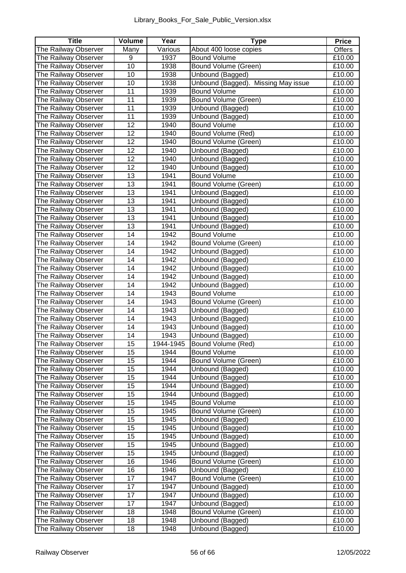| Title                                        | Volume   | Year         | Type                                     | Price            |
|----------------------------------------------|----------|--------------|------------------------------------------|------------------|
| The Railway Observer                         | Many     | Various      | About 400 loose copies                   | Offers           |
| The Railway Observer                         | 9        | 1937         | <b>Bound Volume</b>                      | £10.00           |
| The Railway Observer                         | 10       | 1938         | Bound Volume (Green)                     | £10.00           |
| The Railway Observer                         | 10       | 1938         | Unbound (Bagged)                         | £10.00           |
| The Railway Observer                         | 10       | 1938         | Unbound (Bagged).<br>Missing May issue   | £10.00           |
| The Railway Observer                         | 11       | 1939         | <b>Bound Volume</b>                      | £10.00           |
| The Railway Observer                         | 11       | 1939         | Bound Volume (Green)                     | £10.00           |
| The Railway Observer                         | 11       | 1939         | Unbound (Bagged)                         | £10.00           |
| The Railway Observer                         | 11       | 1939         | Unbound (Bagged)                         | £10.00           |
| The Railway Observer                         | 12       | 1940         | <b>Bound Volume</b>                      | £10.00           |
| The Railway Observer                         | 12       | 1940         | Bound Volume (Red)                       | £10.00           |
| The Railway Observer                         | 12       | 1940         | Bound Volume (Green)                     | £10.00           |
| The Railway Observer                         | 12       | 1940         | Unbound (Bagged)                         | £10.00           |
| The Railway Observer                         | 12       | 1940         | Unbound (Bagged)                         | £10.00           |
| The Railway Observer                         | 12       | 1940         | Unbound (Bagged)                         | £10.00           |
| The Railway Observer                         | 13       | 1941         | <b>Bound Volume</b>                      | £10.00           |
| The Railway Observer                         | 13       | 1941         | Bound Volume (Green)                     | £10.00           |
| The Railway Observer                         | 13       | 1941         | Unbound (Bagged)                         | £10.00           |
| The Railway Observer                         | 13       | 1941         | Unbound (Bagged)                         | £10.00           |
| The Railway Observer                         | 13       | 1941         | Unbound (Bagged)                         | £10.00           |
| The Railway Observer                         | 13       | 1941         | Unbound (Bagged)                         | £10.00           |
| The Railway Observer                         | 13       | 1941         | Unbound (Bagged)                         | £10.00           |
| The Railway Observer                         | 14       | 1942         | <b>Bound Volume</b>                      | £10.00           |
| The Railway Observer                         | 14       | 1942         | Bound Volume (Green)                     | £10.00           |
| The Railway Observer                         | 14       | 1942         | Unbound (Bagged)                         | £10.00           |
| The Railway Observer                         | 14       | 1942         | Unbound (Bagged)                         | £10.00           |
| The Railway Observer                         | 14       | 1942         | Unbound (Bagged)                         | £10.00           |
| The Railway Observer                         | 14       | 1942         | Unbound (Bagged)                         | £10.00           |
| The Railway Observer                         | 14       | 1942         | Unbound (Bagged)                         | £10.00           |
| The Railway Observer                         | 14       | 1943         | <b>Bound Volume</b>                      | £10.00           |
| The Railway Observer                         | 14       | 1943         | Bound Volume (Green)                     | £10.00           |
| The Railway Observer                         | 14       | 1943         | Unbound (Bagged)                         | £10.00           |
| The Railway Observer                         | 14       | 1943         | Unbound (Bagged)                         | £10.00           |
| The Railway Observer                         | 14       | 1943         | Unbound (Bagged)                         | £10.00           |
| The Railway Observer                         | 14       | 1943         | Unbound (Bagged)                         | £10.00           |
| The Railway Observer                         | 15       | 1944-1945    | Bound Volume (Red)                       | £10.00           |
| The Railway Observer                         | 15       | 1944         | <b>Bound Volume</b>                      | £10.00           |
| The Railway Observer                         | 15       | 1944         | Bound Volume (Green)                     | £10.00           |
| The Railway Observer                         | 15       | 1944         | Unbound (Bagged)                         | £10.00           |
| The Railway Observer                         | 15       | 1944         | Unbound (Bagged)                         | £10.00           |
| The Railway Observer                         | 15       | 1944         | Unbound (Bagged)                         | £10.00           |
| The Railway Observer                         | 15       | 1944         | Unbound (Bagged)                         | £10.00           |
| The Railway Observer                         | 15       | 1945         | <b>Bound Volume</b>                      | £10.00           |
| The Railway Observer                         | 15       | 1945         | <b>Bound Volume (Green)</b>              | £10.00           |
| The Railway Observer                         | 15       | 1945         | Unbound (Bagged)                         | £10.00           |
| The Railway Observer                         | 15<br>15 | 1945         | Unbound (Bagged)                         | £10.00           |
| The Railway Observer                         | 15       | 1945<br>1945 | Unbound (Bagged)                         | £10.00           |
| The Railway Observer<br>The Railway Observer | 15       |              | Unbound (Bagged)                         | £10.00           |
| The Railway Observer                         | 16       | 1945<br>1946 | Unbound (Bagged)                         | £10.00<br>£10.00 |
| The Railway Observer                         | 16       | 1946         | Bound Volume (Green)<br>Unbound (Bagged) | £10.00           |
| The Railway Observer                         | 17       | 1947         | Bound Volume (Green)                     | £10.00           |
| The Railway Observer                         | 17       | 1947         | Unbound (Bagged)                         | £10.00           |
| The Railway Observer                         | 17       | 1947         | Unbound (Bagged)                         | £10.00           |
| The Railway Observer                         | 17       | 1947         | Unbound (Bagged)                         | £10.00           |
| The Railway Observer                         | 18       | 1948         | Bound Volume (Green)                     | £10.00           |
| The Railway Observer                         | 18       | 1948         | Unbound (Bagged)                         | £10.00           |
| The Railway Observer                         | 18       | 1948         | Unbound (Bagged)                         | £10.00           |
|                                              |          |              |                                          |                  |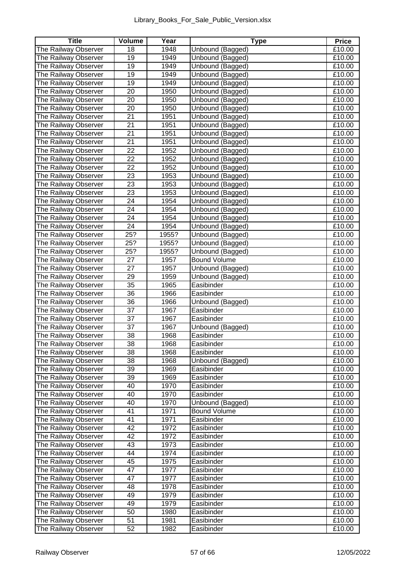| Title                | Volume          | Year  | Type                | Price  |
|----------------------|-----------------|-------|---------------------|--------|
| The Railway Observer | 18              | 1948  | Unbound (Bagged)    | £10.00 |
| The Railway Observer | 19              | 1949  | Unbound (Bagged)    | £10.00 |
| The Railway Observer | 19              | 1949  | Unbound (Bagged)    | £10.00 |
| The Railway Observer | 19              | 1949  | Unbound (Bagged)    | £10.00 |
| The Railway Observer | 19              | 1949  | Unbound (Bagged)    | £10.00 |
| The Railway Observer | 20              | 1950  | Unbound (Bagged)    | £10.00 |
| The Railway Observer | 20              | 1950  | Unbound (Bagged)    | £10.00 |
| The Railway Observer | 20              | 1950  | Unbound (Bagged)    | £10.00 |
| The Railway Observer | 21              | 1951  | Unbound (Bagged)    | £10.00 |
| The Railway Observer | 21              | 1951  | Unbound (Bagged)    | £10.00 |
| The Railway Observer | 21              | 1951  | Unbound (Bagged)    | £10.00 |
| The Railway Observer | 21              | 1951  | Unbound (Bagged)    | £10.00 |
| The Railway Observer | 22              | 1952  | Unbound (Bagged)    | £10.00 |
| The Railway Observer | $\overline{22}$ | 1952  | Unbound (Bagged)    | £10.00 |
| The Railway Observer | 22              | 1952  | Unbound (Bagged)    | £10.00 |
| The Railway Observer | 23              | 1953  | Unbound (Bagged)    | £10.00 |
| The Railway Observer | 23              | 1953  | Unbound (Bagged)    | £10.00 |
| The Railway Observer | 23              | 1953  | Unbound (Bagged)    | £10.00 |
| The Railway Observer | 24              | 1954  | Unbound (Bagged)    | £10.00 |
| The Railway Observer | 24              | 1954  | Unbound (Bagged)    | £10.00 |
| The Railway Observer | 24              | 1954  | Unbound (Bagged)    | £10.00 |
| The Railway Observer | 24              | 1954  | Unbound (Bagged)    | £10.00 |
| The Railway Observer | 25?             | 1955? | Unbound (Bagged)    | £10.00 |
| The Railway Observer | 25?             | 1955? | Unbound (Bagged)    | £10.00 |
| The Railway Observer | 25?             | 1955? | Unbound (Bagged)    | £10.00 |
| The Railway Observer | 27              | 1957  | <b>Bound Volume</b> | £10.00 |
| The Railway Observer | 27              | 1957  | Unbound (Bagged)    | £10.00 |
| The Railway Observer | 29              | 1959  | Unbound (Bagged)    | £10.00 |
| The Railway Observer | 35              | 1965  | Easibinder          | £10.00 |
| The Railway Observer | 36              | 1966  | Easibinder          | £10.00 |
| The Railway Observer | 36              | 1966  | Unbound (Bagged)    | £10.00 |
| The Railway Observer | $\overline{37}$ | 1967  | Easibinder          | £10.00 |
| The Railway Observer | 37              | 1967  | Easibinder          | £10.00 |
| The Railway Observer | 37              | 1967  | Unbound (Bagged)    | £10.00 |
| The Railway Observer | 38              | 1968  | Easibinder          | £10.00 |
| The Railway Observer | 38              | 1968  | Easibinder          | £10.00 |
| The Railway Observer | 38              | 1968  | Easibinder          | £10.00 |
| The Railway Observer | 38              | 1968  | Unbound (Bagged)    | £10.00 |
| The Railway Observer | 39              | 1969  | Easibinder          | £10.00 |
| The Railway Observer | 39              | 1969  | Easibinder          | £10.00 |
| The Railway Observer | 40              | 1970  | Easibinder          | £10.00 |
| The Railway Observer | 40              | 1970  | Easibinder          | £10.00 |
| The Railway Observer | 40              | 1970  | Unbound (Bagged)    | £10.00 |
| The Railway Observer | 41              | 1971  | <b>Bound Volume</b> | £10.00 |
| The Railway Observer | 41              | 1971  | Easibinder          | £10.00 |
| The Railway Observer | 42              | 1972  | Easibinder          | £10.00 |
| The Railway Observer | 42              | 1972  | Easibinder          | £10.00 |
| The Railway Observer | 43              | 1973  | Easibinder          | £10.00 |
| The Railway Observer | 44              | 1974  | Easibinder          | £10.00 |
| The Railway Observer | 45              | 1975  | Easibinder          | £10.00 |
| The Railway Observer | 47              | 1977  | Easibinder          | £10.00 |
| The Railway Observer | 47              | 1977  | Easibinder          | £10.00 |
| The Railway Observer | 48              | 1978  | Easibinder          | £10.00 |
| The Railway Observer | 49              | 1979  | Easibinder          | £10.00 |
| The Railway Observer | 49              | 1979  | Easibinder          | £10.00 |
| The Railway Observer | 50              | 1980  | Easibinder          | £10.00 |
| The Railway Observer | 51              | 1981  | Easibinder          | £10.00 |
| The Railway Observer | 52              | 1982  | Easibinder          | £10.00 |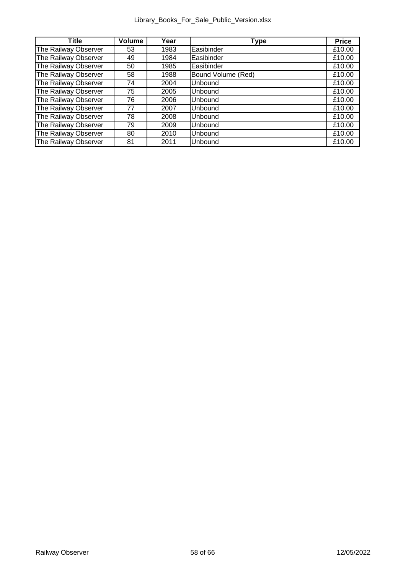| <b>Title</b>         | Volume | Year | Type               | Price  |
|----------------------|--------|------|--------------------|--------|
| The Railway Observer | 53     | 1983 | Easibinder         | £10.00 |
| The Railway Observer | 49     | 1984 | Easibinder         | £10.00 |
| The Railway Observer | 50     | 1985 | Easibinder         | £10.00 |
| The Railway Observer | 58     | 1988 | Bound Volume (Red) | £10.00 |
| The Railway Observer | 74     | 2004 | <b>Unbound</b>     | £10.00 |
| The Railway Observer | 75     | 2005 | <b>Unbound</b>     | £10.00 |
| The Railway Observer | 76     | 2006 | Unbound            | £10.00 |
| The Railway Observer | 77     | 2007 | <b>Unbound</b>     | £10.00 |
| The Railway Observer | 78     | 2008 | Unbound            | £10.00 |
| The Railway Observer | 79     | 2009 | Unbound            | £10.00 |
| The Railway Observer | 80     | 2010 | Unbound            | £10.00 |
| The Railway Observer | 81     | 2011 | Unbound            | £10.00 |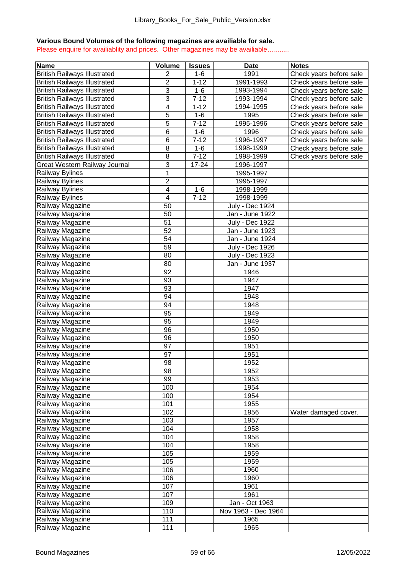## **Various Bound Volumes of the following magazines are availiable for sale.**

Please enquire for availiablity and prices. Other magazines may be availiable…........

| Name                                | Volume         | <b>Issues</b> | Date                   | <b>Notes</b>            |
|-------------------------------------|----------------|---------------|------------------------|-------------------------|
| <b>British Railways Illustrated</b> | $\overline{2}$ | $1 - 6$       | 1991                   | Check years before sale |
| <b>British Railways Illustrated</b> | 2              | $1 - 12$      | 1991-1993              | Check years before sale |
| <b>British Railways Illustrated</b> | 3              | $1 - 6$       | 1993-1994              | Check years before sale |
| <b>British Railways Illustrated</b> | 3              | $7 - 12$      | 1993-1994              | Check years before sale |
| <b>British Railways Illustrated</b> | 4              | $1 - 12$      | 1994-1995              | Check years before sale |
| <b>British Railways Illustrated</b> | 5              | $1 - 6$       | 1995                   | Check years before sale |
| <b>British Railways Illustrated</b> | 5              | $7 - 12$      | 1995-1996              | Check years before sale |
| <b>British Railways Illustrated</b> | 6              | $1 - 6$       | 1996                   | Check years before sale |
| <b>British Railways Illustrated</b> | 6              | $7 - 12$      | 1996-1997              | Check years before sale |
| <b>British Railways Illustrated</b> | 8              | $1 - 6$       | 1998-1999              | Check years before sale |
| <b>British Railways Illustrated</b> | 8              | $7 - 12$      | 1998-1999              | Check years before sale |
| Great Western Railway Journal       | 3              | $17 - 24$     | 1996-1997              |                         |
| <b>Railway Bylines</b>              | $\overline{1}$ |               | 1995-1997              |                         |
| Railway Bylines                     | $\overline{2}$ |               | 1995-1997              |                         |
| <b>Railway Bylines</b>              | 4              | $1 - 6$       | 1998-1999              |                         |
| Railway Bylines                     | 4              | $7 - 12$      | 1998-1999              |                         |
| Railway Magazine                    | 50             |               | <b>July - Dec 1924</b> |                         |
| Railway Magazine                    | 50             |               | Jan - June 1922        |                         |
| Railway Magazine                    | 51             |               | <b>July - Dec 1922</b> |                         |
| Railway Magazine                    | 52             |               | Jan - June 1923        |                         |
| Railway Magazine                    | 54             |               | Jan - June 1924        |                         |
| Railway Magazine                    | 59             |               | <b>July - Dec 1926</b> |                         |
| Railway Magazine                    | 80             |               | <b>July - Dec 1923</b> |                         |
| Railway Magazine                    | 80             |               | Jan - June 1937        |                         |
| Railway Magazine                    | 92             |               | 1946                   |                         |
| Railway Magazine                    | 93             |               | 1947                   |                         |
| Railway Magazine                    | 93             |               | 1947                   |                         |
| Railway Magazine                    | 94             |               | 1948                   |                         |
| Railway Magazine                    | 94             |               | 1948                   |                         |
| Railway Magazine                    | 95             |               | 1949                   |                         |
| Railway Magazine                    | 95             |               | 1949                   |                         |
| Railway Magazine                    | 96             |               | 1950                   |                         |
| Railway Magazine                    | 96             |               | 1950                   |                         |
| Railway Magazine                    | 97             |               | 1951                   |                         |
| Railway Magazine                    | 97             |               | 1951                   |                         |
| Railway Magazine                    | 98             |               | 1952                   |                         |
| Railway Magazine                    | 98             |               | 1952                   |                         |
| Railway Magazine                    | 99             |               | 1953                   |                         |
| Railway Magazine                    | 100            |               | 1954                   |                         |
| Railway Magazine                    | 100            |               | 1954                   |                         |
| Railway Magazine                    | 101            |               | 1955                   |                         |
| Railway Magazine                    | 102            |               | 1956                   | Water damaged cover.    |
| Railway Magazine                    | 103            |               | 1957                   |                         |
| Railway Magazine                    | 104            |               | 1958                   |                         |
| Railway Magazine                    | 104            |               | 1958                   |                         |
| Railway Magazine                    | 104            |               | 1958                   |                         |
| Railway Magazine                    | 105            |               | 1959                   |                         |
| Railway Magazine                    | 105            |               | 1959                   |                         |
| Railway Magazine                    | 106            |               | 1960                   |                         |
| Railway Magazine                    | 106            |               | 1960                   |                         |
| Railway Magazine                    | 107            |               | 1961                   |                         |
| Railway Magazine                    | 107            |               | 1961                   |                         |
| Railway Magazine                    | 109            |               | Jan - Oct 1963         |                         |
| Railway Magazine                    | 110            |               | Nov 1963 - Dec 1964    |                         |
| Railway Magazine                    | 111            |               | 1965                   |                         |
| Railway Magazine                    | 111            |               | 1965                   |                         |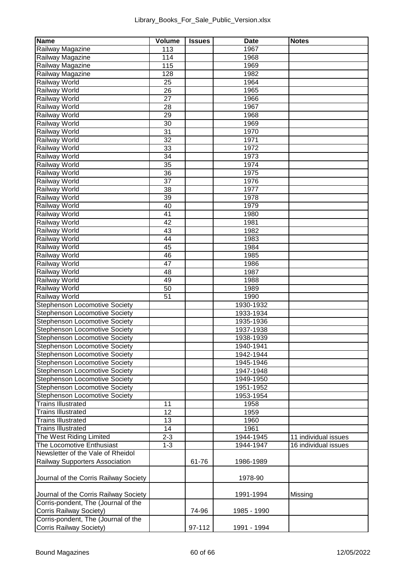| <b>Name</b>                                                                  | Volume   | <b>Issues</b> | Date         | <b>Notes</b>         |
|------------------------------------------------------------------------------|----------|---------------|--------------|----------------------|
| Railway Magazine                                                             | 113      |               | 1967         |                      |
| Railway Magazine                                                             | 114      |               | 1968         |                      |
| Railway Magazine                                                             | 115      |               | 1969         |                      |
| Railway Magazine                                                             | 128      |               | 1982         |                      |
| Railway World                                                                | 25       |               | 1964         |                      |
| <b>Railway World</b>                                                         | 26       |               | 1965         |                      |
| Railway World                                                                | 27       |               | 1966         |                      |
| <b>Railway World</b>                                                         | 28       |               | 1967         |                      |
| <b>Railway World</b>                                                         | 29       |               | 1968         |                      |
| <b>Railway World</b>                                                         | 30       |               | 1969         |                      |
| Railway World                                                                | 31       |               | 1970         |                      |
| Railway World                                                                | 32       |               | 1971         |                      |
| Railway World                                                                | 33       |               | 1972         |                      |
| <b>Railway World</b>                                                         | 34<br>35 |               | 1973<br>1974 |                      |
| <b>Railway World</b><br><b>Railway World</b>                                 |          |               | 1975         |                      |
| Railway World                                                                | 36<br>37 |               | 1976         |                      |
| Railway World                                                                | 38       |               | 1977         |                      |
| Railway World                                                                | 39       |               | 1978         |                      |
| <b>Railway World</b>                                                         | 40       |               | 1979         |                      |
| <b>Railway World</b>                                                         | 41       |               | 1980         |                      |
| <b>Railway World</b>                                                         | 42       |               | 1981         |                      |
| Railway World                                                                | 43       |               | 1982         |                      |
| Railway World                                                                | 44       |               | 1983         |                      |
| <b>Railway World</b>                                                         | 45       |               | 1984         |                      |
| Railway World                                                                | 46       |               | 1985         |                      |
| <b>Railway World</b>                                                         | 47       |               | 1986         |                      |
| <b>Railway World</b>                                                         | 48       |               | 1987         |                      |
| <b>Railway World</b>                                                         | 49       |               | 1988         |                      |
| Railway World                                                                | 50       |               | 1989         |                      |
| Railway World                                                                | 51       |               | 1990         |                      |
| Stephenson Locomotive Society                                                |          |               | 1930-1932    |                      |
| Stephenson Locomotive Society                                                |          |               | 1933-1934    |                      |
| Stephenson Locomotive Society                                                |          |               | 1935-1936    |                      |
| Stephenson Locomotive Society                                                |          |               | 1937-1938    |                      |
| Stephenson Locomotive Society                                                |          |               | 1938-1939    |                      |
| Stephenson Locomotive Society                                                |          |               | 1940-1941    |                      |
| Stephenson Locomotive Society                                                |          |               | 1942-1944    |                      |
| Stephenson Locomotive Society                                                |          |               | 1945-1946    |                      |
| Stephenson Locomotive Society                                                |          |               | 1947-1948    |                      |
| Stephenson Locomotive Society                                                |          |               | 1949-1950    |                      |
| Stephenson Locomotive Society                                                |          |               | 1951-1952    |                      |
| Stephenson Locomotive Society                                                |          |               | 1953-1954    |                      |
| <b>Trains Illustrated</b>                                                    | 11       |               | 1958         |                      |
| <b>Trains Illustrated</b>                                                    | 12       |               | 1959         |                      |
| <b>Trains Illustrated</b>                                                    | 13       |               | 1960         |                      |
| <b>Trains Illustrated</b>                                                    | 14       |               | 1961         |                      |
| The West Riding Limited                                                      | $2 - 3$  |               | 1944-1945    | 11 individual issues |
| The Locomotive Enthusiast                                                    | $1 - 3$  |               | 1944-1947    | 16 individual issues |
| Newsletter of the Vale of Rheidol                                            |          |               |              |                      |
| Railway Supporters Association                                               |          | 61-76         | 1986-1989    |                      |
| Journal of the Corris Railway Society                                        |          |               | 1978-90      |                      |
|                                                                              |          |               |              |                      |
| Journal of the Corris Railway Society<br>Corris-pondent, The (Journal of the |          |               | 1991-1994    | Missing              |
| Corris Railway Society)                                                      |          | 74-96         | 1985 - 1990  |                      |
| Corris-pondent, The (Journal of the                                          |          |               |              |                      |
| Corris Railway Society)                                                      |          | 97-112        | 1991 - 1994  |                      |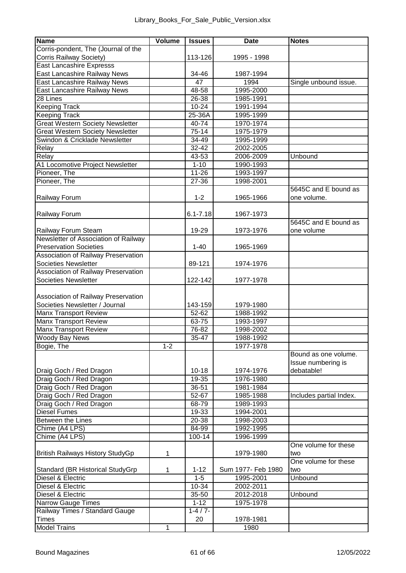| 113-126<br>1995 - 1998<br>34-46<br>1987-1994<br>47<br>1994<br>Single unbound issue.<br>East Lancashire Railway News<br>48-58<br>1995-2000<br>1985-1991<br>26-38<br>$10 - 24$<br>1991-1994<br><b>Keeping Track</b><br>25-36A<br>1995-1999<br><b>Great Western Society Newsletter</b><br>40-74<br>1970-1974<br>Great Western Society Newsletter<br>$75-14$<br>1975-1979<br>Swindon & Cricklade Newsletter<br>34-49<br>1995-1999<br>32-42<br>2002-2005<br>Relay<br>43-53<br>2006-2009<br>Relay<br>Unbound<br>A1 Locomotive Project Newsletter<br>$1 - 10$<br>1990-1993<br>Pioneer, The<br>$11 - 26$<br>1993-1997<br>Pioneer, The<br>$27 - 36$<br>1998-2001<br>5645C and E bound as<br>Railway Forum<br>$1 - 2$<br>one volume.<br>1965-1966<br>Railway Forum<br>$6.1 - 7.18$<br>1967-1973<br>5645C and E bound as<br>Railway Forum Steam<br>19-29<br>one volume<br>1973-1976<br>Newsletter of Association of Railway<br>$1 - 40$<br><b>Preservation Societies</b><br>1965-1969<br>Association of Railway Preservation<br>Societies Newsletter<br>89-121<br>1974-1976<br>Association of Railway Preservation<br>Societies Newsletter<br>122-142<br>1977-1978<br>Association of Railway Preservation<br>Societies Newsletter / Journal<br>143-159<br>1979-1980<br>Manx Transport Review<br>$52 - 62$<br>1988-1992<br>Manx Transport Review<br>63-75<br>1993-1997<br><b>Manx Transport Review</b><br>76-82<br>1998-2002<br>Woody Bay News<br>$35 - 47$<br>1988-1992<br>Bogie, The<br>$1 - 2$<br>1977-1978<br>Bound as one volume.<br>Issue numbering is<br>debatable!<br>Draig Goch / Red Dragon<br>$10 - 18$<br>1974-1976<br>Draig Goch / Red Dragon<br>19-35<br>1976-1980<br>Draig Goch / Red Dragon<br>36-51<br>1981-1984<br>Draig Goch / Red Dragon<br>$52 - 67$<br>1985-1988<br>Includes partial Index.<br>Draig Goch / Red Dragon<br>68-79<br>1989-1993<br>Diesel Fumes<br>1994-2001<br>19-33<br>Between the Lines<br>$20 - 38$<br>1998-2003<br>Chime (A4 LPS)<br>84-99<br>1992-1995<br>Chime (A4 LPS)<br>100-14<br>1996-1999<br>One volume for these<br>$\mathbf{1}$<br>1979-1980<br>two<br>One volume for these<br>Standard (BR Historical StudyGrp<br>$1 - 12$<br>Sum 1977- Feb 1980<br>two<br>1<br>1995-2001<br>Unbound<br>$1 - 5$<br>10-34<br>2002-2011<br>Diesel & Electric<br>35-50<br>2012-2018<br>Unbound<br>1975-1978<br>$1 - 12$<br>Railway Times / Standard Gauge<br>$1 - 4/7 -$<br>20<br>1978-1981<br>1980<br>1 | Name                                | Volume | <b>Issues</b> | <b>Date</b> | <b>Notes</b> |
|-----------------------------------------------------------------------------------------------------------------------------------------------------------------------------------------------------------------------------------------------------------------------------------------------------------------------------------------------------------------------------------------------------------------------------------------------------------------------------------------------------------------------------------------------------------------------------------------------------------------------------------------------------------------------------------------------------------------------------------------------------------------------------------------------------------------------------------------------------------------------------------------------------------------------------------------------------------------------------------------------------------------------------------------------------------------------------------------------------------------------------------------------------------------------------------------------------------------------------------------------------------------------------------------------------------------------------------------------------------------------------------------------------------------------------------------------------------------------------------------------------------------------------------------------------------------------------------------------------------------------------------------------------------------------------------------------------------------------------------------------------------------------------------------------------------------------------------------------------------------------------------------------------------------------------------------------------------------------------------------------------------------------------------------------------------------------------------------------------------------------------------------------------------------------------------------------------------------------------------------------------------------------------------------------------------------------------------------------------------------------------------------------------------------------------|-------------------------------------|--------|---------------|-------------|--------------|
|                                                                                                                                                                                                                                                                                                                                                                                                                                                                                                                                                                                                                                                                                                                                                                                                                                                                                                                                                                                                                                                                                                                                                                                                                                                                                                                                                                                                                                                                                                                                                                                                                                                                                                                                                                                                                                                                                                                                                                                                                                                                                                                                                                                                                                                                                                                                                                                                                             | Corris-pondent, The (Journal of the |        |               |             |              |
|                                                                                                                                                                                                                                                                                                                                                                                                                                                                                                                                                                                                                                                                                                                                                                                                                                                                                                                                                                                                                                                                                                                                                                                                                                                                                                                                                                                                                                                                                                                                                                                                                                                                                                                                                                                                                                                                                                                                                                                                                                                                                                                                                                                                                                                                                                                                                                                                                             | Corris Railway Society)             |        |               |             |              |
|                                                                                                                                                                                                                                                                                                                                                                                                                                                                                                                                                                                                                                                                                                                                                                                                                                                                                                                                                                                                                                                                                                                                                                                                                                                                                                                                                                                                                                                                                                                                                                                                                                                                                                                                                                                                                                                                                                                                                                                                                                                                                                                                                                                                                                                                                                                                                                                                                             | East Lancashire Expresss            |        |               |             |              |
|                                                                                                                                                                                                                                                                                                                                                                                                                                                                                                                                                                                                                                                                                                                                                                                                                                                                                                                                                                                                                                                                                                                                                                                                                                                                                                                                                                                                                                                                                                                                                                                                                                                                                                                                                                                                                                                                                                                                                                                                                                                                                                                                                                                                                                                                                                                                                                                                                             | East Lancashire Railway News        |        |               |             |              |
|                                                                                                                                                                                                                                                                                                                                                                                                                                                                                                                                                                                                                                                                                                                                                                                                                                                                                                                                                                                                                                                                                                                                                                                                                                                                                                                                                                                                                                                                                                                                                                                                                                                                                                                                                                                                                                                                                                                                                                                                                                                                                                                                                                                                                                                                                                                                                                                                                             | East Lancashire Railway News        |        |               |             |              |
|                                                                                                                                                                                                                                                                                                                                                                                                                                                                                                                                                                                                                                                                                                                                                                                                                                                                                                                                                                                                                                                                                                                                                                                                                                                                                                                                                                                                                                                                                                                                                                                                                                                                                                                                                                                                                                                                                                                                                                                                                                                                                                                                                                                                                                                                                                                                                                                                                             |                                     |        |               |             |              |
|                                                                                                                                                                                                                                                                                                                                                                                                                                                                                                                                                                                                                                                                                                                                                                                                                                                                                                                                                                                                                                                                                                                                                                                                                                                                                                                                                                                                                                                                                                                                                                                                                                                                                                                                                                                                                                                                                                                                                                                                                                                                                                                                                                                                                                                                                                                                                                                                                             | 28 Lines                            |        |               |             |              |
|                                                                                                                                                                                                                                                                                                                                                                                                                                                                                                                                                                                                                                                                                                                                                                                                                                                                                                                                                                                                                                                                                                                                                                                                                                                                                                                                                                                                                                                                                                                                                                                                                                                                                                                                                                                                                                                                                                                                                                                                                                                                                                                                                                                                                                                                                                                                                                                                                             | Keeping Track                       |        |               |             |              |
|                                                                                                                                                                                                                                                                                                                                                                                                                                                                                                                                                                                                                                                                                                                                                                                                                                                                                                                                                                                                                                                                                                                                                                                                                                                                                                                                                                                                                                                                                                                                                                                                                                                                                                                                                                                                                                                                                                                                                                                                                                                                                                                                                                                                                                                                                                                                                                                                                             |                                     |        |               |             |              |
|                                                                                                                                                                                                                                                                                                                                                                                                                                                                                                                                                                                                                                                                                                                                                                                                                                                                                                                                                                                                                                                                                                                                                                                                                                                                                                                                                                                                                                                                                                                                                                                                                                                                                                                                                                                                                                                                                                                                                                                                                                                                                                                                                                                                                                                                                                                                                                                                                             |                                     |        |               |             |              |
|                                                                                                                                                                                                                                                                                                                                                                                                                                                                                                                                                                                                                                                                                                                                                                                                                                                                                                                                                                                                                                                                                                                                                                                                                                                                                                                                                                                                                                                                                                                                                                                                                                                                                                                                                                                                                                                                                                                                                                                                                                                                                                                                                                                                                                                                                                                                                                                                                             |                                     |        |               |             |              |
|                                                                                                                                                                                                                                                                                                                                                                                                                                                                                                                                                                                                                                                                                                                                                                                                                                                                                                                                                                                                                                                                                                                                                                                                                                                                                                                                                                                                                                                                                                                                                                                                                                                                                                                                                                                                                                                                                                                                                                                                                                                                                                                                                                                                                                                                                                                                                                                                                             |                                     |        |               |             |              |
|                                                                                                                                                                                                                                                                                                                                                                                                                                                                                                                                                                                                                                                                                                                                                                                                                                                                                                                                                                                                                                                                                                                                                                                                                                                                                                                                                                                                                                                                                                                                                                                                                                                                                                                                                                                                                                                                                                                                                                                                                                                                                                                                                                                                                                                                                                                                                                                                                             |                                     |        |               |             |              |
|                                                                                                                                                                                                                                                                                                                                                                                                                                                                                                                                                                                                                                                                                                                                                                                                                                                                                                                                                                                                                                                                                                                                                                                                                                                                                                                                                                                                                                                                                                                                                                                                                                                                                                                                                                                                                                                                                                                                                                                                                                                                                                                                                                                                                                                                                                                                                                                                                             |                                     |        |               |             |              |
|                                                                                                                                                                                                                                                                                                                                                                                                                                                                                                                                                                                                                                                                                                                                                                                                                                                                                                                                                                                                                                                                                                                                                                                                                                                                                                                                                                                                                                                                                                                                                                                                                                                                                                                                                                                                                                                                                                                                                                                                                                                                                                                                                                                                                                                                                                                                                                                                                             |                                     |        |               |             |              |
|                                                                                                                                                                                                                                                                                                                                                                                                                                                                                                                                                                                                                                                                                                                                                                                                                                                                                                                                                                                                                                                                                                                                                                                                                                                                                                                                                                                                                                                                                                                                                                                                                                                                                                                                                                                                                                                                                                                                                                                                                                                                                                                                                                                                                                                                                                                                                                                                                             |                                     |        |               |             |              |
|                                                                                                                                                                                                                                                                                                                                                                                                                                                                                                                                                                                                                                                                                                                                                                                                                                                                                                                                                                                                                                                                                                                                                                                                                                                                                                                                                                                                                                                                                                                                                                                                                                                                                                                                                                                                                                                                                                                                                                                                                                                                                                                                                                                                                                                                                                                                                                                                                             |                                     |        |               |             |              |
|                                                                                                                                                                                                                                                                                                                                                                                                                                                                                                                                                                                                                                                                                                                                                                                                                                                                                                                                                                                                                                                                                                                                                                                                                                                                                                                                                                                                                                                                                                                                                                                                                                                                                                                                                                                                                                                                                                                                                                                                                                                                                                                                                                                                                                                                                                                                                                                                                             |                                     |        |               |             |              |
|                                                                                                                                                                                                                                                                                                                                                                                                                                                                                                                                                                                                                                                                                                                                                                                                                                                                                                                                                                                                                                                                                                                                                                                                                                                                                                                                                                                                                                                                                                                                                                                                                                                                                                                                                                                                                                                                                                                                                                                                                                                                                                                                                                                                                                                                                                                                                                                                                             |                                     |        |               |             |              |
|                                                                                                                                                                                                                                                                                                                                                                                                                                                                                                                                                                                                                                                                                                                                                                                                                                                                                                                                                                                                                                                                                                                                                                                                                                                                                                                                                                                                                                                                                                                                                                                                                                                                                                                                                                                                                                                                                                                                                                                                                                                                                                                                                                                                                                                                                                                                                                                                                             |                                     |        |               |             |              |
|                                                                                                                                                                                                                                                                                                                                                                                                                                                                                                                                                                                                                                                                                                                                                                                                                                                                                                                                                                                                                                                                                                                                                                                                                                                                                                                                                                                                                                                                                                                                                                                                                                                                                                                                                                                                                                                                                                                                                                                                                                                                                                                                                                                                                                                                                                                                                                                                                             |                                     |        |               |             |              |
|                                                                                                                                                                                                                                                                                                                                                                                                                                                                                                                                                                                                                                                                                                                                                                                                                                                                                                                                                                                                                                                                                                                                                                                                                                                                                                                                                                                                                                                                                                                                                                                                                                                                                                                                                                                                                                                                                                                                                                                                                                                                                                                                                                                                                                                                                                                                                                                                                             |                                     |        |               |             |              |
|                                                                                                                                                                                                                                                                                                                                                                                                                                                                                                                                                                                                                                                                                                                                                                                                                                                                                                                                                                                                                                                                                                                                                                                                                                                                                                                                                                                                                                                                                                                                                                                                                                                                                                                                                                                                                                                                                                                                                                                                                                                                                                                                                                                                                                                                                                                                                                                                                             |                                     |        |               |             |              |
|                                                                                                                                                                                                                                                                                                                                                                                                                                                                                                                                                                                                                                                                                                                                                                                                                                                                                                                                                                                                                                                                                                                                                                                                                                                                                                                                                                                                                                                                                                                                                                                                                                                                                                                                                                                                                                                                                                                                                                                                                                                                                                                                                                                                                                                                                                                                                                                                                             |                                     |        |               |             |              |
|                                                                                                                                                                                                                                                                                                                                                                                                                                                                                                                                                                                                                                                                                                                                                                                                                                                                                                                                                                                                                                                                                                                                                                                                                                                                                                                                                                                                                                                                                                                                                                                                                                                                                                                                                                                                                                                                                                                                                                                                                                                                                                                                                                                                                                                                                                                                                                                                                             |                                     |        |               |             |              |
|                                                                                                                                                                                                                                                                                                                                                                                                                                                                                                                                                                                                                                                                                                                                                                                                                                                                                                                                                                                                                                                                                                                                                                                                                                                                                                                                                                                                                                                                                                                                                                                                                                                                                                                                                                                                                                                                                                                                                                                                                                                                                                                                                                                                                                                                                                                                                                                                                             |                                     |        |               |             |              |
|                                                                                                                                                                                                                                                                                                                                                                                                                                                                                                                                                                                                                                                                                                                                                                                                                                                                                                                                                                                                                                                                                                                                                                                                                                                                                                                                                                                                                                                                                                                                                                                                                                                                                                                                                                                                                                                                                                                                                                                                                                                                                                                                                                                                                                                                                                                                                                                                                             |                                     |        |               |             |              |
|                                                                                                                                                                                                                                                                                                                                                                                                                                                                                                                                                                                                                                                                                                                                                                                                                                                                                                                                                                                                                                                                                                                                                                                                                                                                                                                                                                                                                                                                                                                                                                                                                                                                                                                                                                                                                                                                                                                                                                                                                                                                                                                                                                                                                                                                                                                                                                                                                             |                                     |        |               |             |              |
|                                                                                                                                                                                                                                                                                                                                                                                                                                                                                                                                                                                                                                                                                                                                                                                                                                                                                                                                                                                                                                                                                                                                                                                                                                                                                                                                                                                                                                                                                                                                                                                                                                                                                                                                                                                                                                                                                                                                                                                                                                                                                                                                                                                                                                                                                                                                                                                                                             |                                     |        |               |             |              |
|                                                                                                                                                                                                                                                                                                                                                                                                                                                                                                                                                                                                                                                                                                                                                                                                                                                                                                                                                                                                                                                                                                                                                                                                                                                                                                                                                                                                                                                                                                                                                                                                                                                                                                                                                                                                                                                                                                                                                                                                                                                                                                                                                                                                                                                                                                                                                                                                                             |                                     |        |               |             |              |
|                                                                                                                                                                                                                                                                                                                                                                                                                                                                                                                                                                                                                                                                                                                                                                                                                                                                                                                                                                                                                                                                                                                                                                                                                                                                                                                                                                                                                                                                                                                                                                                                                                                                                                                                                                                                                                                                                                                                                                                                                                                                                                                                                                                                                                                                                                                                                                                                                             |                                     |        |               |             |              |
|                                                                                                                                                                                                                                                                                                                                                                                                                                                                                                                                                                                                                                                                                                                                                                                                                                                                                                                                                                                                                                                                                                                                                                                                                                                                                                                                                                                                                                                                                                                                                                                                                                                                                                                                                                                                                                                                                                                                                                                                                                                                                                                                                                                                                                                                                                                                                                                                                             |                                     |        |               |             |              |
|                                                                                                                                                                                                                                                                                                                                                                                                                                                                                                                                                                                                                                                                                                                                                                                                                                                                                                                                                                                                                                                                                                                                                                                                                                                                                                                                                                                                                                                                                                                                                                                                                                                                                                                                                                                                                                                                                                                                                                                                                                                                                                                                                                                                                                                                                                                                                                                                                             |                                     |        |               |             |              |
|                                                                                                                                                                                                                                                                                                                                                                                                                                                                                                                                                                                                                                                                                                                                                                                                                                                                                                                                                                                                                                                                                                                                                                                                                                                                                                                                                                                                                                                                                                                                                                                                                                                                                                                                                                                                                                                                                                                                                                                                                                                                                                                                                                                                                                                                                                                                                                                                                             |                                     |        |               |             |              |
|                                                                                                                                                                                                                                                                                                                                                                                                                                                                                                                                                                                                                                                                                                                                                                                                                                                                                                                                                                                                                                                                                                                                                                                                                                                                                                                                                                                                                                                                                                                                                                                                                                                                                                                                                                                                                                                                                                                                                                                                                                                                                                                                                                                                                                                                                                                                                                                                                             |                                     |        |               |             |              |
|                                                                                                                                                                                                                                                                                                                                                                                                                                                                                                                                                                                                                                                                                                                                                                                                                                                                                                                                                                                                                                                                                                                                                                                                                                                                                                                                                                                                                                                                                                                                                                                                                                                                                                                                                                                                                                                                                                                                                                                                                                                                                                                                                                                                                                                                                                                                                                                                                             |                                     |        |               |             |              |
|                                                                                                                                                                                                                                                                                                                                                                                                                                                                                                                                                                                                                                                                                                                                                                                                                                                                                                                                                                                                                                                                                                                                                                                                                                                                                                                                                                                                                                                                                                                                                                                                                                                                                                                                                                                                                                                                                                                                                                                                                                                                                                                                                                                                                                                                                                                                                                                                                             |                                     |        |               |             |              |
|                                                                                                                                                                                                                                                                                                                                                                                                                                                                                                                                                                                                                                                                                                                                                                                                                                                                                                                                                                                                                                                                                                                                                                                                                                                                                                                                                                                                                                                                                                                                                                                                                                                                                                                                                                                                                                                                                                                                                                                                                                                                                                                                                                                                                                                                                                                                                                                                                             |                                     |        |               |             |              |
|                                                                                                                                                                                                                                                                                                                                                                                                                                                                                                                                                                                                                                                                                                                                                                                                                                                                                                                                                                                                                                                                                                                                                                                                                                                                                                                                                                                                                                                                                                                                                                                                                                                                                                                                                                                                                                                                                                                                                                                                                                                                                                                                                                                                                                                                                                                                                                                                                             |                                     |        |               |             |              |
|                                                                                                                                                                                                                                                                                                                                                                                                                                                                                                                                                                                                                                                                                                                                                                                                                                                                                                                                                                                                                                                                                                                                                                                                                                                                                                                                                                                                                                                                                                                                                                                                                                                                                                                                                                                                                                                                                                                                                                                                                                                                                                                                                                                                                                                                                                                                                                                                                             |                                     |        |               |             |              |
|                                                                                                                                                                                                                                                                                                                                                                                                                                                                                                                                                                                                                                                                                                                                                                                                                                                                                                                                                                                                                                                                                                                                                                                                                                                                                                                                                                                                                                                                                                                                                                                                                                                                                                                                                                                                                                                                                                                                                                                                                                                                                                                                                                                                                                                                                                                                                                                                                             |                                     |        |               |             |              |
|                                                                                                                                                                                                                                                                                                                                                                                                                                                                                                                                                                                                                                                                                                                                                                                                                                                                                                                                                                                                                                                                                                                                                                                                                                                                                                                                                                                                                                                                                                                                                                                                                                                                                                                                                                                                                                                                                                                                                                                                                                                                                                                                                                                                                                                                                                                                                                                                                             |                                     |        |               |             |              |
|                                                                                                                                                                                                                                                                                                                                                                                                                                                                                                                                                                                                                                                                                                                                                                                                                                                                                                                                                                                                                                                                                                                                                                                                                                                                                                                                                                                                                                                                                                                                                                                                                                                                                                                                                                                                                                                                                                                                                                                                                                                                                                                                                                                                                                                                                                                                                                                                                             |                                     |        |               |             |              |
|                                                                                                                                                                                                                                                                                                                                                                                                                                                                                                                                                                                                                                                                                                                                                                                                                                                                                                                                                                                                                                                                                                                                                                                                                                                                                                                                                                                                                                                                                                                                                                                                                                                                                                                                                                                                                                                                                                                                                                                                                                                                                                                                                                                                                                                                                                                                                                                                                             |                                     |        |               |             |              |
|                                                                                                                                                                                                                                                                                                                                                                                                                                                                                                                                                                                                                                                                                                                                                                                                                                                                                                                                                                                                                                                                                                                                                                                                                                                                                                                                                                                                                                                                                                                                                                                                                                                                                                                                                                                                                                                                                                                                                                                                                                                                                                                                                                                                                                                                                                                                                                                                                             |                                     |        |               |             |              |
|                                                                                                                                                                                                                                                                                                                                                                                                                                                                                                                                                                                                                                                                                                                                                                                                                                                                                                                                                                                                                                                                                                                                                                                                                                                                                                                                                                                                                                                                                                                                                                                                                                                                                                                                                                                                                                                                                                                                                                                                                                                                                                                                                                                                                                                                                                                                                                                                                             |                                     |        |               |             |              |
|                                                                                                                                                                                                                                                                                                                                                                                                                                                                                                                                                                                                                                                                                                                                                                                                                                                                                                                                                                                                                                                                                                                                                                                                                                                                                                                                                                                                                                                                                                                                                                                                                                                                                                                                                                                                                                                                                                                                                                                                                                                                                                                                                                                                                                                                                                                                                                                                                             |                                     |        |               |             |              |
|                                                                                                                                                                                                                                                                                                                                                                                                                                                                                                                                                                                                                                                                                                                                                                                                                                                                                                                                                                                                                                                                                                                                                                                                                                                                                                                                                                                                                                                                                                                                                                                                                                                                                                                                                                                                                                                                                                                                                                                                                                                                                                                                                                                                                                                                                                                                                                                                                             |                                     |        |               |             |              |
|                                                                                                                                                                                                                                                                                                                                                                                                                                                                                                                                                                                                                                                                                                                                                                                                                                                                                                                                                                                                                                                                                                                                                                                                                                                                                                                                                                                                                                                                                                                                                                                                                                                                                                                                                                                                                                                                                                                                                                                                                                                                                                                                                                                                                                                                                                                                                                                                                             |                                     |        |               |             |              |
|                                                                                                                                                                                                                                                                                                                                                                                                                                                                                                                                                                                                                                                                                                                                                                                                                                                                                                                                                                                                                                                                                                                                                                                                                                                                                                                                                                                                                                                                                                                                                                                                                                                                                                                                                                                                                                                                                                                                                                                                                                                                                                                                                                                                                                                                                                                                                                                                                             |                                     |        |               |             |              |
|                                                                                                                                                                                                                                                                                                                                                                                                                                                                                                                                                                                                                                                                                                                                                                                                                                                                                                                                                                                                                                                                                                                                                                                                                                                                                                                                                                                                                                                                                                                                                                                                                                                                                                                                                                                                                                                                                                                                                                                                                                                                                                                                                                                                                                                                                                                                                                                                                             | British Railways History StudyGp    |        |               |             |              |
|                                                                                                                                                                                                                                                                                                                                                                                                                                                                                                                                                                                                                                                                                                                                                                                                                                                                                                                                                                                                                                                                                                                                                                                                                                                                                                                                                                                                                                                                                                                                                                                                                                                                                                                                                                                                                                                                                                                                                                                                                                                                                                                                                                                                                                                                                                                                                                                                                             |                                     |        |               |             |              |
|                                                                                                                                                                                                                                                                                                                                                                                                                                                                                                                                                                                                                                                                                                                                                                                                                                                                                                                                                                                                                                                                                                                                                                                                                                                                                                                                                                                                                                                                                                                                                                                                                                                                                                                                                                                                                                                                                                                                                                                                                                                                                                                                                                                                                                                                                                                                                                                                                             |                                     |        |               |             |              |
|                                                                                                                                                                                                                                                                                                                                                                                                                                                                                                                                                                                                                                                                                                                                                                                                                                                                                                                                                                                                                                                                                                                                                                                                                                                                                                                                                                                                                                                                                                                                                                                                                                                                                                                                                                                                                                                                                                                                                                                                                                                                                                                                                                                                                                                                                                                                                                                                                             | Diesel & Electric                   |        |               |             |              |
|                                                                                                                                                                                                                                                                                                                                                                                                                                                                                                                                                                                                                                                                                                                                                                                                                                                                                                                                                                                                                                                                                                                                                                                                                                                                                                                                                                                                                                                                                                                                                                                                                                                                                                                                                                                                                                                                                                                                                                                                                                                                                                                                                                                                                                                                                                                                                                                                                             | Diesel & Electric                   |        |               |             |              |
|                                                                                                                                                                                                                                                                                                                                                                                                                                                                                                                                                                                                                                                                                                                                                                                                                                                                                                                                                                                                                                                                                                                                                                                                                                                                                                                                                                                                                                                                                                                                                                                                                                                                                                                                                                                                                                                                                                                                                                                                                                                                                                                                                                                                                                                                                                                                                                                                                             |                                     |        |               |             |              |
|                                                                                                                                                                                                                                                                                                                                                                                                                                                                                                                                                                                                                                                                                                                                                                                                                                                                                                                                                                                                                                                                                                                                                                                                                                                                                                                                                                                                                                                                                                                                                                                                                                                                                                                                                                                                                                                                                                                                                                                                                                                                                                                                                                                                                                                                                                                                                                                                                             | Narrow Gauge Times                  |        |               |             |              |
|                                                                                                                                                                                                                                                                                                                                                                                                                                                                                                                                                                                                                                                                                                                                                                                                                                                                                                                                                                                                                                                                                                                                                                                                                                                                                                                                                                                                                                                                                                                                                                                                                                                                                                                                                                                                                                                                                                                                                                                                                                                                                                                                                                                                                                                                                                                                                                                                                             |                                     |        |               |             |              |
|                                                                                                                                                                                                                                                                                                                                                                                                                                                                                                                                                                                                                                                                                                                                                                                                                                                                                                                                                                                                                                                                                                                                                                                                                                                                                                                                                                                                                                                                                                                                                                                                                                                                                                                                                                                                                                                                                                                                                                                                                                                                                                                                                                                                                                                                                                                                                                                                                             | Times                               |        |               |             |              |
|                                                                                                                                                                                                                                                                                                                                                                                                                                                                                                                                                                                                                                                                                                                                                                                                                                                                                                                                                                                                                                                                                                                                                                                                                                                                                                                                                                                                                                                                                                                                                                                                                                                                                                                                                                                                                                                                                                                                                                                                                                                                                                                                                                                                                                                                                                                                                                                                                             | <b>Model Trains</b>                 |        |               |             |              |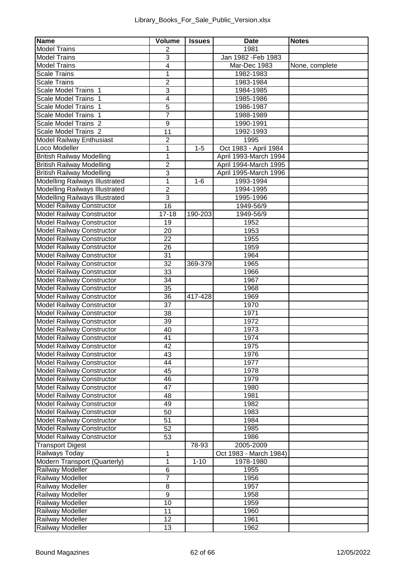| <b>Name</b>                                            | Volume         | <b>Issues</b> | Date                   | <b>Notes</b>   |
|--------------------------------------------------------|----------------|---------------|------------------------|----------------|
| <b>Model Trains</b>                                    | 2              |               | 1981                   |                |
| <b>Model Trains</b>                                    | 3              |               | Jan 1982 - Feb 1983    |                |
| <b>Model Trains</b>                                    | 4              |               | Mar-Dec 1983           | None, complete |
| <b>Scale Trains</b>                                    | 1              |               | 1982-1983              |                |
| <b>Scale Trains</b>                                    | $\overline{2}$ |               | 1983-1984              |                |
| Scale Model Trains 1                                   | 3              |               | 1984-1985              |                |
| Scale Model Trains<br>$\mathbf{1}$                     | 4              |               | 1985-1986              |                |
| Scale Model Trains<br>$\mathbf{1}$                     | 5              |               | 1986-1987              |                |
| Scale Model Trains                                     | 7              |               | 1988-1989              |                |
| Scale Model Trains 2                                   | 9              |               | 1990-1991              |                |
| Scale Model Trains 2                                   | 11             |               | 1992-1993              |                |
| Model Railway Enthusiast                               | 2              |               | 1995                   |                |
| Loco Modeller                                          | 1              | $1 - 5$       | Oct 1983 - April 1984  |                |
| British Railway Modelling                              | 1              |               | April 1993-March 1994  |                |
| British Railway Modelling                              | 2              |               | April 1994-March 1995  |                |
| British Railway Modelling                              | 3              |               | April 1995-March 1996  |                |
| Modelling Railways Illustrated                         | 1              | $1 - 6$       | 1993-1994              |                |
| Modelling Railways Illustrated                         | $\overline{2}$ |               | 1994-1995              |                |
| Modelling Railways Illustrated                         | 3              |               | 1995-1996              |                |
| Model Railway Constructor                              | 16             |               | 1949-56/9              |                |
| Model Railway Constructor                              | $17 - 18$      | 190-203       | 1949-56/9              |                |
| Model Railway Constructor                              | 19             |               | 1952                   |                |
| Model Railway Constructor                              | 20             |               | 1953                   |                |
| Model Railway Constructor                              | 22             |               | 1955                   |                |
| Model Railway Constructor                              | 26             |               | 1959                   |                |
| Model Railway Constructor                              | 31             |               | 1964                   |                |
| Model Railway Constructor                              | 32             | 369-379       | 1965                   |                |
| Model Railway Constructor                              | 33             |               | 1966                   |                |
| Model Railway Constructor                              | 34             |               | 1967                   |                |
| Model Railway Constructor                              | 35             |               | 1968                   |                |
| Model Railway Constructor                              | 36             | 417-428       | 1969                   |                |
| Model Railway Constructor                              | 37             |               | 1970                   |                |
| Model Railway Constructor                              | 38             |               | 1971                   |                |
| Model Railway Constructor                              | 39             |               | 1972                   |                |
| Model Railway Constructor                              | 40             |               | 1973                   |                |
| Model Railway Constructor                              | 41             |               | 1974                   |                |
| <b>Model Railway Constructor</b>                       | 42             |               | 1975                   |                |
| <b>Model Railway Constructor</b>                       | 43             |               | 1976                   |                |
| Model Railway Constructor                              | 44             |               | 1977                   |                |
| Model Railway Constructor                              | 45             |               | 1978                   |                |
| Model Railway Constructor                              | 46             |               | 1979                   |                |
| Model Railway Constructor                              | 47             |               | 1980                   |                |
| Model Railway Constructor                              | 48             |               | 1981                   |                |
| <b>Model Railway Constructor</b>                       | 49             |               | 1982                   |                |
| Model Railway Constructor                              | 50             |               | 1983                   |                |
| Model Railway Constructor                              | 51             |               | 1984<br>1985           |                |
| Model Railway Constructor<br>Model Railway Constructor | 52<br>53       |               | 1986                   |                |
| <b>Transport Digest</b>                                |                | 78-93         | 2005-2009              |                |
| Railways Today                                         | 1              |               | Oct 1983 - March 1984) |                |
| Modern Transport (Quarterly)                           | 1              | $1 - 10$      | 1978-1980              |                |
| Railway Modeller                                       | 6              |               | 1955                   |                |
| Railway Modeller                                       | $\overline{7}$ |               | 1956                   |                |
| Railway Modeller                                       | 8              |               | 1957                   |                |
| Railway Modeller                                       | 9              |               | 1958                   |                |
| Railway Modeller                                       | 10             |               | 1959                   |                |
| Railway Modeller                                       | 11             |               | 1960                   |                |
| Railway Modeller                                       | 12             |               | 1961                   |                |
| <b>Railway Modeller</b>                                | 13             |               | 1962                   |                |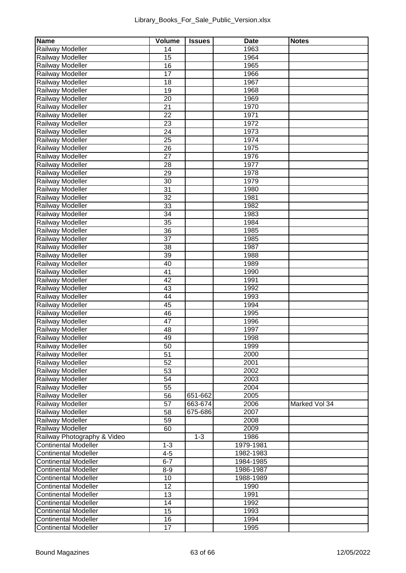| Name                                 | Volume   | <b>Issues</b> | Date         | <b>Notes</b>  |
|--------------------------------------|----------|---------------|--------------|---------------|
| Railway Modeller                     | 14       |               | 1963         |               |
| Railway Modeller                     | 15       |               | 1964         |               |
| Railway Modeller                     | 16       |               | 1965         |               |
| Railway Modeller                     | 17       |               | 1966         |               |
| Railway Modeller                     | 18       |               | 1967         |               |
| Railway Modeller                     | 19       |               | 1968         |               |
| Railway Modeller                     | 20       |               | 1969         |               |
| Railway Modeller                     | 21       |               | 1970         |               |
| Railway Modeller                     | 22       |               | 1971         |               |
| Railway Modeller                     | 23       |               | 1972         |               |
| Railway Modeller                     | 24       |               | 1973         |               |
| Railway Modeller                     | 25       |               | 1974         |               |
| Railway Modeller                     | 26       |               | 1975         |               |
| Railway Modeller                     | 27       |               | 1976         |               |
| Railway Modeller                     | 28       |               | 1977         |               |
| Railway Modeller                     | 29       |               | 1978         |               |
| Railway Modeller                     | 30       |               | 1979         |               |
| Railway Modeller                     | 31<br>32 |               | 1980<br>1981 |               |
| Railway Modeller                     |          |               |              |               |
| Railway Modeller<br>Railway Modeller | 33<br>34 |               | 1982<br>1983 |               |
|                                      | 35       |               | 1984         |               |
| Railway Modeller<br>Railway Modeller |          |               | 1985         |               |
| Railway Modeller                     | 36<br>37 |               | 1985         |               |
| Railway Modeller                     | 38       |               | 1987         |               |
| Railway Modeller                     | 39       |               | 1988         |               |
| Railway Modeller                     | 40       |               | 1989         |               |
| Railway Modeller                     | 41       |               | 1990         |               |
| Railway Modeller                     | 42       |               | 1991         |               |
| Railway Modeller                     | 43       |               | 1992         |               |
| Railway Modeller                     | 44       |               | 1993         |               |
| Railway Modeller                     | 45       |               | 1994         |               |
| Railway Modeller                     | 46       |               | 1995         |               |
| Railway Modeller                     | 47       |               | 1996         |               |
| Railway Modeller                     | 48       |               | 1997         |               |
| Railway Modeller                     | 49       |               | 1998         |               |
| Railway Modeller                     | 50       |               | 1999         |               |
| Railway Modeller                     | 51       |               | 2000         |               |
| Railway Modeller                     | 52       |               | 2001         |               |
| Railway Modeller                     | 53       |               | 2002         |               |
| Railway Modeller                     | 54       |               | 2003         |               |
| Railway Modeller                     | 55       |               | 2004         |               |
| Railway Modeller                     | 56       | 651-662       | 2005         |               |
| Railway Modeller                     | 57       | 663-674       | 2006         | Marked Vol 34 |
| Railway Modeller                     | 58       | 675-686       | 2007         |               |
| Railway Modeller                     | 59       |               | 2008         |               |
| Railway Modeller                     | 60       |               | 2009         |               |
| Railway Photography & Video          |          | $1 - 3$       | 1986         |               |
| <b>Continental Modeller</b>          | $1 - 3$  |               | 1979-1981    |               |
| <b>Continental Modeller</b>          | $4 - 5$  |               | 1982-1983    |               |
| <b>Continental Modeller</b>          | $6 - 7$  |               | 1984-1985    |               |
| Continental Modeller                 | $8 - 9$  |               | 1986-1987    |               |
| Continental Modeller                 | 10       |               | 1988-1989    |               |
| Continental Modeller                 | 12       |               | 1990         |               |
| <b>Continental Modeller</b>          | 13       |               | 1991         |               |
| <b>Continental Modeller</b>          | 14       |               | 1992         |               |
| <b>Continental Modeller</b>          | 15       |               | 1993         |               |
| Continental Modeller                 | 16       |               | 1994         |               |
| <b>Continental Modeller</b>          | 17       |               | 1995         |               |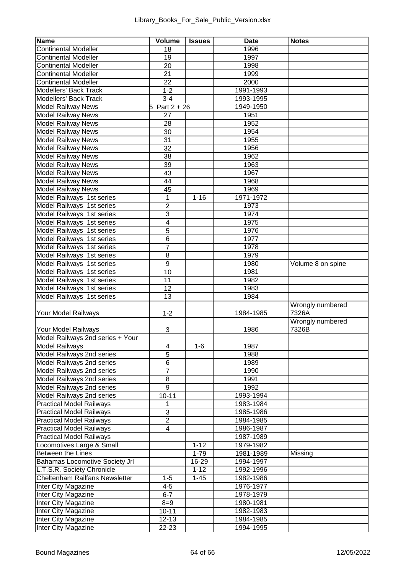| Name                             | Volume         | Issues   | Date      | <b>Notes</b>      |
|----------------------------------|----------------|----------|-----------|-------------------|
| <b>Continental Modeller</b>      | 18             |          | 1996      |                   |
| <b>Continental Modeller</b>      | 19             |          | 1997      |                   |
| <b>Continental Modeller</b>      | 20             |          | 1998      |                   |
| <b>Continental Modeller</b>      | 21             |          | 1999      |                   |
| <b>Continental Modeller</b>      | 22             |          | 2000      |                   |
| Modellers' Back Track            | $1 - 2$        |          | 1991-1993 |                   |
| Modellers' Back Track            | $3-4$          |          | 1993-1995 |                   |
| Model Railway News               | Part $2 + 26$  |          | 1949-1950 |                   |
| <b>Model Railway News</b>        | 27             |          | 1951      |                   |
| Model Railway News               | 28             |          | 1952      |                   |
| Model Railway News               | 30             |          | 1954      |                   |
| <b>Model Railway News</b>        | 31             |          | 1955      |                   |
| <b>Model Railway News</b>        | 32             |          | 1956      |                   |
| Model Railway News               | 38             |          | 1962      |                   |
| <b>Model Railway News</b>        | 39             |          | 1963      |                   |
| <b>Model Railway News</b>        | 43             |          | 1967      |                   |
| Model Railway News               | 44             |          | 1968      |                   |
| <b>Model Railway News</b>        | 45             |          | 1969      |                   |
| Model Railways 1st series        | 1              | $1 - 16$ | 1971-1972 |                   |
| Model Railways 1st series        | 2              |          | 1973      |                   |
| Model Railways 1st series        | 3              |          | 1974      |                   |
| Model Railways 1st series        | 4              |          | 1975      |                   |
| Model Railways 1st series        | 5              |          | 1976      |                   |
| Model Railways 1st series        | 6              |          | 1977      |                   |
| Model Railways 1st series        | 7              |          | 1978      |                   |
| Model Railways 1st series        | 8              |          | 1979      |                   |
| Model Railways 1st series        | 9              |          | 1980      | Volume 8 on spine |
| Model Railways 1st series        | 10             |          | 1981      |                   |
| Model Railways 1st series        | 11             |          | 1982      |                   |
| Model Railways 1st series        | 12             |          | 1983      |                   |
| Model Railways 1st series        | 13             |          | 1984      |                   |
|                                  | $1 - 2$        |          |           | Wrongly numbered  |
| Your Model Railways              |                |          | 1984-1985 | 7326A             |
|                                  |                |          |           | Wrongly numbered  |
| Your Model Railways              | 3              |          | 1986      | 7326B             |
| Model Railways 2nd series + Your |                |          |           |                   |
| Model Railways                   | 4              | $1 - 6$  | 1987      |                   |
| Model Railways 2nd series        | 5              |          | 1988      |                   |
| Model Railways 2nd series        | 6              |          | 1989      |                   |
| Model Railways 2nd series        | 7              |          | 1990      |                   |
| Model Railways 2nd series        | 8              |          | 1991      |                   |
| Model Railways 2nd series        | 9              |          | 1992      |                   |
| Model Railways 2nd series        | $10 - 11$      |          | 1993-1994 |                   |
| <b>Practical Model Railways</b>  | 1              |          | 1983-1984 |                   |
| <b>Practical Model Railways</b>  | 3              |          | 1985-1986 |                   |
| <b>Practical Model Railways</b>  | $\overline{2}$ |          | 1984-1985 |                   |
| <b>Practical Model Railways</b>  | 4              |          | 1986-1987 |                   |
| <b>Practical Model Railways</b>  |                |          | 1987-1989 |                   |
| Locomotives Large & Small        |                | $1 - 12$ | 1979-1982 |                   |
| Between the Lines                |                | $1 - 79$ | 1981-1989 | Missing           |
| Bahamas Locomotive Society Jrl   |                | 16-29    | 1994-1997 |                   |
| L.T.S.R. Society Chronicle       |                | $1 - 12$ | 1992-1996 |                   |
| Cheltenham Railfans Newsletter   | $1 - 5$        | $1 - 45$ | 1982-1986 |                   |
| Inter City Magazine              | $4 - 5$        |          | 1976-1977 |                   |
| Inter City Magazine              | $6 - 7$        |          | 1978-1979 |                   |
| Inter City Magazine              | $8 = 9$        |          | 1980-1981 |                   |
| Inter City Magazine              | $10 - 11$      |          | 1982-1983 |                   |
| Inter City Magazine              | $12 - 13$      |          | 1984-1985 |                   |
| Inter City Magazine              | $22 - 23$      |          | 1994-1995 |                   |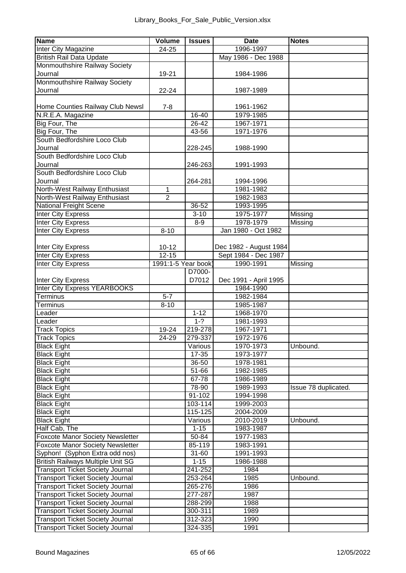| Name                                                   | Volume             | <b>Issues</b>       | Date                   | <b>Notes</b>         |
|--------------------------------------------------------|--------------------|---------------------|------------------------|----------------------|
| Inter City Magazine                                    | 24-25              |                     | 1996-1997              |                      |
| British Rail Data Update                               |                    |                     | May 1986 - Dec 1988    |                      |
| Monmouthshire Railway Society                          |                    |                     |                        |                      |
| Journal                                                | 19-21              |                     | 1984-1986              |                      |
| Monmouthshire Railway Society                          |                    |                     |                        |                      |
| Journal                                                | $22 - 24$          |                     | 1987-1989              |                      |
|                                                        |                    |                     |                        |                      |
| Home Counties Railway Club Newsl                       | $7 - 8$            |                     | 1961-1962              |                      |
| N.R.E.A. Magazine                                      |                    | 16-40               | 1979-1985              |                      |
| Big Four, The                                          |                    | 26-42               | 1967-1971              |                      |
| Big Four, The                                          |                    | 43-56               | 1971-1976              |                      |
| South Bedfordshire Loco Club                           |                    |                     |                        |                      |
| Journal                                                |                    | 228-245             | 1988-1990              |                      |
| South Bedfordshire Loco Club                           |                    |                     |                        |                      |
| Journal                                                |                    | 246-263             | 1991-1993              |                      |
| South Bedfordshire Loco Club                           |                    |                     |                        |                      |
| Journal                                                |                    | 264-281             | 1994-1996              |                      |
| North-West Railway Enthusiast                          | 1                  |                     | 1981-1982              |                      |
| North-West Railway Enthusiast                          | $\overline{2}$     |                     | 1982-1983              |                      |
| National Freight Scene                                 |                    | 36-52               | 1993-1995              |                      |
| <b>Inter City Express</b>                              |                    | $3 - 10$            | 1975-1977              | Missing              |
| <b>Inter City Express</b>                              |                    | $8 - 9$             | 1978-1979              | Missing              |
| <b>Inter City Express</b>                              | $8 - 10$           |                     | Jan 1980 - Oct 1982    |                      |
|                                                        |                    |                     |                        |                      |
| Inter City Express                                     | $10 - 12$          |                     | Dec 1982 - August 1984 |                      |
|                                                        | 12-15              |                     | Sept 1984 - Dec 1987   |                      |
| <b>Inter City Express</b><br><b>Inter City Express</b> | 1991:1-5 Year book |                     | 1990-1991              | Missing              |
|                                                        |                    | D7000-              |                        |                      |
|                                                        |                    | D7012               |                        |                      |
| <b>Inter City Express</b>                              |                    |                     | Dec 1991 - April 1995  |                      |
| Inter City Express YEARBOOKS                           |                    |                     | 1984-1990              |                      |
| Terminus                                               | $5 - 7$            |                     | 1982-1984              |                      |
| Terminus                                               | $8 - 10$           |                     | 1985-1987              |                      |
| Leader                                                 |                    | $1 - 12$<br>$1 - 2$ | 1968-1970              |                      |
| Leader                                                 |                    |                     | 1981-1993              |                      |
| <b>Track Topics</b>                                    | 19-24              | 219-278             | 1967-1971              |                      |
| <b>Track Topics</b>                                    | 24-29              | 279-337             | 1972-1976              |                      |
| <b>Black Eight</b>                                     |                    | Various             | 1970-1973              | Unbound.             |
| <b>Black Eight</b>                                     |                    | $17 - 35$           | 1973-1977              |                      |
| <b>Black Eight</b>                                     |                    | 36-50               | 1978-1981              |                      |
| <b>Black Eight</b>                                     |                    | 51-66               | 1982-1985              |                      |
| <b>Black Eight</b>                                     |                    | 67-78               | 1986-1989              |                      |
| <b>Black Eight</b>                                     |                    | 78-90               | 1989-1993              | Issue 78 duplicated. |
| <b>Black Eight</b>                                     |                    | 91-102              | 1994-1998              |                      |
| <b>Black Eight</b>                                     |                    | 103-114             | 1999-2003              |                      |
| <b>Black Eight</b>                                     |                    | 115-125             | 2004-2009              |                      |
| <b>Black Eight</b>                                     |                    | Various             | 2010-2019              | Unbound.             |
| Half Cab, The                                          |                    | $1 - 15$            | 1983-1987              |                      |
| Foxcote Manor Society Newsletter                       |                    | 50-84               | 1977-1983              |                      |
| Foxcote Manor Society Newsletter                       |                    | 85-119              | 1983-1991              |                      |
| Syphon! (Syphon Extra odd nos)                         |                    | $31 - 60$           | 1991-1993              |                      |
| British Railways Multiple Unit SG                      |                    | $1 - 15$            | 1986-1988              |                      |
| <b>Transport Ticket Society Journal</b>                |                    | 241-252             | 1984                   |                      |
| <b>Transport Ticket Society Journal</b>                |                    | 253-264             | 1985                   | Unbound.             |
| <b>Transport Ticket Society Journal</b>                |                    | 265-276             | 1986                   |                      |
| <b>Transport Ticket Society Journal</b>                |                    | 277-287             | 1987                   |                      |
| <b>Transport Ticket Society Journal</b>                |                    | 288-299             | 1988                   |                      |
| <b>Transport Ticket Society Journal</b>                |                    | 300-311             | 1989                   |                      |
| <b>Transport Ticket Society Journal</b>                |                    | 312-323             | 1990                   |                      |
| <b>Transport Ticket Society Journal</b>                |                    | 324-335             | 1991                   |                      |